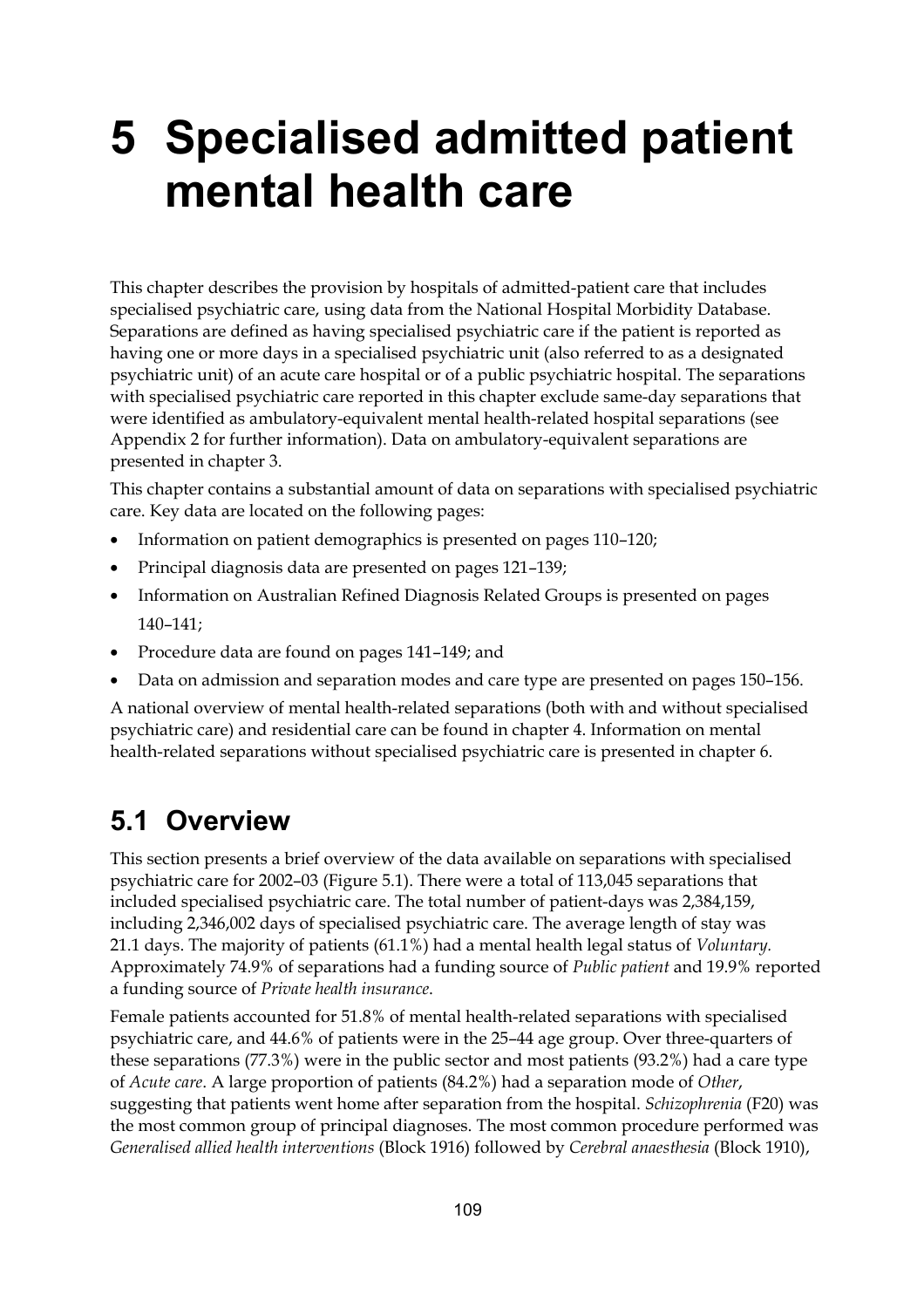# **5 Specialised admitted patient mental health care**

This chapter describes the provision by hospitals of admitted-patient care that includes specialised psychiatric care, using data from the National Hospital Morbidity Database. Separations are defined as having specialised psychiatric care if the patient is reported as having one or more days in a specialised psychiatric unit (also referred to as a designated psychiatric unit) of an acute care hospital or of a public psychiatric hospital. The separations with specialised psychiatric care reported in this chapter exclude same-day separations that were identified as ambulatory-equivalent mental health-related hospital separations (see Appendix 2 for further information). Data on ambulatory-equivalent separations are presented in chapter 3.

This chapter contains a substantial amount of data on separations with specialised psychiatric care. Key data are located on the following pages:

- Information on patient demographics is presented on pages 110–120;
- Principal diagnosis data are presented on pages 121–139;
- Information on Australian Refined Diagnosis Related Groups is presented on pages 140–141;
- Procedure data are found on pages 141–149; and
- Data on admission and separation modes and care type are presented on pages 150–156.

A national overview of mental health-related separations (both with and without specialised psychiatric care) and residential care can be found in chapter 4. Information on mental health-related separations without specialised psychiatric care is presented in chapter 6.

### **5.1 Overview**

This section presents a brief overview of the data available on separations with specialised psychiatric care for 2002–03 (Figure 5.1). There were a total of 113,045 separations that included specialised psychiatric care. The total number of patient-days was 2,384,159, including 2,346,002 days of specialised psychiatric care. The average length of stay was 21.1 days. The majority of patients (61.1%) had a mental health legal status of *Voluntary.* Approximately 74.9% of separations had a funding source of *Public patient* and 19.9% reported a funding source of *Private health insurance*.

Female patients accounted for 51.8% of mental health-related separations with specialised psychiatric care, and 44.6% of patients were in the 25–44 age group. Over three-quarters of these separations (77.3%) were in the public sector and most patients (93.2%) had a care type of *Acute care*. A large proportion of patients (84.2%) had a separation mode of *Other*, suggesting that patients went home after separation from the hospital. *Schizophrenia* (F20) was the most common group of principal diagnoses. The most common procedure performed was *Generalised allied health interventions* (Block 1916) followed by *Cerebral anaesthesia* (Block 1910),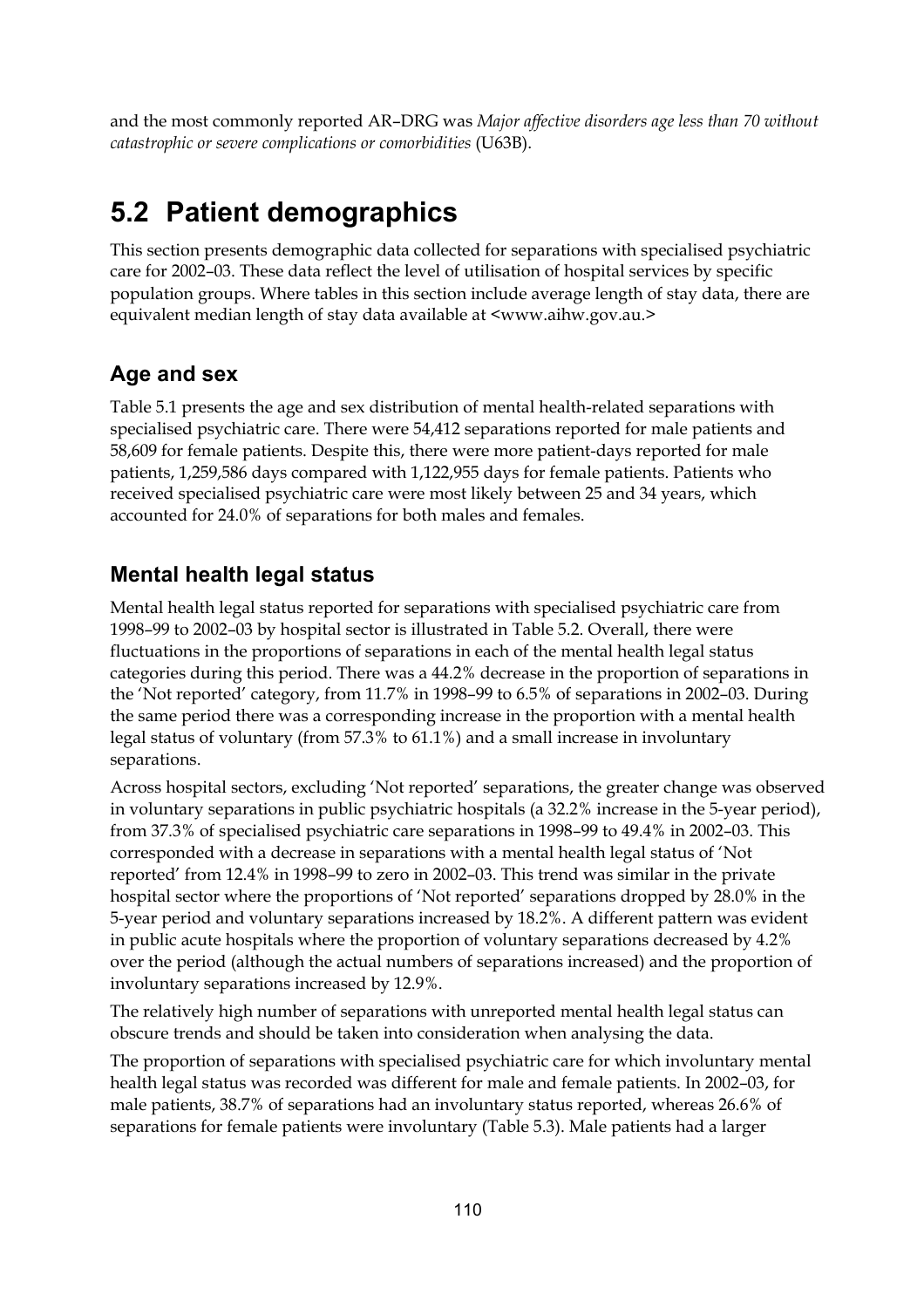and the most commonly reported AR–DRG was *Major affective disorders age less than 70 without catastrophic or severe complications or comorbidities* (U63B).

# **5.2 Patient demographics**

This section presents demographic data collected for separations with specialised psychiatric care for 2002–03. These data reflect the level of utilisation of hospital services by specific population groups. Where tables in this section include average length of stay data, there are equivalent median length of stay data available at <www.aihw.gov.au.>

### **Age and sex**

Table 5.1 presents the age and sex distribution of mental health-related separations with specialised psychiatric care. There were 54,412 separations reported for male patients and 58,609 for female patients. Despite this, there were more patient-days reported for male patients, 1,259,586 days compared with 1,122,955 days for female patients. Patients who received specialised psychiatric care were most likely between 25 and 34 years, which accounted for 24.0% of separations for both males and females.

### **Mental health legal status**

Mental health legal status reported for separations with specialised psychiatric care from 1998–99 to 2002–03 by hospital sector is illustrated in Table 5.2. Overall, there were fluctuations in the proportions of separations in each of the mental health legal status categories during this period. There was a 44.2% decrease in the proportion of separations in the 'Not reported' category, from 11.7% in 1998–99 to 6.5% of separations in 2002–03. During the same period there was a corresponding increase in the proportion with a mental health legal status of voluntary (from 57.3% to 61.1%) and a small increase in involuntary separations.

Across hospital sectors, excluding 'Not reported' separations, the greater change was observed in voluntary separations in public psychiatric hospitals (a 32.2% increase in the 5-year period), from 37.3% of specialised psychiatric care separations in 1998–99 to 49.4% in 2002–03. This corresponded with a decrease in separations with a mental health legal status of 'Not reported' from 12.4% in 1998–99 to zero in 2002–03. This trend was similar in the private hospital sector where the proportions of 'Not reported' separations dropped by 28.0% in the 5-year period and voluntary separations increased by 18.2%. A different pattern was evident in public acute hospitals where the proportion of voluntary separations decreased by 4.2% over the period (although the actual numbers of separations increased) and the proportion of involuntary separations increased by 12.9%.

The relatively high number of separations with unreported mental health legal status can obscure trends and should be taken into consideration when analysing the data.

The proportion of separations with specialised psychiatric care for which involuntary mental health legal status was recorded was different for male and female patients. In 2002–03, for male patients, 38.7% of separations had an involuntary status reported, whereas 26.6% of separations for female patients were involuntary (Table 5.3). Male patients had a larger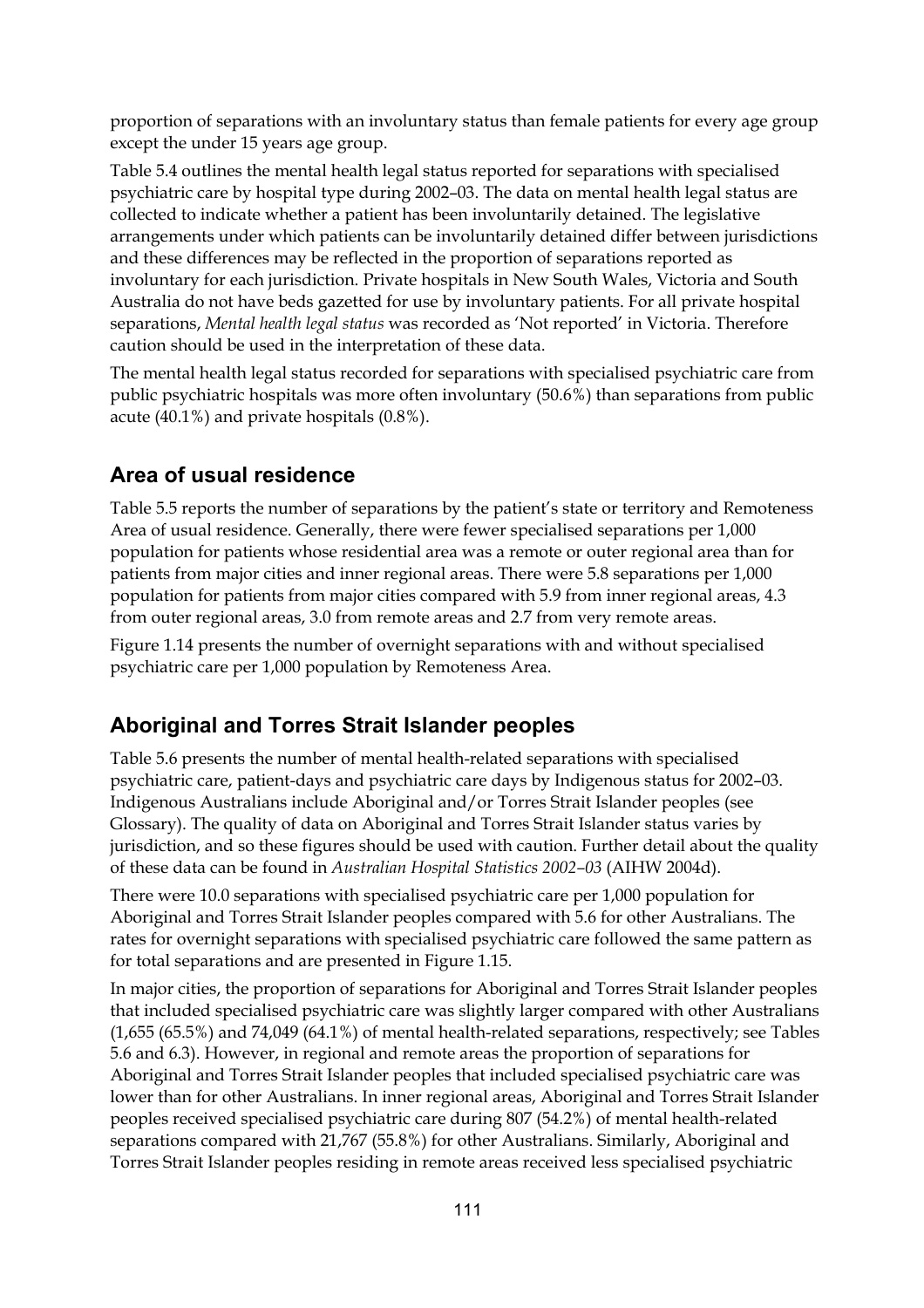proportion of separations with an involuntary status than female patients for every age group except the under 15 years age group.

Table 5.4 outlines the mental health legal status reported for separations with specialised psychiatric care by hospital type during 2002–03. The data on mental health legal status are collected to indicate whether a patient has been involuntarily detained. The legislative arrangements under which patients can be involuntarily detained differ between jurisdictions and these differences may be reflected in the proportion of separations reported as involuntary for each jurisdiction. Private hospitals in New South Wales, Victoria and South Australia do not have beds gazetted for use by involuntary patients. For all private hospital separations, *Mental health legal status* was recorded as 'Not reported' in Victoria. Therefore caution should be used in the interpretation of these data.

The mental health legal status recorded for separations with specialised psychiatric care from public psychiatric hospitals was more often involuntary (50.6%) than separations from public acute (40.1%) and private hospitals (0.8%).

### **Area of usual residence**

Table 5.5 reports the number of separations by the patient's state or territory and Remoteness Area of usual residence. Generally, there were fewer specialised separations per 1,000 population for patients whose residential area was a remote or outer regional area than for patients from major cities and inner regional areas. There were 5.8 separations per 1,000 population for patients from major cities compared with 5.9 from inner regional areas, 4.3 from outer regional areas, 3.0 from remote areas and 2.7 from very remote areas.

Figure 1.14 presents the number of overnight separations with and without specialised psychiatric care per 1,000 population by Remoteness Area.

### **Aboriginal and Torres Strait Islander peoples**

Table 5.6 presents the number of mental health-related separations with specialised psychiatric care, patient-days and psychiatric care days by Indigenous status for 2002–03. Indigenous Australians include Aboriginal and/or Torres Strait Islander peoples (see Glossary). The quality of data on Aboriginal and Torres Strait Islander status varies by jurisdiction, and so these figures should be used with caution. Further detail about the quality of these data can be found in *Australian Hospital Statistics 2002–03* (AIHW 2004d).

There were 10.0 separations with specialised psychiatric care per 1,000 population for Aboriginal and Torres Strait Islander peoples compared with 5.6 for other Australians. The rates for overnight separations with specialised psychiatric care followed the same pattern as for total separations and are presented in Figure 1.15.

In major cities, the proportion of separations for Aboriginal and Torres Strait Islander peoples that included specialised psychiatric care was slightly larger compared with other Australians (1,655 (65.5%) and 74,049 (64.1%) of mental health-related separations, respectively; see Tables 5.6 and 6.3). However, in regional and remote areas the proportion of separations for Aboriginal and Torres Strait Islander peoples that included specialised psychiatric care was lower than for other Australians. In inner regional areas, Aboriginal and Torres Strait Islander peoples received specialised psychiatric care during 807 (54.2%) of mental health-related separations compared with 21,767 (55.8%) for other Australians. Similarly, Aboriginal and Torres Strait Islander peoples residing in remote areas received less specialised psychiatric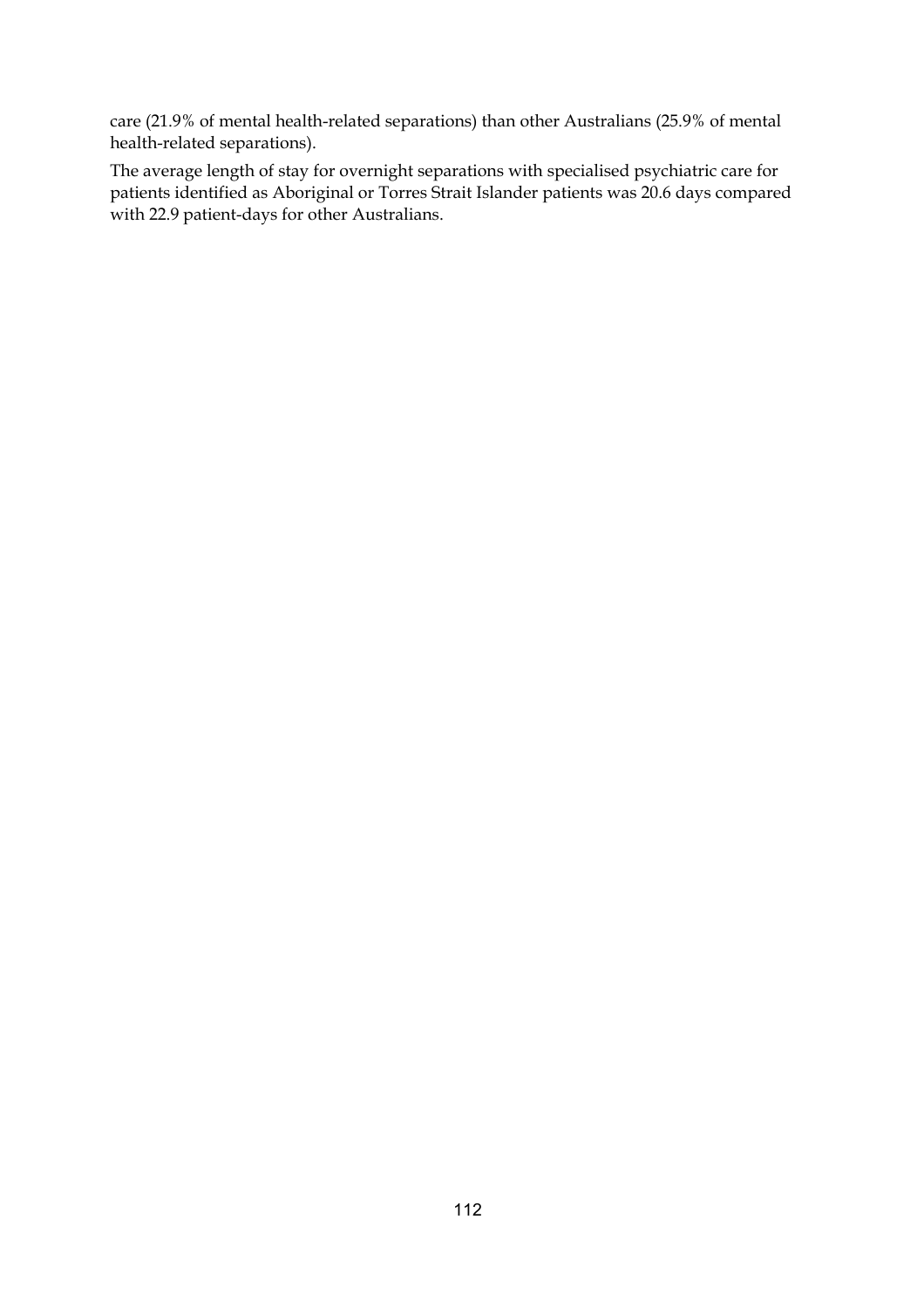care (21.9% of mental health-related separations) than other Australians (25.9% of mental health-related separations).

The average length of stay for overnight separations with specialised psychiatric care for patients identified as Aboriginal or Torres Strait Islander patients was 20.6 days compared with 22.9 patient-days for other Australians.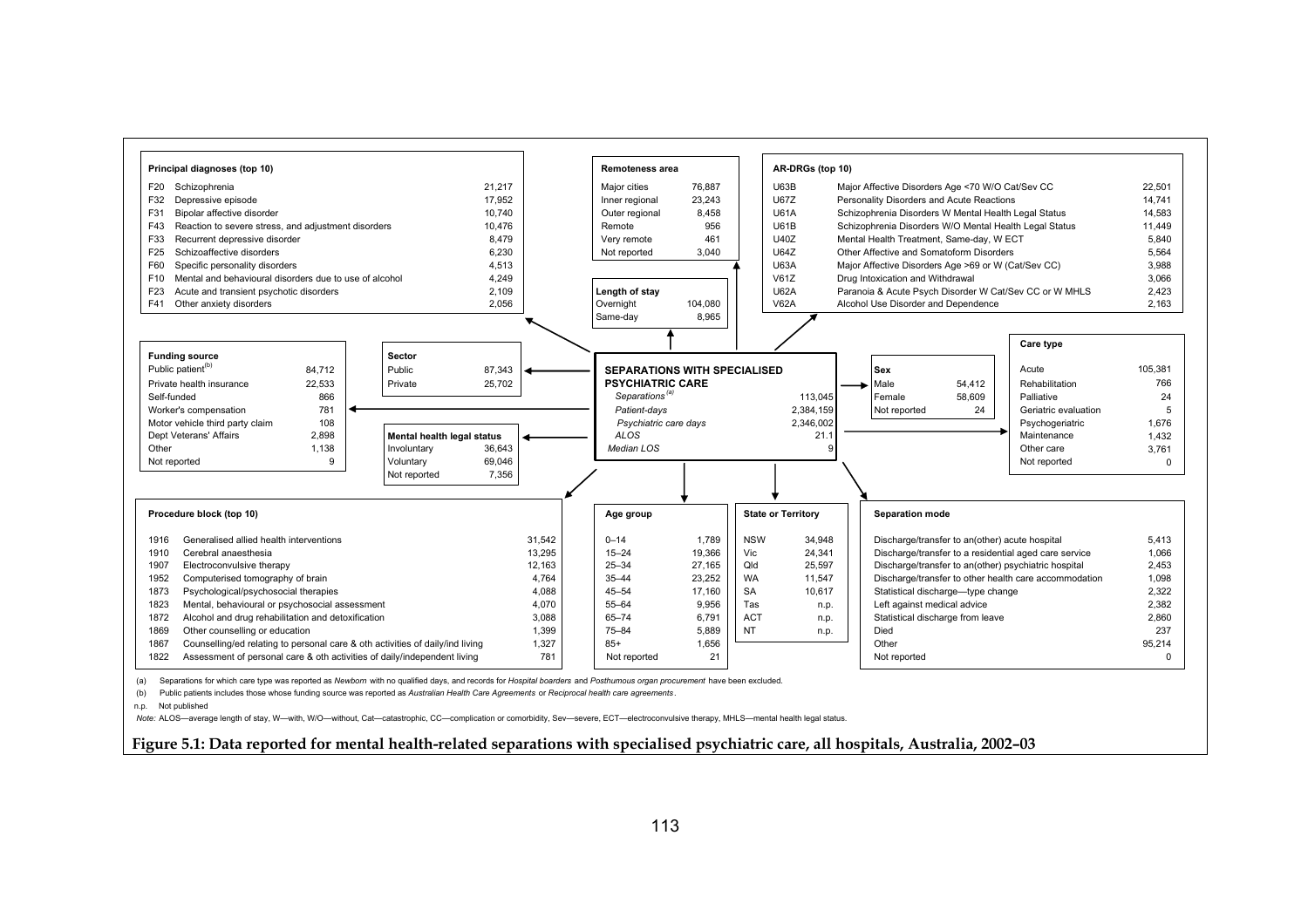

(b) Public patients includes those whose funding source was reported as *Australian Health Care Agreements* or *Reciprocal health care agreements* .

n.p. Not published

 *Note:* ALOS—average length of stay, W—with, W/O—without, Cat—catastrophic, CC—complication or comorbidity, Sev—severe, ECT—electroconvulsive therapy, MHLS—mental health legal status.

**Figure 5.1: Data reported for mental health-related separations with specialised psychiatric care, all hospitals, Australia, 2002–03**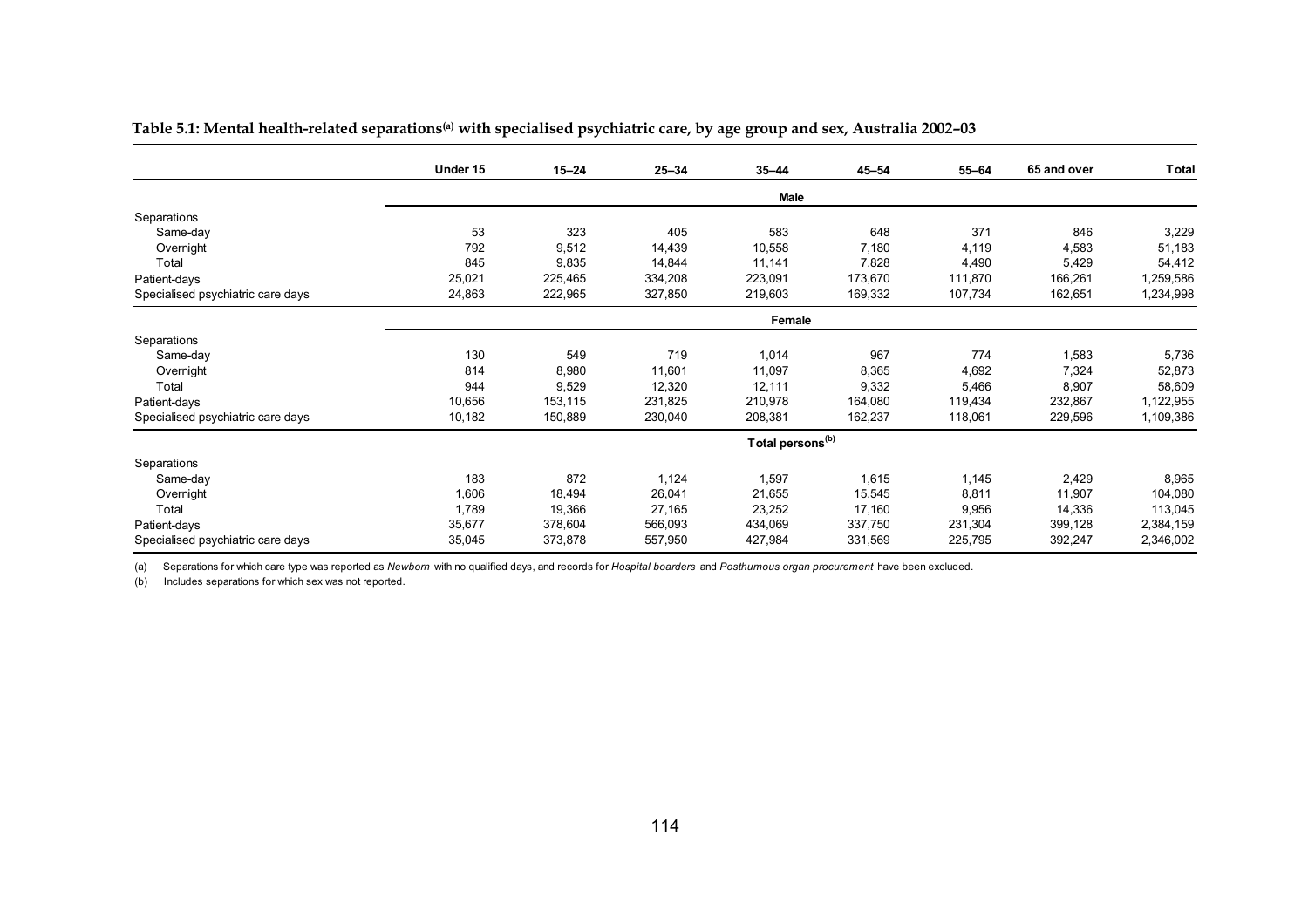|                                   | Under 15 | $15 - 24$ | $25 - 34$ | $35 - 44$                    | $45 - 54$ | $55 - 64$ | 65 and over | <b>Total</b> |
|-----------------------------------|----------|-----------|-----------|------------------------------|-----------|-----------|-------------|--------------|
|                                   |          |           |           |                              |           |           |             |              |
|                                   |          |           |           | Male                         |           |           |             |              |
| Separations                       |          |           |           |                              |           |           |             |              |
| Same-day                          | 53       | 323       | 405       | 583                          | 648       | 371       | 846         | 3,229        |
| Overnight                         | 792      | 9,512     | 14,439    | 10,558                       | 7,180     | 4,119     | 4,583       | 51,183       |
| Total                             | 845      | 9,835     | 14,844    | 11,141                       | 7,828     | 4,490     | 5,429       | 54,412       |
| Patient-days                      | 25,021   | 225,465   | 334,208   | 223,091                      | 173,670   | 111,870   | 166,261     | 1,259,586    |
| Specialised psychiatric care days | 24,863   | 222,965   | 327,850   | 219,603                      | 169,332   | 107,734   | 162,651     | 1,234,998    |
|                                   |          |           |           | Female                       |           |           |             |              |
| Separations                       |          |           |           |                              |           |           |             |              |
| Same-day                          | 130      | 549       | 719       | 1,014                        | 967       | 774       | 1,583       | 5,736        |
| Overnight                         | 814      | 8,980     | 11,601    | 11,097                       | 8,365     | 4,692     | 7,324       | 52,873       |
| Total                             | 944      | 9,529     | 12,320    | 12,111                       | 9,332     | 5,466     | 8,907       | 58,609       |
| Patient-days                      | 10,656   | 153,115   | 231,825   | 210,978                      | 164,080   | 119,434   | 232,867     | 1,122,955    |
| Specialised psychiatric care days | 10,182   | 150,889   | 230,040   | 208,381                      | 162,237   | 118,061   | 229,596     | 1,109,386    |
|                                   |          |           |           | Total persons <sup>(b)</sup> |           |           |             |              |
| Separations                       |          |           |           |                              |           |           |             |              |
| Same-day                          | 183      | 872       | 1,124     | 1,597                        | 1,615     | 1,145     | 2,429       | 8,965        |
| Overnight                         | 1,606    | 18,494    | 26,041    | 21,655                       | 15,545    | 8,811     | 11,907      | 104,080      |
| Total                             | 1,789    | 19,366    | 27,165    | 23,252                       | 17,160    | 9,956     | 14,336      | 113,045      |
| Patient-days                      | 35,677   | 378,604   | 566,093   | 434,069                      | 337,750   | 231,304   | 399,128     | 2,384,159    |
| Specialised psychiatric care days | 35,045   | 373,878   | 557,950   | 427,984                      | 331,569   | 225,795   | 392,247     | 2,346,002    |

**Table 5.1: Mental health-related separations(a) with specialised psychiatric care, by age group and sex, Australia 2002–03** 

(a) Separations for which care type was reported as *Newborn* with no qualified days, and records for *Hospital boarders* and *Posthumous organ procurement* have been excluded.

(b) Includes separations for which sex was not reported.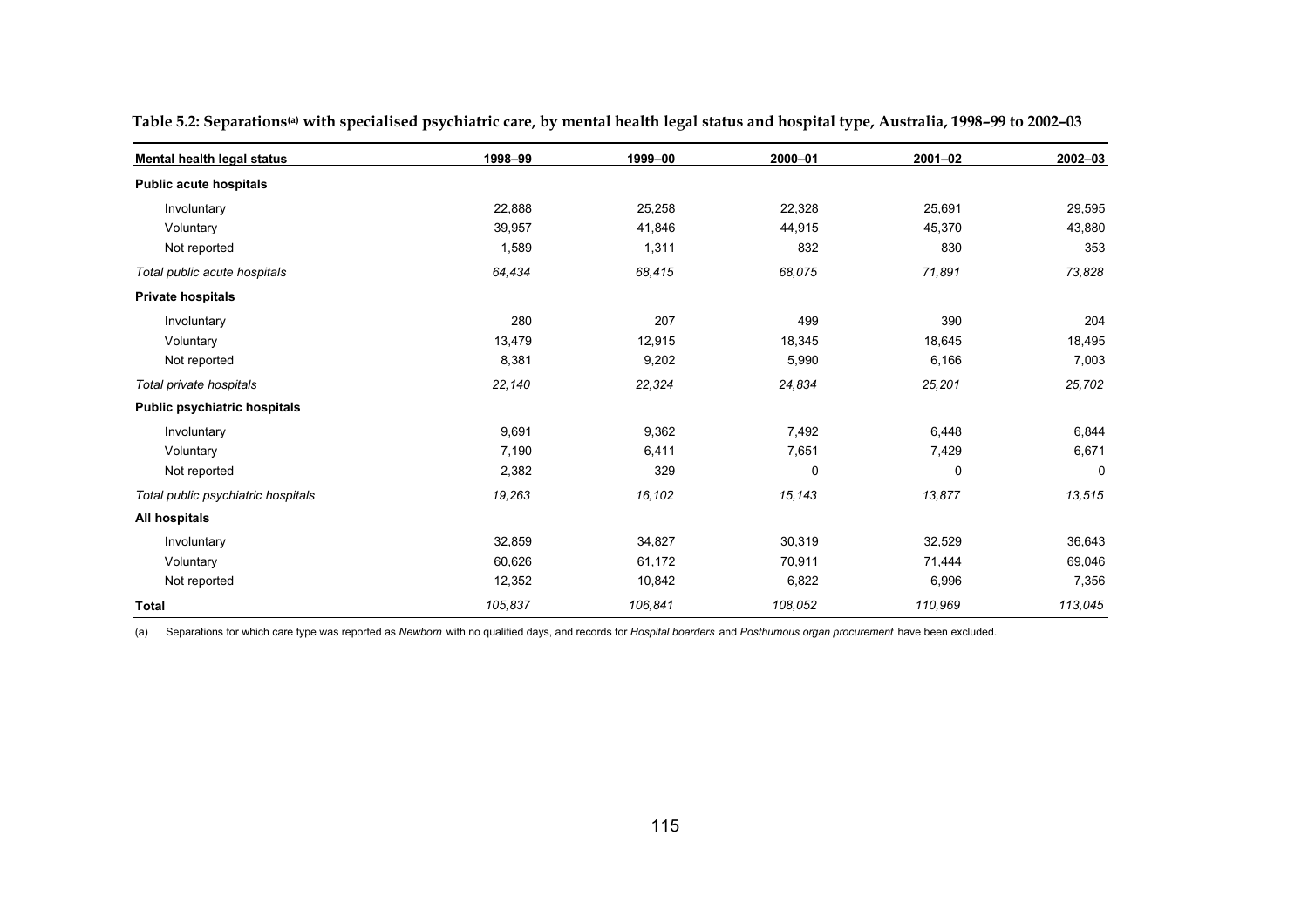| Mental health legal status         | 1998-99 | 1999-00 | $2000 - 01$ | $2001 - 02$ | $2002 - 03$ |
|------------------------------------|---------|---------|-------------|-------------|-------------|
| <b>Public acute hospitals</b>      |         |         |             |             |             |
| Involuntary                        | 22,888  | 25,258  | 22,328      | 25,691      | 29,595      |
| Voluntary                          | 39,957  | 41,846  | 44,915      | 45,370      | 43,880      |
| Not reported                       | 1,589   | 1,311   | 832         | 830         | 353         |
| Total public acute hospitals       | 64,434  | 68,415  | 68,075      | 71,891      | 73,828      |
| <b>Private hospitals</b>           |         |         |             |             |             |
| Involuntary                        | 280     | 207     | 499         | 390         | 204         |
| Voluntary                          | 13,479  | 12,915  | 18,345      | 18,645      | 18,495      |
| Not reported                       | 8,381   | 9,202   | 5,990       | 6,166       | 7,003       |
| Total private hospitals            | 22,140  | 22,324  | 24,834      | 25,201      | 25,702      |
| Public psychiatric hospitals       |         |         |             |             |             |
| Involuntary                        | 9,691   | 9,362   | 7,492       | 6,448       | 6,844       |
| Voluntary                          | 7,190   | 6,411   | 7,651       | 7,429       | 6,671       |
| Not reported                       | 2,382   | 329     | 0           | 0           | $\mathbf 0$ |
| Total public psychiatric hospitals | 19,263  | 16,102  | 15,143      | 13,877      | 13,515      |
| All hospitals                      |         |         |             |             |             |
| Involuntary                        | 32,859  | 34,827  | 30,319      | 32,529      | 36,643      |
| Voluntary                          | 60,626  | 61,172  | 70,911      | 71,444      | 69,046      |
| Not reported                       | 12,352  | 10,842  | 6,822       | 6,996       | 7,356       |
| Total                              | 105,837 | 106,841 | 108,052     | 110,969     | 113,045     |

Table 5.2: Separations<sup>(a)</sup> with specialised psychiatric care, by mental health legal status and hospital type, Australia, 1998-99 to 2002-03

(a) Separations for which care type was reported as *Newborn* with no qualified days, and records for *Hospital boarders* and *Posthumous organ procurement* have been excluded.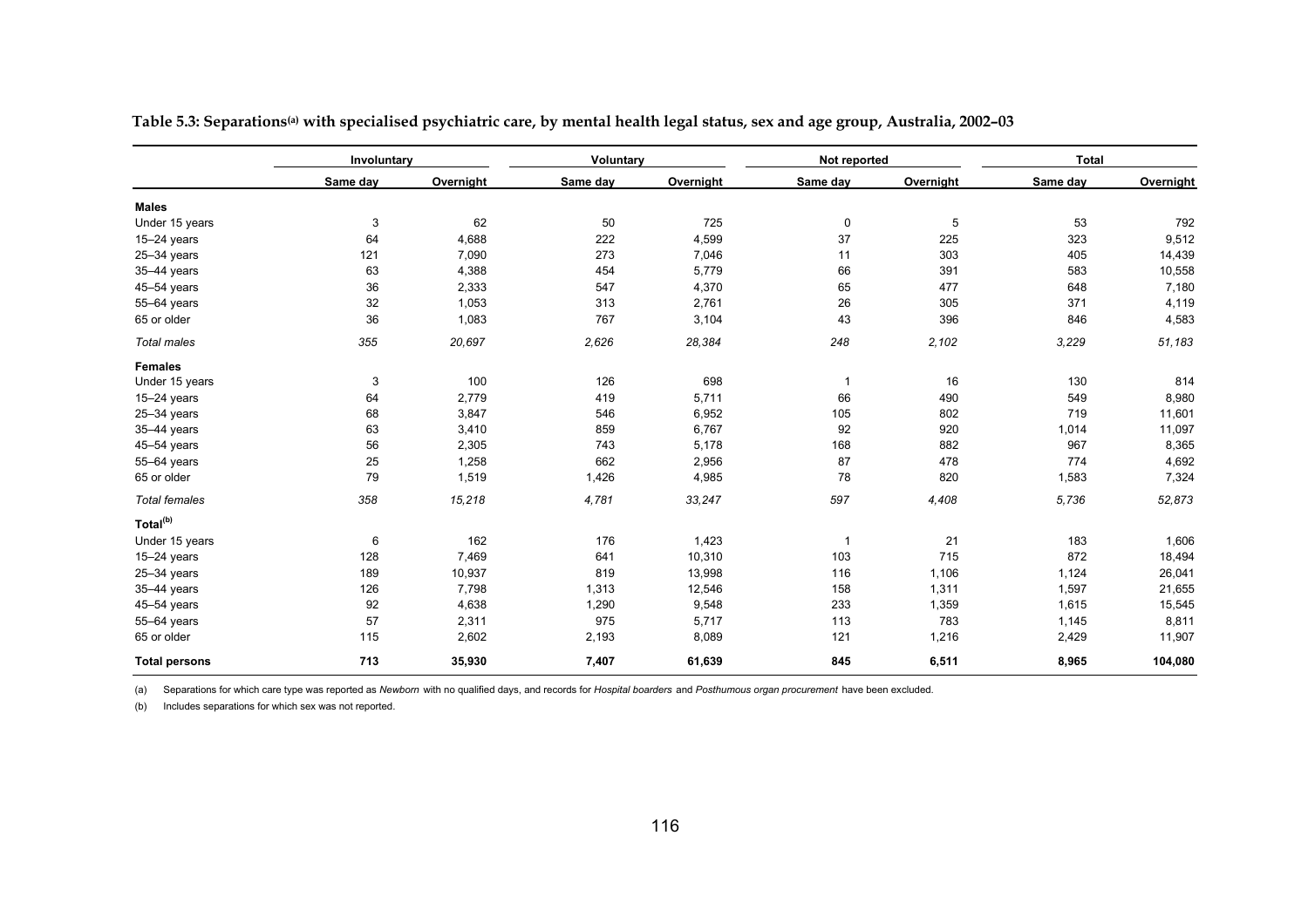|                      | Involuntary |                | Voluntary      |           | Not reported |                                                                                                                                                                                                                                                                                                                                              | <b>Total</b> |           |
|----------------------|-------------|----------------|----------------|-----------|--------------|----------------------------------------------------------------------------------------------------------------------------------------------------------------------------------------------------------------------------------------------------------------------------------------------------------------------------------------------|--------------|-----------|
|                      | Same day    | Overnight      | Same day       | Overnight | Same day     | Overnight                                                                                                                                                                                                                                                                                                                                    | Same day     | Overnight |
| <b>Males</b>         |             |                |                |           |              |                                                                                                                                                                                                                                                                                                                                              |              |           |
| Under 15 years       | 3           | 62             | 50             | 725       | 0            | 5                                                                                                                                                                                                                                                                                                                                            | 53           | 792       |
| $15-24$ years        | 64          | 4,688          | 222            | 4,599     | 37           | 225<br>323<br>11<br>303<br>405<br>66<br>391<br>583<br>65<br>477<br>648<br>26<br>305<br>371<br>43<br>396<br>846<br>2,102<br>3,229<br>130<br>16<br>$\mathbf{1}$<br>66<br>490<br>549<br>802<br>719<br>92<br>920<br>1,014<br>882<br>967<br>87<br>478<br>774<br>78<br>820<br>1,583<br>5,736<br>4,408<br>21<br>$\overline{1}$<br>183<br>715<br>872 |              | 9,512     |
| $25 - 34$ years      | 121         | 7,090          | 273            | 7,046     |              |                                                                                                                                                                                                                                                                                                                                              |              | 14,439    |
| 35-44 years          | 63          | 4,388          | 454            | 5,779     |              |                                                                                                                                                                                                                                                                                                                                              |              | 10,558    |
| 45-54 years          | 36          | 2,333          | 547            | 4,370     |              |                                                                                                                                                                                                                                                                                                                                              |              | 7,180     |
| 55-64 years          | 32          | 1,053          | 313            | 2,761     |              | 248                                                                                                                                                                                                                                                                                                                                          |              | 4,119     |
| 65 or older          | 36          | 1,083          | 767            | 3,104     |              |                                                                                                                                                                                                                                                                                                                                              |              | 4,583     |
| Total males          | 355         | 20,697         | 2,626          | 28,384    |              |                                                                                                                                                                                                                                                                                                                                              |              | 51,183    |
| <b>Females</b>       |             |                |                |           |              |                                                                                                                                                                                                                                                                                                                                              |              |           |
| Under 15 years       | 3           | 100            | 126            | 698       |              |                                                                                                                                                                                                                                                                                                                                              |              | 814       |
| 15-24 years          | 64          | 2,779          | 419            | 5,711     |              |                                                                                                                                                                                                                                                                                                                                              |              | 8,980     |
| 25-34 years          | 68          | 3,847          | 546            | 6,952     | 105          |                                                                                                                                                                                                                                                                                                                                              |              | 11,601    |
| 35-44 years          | 63          | 3,410          | 859            | 6,767     |              |                                                                                                                                                                                                                                                                                                                                              |              | 11,097    |
| 45-54 years          | 56          | 2,305          | 743            | 5,178     | 168          |                                                                                                                                                                                                                                                                                                                                              |              | 8,365     |
| 55-64 years          | 25          | 1,258          | 662            | 2,956     |              |                                                                                                                                                                                                                                                                                                                                              |              | 4,692     |
| 65 or older          | 79          | 1,519          | 1,426          | 4,985     |              |                                                                                                                                                                                                                                                                                                                                              |              | 7,324     |
| <b>Total females</b> | 358         | 15,218         | 4,781          | 33,247    | 597          |                                                                                                                                                                                                                                                                                                                                              |              | 52,873    |
| Total <sup>(b)</sup> |             |                |                |           |              |                                                                                                                                                                                                                                                                                                                                              |              |           |
| Under 15 years       | 6           | 162            | 176            | 1,423     |              |                                                                                                                                                                                                                                                                                                                                              |              | 1,606     |
| $15-24$ years        | 128         | 7,469          | 641            | 10,310    | 103          |                                                                                                                                                                                                                                                                                                                                              |              | 18,494    |
| $25 - 34$ years      | 189         | 10,937         | 819            | 13,998    | 116          | 1,106                                                                                                                                                                                                                                                                                                                                        | 1,124        | 26,041    |
| 35-44 years          | 126         | 7,798<br>1,313 |                | 12,546    | 158          | 1,311                                                                                                                                                                                                                                                                                                                                        | 1,597        | 21,655    |
| 45-54 years          | 92          | 4,638          | 1,290<br>9,548 |           | 233          | 1,359                                                                                                                                                                                                                                                                                                                                        | 1,615        | 15,545    |
| 55-64 years          | 57          | 2,311<br>975   |                | 5,717     | 113          | 783                                                                                                                                                                                                                                                                                                                                          | 1,145        | 8,811     |
| 65 or older          | 115         | 2,602          | 2,193          | 8,089     | 121          | 1,216                                                                                                                                                                                                                                                                                                                                        | 2,429        | 11,907    |
| <b>Total persons</b> | 713         | 35,930         | 7,407          | 61,639    | 845          | 6,511                                                                                                                                                                                                                                                                                                                                        | 8,965        | 104,080   |

Table 5.3: Separations<sup>(a)</sup> with specialised psychiatric care, by mental health legal status, sex and age group, Australia, 2002-03

(a) Separations for which care type was reported as *Newborn* with no qualified days, and records for *Hospital boarders* and *Posthumous organ procurement* have been excluded.

(b) Includes separations for which sex was not reported.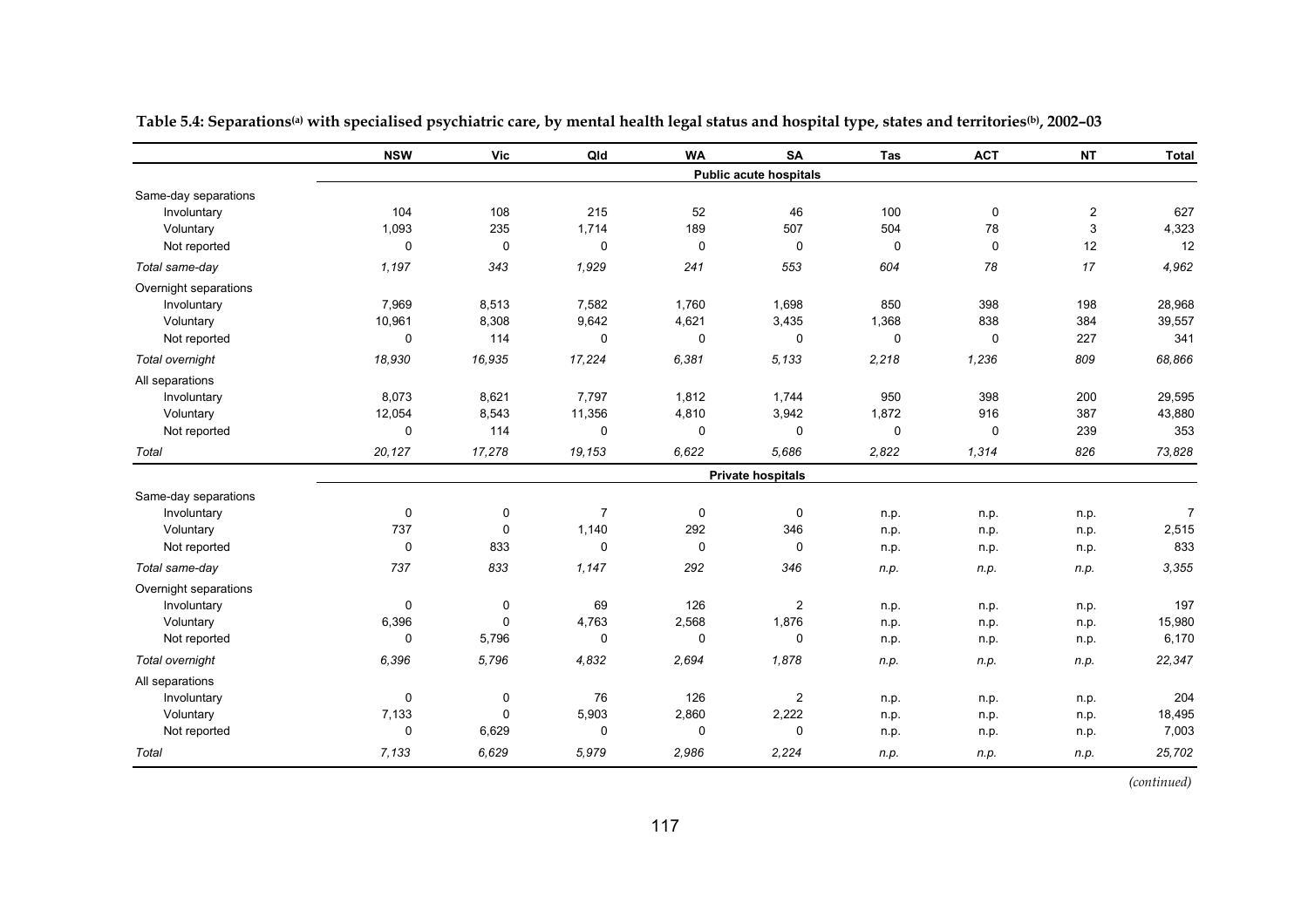|                       | <b>NSW</b>  | <b>Vic</b>  | Qld            | <b>WA</b> | <b>SA</b>              | Tas         | <b>ACT</b>  | <b>NT</b>      | <b>Total</b>   |
|-----------------------|-------------|-------------|----------------|-----------|------------------------|-------------|-------------|----------------|----------------|
|                       |             |             |                |           | Public acute hospitals |             |             |                |                |
| Same-day separations  |             |             |                |           |                        |             |             |                |                |
| Involuntary           | 104         | 108         | 215            | 52        | 46                     | 100         | 0           | $\overline{c}$ | 627            |
| Voluntary             | 1,093       | 235         | 1,714          | 189       | 507                    | 504         | 78          | 3              | 4,323          |
| Not reported          | 0           | 0           | 0              | 0         | $\mathbf 0$            | 0           | $\mathbf 0$ | 12             | 12             |
| Total same-day        | 1,197       | 343         | 1,929          | 241       | 553                    | 604         | 78          | 17             | 4,962          |
| Overnight separations |             |             |                |           |                        |             |             |                |                |
| Involuntary           | 7,969       | 8,513       | 7,582          | 1,760     | 1,698                  | 850         | 398         | 198            | 28,968         |
| Voluntary             | 10,961      | 8,308       | 9,642          | 4,621     | 3,435                  | 1,368       | 838         | 384            | 39,557         |
| Not reported          | 0           | 114         | $\mathbf 0$    | 0         | $\mathbf 0$            | $\mathbf 0$ | $\mathbf 0$ | 227            | 341            |
| Total overnight       | 18,930      | 16,935      | 17,224         | 6,381     | 5,133                  | 2,218       | 1,236       | 809            | 68,866         |
| All separations       |             |             |                |           |                        |             |             |                |                |
| Involuntary           | 8,073       | 8,621       | 7,797          | 1,812     | 1,744                  | 950         | 398         | 200            | 29,595         |
| Voluntary             | 12,054      | 8,543       | 11,356         | 4,810     | 3,942                  | 1,872       | 916         | 387            | 43,880         |
| Not reported          | 0           | 114         | $\mathbf 0$    | 0         | 0                      | $\mathbf 0$ | 0           | 239            | 353            |
| Total                 | 20,127      | 17,278      | 19,153         | 6,622     | 5,686                  | 2,822       | 1,314       | 826            | 73,828         |
|                       |             |             |                |           | Private hospitals      |             |             |                |                |
| Same-day separations  |             |             |                |           |                        |             |             |                |                |
| Involuntary           | 0           | $\pmb{0}$   | $\overline{7}$ | 0         | $\mathbf 0$            | n.p.        | n.p.        | n.p.           | $\overline{7}$ |
| Voluntary             | 737         | 0           | 1,140          | 292       | 346                    | n.p.        | n.p.        | n.p.           | 2,515          |
| Not reported          | 0           | 833         | $\mathbf 0$    | 0         | $\Omega$               | n.p.        | n.p.        | n.p.           | 833            |
| Total same-day        | 737         | 833         | 1,147          | 292       | 346                    | n.p.        | n.p.        | n.p.           | 3,355          |
| Overnight separations |             |             |                |           |                        |             |             |                |                |
| Involuntary           | 0           | 0           | 69             | 126       | $\overline{2}$         | n.p.        | n.p.        | n.p.           | 197            |
| Voluntary             | 6,396       | $\mathbf 0$ | 4,763          | 2,568     | 1,876                  | n.p.        | n.p.        | n.p.           | 15,980         |
| Not reported          | 0           | 5,796       | 0              | 0         | 0                      | n.p.        | n.p.        | n.p.           | 6,170          |
| Total overnight       | 6,396       | 5,796       | 4,832          | 2,694     | 1,878                  | n.p.        | n.p.        | n.p.           | 22,347         |
| All separations       |             |             |                |           |                        |             |             |                |                |
| Involuntary           | $\mathbf 0$ | $\pmb{0}$   | 76             | 126       | $\overline{2}$         | n.p.        | n.p.        | n.p.           | 204            |
| Voluntary             | 7,133       | 0           | 5,903          | 2,860     | 2,222                  | n.p.        | n.p.        | n.p.           | 18,495         |
| Not reported          | 0           | 6,629       | $\mathbf 0$    | 0         | 0                      | n.p.        | n.p.        | n.p.           | 7,003          |
| Total                 | 7.133       | 6.629       | 5,979          | 2,986     | 2,224                  | n.p.        | n.p.        | n.p.           | 25,702         |

Table 5.4: Separations<sup>(a)</sup> with specialised psychiatric care, by mental health legal status and hospital type, states and territories<sup>(b)</sup>, 2002-03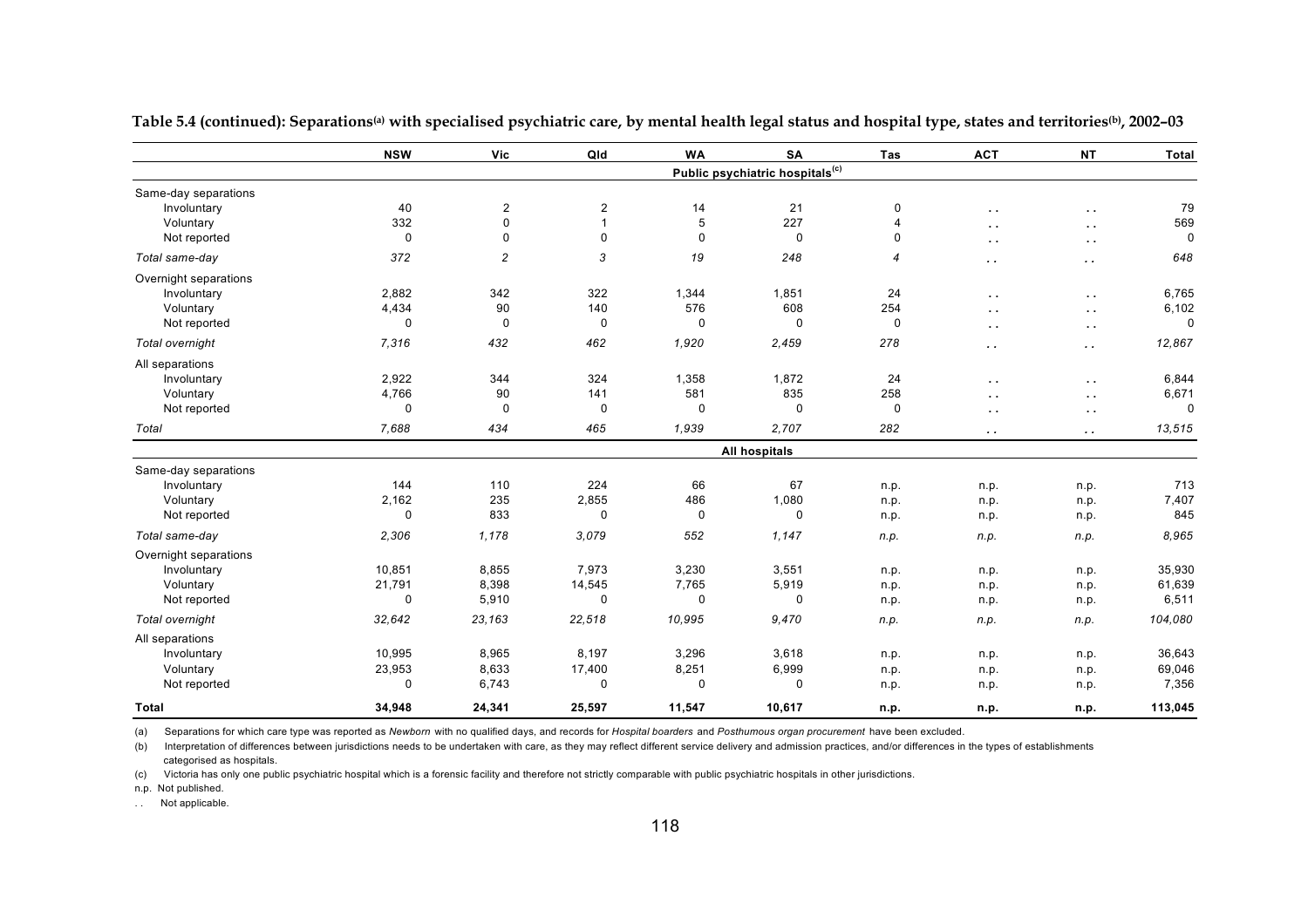|                       | <b>NSW</b>  | Vic              | Qld              | <b>WA</b>   | <b>SA</b>                                   | Tas            | <b>ACT</b>           | <b>NT</b>     | <b>Total</b> |
|-----------------------|-------------|------------------|------------------|-------------|---------------------------------------------|----------------|----------------------|---------------|--------------|
|                       |             |                  |                  |             | Public psychiatric hospitals <sup>(c)</sup> |                |                      |               |              |
| Same-day separations  |             |                  |                  |             |                                             |                |                      |               |              |
| Involuntary           | 40          | $\boldsymbol{2}$ | $\boldsymbol{2}$ | 14          | 21                                          | 0              | $\sim$ $\sim$        | $\sim$ $\sim$ | 79           |
| Voluntary             | 332         | 0                | $\mathbf{1}$     | 5           | 227                                         | $\overline{4}$ | $\sim$ $\sim$        | $\sim$ $\sim$ | 569          |
| Not reported          | 0           | 0                | $\mathbf 0$      | 0           | 0                                           | 0              | $\ddot{\phantom{1}}$ | $\sim$        | 0            |
| Total same-day        | 372         | $\overline{c}$   | 3                | 19          | 248                                         | 4              | $\ddot{\phantom{0}}$ | $\sim$        | 648          |
| Overnight separations |             |                  |                  |             |                                             |                |                      |               |              |
| Involuntary           | 2,882       | 342              | 322              | 1,344       | 1,851                                       | 24             | $\sim$ $\sim$        | $\sim$ $\sim$ | 6,765        |
| Voluntary             | 4,434       | 90               | 140              | 576         | 608                                         | 254            | $\sim$ $\sim$        | $\sim$ $\sim$ | 6,102        |
| Not reported          | 0           | $\mathbf 0$      | 0                | 0           | 0                                           | $\mathbf 0$    | $\sim$               | $\sim$        | $\mathbf 0$  |
| Total overnight       | 7,316       | 432              | 462              | 1,920       | 2,459                                       | 278            | $\cdot$ .            | $\sim$ $\sim$ | 12,867       |
| All separations       |             |                  |                  |             |                                             |                |                      |               |              |
| Involuntary           | 2,922       | 344              | 324              | 1,358       | 1,872                                       | 24             | $\sim$ $\sim$        | $\sim$ $\sim$ | 6,844        |
| Voluntary             | 4,766       | 90               | 141              | 581         | 835                                         | 258            | $\sim$ $\sim$        | $\sim$        | 6,671        |
| Not reported          | $\mathbf 0$ | $\mathbf 0$      | 0                | $\mathbf 0$ | $\mathbf 0$                                 | $\mathbf 0$    | $\sim$ $\sim$        | $\sim$        | $\mathbf 0$  |
| Total                 | 7,688       | 434              | 465              | 1,939       | 2,707                                       | 282            | $\sim$ $\sim$        | $\sim$ $\sim$ | 13,515       |
|                       |             |                  |                  |             | <b>All hospitals</b>                        |                |                      |               |              |
| Same-day separations  |             |                  |                  |             |                                             |                |                      |               |              |
| Involuntary           | 144         | 110              | 224              | 66          | 67                                          | n.p.           | n.p.                 | n.p.          | 713          |
| Voluntary             | 2,162       | 235              | 2,855            | 486         | 1,080                                       | n.p.           | n.p.                 | n.p.          | 7,407        |
| Not reported          | $\mathbf 0$ | 833              | 0                | $\mathbf 0$ | $\mathbf 0$                                 | n.p.           | n.p.                 | n.p.          | 845          |
| Total same-day        | 2,306       | 1,178            | 3.079            | 552         | 1,147                                       | n.p.           | n.p.                 | n.p.          | 8,965        |
| Overnight separations |             |                  |                  |             |                                             |                |                      |               |              |
| Involuntary           | 10,851      | 8,855            | 7,973            | 3,230       | 3,551                                       | n.p.           | n.p.                 | n.p.          | 35,930       |
| Voluntary             | 21,791      | 8,398            | 14,545           | 7,765       | 5,919                                       | n.p.           | n.p.                 | n.p.          | 61,639       |
| Not reported          | $\mathbf 0$ | 5,910            | 0                | 0           | 0                                           | n.p.           | n.p.                 | n.p.          | 6,511        |
| Total overnight       | 32,642      | 23,163           | 22,518           | 10,995      | 9,470                                       | n.p.           | n.p.                 | n.p.          | 104,080      |
| All separations       |             |                  |                  |             |                                             |                |                      |               |              |
| Involuntary           | 10,995      | 8,965            | 8,197            | 3,296       | 3,618                                       | n.p.           | n.p.                 | n.p.          | 36,643       |
| Voluntary             | 23,953      | 8,633            | 17,400           | 8,251       | 6,999                                       | n.p.           | n.p.                 | n.p.          | 69,046       |
| Not reported          | 0           | 6,743            | $\mathbf 0$      | $\mathbf 0$ | 0                                           | n.p.           | n.p.                 | n.p.          | 7,356        |
| <b>Total</b>          | 34.948      | 24,341           | 25.597           | 11,547      | 10,617                                      | n.p.           | n.p.                 | n.p.          | 113,045      |

**Table 5.4 (continued): Separations(a) with specialised psychiatric care, by mental health legal status and hospital type, states and territories(b), 2002–03**

(b) Interpretation of differences between jurisdictions needs to be undertaken with care, as they may reflect different service delivery and admission practices, and/or differences in the types of establishments categorised as hospitals.

(c) Victoria has only one public psychiatric hospital which is a forensic facility and therefore not strictly comparable with public psychiatric hospitals in other jurisdictions.

n.p. Not published.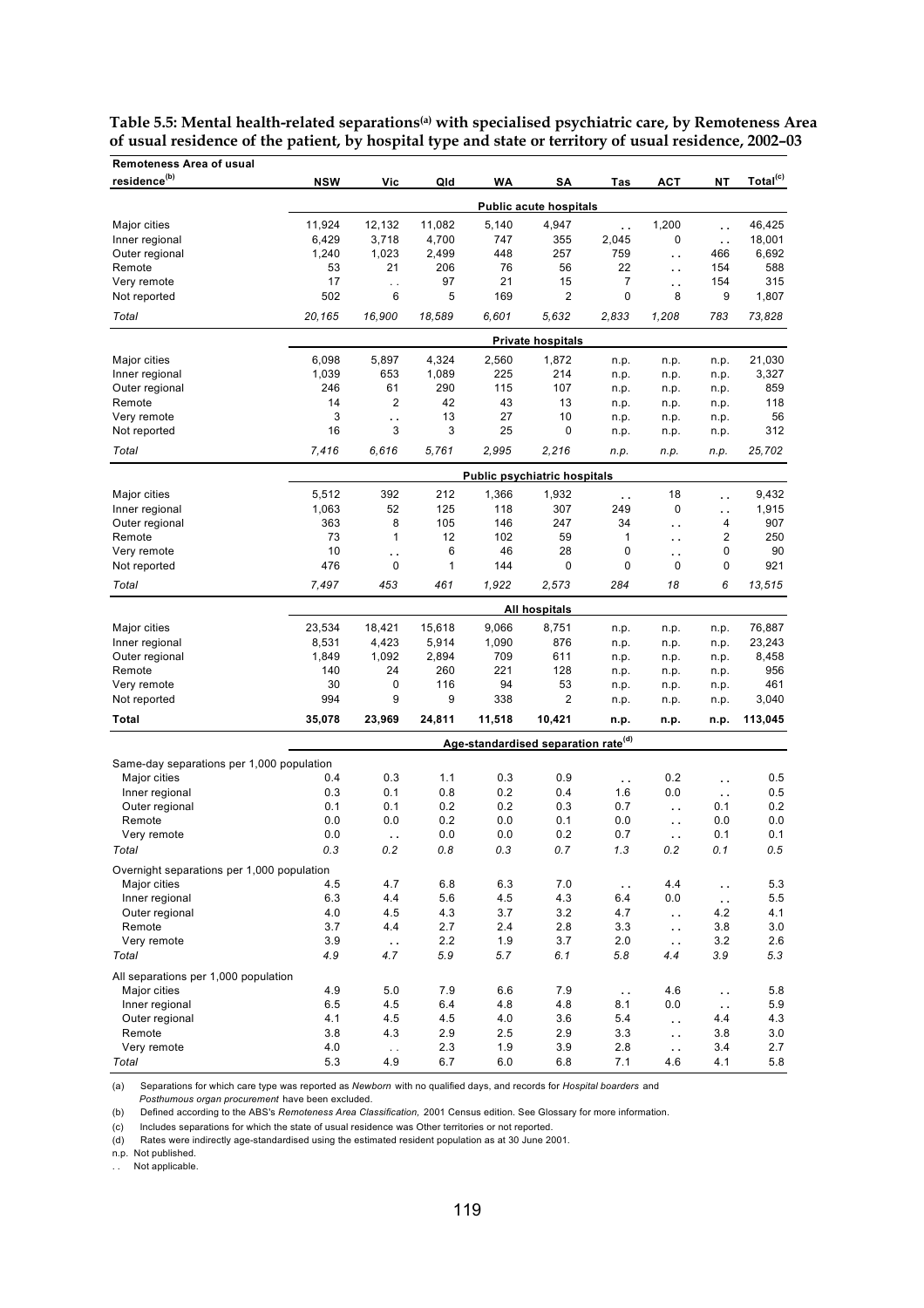| Remoteness Area of usual                   |            |                      |            |            |                                                 |                      |                      |                      |                      |
|--------------------------------------------|------------|----------------------|------------|------------|-------------------------------------------------|----------------------|----------------------|----------------------|----------------------|
| residence <sup>(b)</sup>                   | <b>NSW</b> | Vic                  | Qld        | WA         | SΑ                                              | Tas                  | <b>ACT</b>           | NT                   | Total <sup>(c)</sup> |
|                                            |            |                      |            |            | <b>Public acute hospitals</b>                   |                      |                      |                      |                      |
| Major cities                               | 11,924     | 12,132               | 11,082     | 5,140      | 4,947                                           | $\ddotsc$            | 1,200                | . .                  | 46,425               |
| Inner regional                             | 6,429      | 3,718                | 4,700      | 747        | 355                                             | 2,045                | 0                    | $\ddot{\phantom{a}}$ | 18,001               |
| Outer regional                             | 1,240      | 1,023                | 2,499      | 448        | 257                                             | 759                  | и.                   | 466                  | 6,692                |
| Remote                                     | 53         | 21                   | 206        | 76         | 56                                              | 22                   | $\ddot{\phantom{a}}$ | 154                  | 588                  |
| Very remote                                | 17         | $\ddot{\phantom{0}}$ | 97         | 21         | 15                                              | 7                    | $\ddot{\phantom{a}}$ | 154                  | 315                  |
| Not reported                               | 502        | 6                    | 5          | 169        | 2                                               | 0                    | 8                    | 9                    | 1,807                |
| Total                                      | 20,165     | 16,900               | 18,589     | 6,601      | 5.632                                           | 2,833                | 1,208                | 783                  | 73,828               |
|                                            |            |                      |            |            | <b>Private hospitals</b>                        |                      |                      |                      |                      |
| Major cities                               | 6,098      | 5,897                | 4,324      | 2,560      | 1,872                                           | n.p.                 | n.p.                 | n.p.                 | 21,030               |
| Inner regional                             | 1,039      | 653                  | 1,089      | 225        | 214                                             | n.p.                 | n.p.                 | n.p.                 | 3,327                |
| Outer regional                             | 246        | 61                   | 290        | 115        | 107                                             | n.p.                 | n.p.                 | n.p.                 | 859                  |
| Remote                                     | 14         | 2                    | 42         | 43         | 13                                              | n.p.                 | n.p.                 | n.p.                 | 118                  |
| Very remote                                | 3          | . .                  | 13         | 27         | 10                                              | n.p.                 | n.p.                 | n.p.                 | 56                   |
| Not reported                               | 16         | 3                    | 3          | 25         | 0                                               | n.p.                 | n.p.                 | n.p.                 | 312                  |
| Total                                      | 7,416      | 6,616                | 5,761      | 2,995      | 2,216                                           | n.p.                 | n.p.                 | n.p.                 | 25,702               |
|                                            |            |                      |            |            | <b>Public psychiatric hospitals</b>             |                      |                      |                      |                      |
| Major cities                               | 5,512      | 392                  | 212        | 1,366      | 1,932                                           | $\ddot{\phantom{a}}$ | 18                   | ò.                   | 9,432                |
| Inner regional                             | 1,063      | 52                   | 125        | 118        | 307                                             | 249                  | 0                    | ò.                   | 1,915                |
| Outer regional                             | 363        | 8                    | 105        | 146        | 247                                             | 34                   | г.                   | 4                    | 907                  |
| Remote                                     | 73         | $\mathbf{1}$         | 12         | 102        | 59                                              | 1                    | $\ddotsc$            | 2                    | 250                  |
| Very remote                                | 10         | Ω.                   | 6          | 46         | 28                                              | 0                    | г.                   | 0                    | 90                   |
| Not reported                               | 476        | 0                    | 1          | 144        | 0                                               | 0                    | 0                    | 0                    | 921                  |
| Total                                      | 7,497      | 453                  | 461        | 1,922      | 2,573                                           | 284                  | 18                   | 6                    | 13,515               |
|                                            |            |                      |            |            | All hospitals                                   |                      |                      |                      |                      |
| Major cities                               | 23,534     | 18,421               | 15,618     | 9,066      | 8,751                                           | n.p.                 | n.p.                 | n.p.                 | 76,887               |
| Inner regional                             | 8,531      | 4,423                | 5,914      | 1,090      | 876                                             | n.p.                 | n.p.                 | n.p.                 | 23,243               |
| Outer regional                             | 1,849      | 1,092                | 2,894      | 709        | 611                                             | n.p.                 | n.p.                 | n.p.                 | 8,458                |
| Remote                                     | 140        | 24                   | 260        | 221        | 128                                             | n.p.                 | n.p.                 | n.p.                 | 956                  |
| Very remote                                | 30         | 0                    | 116        | 94         | 53                                              | n.p.                 | n.p.                 | n.p.                 | 461                  |
| Not reported                               | 994        | 9                    | 9          | 338        | 2                                               | n.p.                 | n.p.                 | n.p.                 | 3,040                |
| Total                                      | 35,078     | 23,969               | 24,811     | 11,518     | 10,421                                          | n.p.                 | n.p.                 | n.p.                 | 113,045              |
| Same-day separations per 1,000 population  |            |                      |            |            | Age-standardised separation rate <sup>(d)</sup> |                      |                      |                      |                      |
| Major cities                               | 0.4        | 0.3                  | 1.1        | 0.3        | 0.9                                             | $\sim$ .             | 0.2                  | $\ddot{\phantom{a}}$ | 0.5                  |
| Inner regional                             | 0.3        | 0.1                  | 0.8        | 0.2        | 0.4                                             | 1.6                  | 0.0                  | $\ddotsc$            | 0.5                  |
| Outer regional                             | 0.1        | 0.1                  | 0.2        | 0.2        | 0.3                                             | 0.7                  | $\ddot{\phantom{a}}$ | 0.1                  | 0.2                  |
| Remote                                     | 0.0        | 0.0                  | 0.2        | 0.0        | 0.1                                             | 0.0                  | $\ddot{\phantom{a}}$ | 0.0                  | 0.0                  |
| Very remote                                | 0.0        | $\ddot{\phantom{1}}$ | 0.0        | 0.0        | 0.2                                             | 0.7                  | $\epsilon$ .         | 0.1                  | 0.1                  |
| Total                                      | 0.3        | 0.2                  | 0.8        | 0.3        | 0.7                                             | 1.3                  | 0.2                  | 0.1                  | 0.5                  |
| Overnight separations per 1,000 population |            |                      |            |            |                                                 |                      |                      |                      |                      |
| Major cities                               | 4.5        | 4.7                  | 6.8        | 6.3        | 7.0                                             | $\ddot{\phantom{a}}$ | 4.4                  | $\ddot{\phantom{a}}$ | 5.3                  |
| Inner regional                             | 6.3        | 4.4                  | 5.6        | 4.5        | 4.3                                             | 6.4                  | 0.0                  | $\bar{a}$ .          | 5.5                  |
| Outer regional                             | 4.0        | 4.5                  | 4.3        | 3.7        | 3.2                                             | 4.7                  | $\ddotsc$            | 4.2                  | 4.1                  |
| Remote                                     | 3.7        | 4.4                  | 2.7        | 2.4        | 2.8                                             | 3.3                  | $\sim$ .             | 3.8                  | 3.0                  |
| Very remote                                | 3.9        | $\ddot{\phantom{0}}$ | 2.2        | 1.9        | 3.7                                             | 2.0                  | $\sim$ .             | 3.2                  | 2.6                  |
| Total                                      | 4.9        | 4.7                  | 5.9        | 5.7        | 6.1                                             | 5.8                  | 4.4                  | 3.9                  | 5.3                  |
| All separations per 1,000 population       |            |                      |            |            |                                                 |                      |                      |                      |                      |
| Major cities                               | 4.9        | 5.0                  | 7.9        | 6.6        | 7.9                                             | $\epsilon$ .         | 4.6                  | $\sim$ .             | 5.8                  |
| Inner regional                             | 6.5        | 4.5                  | 6.4        | 4.8        | 4.8                                             | 8.1                  | 0.0                  | $\ddotsc$            | 5.9                  |
| Outer regional                             | 4.1        | 4.5                  | 4.5        | 4.0        | 3.6                                             | 5.4                  | $\ddotsc$            | 4.4                  | 4.3                  |
| Remote                                     | 3.8<br>4.0 | 4.3                  | 2.9<br>2.3 | 2.5<br>1.9 | 2.9                                             | 3.3<br>2.8           | $\ddot{\phantom{a}}$ | 3.8<br>3.4           | 3.0<br>2.7           |
| Very remote<br>Total                       | 5.3        | $\bar{z}$ .<br>4.9   | 6.7        | 6.0        | 3.9<br>6.8                                      | 7.1                  | $\sim$ .<br>4.6      | 4.1                  | 5.8                  |
|                                            |            |                      |            |            |                                                 |                      |                      |                      |                      |

**Table 5.5: Mental health-related separations(a) with specialised psychiatric care, by Remoteness Area of usual residence of the patient, by hospital type and state or territory of usual residence, 2002–03**

(a) Separations for which care type was reported as *Newborn* with no qualified days, and records for *Hospital boarders* and

*Posthumous organ procurement* have been excluded.

(b) Defined according to the ABS's *Remoteness Area Classification,* 2001 Census edition. See Glossary for more information.

(c) Includes separations for which the state of usual residence was Other territories or not reported.

(d) Rates were indirectly age-standardised using the estimated resident population as at 30 June 2001.

n.p. Not published.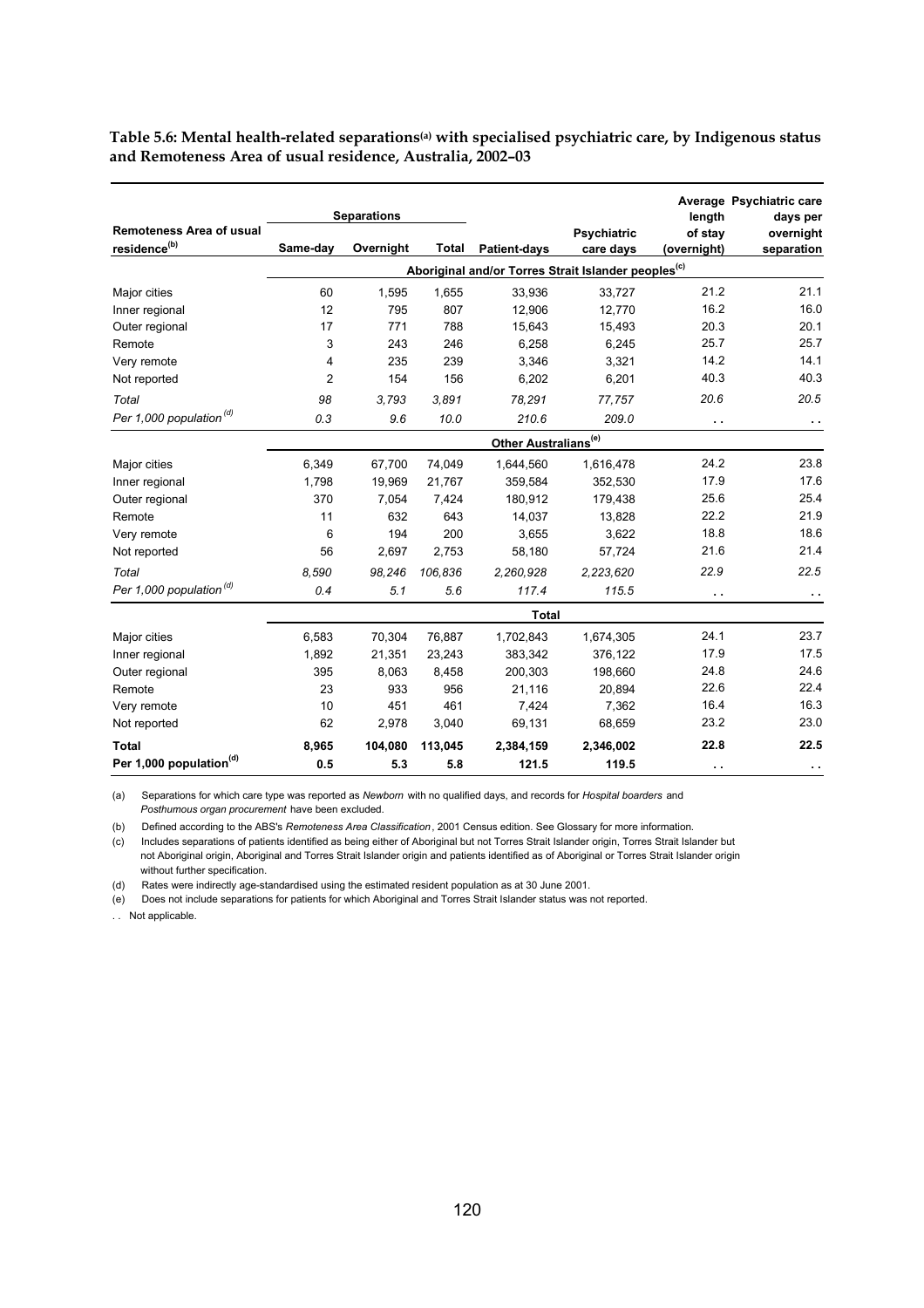|                                                             |                                                                                                                                                                                                                                                                                                                                                                                                                                                                                                                                                                                                                                                                                                                                                                                                                                                                                                                                                                                                                                                                                                                                                                                                                                                                                                                                                                                                                                                                                                                                                                                                                   |            |  | length | Average Psychiatric care<br>days per |
|-------------------------------------------------------------|-------------------------------------------------------------------------------------------------------------------------------------------------------------------------------------------------------------------------------------------------------------------------------------------------------------------------------------------------------------------------------------------------------------------------------------------------------------------------------------------------------------------------------------------------------------------------------------------------------------------------------------------------------------------------------------------------------------------------------------------------------------------------------------------------------------------------------------------------------------------------------------------------------------------------------------------------------------------------------------------------------------------------------------------------------------------------------------------------------------------------------------------------------------------------------------------------------------------------------------------------------------------------------------------------------------------------------------------------------------------------------------------------------------------------------------------------------------------------------------------------------------------------------------------------------------------------------------------------------------------|------------|--|--------|--------------------------------------|
| <b>Remoteness Area of usual</b><br>residence <sup>(b)</sup> |                                                                                                                                                                                                                                                                                                                                                                                                                                                                                                                                                                                                                                                                                                                                                                                                                                                                                                                                                                                                                                                                                                                                                                                                                                                                                                                                                                                                                                                                                                                                                                                                                   |            |  |        | overnight                            |
|                                                             | <b>Separations</b><br><b>Psychiatric</b><br>of stay<br>Same-day<br>Overnight<br><b>Total</b><br><b>Patient-days</b><br>care days<br>(overnight)<br>Aboriginal and/or Torres Strait Islander peoples <sup>(c)</sup><br>21.2<br>60<br>1,595<br>1,655<br>33.936<br>33,727<br>16.2<br>12<br>807<br>12,906<br>795<br>12,770<br>20.3<br>17<br>771<br>788<br>15,643<br>15,493<br>25.7<br>3<br>6,258<br>6,245<br>243<br>246<br>14.2<br>239<br>235<br>3,346<br>3,321<br>4<br>$\overline{2}$<br>40.3<br>154<br>156<br>6,202<br>6,201<br>20.6<br>98<br>3,793<br>3,891<br>78,291<br>77,757<br>210.6<br>0.3<br>9.6<br>10.0<br>209.0<br>$\sim$ $\sim$<br>Other Australians <sup>(e)</sup><br>6,349<br>74,049<br>24.2<br>67,700<br>1,644,560<br>1,616,478<br>17.9<br>1,798<br>19,969<br>21,767<br>359,584<br>352,530<br>25.6<br>370<br>180,912<br>179,438<br>7,054<br>7,424<br>22.2<br>11<br>632<br>643<br>14.037<br>13,828<br>200<br>18.8<br>6<br>194<br>3,655<br>3,622<br>56<br>57,724<br>21.6<br>2,697<br>2,753<br>58,180<br>22.9<br>98,246<br>106,836<br>2,260,928<br>2,223,620<br>8,590<br>0.4<br>5.6<br>5.1<br>117.4<br>115.5<br>$\sim$ $\sim$<br><b>Total</b><br>24.1<br>6,583<br>70,304<br>76,887<br>1,702,843<br>1,674,305<br>17.9<br>1,892<br>21,351<br>23,243<br>383,342<br>376,122<br>24.8<br>200,303<br>198,660<br>395<br>8,063<br>8,458<br>22.6<br>23<br>933<br>956<br>21,116<br>20,894<br>10<br>16.4<br>451<br>461<br>7,424<br>7,362<br>23.2<br>62<br>69,131<br>68,659<br>2,978<br>3,040<br>22.8<br>8,965<br>104,080<br>113,045<br>2,346,002<br>2,384,159<br>5.3<br>0.5<br>5.8<br>121.5<br>119.5<br>$\sim$ $\sim$ | separation |  |        |                                      |
|                                                             |                                                                                                                                                                                                                                                                                                                                                                                                                                                                                                                                                                                                                                                                                                                                                                                                                                                                                                                                                                                                                                                                                                                                                                                                                                                                                                                                                                                                                                                                                                                                                                                                                   |            |  |        |                                      |
| Major cities                                                |                                                                                                                                                                                                                                                                                                                                                                                                                                                                                                                                                                                                                                                                                                                                                                                                                                                                                                                                                                                                                                                                                                                                                                                                                                                                                                                                                                                                                                                                                                                                                                                                                   |            |  |        | 21.1                                 |
| Inner regional                                              |                                                                                                                                                                                                                                                                                                                                                                                                                                                                                                                                                                                                                                                                                                                                                                                                                                                                                                                                                                                                                                                                                                                                                                                                                                                                                                                                                                                                                                                                                                                                                                                                                   |            |  |        | 16.0                                 |
| Outer regional                                              |                                                                                                                                                                                                                                                                                                                                                                                                                                                                                                                                                                                                                                                                                                                                                                                                                                                                                                                                                                                                                                                                                                                                                                                                                                                                                                                                                                                                                                                                                                                                                                                                                   |            |  |        | 20.1                                 |
| Remote                                                      |                                                                                                                                                                                                                                                                                                                                                                                                                                                                                                                                                                                                                                                                                                                                                                                                                                                                                                                                                                                                                                                                                                                                                                                                                                                                                                                                                                                                                                                                                                                                                                                                                   |            |  |        | 25.7                                 |
| Very remote                                                 |                                                                                                                                                                                                                                                                                                                                                                                                                                                                                                                                                                                                                                                                                                                                                                                                                                                                                                                                                                                                                                                                                                                                                                                                                                                                                                                                                                                                                                                                                                                                                                                                                   |            |  |        | 14.1                                 |
| Not reported                                                |                                                                                                                                                                                                                                                                                                                                                                                                                                                                                                                                                                                                                                                                                                                                                                                                                                                                                                                                                                                                                                                                                                                                                                                                                                                                                                                                                                                                                                                                                                                                                                                                                   |            |  |        | 40.3                                 |
| Total                                                       |                                                                                                                                                                                                                                                                                                                                                                                                                                                                                                                                                                                                                                                                                                                                                                                                                                                                                                                                                                                                                                                                                                                                                                                                                                                                                                                                                                                                                                                                                                                                                                                                                   |            |  |        | 20.5                                 |
| Per 1,000 population <sup>(d)</sup>                         |                                                                                                                                                                                                                                                                                                                                                                                                                                                                                                                                                                                                                                                                                                                                                                                                                                                                                                                                                                                                                                                                                                                                                                                                                                                                                                                                                                                                                                                                                                                                                                                                                   |            |  |        | $\sim$                               |
|                                                             |                                                                                                                                                                                                                                                                                                                                                                                                                                                                                                                                                                                                                                                                                                                                                                                                                                                                                                                                                                                                                                                                                                                                                                                                                                                                                                                                                                                                                                                                                                                                                                                                                   |            |  |        |                                      |
| Major cities                                                |                                                                                                                                                                                                                                                                                                                                                                                                                                                                                                                                                                                                                                                                                                                                                                                                                                                                                                                                                                                                                                                                                                                                                                                                                                                                                                                                                                                                                                                                                                                                                                                                                   |            |  |        | 23.8                                 |
| Inner regional                                              |                                                                                                                                                                                                                                                                                                                                                                                                                                                                                                                                                                                                                                                                                                                                                                                                                                                                                                                                                                                                                                                                                                                                                                                                                                                                                                                                                                                                                                                                                                                                                                                                                   |            |  |        | 17.6                                 |
| Outer regional                                              |                                                                                                                                                                                                                                                                                                                                                                                                                                                                                                                                                                                                                                                                                                                                                                                                                                                                                                                                                                                                                                                                                                                                                                                                                                                                                                                                                                                                                                                                                                                                                                                                                   |            |  |        | 25.4                                 |
| Remote                                                      |                                                                                                                                                                                                                                                                                                                                                                                                                                                                                                                                                                                                                                                                                                                                                                                                                                                                                                                                                                                                                                                                                                                                                                                                                                                                                                                                                                                                                                                                                                                                                                                                                   |            |  |        | 21.9                                 |
| Very remote                                                 |                                                                                                                                                                                                                                                                                                                                                                                                                                                                                                                                                                                                                                                                                                                                                                                                                                                                                                                                                                                                                                                                                                                                                                                                                                                                                                                                                                                                                                                                                                                                                                                                                   |            |  |        | 18.6                                 |
| Not reported                                                |                                                                                                                                                                                                                                                                                                                                                                                                                                                                                                                                                                                                                                                                                                                                                                                                                                                                                                                                                                                                                                                                                                                                                                                                                                                                                                                                                                                                                                                                                                                                                                                                                   |            |  |        | 21.4                                 |
| Total                                                       |                                                                                                                                                                                                                                                                                                                                                                                                                                                                                                                                                                                                                                                                                                                                                                                                                                                                                                                                                                                                                                                                                                                                                                                                                                                                                                                                                                                                                                                                                                                                                                                                                   |            |  |        | 22.5                                 |
| Per 1,000 population <sup>(d)</sup>                         |                                                                                                                                                                                                                                                                                                                                                                                                                                                                                                                                                                                                                                                                                                                                                                                                                                                                                                                                                                                                                                                                                                                                                                                                                                                                                                                                                                                                                                                                                                                                                                                                                   |            |  |        | $\ddot{\phantom{1}}$                 |
|                                                             |                                                                                                                                                                                                                                                                                                                                                                                                                                                                                                                                                                                                                                                                                                                                                                                                                                                                                                                                                                                                                                                                                                                                                                                                                                                                                                                                                                                                                                                                                                                                                                                                                   |            |  |        |                                      |
| Major cities                                                |                                                                                                                                                                                                                                                                                                                                                                                                                                                                                                                                                                                                                                                                                                                                                                                                                                                                                                                                                                                                                                                                                                                                                                                                                                                                                                                                                                                                                                                                                                                                                                                                                   |            |  |        | 23.7                                 |
| Inner regional                                              |                                                                                                                                                                                                                                                                                                                                                                                                                                                                                                                                                                                                                                                                                                                                                                                                                                                                                                                                                                                                                                                                                                                                                                                                                                                                                                                                                                                                                                                                                                                                                                                                                   |            |  |        | 17.5                                 |
| Outer regional                                              |                                                                                                                                                                                                                                                                                                                                                                                                                                                                                                                                                                                                                                                                                                                                                                                                                                                                                                                                                                                                                                                                                                                                                                                                                                                                                                                                                                                                                                                                                                                                                                                                                   |            |  |        | 24.6                                 |
| Remote                                                      |                                                                                                                                                                                                                                                                                                                                                                                                                                                                                                                                                                                                                                                                                                                                                                                                                                                                                                                                                                                                                                                                                                                                                                                                                                                                                                                                                                                                                                                                                                                                                                                                                   |            |  |        | 22.4                                 |
| Very remote                                                 |                                                                                                                                                                                                                                                                                                                                                                                                                                                                                                                                                                                                                                                                                                                                                                                                                                                                                                                                                                                                                                                                                                                                                                                                                                                                                                                                                                                                                                                                                                                                                                                                                   |            |  |        | 16.3                                 |
| Not reported                                                |                                                                                                                                                                                                                                                                                                                                                                                                                                                                                                                                                                                                                                                                                                                                                                                                                                                                                                                                                                                                                                                                                                                                                                                                                                                                                                                                                                                                                                                                                                                                                                                                                   |            |  |        | 23.0                                 |
| <b>Total</b>                                                |                                                                                                                                                                                                                                                                                                                                                                                                                                                                                                                                                                                                                                                                                                                                                                                                                                                                                                                                                                                                                                                                                                                                                                                                                                                                                                                                                                                                                                                                                                                                                                                                                   |            |  |        | 22.5                                 |
| Per 1,000 population <sup>(d)</sup>                         |                                                                                                                                                                                                                                                                                                                                                                                                                                                                                                                                                                                                                                                                                                                                                                                                                                                                                                                                                                                                                                                                                                                                                                                                                                                                                                                                                                                                                                                                                                                                                                                                                   |            |  |        | $\sim$                               |

**Table 5.6: Mental health-related separations(a) with specialised psychiatric care, by Indigenous status and Remoteness Area of usual residence, Australia, 2002–03** 

(a) Separations for which care type was reported as *Newborn* with no qualified days, and records for *Hospital boarders* and *Posthumous organ procurement* have been excluded.

(b) Defined according to the ABS's *Remoteness Area Classification*, 2001 Census edition. See Glossary for more information.

 not Aboriginal origin, Aboriginal and Torres Strait Islander origin and patients identified as of Aboriginal or Torres Strait Islander origin without further specification. (c) Includes separations of patients identified as being either of Aboriginal but not Torres Strait Islander origin, Torres Strait Islander but

(d) Rates were indirectly age-standardised using the estimated resident population as at 30 June 2001.

(e) Does not include separations for patients for which Aboriginal and Torres Strait Islander status was not reported.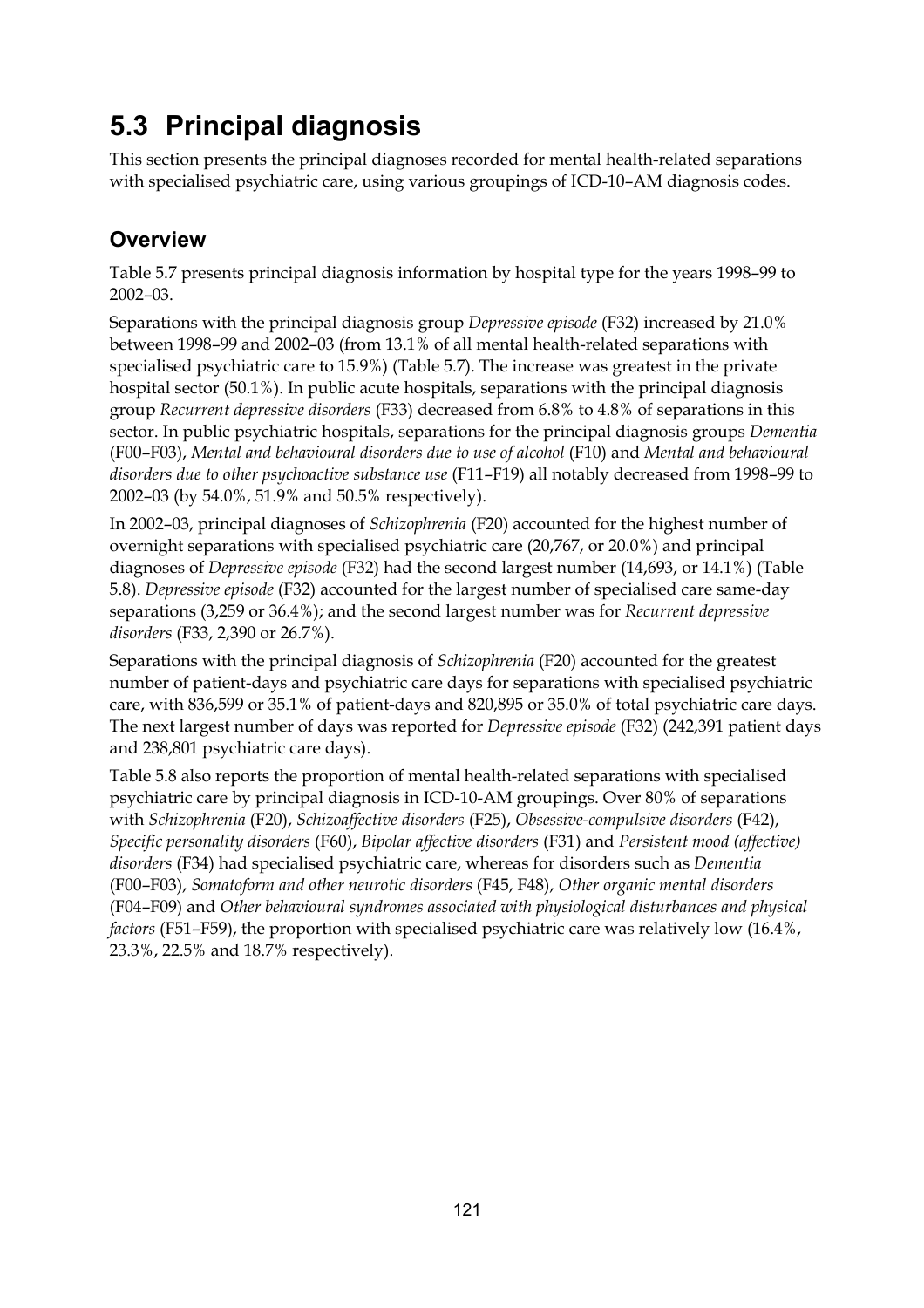# **5.3 Principal diagnosis**

This section presents the principal diagnoses recorded for mental health-related separations with specialised psychiatric care, using various groupings of ICD-10–AM diagnosis codes.

### **Overview**

Table 5.7 presents principal diagnosis information by hospital type for the years 1998–99 to 2002–03.

Separations with the principal diagnosis group *Depressive episode* (F32) increased by 21.0% between 1998–99 and 2002–03 (from 13.1% of all mental health-related separations with specialised psychiatric care to 15.9%) (Table 5.7). The increase was greatest in the private hospital sector (50.1%). In public acute hospitals, separations with the principal diagnosis group *Recurrent depressive disorders* (F33) decreased from 6.8% to 4.8% of separations in this sector. In public psychiatric hospitals, separations for the principal diagnosis groups *Dementia* (F00–F03), *Mental and behavioural disorders due to use of alcohol* (F10) and *Mental and behavioural disorders due to other psychoactive substance use* (F11–F19) all notably decreased from 1998–99 to 2002–03 (by 54.0%, 51.9% and 50.5% respectively).

In 2002–03, principal diagnoses of *Schizophrenia* (F20) accounted for the highest number of overnight separations with specialised psychiatric care (20,767, or 20.0%) and principal diagnoses of *Depressive episode* (F32) had the second largest number (14,693, or 14.1%) (Table 5.8). *Depressive episode* (F32) accounted for the largest number of specialised care same-day separations (3,259 or 36.4%); and the second largest number was for *Recurrent depressive disorders* (F33, 2,390 or 26.7%).

Separations with the principal diagnosis of *Schizophrenia* (F20) accounted for the greatest number of patient-days and psychiatric care days for separations with specialised psychiatric care, with 836,599 or 35.1% of patient-days and 820,895 or 35.0% of total psychiatric care days. The next largest number of days was reported for *Depressive episode* (F32) (242,391 patient days and 238,801 psychiatric care days).

Table 5.8 also reports the proportion of mental health-related separations with specialised psychiatric care by principal diagnosis in ICD-10-AM groupings. Over 80% of separations with *Schizophrenia* (F20), *Schizoaffective disorders* (F25), *Obsessive-compulsive disorders* (F42), *Specific personality disorders* (F60), *Bipolar affective disorders* (F31) and *Persistent mood (affective) disorders* (F34) had specialised psychiatric care, whereas for disorders such as *Dementia*  (F00–F03), *Somatoform and other neurotic disorders* (F45, F48), *Other organic mental disorders* (F04–F09) and *Other behavioural syndromes associated with physiological disturbances and physical factors* (F51–F59), the proportion with specialised psychiatric care was relatively low (16.4%, 23.3%, 22.5% and 18.7% respectively).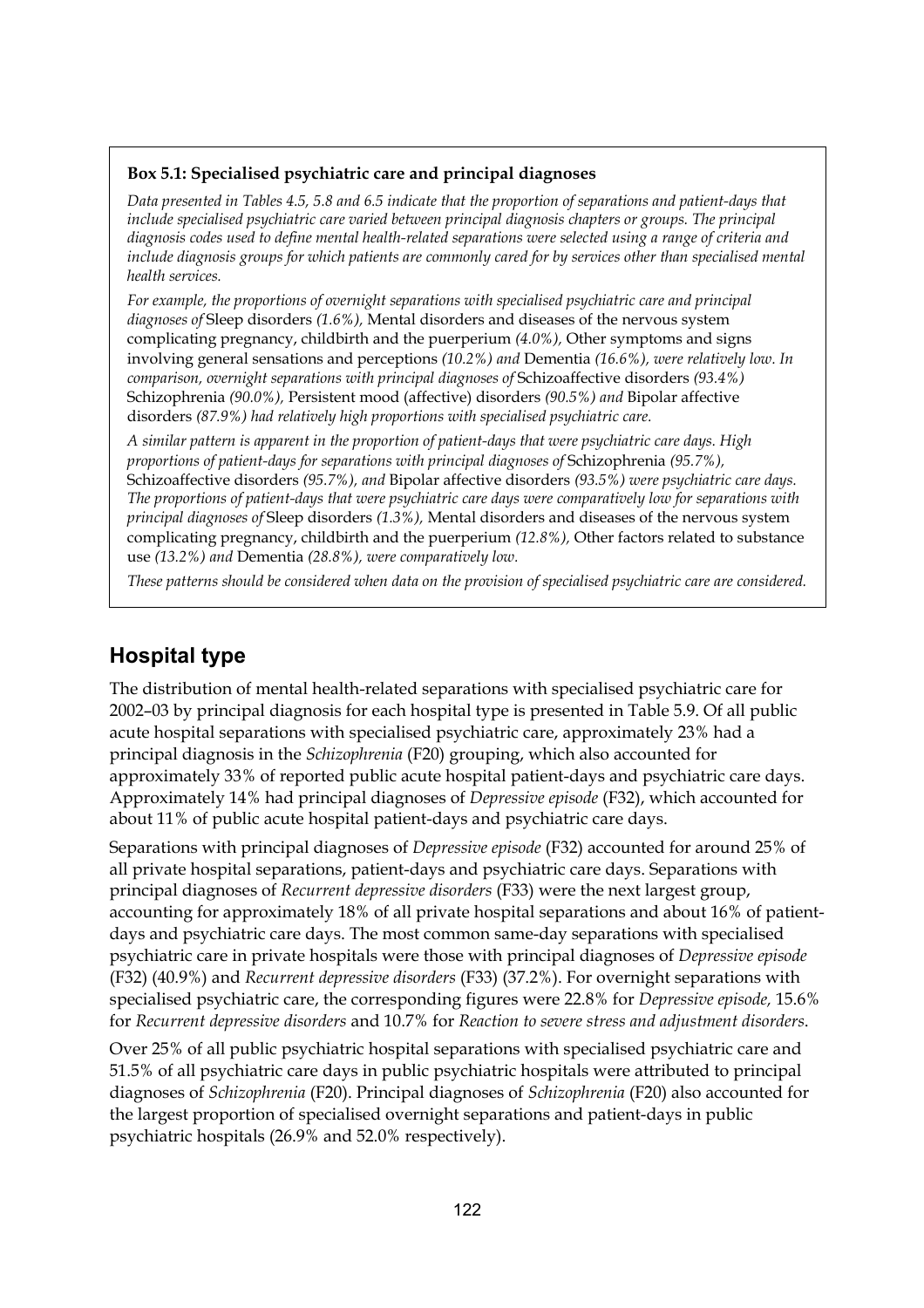#### **Box 5.1: Specialised psychiatric care and principal diagnoses**

*Data presented in Tables 4.5, 5.8 and 6.5 indicate that the proportion of separations and patient-days that include specialised psychiatric care varied between principal diagnosis chapters or groups. The principal diagnosis codes used to define mental health-related separations were selected using a range of criteria and include diagnosis groups for which patients are commonly cared for by services other than specialised mental health services.* 

*For example, the proportions of overnight separations with specialised psychiatric care and principal diagnoses of* Sleep disorders *(1.6%),* Mental disorders and diseases of the nervous system complicating pregnancy, childbirth and the puerperium *(4.0%),* Other symptoms and signs involving general sensations and perceptions *(10.2%) and* Dementia *(16.6%), were relatively low. In comparison, overnight separations with principal diagnoses of* Schizoaffective disorders *(93.4%)*  Schizophrenia *(90.0%),* Persistent mood (affective) disorders *(90.5%) and* Bipolar affective disorders *(87.9%) had relatively high proportions with specialised psychiatric care.* 

*A similar pattern is apparent in the proportion of patient-days that were psychiatric care days. High proportions of patient-days for separations with principal diagnoses of* Schizophrenia *(95.7%),* Schizoaffective disorders *(95.7%), and* Bipolar affective disorders *(93.5%) were psychiatric care days. The proportions of patient-days that were psychiatric care days were comparatively low for separations with principal diagnoses of* Sleep disorders *(1.3%),* Mental disorders and diseases of the nervous system complicating pregnancy, childbirth and the puerperium *(12.8%),* Other factors related to substance use *(13.2%) and* Dementia *(28.8%), were comparatively low.* 

*These patterns should be considered when data on the provision of specialised psychiatric care are considered.* 

#### **Hospital type**

The distribution of mental health-related separations with specialised psychiatric care for 2002–03 by principal diagnosis for each hospital type is presented in Table 5.9. Of all public acute hospital separations with specialised psychiatric care, approximately 23% had a principal diagnosis in the *Schizophrenia* (F20) grouping, which also accounted for approximately 33% of reported public acute hospital patient-days and psychiatric care days. Approximately 14% had principal diagnoses of *Depressive episode* (F32), which accounted for about 11% of public acute hospital patient-days and psychiatric care days.

Separations with principal diagnoses of *Depressive episode* (F32) accounted for around 25% of all private hospital separations, patient-days and psychiatric care days. Separations with principal diagnoses of *Recurrent depressive disorders* (F33) were the next largest group, accounting for approximately 18% of all private hospital separations and about 16% of patientdays and psychiatric care days. The most common same-day separations with specialised psychiatric care in private hospitals were those with principal diagnoses of *Depressive episode* (F32) (40.9%) and *Recurrent depressive disorders* (F33) (37.2%). For overnight separations with specialised psychiatric care, the corresponding figures were 22.8% for *Depressive episode,* 15.6% for *Recurrent depressive disorders* and 10.7% for *Reaction to severe stress and adjustment disorders*.

Over 25% of all public psychiatric hospital separations with specialised psychiatric care and 51.5% of all psychiatric care days in public psychiatric hospitals were attributed to principal diagnoses of *Schizophrenia* (F20). Principal diagnoses of *Schizophrenia* (F20) also accounted for the largest proportion of specialised overnight separations and patient-days in public psychiatric hospitals (26.9% and 52.0% respectively).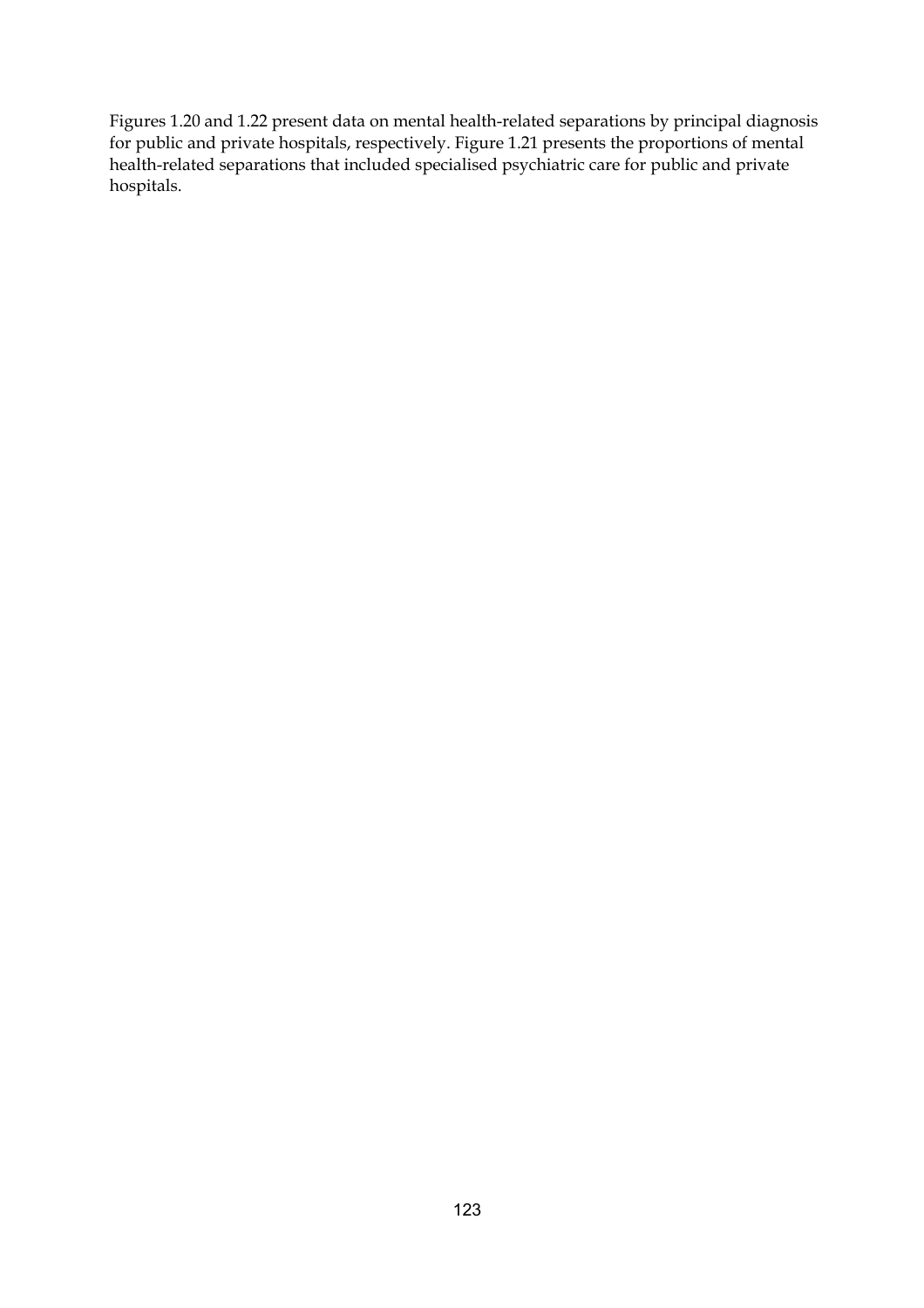Figures 1.20 and 1.22 present data on mental health-related separations by principal diagnosis for public and private hospitals, respectively. Figure 1.21 presents the proportions of mental health-related separations that included specialised psychiatric care for public and private hospitals.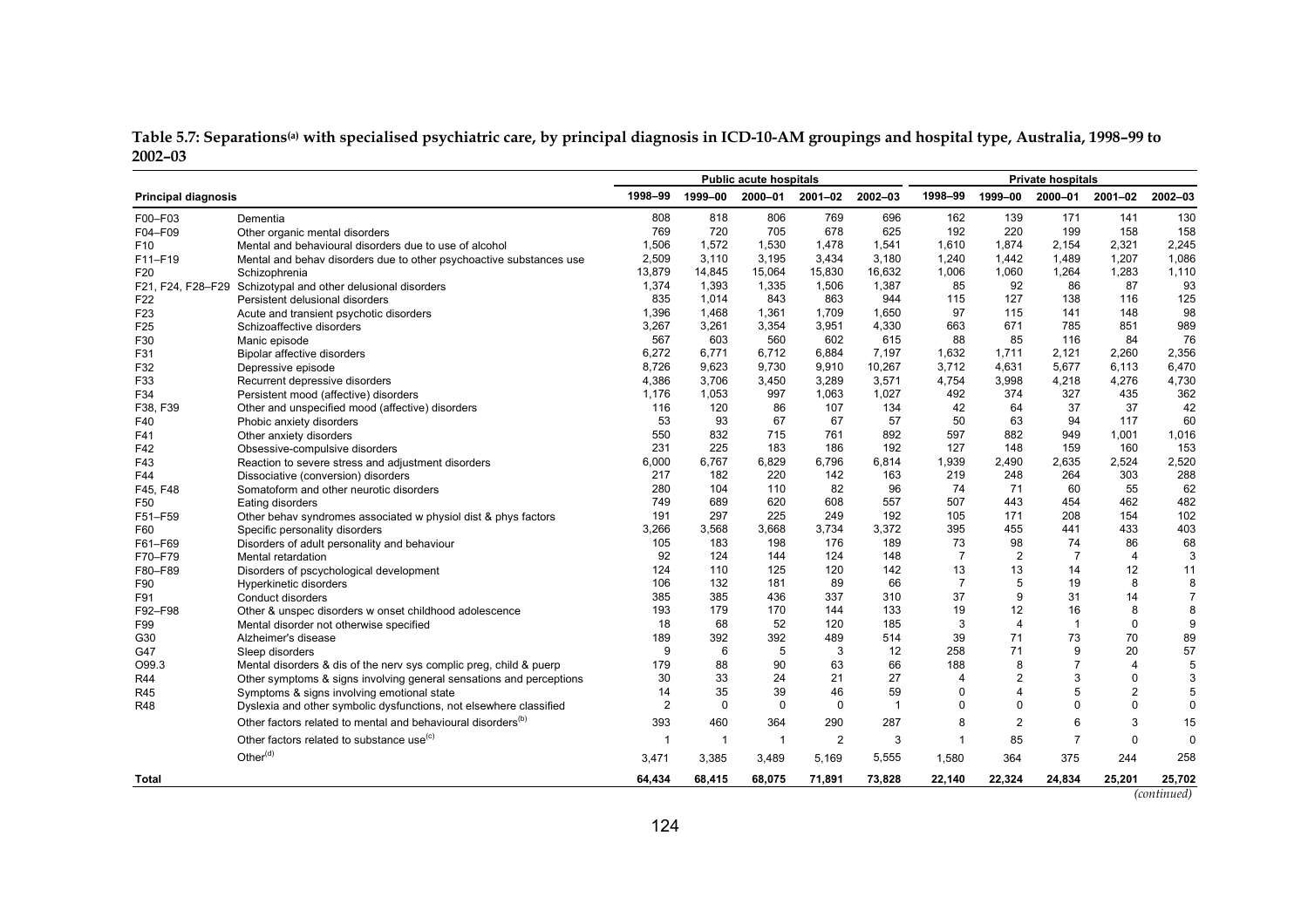| Table 5.7: Separations@n) with specialised psychiatric care, by principal diagnosis in ICD-10-AM groupings and hospital type, Australia, 1998–99 to |  |  |
|-----------------------------------------------------------------------------------------------------------------------------------------------------|--|--|
| 2002-03                                                                                                                                             |  |  |

|                            |                                                                          | <b>Public acute hospitals</b> |                |                |                |                | <b>Private hospitals</b> |                |                |                |                |
|----------------------------|--------------------------------------------------------------------------|-------------------------------|----------------|----------------|----------------|----------------|--------------------------|----------------|----------------|----------------|----------------|
| <b>Principal diagnosis</b> |                                                                          | 1998-99                       | 1999-00        | 2000-01        | 2001-02        | 2002-03        | 1998-99                  | 1999-00        | 2000-01        | 2001-02        | 2002-03        |
| F00-F03                    | Dementia                                                                 | 808                           | 818            | 806            | 769            | 696            | 162                      | 139            | 171            | 141            | 130            |
| F04-F09                    | Other organic mental disorders                                           | 769                           | 720            | 705            | 678            | 625            | 192                      | 220            | 199            | 158            | 158            |
| F <sub>10</sub>            | Mental and behavioural disorders due to use of alcohol                   | 1,506                         | 1.572          | 1,530          | 1,478          | 1,541          | 1,610                    | 1,874          | 2,154          | 2,321          | 2,245          |
| F11-F19                    | Mental and behav disorders due to other psychoactive substances use      | 2,509                         | 3,110          | 3,195          | 3,434          | 3,180          | 1,240                    | 1,442          | 1,489          | 1,207          | 1,086          |
| F20                        | Schizophrenia                                                            | 13,879                        | 14,845         | 15,064         | 15,830         | 16,632         | 1,006                    | 1,060          | 1,264          | 1,283          | 1,110          |
| F21, F24, F28-F29          | Schizotypal and other delusional disorders                               | 1,374                         | 1,393          | 1,335          | 1,506          | 1,387          | 85                       | 92             | 86             | 87             | 93             |
| F22                        | Persistent delusional disorders                                          | 835                           | 1.014          | 843            | 863            | 944            | 115                      | 127            | 138            | 116            | 125            |
| F <sub>23</sub>            | Acute and transient psychotic disorders                                  | 1,396                         | 1,468          | 1,361          | 1,709          | 1,650          | 97                       | 115            | 141            | 148            | 98             |
| F <sub>25</sub>            | Schizoaffective disorders                                                | 3,267                         | 3,261          | 3,354          | 3,951          | 4,330          | 663                      | 671            | 785            | 851            | 989            |
| F30                        | Manic episode                                                            | 567                           | 603            | 560            | 602            | 615            | 88                       | 85             | 116            | 84             | 76             |
| F31                        | <b>Bipolar affective disorders</b>                                       | 6,272                         | 6,771          | 6,712          | 6,884          | 7,197          | 1,632                    | 1,711          | 2,121          | 2,260          | 2,356          |
| F32                        | Depressive episode                                                       | 8,726                         | 9,623          | 9,730          | 9,910          | 10,267         | 3,712                    | 4,631          | 5,677          | 6,113          | 6,470          |
| F33                        | Recurrent depressive disorders                                           | 4,386                         | 3,706          | 3,450          | 3,289          | 3,571          | 4,754                    | 3,998          | 4,218          | 4,276          | 4,730          |
| F34                        | Persistent mood (affective) disorders                                    | 1,176                         | 1,053          | 997            | 1,063          | 1,027          | 492                      | 374            | 327            | 435            | 362            |
| F38, F39                   | Other and unspecified mood (affective) disorders                         | 116                           | 120            | 86             | 107            | 134            | 42                       | 64             | 37             | 37             | 42             |
| F40                        | Phobic anxiety disorders                                                 | 53                            | 93             | 67             | 67             | 57             | 50                       | 63             | 94             | 117            | 60             |
| F41                        | Other anxiety disorders                                                  | 550                           | 832            | 715            | 761            | 892            | 597                      | 882            | 949            | 1,001          | 1,016          |
| F42                        | Obsessive-compulsive disorders                                           | 231                           | 225            | 183            | 186            | 192            | 127                      | 148            | 159            | 160            | 153            |
| F43                        | Reaction to severe stress and adjustment disorders                       | 6,000                         | 6,767          | 6,829          | 6,796          | 6,814          | 1,939                    | 2,490          | 2,635          | 2,524          | 2,520          |
| F44                        | Dissociative (conversion) disorders                                      | 217                           | 182            | 220            | 142            | 163            | 219                      | 248            | 264            | 303            | 288            |
| F45, F48                   | Somatoform and other neurotic disorders                                  | 280                           | 104            | 110            | 82             | 96             | 74                       | 71             | 60             | 55             | 62             |
| F50                        | Eating disorders                                                         | 749                           | 689            | 620            | 608            | 557            | 507                      | 443            | 454            | 462            | 482            |
| F51-F59                    | Other behav syndromes associated w physiol dist & phys factors           | 191                           | 297            | 225            | 249            | 192            | 105                      | 171            | 208            | 154            | 102            |
| F60                        | Specific personality disorders                                           | 3,266                         | 3,568          | 3,668          | 3,734          | 3,372          | 395                      | 455            | 441            | 433            | 403            |
| F61-F69                    | Disorders of adult personality and behaviour                             | 105                           | 183            | 198            | 176            | 189            | 73                       | 98             | 74             | 86             | 68             |
| F70-F79                    | Mental retardation                                                       | 92                            | 124            | 144            | 124            | 148            | $\overline{7}$           | 2              | $\overline{7}$ | $\overline{4}$ | 3              |
| F80-F89                    | Disorders of pscychological development                                  | 124                           | 110            | 125            | 120            | 142            | 13                       | 13             | 14             | 12             | 11             |
| F90                        | Hyperkinetic disorders                                                   | 106                           | 132            | 181            | 89             | 66             | $\overline{7}$           | 5              | 19             | 8              | 8              |
| F91                        | Conduct disorders                                                        | 385                           | 385            | 436            | 337            | 310            | 37                       | 9              | 31             | 14             | $\overline{7}$ |
| F92-F98                    | Other & unspec disorders w onset childhood adolescence                   | 193                           | 179            | 170            | 144            | 133            | 19                       | 12             | 16             | 8              | 8              |
| F99                        | Mental disorder not otherwise specified                                  | 18                            | 68             | 52             | 120            | 185            | 3                        | $\overline{4}$ | $\mathbf{1}$   | $\mathbf 0$    | 9              |
| G30                        | Alzheimer's disease                                                      | 189                           | 392            | 392            | 489            | 514            | 39                       | 71             | 73             | 70             | 89             |
| G47                        | Sleep disorders                                                          | 9                             | 6              | 5              | 3              | 12             | 258                      | 71             | 9              | 20             | 57             |
| O99.3                      | Mental disorders & dis of the nerv sys complic preg, child & puerp       | 179                           | 88             | 90             | 63             | 66             | 188                      | 8              | $\overline{7}$ | $\overline{4}$ | 5              |
| R44                        | Other symptoms & signs involving general sensations and perceptions      | 30                            | 33             | 24             | 21             | 27             | 4                        | $\overline{2}$ | 3              | $\Omega$       | 3              |
| R45                        | Symptoms & signs involving emotional state                               | 14                            | 35             | 39             | 46             | 59             | $\mathbf 0$              | $\overline{4}$ | 5              | $\overline{c}$ | 5              |
| <b>R48</b>                 | Dyslexia and other symbolic dysfunctions, not elsewhere classified       | $\overline{2}$                | $\mathbf 0$    | $\mathbf 0$    | $\mathbf 0$    | $\overline{1}$ | $\Omega$                 | 0              | $\mathbf 0$    | $\mathbf 0$    | $\mathbf 0$    |
|                            | Other factors related to mental and behavioural disorders <sup>(b)</sup> | 393                           | 460            | 364            | 290            | 287            | 8                        | $\overline{2}$ | 6              | 3              | 15             |
|                            | Other factors related to substance use <sup>(c)</sup>                    | $\overline{1}$                | $\overline{1}$ | $\overline{1}$ | $\overline{2}$ | 3              | $\mathbf{1}$             | 85             | $\overline{7}$ | $\Omega$       | 0              |
|                            | Other <sup>(d)</sup>                                                     | 3,471                         | 3,385          | 3,489          | 5,169          | 5,555          | 1,580                    | 364            | 375            | 244            | 258            |
| Total                      |                                                                          | 64.434                        | 68,415         | 68,075         | 71,891         | 73,828         | 22,140                   | 22,324         | 24,834         | 25,201         | 25,702         |

| (continued) |  |
|-------------|--|
|             |  |
|             |  |
|             |  |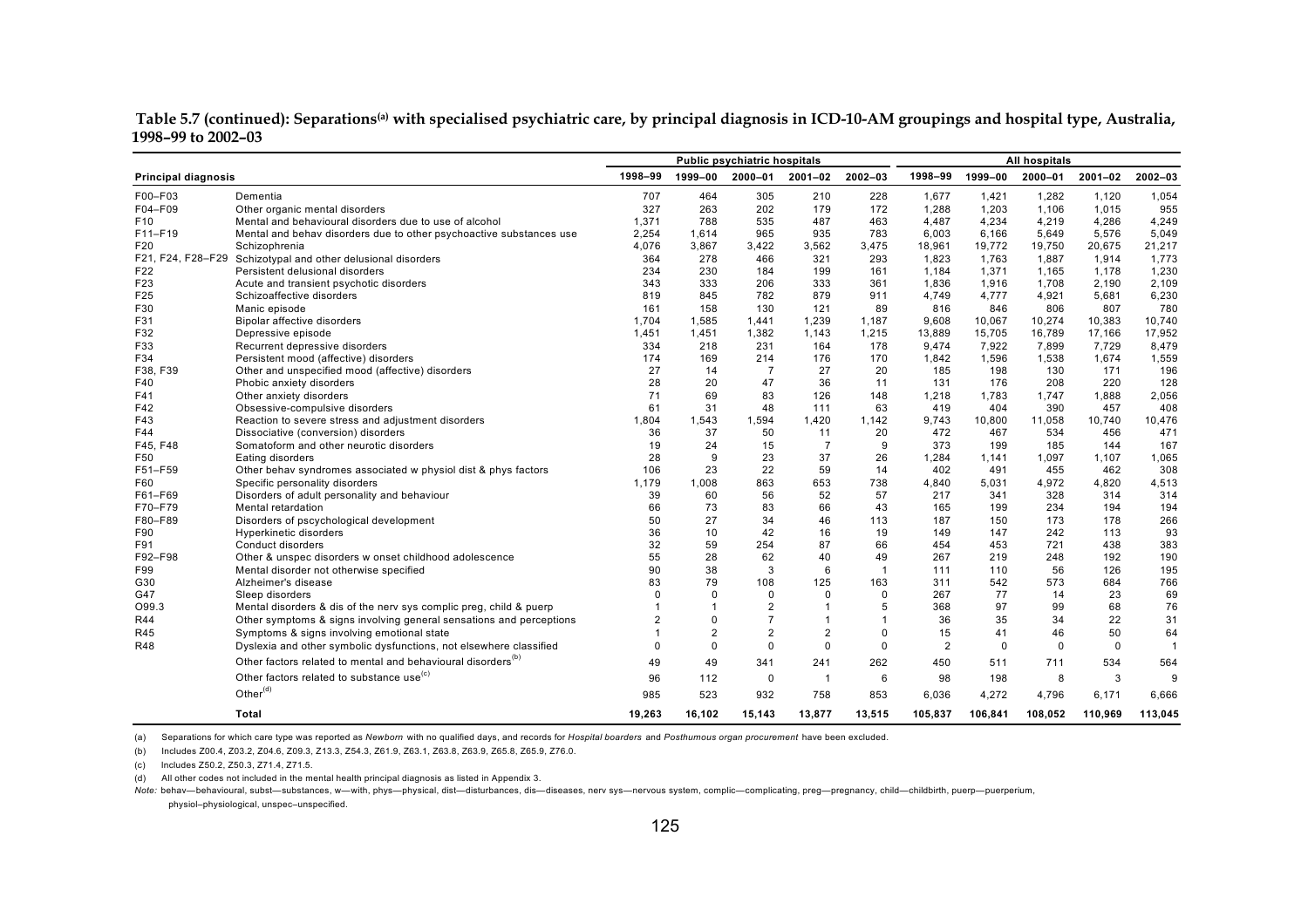**Table 5.7 (continued): Separations(a) with specialised psychiatric care, by principal diagnosis in ICD-10-AM groupings and hospital type, Australia, 1998–99 to 2002–03** 

|                            |                                                                          | <b>Public psychiatric hospitals</b> |                |                |                |              | All hospitals  |             |             |             |                |
|----------------------------|--------------------------------------------------------------------------|-------------------------------------|----------------|----------------|----------------|--------------|----------------|-------------|-------------|-------------|----------------|
| <b>Principal diagnosis</b> |                                                                          | 1998-99                             | 1999-00        | 2000-01        | $2001 - 02$    | 2002-03      | 1998-99        | 1999-00     | 2000-01     | $2001 - 02$ | 2002-03        |
| F00-F03                    | Dementia                                                                 | 707                                 | 464            | 305            | 210            | 228          | 1,677          | 1,421       | 1,282       | 1,120       | 1,054          |
| F04-F09                    | Other organic mental disorders                                           | 327                                 | 263            | 202            | 179            | 172          | 1,288          | 1,203       | 1,106       | 1,015       | 955            |
| F10                        | Mental and behavioural disorders due to use of alcohol                   | 1,371                               | 788            | 535            | 487            | 463          | 4,487          | 4,234       | 4,219       | 4,286       | 4,249          |
| F11-F19                    | Mental and behav disorders due to other psychoactive substances use      | 2,254                               | 1.614          | 965            | 935            | 783          | 6,003          | 6,166       | 5,649       | 5,576       | 5,049          |
| F20                        | Schizophrenia                                                            | 4.076                               | 3.867          | 3,422          | 3.562          | 3.475        | 18,961         | 19,772      | 19,750      | 20,675      | 21,217         |
| F21, F24, F28-F29          | Schizotypal and other delusional disorders                               | 364                                 | 278            | 466            | 321            | 293          | 1,823          | 1,763       | 1,887       | 1,914       | 1,773          |
| F22                        | Persistent delusional disorders                                          | 234                                 | 230            | 184            | 199            | 161          | 1,184          | 1,371       | 1,165       | 1,178       | 1,230          |
| F23                        | Acute and transient psychotic disorders                                  | 343                                 | 333            | 206            | 333            | 361          | 1.836          | 1.916       | 1.708       | 2.190       | 2,109          |
| F25                        | Schizoaffective disorders                                                | 819                                 | 845            | 782            | 879            | 911          | 4,749          | 4,777       | 4,921       | 5,681       | 6,230          |
| F30                        | Manic episode                                                            | 161                                 | 158            | 130            | 121            | 89           | 816            | 846         | 806         | 807         | 780            |
| F31                        | <b>Bipolar affective disorders</b>                                       | 1,704                               | 1,585          | 1,441          | 1,239          | 1,187        | 9,608          | 10,067      | 10,274      | 10,383      | 10,740         |
| F32                        | Depressive episode                                                       | 1,451                               | 1,451          | 1,382          | 1.143          | 1,215        | 13,889         | 15,705      | 16,789      | 17,166      | 17,952         |
| F33                        | Recurrent depressive disorders                                           | 334                                 | 218            | 231            | 164            | 178          | 9,474          | 7.922       | 7.899       | 7.729       | 8,479          |
| F34                        | Persistent mood (affective) disorders                                    | 174                                 | 169            | 214            | 176            | 170          | 1,842          | 1,596       | 1,538       | 1,674       | 1,559          |
| F38, F39                   | Other and unspecified mood (affective) disorders                         | 27                                  | 14             | $\overline{7}$ | 27             | 20           | 185            | 198         | 130         | 171         | 196            |
| F40                        | Phobic anxiety disorders                                                 | 28                                  | 20             | 47             | 36             | 11           | 131            | 176         | 208         | 220         | 128            |
| F41                        | Other anxiety disorders                                                  | 71                                  | 69             | 83             | 126            | 148          | 1,218          | 1,783       | 1,747       | 1,888       | 2,056          |
| F42                        | Obsessive-compulsive disorders                                           | 61                                  | 31             | 48             | 111            | 63           | 419            | 404         | 390         | 457         | 408            |
| F43                        | Reaction to severe stress and adjustment disorders                       | 1.804                               | 1.543          | 1.594          | 1.420          | 1.142        | 9.743          | 10,800      | 11,058      | 10.740      | 10,476         |
| F44                        | Dissociative (conversion) disorders                                      | 36                                  | 37             | 50             | 11             | 20           | 472            | 467         | 534         | 456         | 471            |
| F45, F48                   | Somatoform and other neurotic disorders                                  | 19                                  | 24             | 15             | $\overline{7}$ | 9            | 373            | 199         | 185         | 144         | 167            |
| F50                        | Eating disorders                                                         | 28                                  | 9              | 23             | 37             | 26           | 1,284          | 1,141       | 1,097       | 1,107       | 1,065          |
| F51-F59                    | Other behav syndromes associated w physiol dist & phys factors           | 106                                 | 23             | 22             | 59             | 14           | 402            | 491         | 455         | 462         | 308            |
| F60                        | Specific personality disorders                                           | 1.179                               | 1.008          | 863            | 653            | 738          | 4,840          | 5,031       | 4,972       | 4,820       | 4,513          |
| F61-F69                    | Disorders of adult personality and behaviour                             | 39                                  | 60             | 56             | 52             | 57           | 217            | 341         | 328         | 314         | 314            |
| F70-F79                    | Mental retardation                                                       | 66                                  | 73             | 83             | 66             | 43           | 165            | 199         | 234         | 194         | 194            |
| F80-F89                    | Disorders of pscychological development                                  | 50                                  | 27             | 34             | 46             | 113          | 187            | 150         | 173         | 178         | 266            |
| F90                        | Hyperkinetic disorders                                                   | 36                                  | 10             | 42             | 16             | 19           | 149            | 147         | 242         | 113         | 93             |
| F91                        | Conduct disorders                                                        | 32                                  | 59             | 254            | 87             | 66           | 454            | 453         | 721         | 438         | 383            |
| F92-F98                    | Other & unspec disorders w onset childhood adolescence                   | 55                                  | 28             | 62             | 40             | 49           | 267            | 219         | 248         | 192         | 190            |
| F99                        | Mental disorder not otherwise specified                                  | 90                                  | 38             | 3              | 6              | $\mathbf{1}$ | 111            | 110         | 56          | 126         | 195            |
| G30                        | Alzheimer's disease                                                      | 83                                  | 79             | 108            | 125            | 163          | 311            | 542         | 573         | 684         | 766            |
| G47                        | Sleep disorders                                                          | $\Omega$                            | $\mathbf 0$    | $\Omega$       | $\Omega$       | $\mathbf 0$  | 267            | 77          | 14          | 23          | 69             |
| O99.3                      | Mental disorders & dis of the nerv sys complic preg, child & puerp       |                                     |                | $\overline{2}$ |                | 5            | 368            | 97          | 99          | 68          | 76             |
| <b>R44</b>                 | Other symptoms & signs involving general sensations and perceptions      | $\overline{c}$                      | $\Omega$       | $\overline{7}$ | $\mathbf 1$    | $\mathbf{1}$ | 36             | 35          | 34          | 22          | 31             |
| R45                        | Symptoms & signs involving emotional state                               |                                     | $\overline{2}$ | $\overline{2}$ | $\overline{2}$ | $\mathbf 0$  | 15             | 41          | 46          | 50          | 64             |
| <b>R48</b>                 | Dyslexia and other symbolic dysfunctions, not elsewhere classified       | $\Omega$                            | $\mathbf 0$    | $\mathbf 0$    | $\Omega$       | $\Omega$     | $\overline{2}$ | $\mathbf 0$ | $\mathbf 0$ | $\mathbf 0$ | $\overline{1}$ |
|                            | Other factors related to mental and behavioural disorders <sup>(b)</sup> | 49                                  | 49             | 341            | 241            | 262          | 450            | 511         | 711         | 534         | 564            |
|                            | Other factors related to substance use <sup>(c)</sup>                    | 96                                  | 112            | $\mathbf 0$    | $\overline{1}$ | 6            | 98             | 198         | 8           | 3           | 9              |
|                            | Other $(d)$                                                              | 985                                 | 523            | 932            | 758            | 853          | 6,036          | 4,272       | 4,796       | 6,171       | 6.666          |
|                            | Total                                                                    | 19.263                              | 16.102         | 15.143         | 13,877         | 13,515       | 105,837        | 106.841     | 108.052     | 110.969     | 113,045        |

(b) Includes Z00.4, Z03.2, Z04.6, Z09.3, Z13.3, Z54.3, Z61.9, Z63.1, Z63.8, Z63.9, Z65.8, Z65.9, Z76.0.

(c) Includes Z50.2, Z50.3, Z71.4, Z71.5.

(d) All other codes not included in the mental health principal diagnosis as listed in Appendix 3.

*Note:* behav—behavioural, subst—substances, w—with, phys—physical, dist—disturbances, dis—diseases, nerv sys—nervous system, complic—complicating, preg—pregnancy, child—childbirth, puerp—puerperium, physiol–physiological, unspec–unspecified.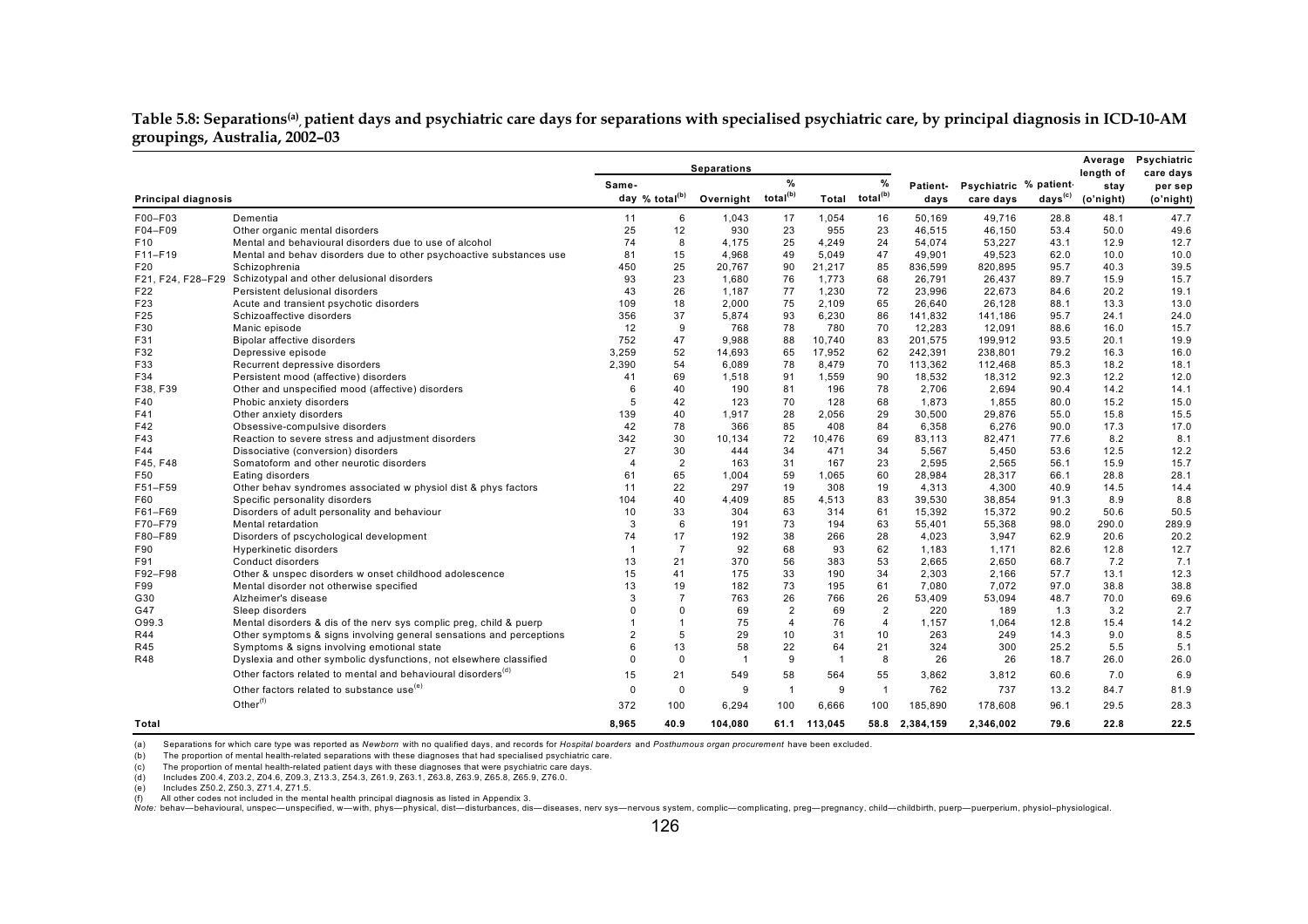#### Table 5.8: Separations<sup>(a)</sup>, patient days and psychiatric care days for separations with specialised psychiatric care, by principal diagnosis in ICD-10-AM **groupings, Australia, 2002–03**

|                            |                                                                          |                |                            | <b>Separations</b> |                      |                |                            |                 |                       |                     | Average<br>length of | Psychiatric<br>care days |
|----------------------------|--------------------------------------------------------------------------|----------------|----------------------------|--------------------|----------------------|----------------|----------------------------|-----------------|-----------------------|---------------------|----------------------|--------------------------|
|                            |                                                                          | Same-          |                            |                    | $\%$                 |                | %                          | <b>Patient-</b> | Psychiatric % patient |                     | stay                 | per sep                  |
| <b>Principal diagnosis</b> |                                                                          |                | day % total <sup>(b)</sup> | Overnight          | total <sup>(b)</sup> |                | Total total <sup>(b)</sup> | days            | care days             | days <sup>(c)</sup> | (o'night)            | (o'night)                |
| F00-F03                    | Dementia                                                                 | 11             | 6                          | 1,043              | 17                   | 1,054          | 16                         | 50.169          | 49.716                | 28.8                | 48.1                 | 47.7                     |
| F04-F09                    | Other organic mental disorders                                           | 25             | 12                         | 930                | 23                   | 955            | 23                         | 46,515          | 46,150                | 53.4                | 50.0                 | 49.6                     |
| F <sub>10</sub>            | Mental and behavioural disorders due to use of alcohol                   | 74             | 8                          | 4.175              | 25                   | 4.249          | 24                         | 54.074          | 53,227                | 43.1                | 12.9                 | 12.7                     |
| $F11-F19$                  | Mental and behav disorders due to other psychoactive substances use      | 81             | 15                         | 4,968              | 49                   | 5,049          | 47                         | 49,901          | 49,523                | 62.0                | 10.0                 | 10.0                     |
| F20                        | Schizophrenia                                                            | 450            | 25                         | 20,767             | 90                   | 21,217         | 85                         | 836,599         | 820,895               | 95.7                | 40.3                 | 39.5                     |
|                            | F21, F24, F28-F29 Schizotypal and other delusional disorders             | 93             | 23                         | 1,680              | 76                   | 1,773          | 68                         | 26,791          | 26,437                | 89.7                | 15.9                 | 15.7                     |
| F22                        | Persistent delusional disorders                                          | 43             | 26                         | 1,187              | 77                   | 1,230          | 72                         | 23,996          | 22,673                | 84.6                | 20.2                 | 19.1                     |
| F23                        | Acute and transient psychotic disorders                                  | 109            | 18                         | 2,000              | 75                   | 2,109          | 65                         | 26.640          | 26,128                | 88.1                | 13.3                 | 13.0                     |
| F25                        | Schizoaffective disorders                                                | 356            | 37                         | 5,874              | 93                   | 6,230          | 86                         | 141.832         | 141.186               | 95.7                | 24.1                 | 24.0                     |
| F30                        | Manic episode                                                            | 12             | 9                          | 768                | 78                   | 780            | 70                         | 12,283          | 12,091                | 88.6                | 16.0                 | 15.7                     |
| F31                        | Bipolar affective disorders                                              | 752            | 47                         | 9,988              | 88                   | 10.740         | 83                         | 201.575         | 199.912               | 93.5                | 20.1                 | 19.9                     |
| F32                        | Depressive episode                                                       | 3,259          | 52                         | 14,693             | 65                   | 17,952         | 62                         | 242,391         | 238,801               | 79.2                | 16.3                 | 16.0                     |
| F33                        | Recurrent depressive disorders                                           | 2,390          | 54                         | 6,089              | 78                   | 8,479          | 70                         | 113,362         | 112,468               | 85.3                | 18.2                 | 18.1                     |
| F34                        | Persistent mood (affective) disorders                                    | 41             | 69                         | 1.518              | 91                   | 1,559          | 90                         | 18.532          | 18,312                | 92.3                | 12.2                 | 12.0                     |
| F38, F39                   | Other and unspecified mood (affective) disorders                         | 6              | 40                         | 190                | 81                   | 196            | 78                         | 2,706           | 2,694                 | 90.4                | 14.2                 | 14.1                     |
| F40                        | Phobic anxiety disorders                                                 | 5              | 42                         | 123                | 70                   | 128            | 68                         | 1,873           | 1,855                 | 80.0                | 15.2                 | 15.0                     |
| F41                        | Other anxiety disorders                                                  | 139            | 40                         | 1,917              | 28                   | 2,056          | 29                         | 30,500          | 29,876                | 55.0                | 15.8                 | 15.5                     |
| F42                        | Obsessive-compulsive disorders                                           | 42             | 78                         | 366                | 85                   | 408            | 84                         | 6,358           | 6,276                 | 90.0                | 17.3                 | 17.0                     |
| F43                        | Reaction to severe stress and adjustment disorders                       | 342            | 30                         | 10,134             | 72                   | 10,476         | 69                         | 83,113          | 82,471                | 77.6                | 8.2                  | 8.1                      |
| F44                        | Dissociative (conversion) disorders                                      | 27             | 30                         | 444                | 34                   | 471            | 34                         | 5.567           | 5,450                 | 53.6                | 12.5                 | 12.2                     |
| F45, F48                   | Somatoform and other neurotic disorders                                  | $\overline{4}$ | $\overline{2}$             | 163                | 31                   | 167            | 23                         | 2,595           | 2,565                 | 56.1                | 15.9                 | 15.7                     |
| F50                        | Eating disorders                                                         | 61             | 65                         | 1,004              | 59                   | 1,065          | 60                         | 28,984          | 28,317                | 66.1                | 28.8                 | 28.1                     |
| F51-F59                    | Other behav syndromes associated w physiol dist & phys factors           | 11             | 22                         | 297                | 19                   | 308            | 19                         | 4,313           | 4,300                 | 40.9                | 14.5                 | 14.4                     |
| F60                        | Specific personality disorders                                           | 104            | 40                         | 4,409              | 85                   | 4,513          | 83                         | 39,530          | 38,854                | 91.3                | 8.9                  | 8.8                      |
| F61-F69                    | Disorders of adult personality and behaviour                             | 10             | 33                         | 304                | 63                   | 314            | 61                         | 15,392          | 15,372                | 90.2                | 50.6                 | 50.5                     |
| F70-F79                    | Mental retardation                                                       | 3              | 6                          | 191                | 73                   | 194            | 63                         | 55.401          | 55.368                | 98.0                | 290.0                | 289.9                    |
| F80-F89                    | Disorders of pscychological development                                  | 74             | 17                         | 192                | 38                   | 266            | 28                         | 4.023           | 3.947                 | 62.9                | 20.6                 | 20.2                     |
| F90                        | Hyperkinetic disorders                                                   | -1             | $\overline{7}$             | 92                 | 68                   | 93             | 62                         | 1,183           | 1,171                 | 82.6                | 12.8                 | 12.7                     |
| F91                        | Conduct disorders                                                        | 13             | 21                         | 370                | 56                   | 383            | 53                         | 2,665           | 2,650                 | 68.7                | 7.2                  | 7.1                      |
| F92-F98                    | Other & unspec disorders w onset childhood adolescence                   | 15             | 41                         | 175                | 33                   | 190            | 34                         | 2,303           | 2,166                 | 57.7                | 13.1                 | 12.3                     |
| F99                        | Mental disorder not otherwise specified                                  | 13<br>3        | 19<br>$\overline{7}$       | 182                | 73                   | 195            | 61                         | 7,080           | 7,072                 | 97.0                | 38.8                 | 38.8                     |
| G30                        | Alzheimer's disease                                                      |                |                            | 763                | 26                   | 766            | 26                         | 53,409          | 53,094                | 48.7                | 70.0                 | 69.6                     |
| G47                        | Sleep disorders                                                          | $\Omega$       | $\Omega$                   | 69                 | $\overline{2}$       | 69             | $\overline{2}$             | 220             | 189                   | 1.3                 | 3.2                  | 2.7                      |
| O99.3                      | Mental disorders & dis of the nerv sys complic preg, child & puerp       |                | $\overline{1}$             | 75                 | $\overline{4}$       | 76             | $\overline{4}$             | 1,157           | 1,064                 | 12.8                | 15.4                 | 14.2                     |
| R44                        | Other symptoms & signs involving general sensations and perceptions      | $\overline{2}$ | 5                          | 29                 | 10                   | 31             | 10                         | 263             | 249                   | 14.3                | 9.0                  | 8.5                      |
| R45                        | Symptoms & signs involving emotional state                               | 6<br>$\Omega$  | 13                         | 58                 | 22                   | 64             | 21                         | 324             | 300                   | 25.2                | 5.5                  | 5.1                      |
| <b>R48</b>                 | Dyslexia and other symbolic dysfunctions, not elsewhere classified       |                | $\mathbf 0$                | $\mathbf{1}$       | 9                    | $\overline{1}$ | 8                          | 26              | 26                    | 18.7                | 26.0                 | 26.0                     |
|                            | Other factors related to mental and behavioural disorders <sup>(d)</sup> | 15             | 21                         | 549                | 58                   | 564            | 55                         | 3.862           | 3.812                 | 60.6                | 7.0                  | 6.9                      |
|                            | Other factors related to substance use <sup>(e)</sup>                    | $\Omega$       | $\mathbf 0$                | 9                  | $\overline{1}$       | 9              | $\overline{1}$             | 762             | 737                   | 13.2                | 84.7                 | 81.9                     |
|                            | Other <sup>(f)</sup>                                                     | 372            | 100                        | 6,294              | 100                  | 6.666          | 100                        | 185,890         | 178,608               | 96.1                | 29.5                 | 28.3                     |
| Total                      |                                                                          | 8,965          | 40.9                       | 104,080            | 61.1                 | 113.045        | 58.8                       | 2,384,159       | 2,346,002             | 79.6                | 22.8                 | 22.5                     |

(a) Separations for which care type was reported as *Newborn* with no qualified days, and records for *Hospital boarders* and *Posthumous organ procurement* have been excluded.

(b) The proportion of mental health-related separations with these diagnoses that had specialised psychiatric care.

(c) The proportion of mental health-related patient days with these diagnoses that were psychiatric care days.

(d) Includes Z00.4, Z03.2, Z04.6, Z09.3, Z13.3, Z54.3, Z61.9, Z63.1, Z63.8, Z63.9, Z65.8, Z65.9, Z76.0.

(e) Includes Z50.2, Z50.3, Z71.4, Z71.5.

(f) All other codes not included in the mental health principal diagnosis as listed in Appendix 3.<br>Note: behav—behavioural, unspec—unspecified, w—with, phys—physical, dist—disturbances, dis—diseases, nerv sys—nervous syste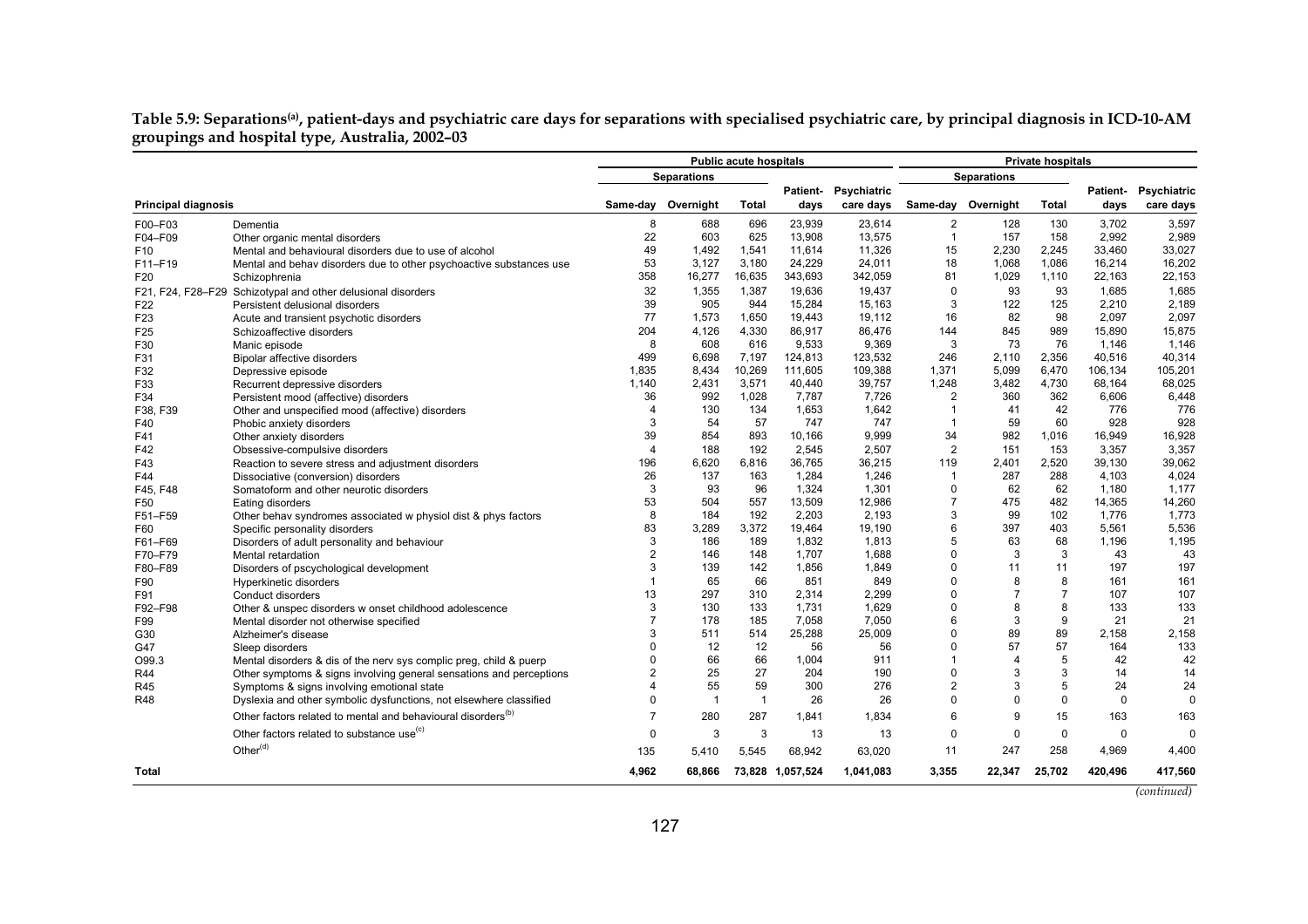**Table 5.9: Separations(a), patient-days and psychiatric care days for separations with specialised psychiatric care, by principal diagnosis in ICD-10-AM groupings and hospital type, Australia, 2002–03** 

|                            |                                                                          |                  |                    | <b>Public acute hospitals</b> |                  |                      | <b>Private hospitals</b> |                    |              |                 |             |
|----------------------------|--------------------------------------------------------------------------|------------------|--------------------|-------------------------------|------------------|----------------------|--------------------------|--------------------|--------------|-----------------|-------------|
|                            |                                                                          |                  | <b>Separations</b> |                               |                  |                      |                          | <b>Separations</b> |              |                 |             |
|                            |                                                                          |                  |                    |                               |                  | Patient- Psychiatric |                          |                    |              | <b>Patient-</b> | Psychiatric |
| <b>Principal diagnosis</b> |                                                                          | Same-day         | Overnight          | <b>Total</b>                  | days             | care days            |                          | Same-day Overnight | <b>Total</b> | days            | care days   |
| F00-F03                    | Dementia                                                                 | 8                | 688                | 696                           | 23,939           | 23,614               | $\overline{2}$           | 128                | 130          | 3,702           | 3,597       |
| F04-F09                    | Other organic mental disorders                                           | 22               | 603                | 625                           | 13,908           | 13.575               | $\overline{1}$           | 157                | 158          | 2.992           | 2,989       |
| F <sub>10</sub>            | Mental and behavioural disorders due to use of alcohol                   | 49               | 1,492              | 1,541                         | 11,614           | 11,326               | 15                       | 2,230              | 2,245        | 33,460          | 33,027      |
| F11-F19                    | Mental and behav disorders due to other psychoactive substances use      | 53               | 3,127              | 3,180                         | 24,229           | 24,011               | 18                       | 1,068              | 1,086        | 16,214          | 16,202      |
| F20                        | Schizophrenia                                                            | 358              | 16,277             | 16,635                        | 343,693          | 342,059              | 81                       | 1,029              | 1,110        | 22,163          | 22,153      |
|                            | F21, F24, F28-F29 Schizotypal and other delusional disorders             | 32               | 1,355              | 1,387                         | 19,636           | 19,437               | $\Omega$                 | 93                 | 93           | 1,685           | 1,685       |
| F <sub>22</sub>            | Persistent delusional disorders                                          | 39               | 905                | 944                           | 15,284           | 15.163               | 3                        | 122                | 125          | 2,210           | 2,189       |
| F23                        | Acute and transient psychotic disorders                                  | 77               | 1,573              | 1,650                         | 19,443           | 19.112               | 16                       | 82                 | 98           | 2.097           | 2,097       |
| F <sub>25</sub>            | Schizoaffective disorders                                                | 204              | 4,126              | 4,330                         | 86,917           | 86,476               | 144                      | 845                | 989          | 15,890          | 15,875      |
| F30                        | Manic episode                                                            | 8                | 608                | 616                           | 9,533            | 9,369                | 3                        | 73                 | 76           | 1,146           | 1,146       |
| F31                        | Bipolar affective disorders                                              | 499              | 6,698              | 7,197                         | 124,813          | 123,532              | 246                      | 2,110              | 2,356        | 40,516          | 40,314      |
| F32                        | Depressive episode                                                       | 1.835            | 8,434              | 10,269                        | 111,605          | 109,388              | 1,371                    | 5,099              | 6.470        | 106,134         | 105,201     |
| F33                        | Recurrent depressive disorders                                           | 1.140            | 2,431              | 3,571                         | 40,440           | 39,757               | 1,248                    | 3,482              | 4,730        | 68,164          | 68,025      |
| F34                        | Persistent mood (affective) disorders                                    | 36               | 992                | 1,028                         | 7,787            | 7,726                | $\overline{2}$           | 360                | 362          | 6,606           | 6,448       |
| F38, F39                   | Other and unspecified mood (affective) disorders                         | $\boldsymbol{4}$ | 130                | 134                           | 1,653            | 1,642                | -1                       | 41                 | 42           | 776             | 776         |
| F40                        | Phobic anxiety disorders                                                 | 3                | 54                 | 57                            | 747              | 747                  | $\mathbf{1}$             | 59                 | 60           | 928             | 928         |
| F41                        | Other anxiety disorders                                                  | 39               | 854                | 893                           | 10,166           | 9.999                | 34                       | 982                | 1,016        | 16,949          | 16,928      |
| F42                        | Obsessive-compulsive disorders                                           | $\overline{4}$   | 188                | 192                           | 2,545            | 2,507                | 2                        | 151                | 153          | 3,357           | 3,357       |
| F43                        | Reaction to severe stress and adjustment disorders                       | 196              | 6,620              | 6,816                         | 36,765           | 36,215               | 119                      | 2,401              | 2,520        | 39,130          | 39,062      |
| F44                        | Dissociative (conversion) disorders                                      | 26               | 137                | 163                           | 1,284            | 1,246                | $\mathbf{1}$             | 287                | 288          | 4,103           | 4,024       |
| F45. F48                   | Somatoform and other neurotic disorders                                  | 3                | 93                 | 96                            | 1,324            | 1,301                | $\pmb{0}$                | 62                 | 62           | 1,180           | 1,177       |
| F50                        | Eating disorders                                                         | 53               | 504                | 557                           | 13,509           | 12,986               | $\overline{7}$           | 475                | 482          | 14,365          | 14,260      |
| F51-F59                    | Other behav syndromes associated w physiol dist & phys factors           | 8                | 184                | 192                           | 2,203            | 2,193                | 3                        | 99                 | 102          | 1,776           | 1,773       |
| F60                        | Specific personality disorders                                           | 83               | 3,289              | 3,372                         | 19,464           | 19,190               | 6                        | 397                | 403          | 5,561           | 5,536       |
| F61-F69                    | Disorders of adult personality and behaviour                             | 3                | 186                | 189                           | 1,832            | 1,813                | 5                        | 63                 | 68           | 1,196           | 1,195       |
| F70-F79                    | Mental retardation                                                       | $\overline{2}$   | 146                | 148                           | 1.707            | 1.688                | $\Omega$                 | 3                  | 3            | 43              | 43          |
| F80-F89                    | Disorders of pscychological development                                  | 3                | 139                | 142                           | 1,856            | 1,849                | $\Omega$                 | 11                 | 11           | 197             | 197         |
| F90                        | Hyperkinetic disorders                                                   | 1                | 65                 | 66                            | 851              | 849                  | $\Omega$                 | 8                  | 8            | 161             | 161         |
| F91                        | Conduct disorders                                                        | 13               | 297                | 310                           | 2,314            | 2,299                | $\Omega$                 | $\overline{7}$     | 7            | 107             | 107         |
| F92-F98                    | Other & unspec disorders w onset childhood adolescence                   | 3                | 130                | 133                           | 1,731            | 1,629                | $\Omega$                 | 8                  | 8            | 133             | 133         |
| F99                        | Mental disorder not otherwise specified                                  | $\overline{7}$   | 178                | 185                           | 7,058            | 7,050                | 6                        | 3                  | 9            | 21              | 21          |
| G30                        | Alzheimer's disease                                                      | 3                | 511                | 514                           | 25,288           | 25,009               | $\Omega$                 | 89                 | 89           | 2.158           | 2,158       |
| G47                        | Sleep disorders                                                          | U                | 12                 | 12                            | 56               | 56                   | $\Omega$                 | 57                 | 57           | 164             | 133         |
| O99.3                      | Mental disorders & dis of the nerv sys complic preg, child & puerp       | $\Omega$         | 66                 | 66                            | 1,004            | 911                  | $\mathbf{1}$             | $\overline{4}$     | 5            | 42              | 42          |
| R44                        | Other symptoms & signs involving general sensations and perceptions      | $\overline{2}$   | 25                 | 27                            | 204              | 190                  | $\Omega$                 | 3                  | 3            | 14              | 14          |
| R45                        | Symptoms & signs involving emotional state                               | 4                | 55                 | 59                            | 300              | 276                  | $\overline{2}$           | 3                  | 5            | 24              | 24          |
| <b>R48</b>                 | Dyslexia and other symbolic dysfunctions, not elsewhere classified       | 0                | $\overline{1}$     | $\overline{1}$                | 26               | 26                   | $\Omega$                 | 0                  | 0            | 0               | $\mathbf 0$ |
|                            | Other factors related to mental and behavioural disorders <sup>(b)</sup> | 7                | 280                | 287                           | 1,841            | 1,834                | 6                        | 9                  | 15           | 163             | 163         |
|                            | Other factors related to substance use <sup>(c)</sup>                    | $\mathbf 0$      | 3                  | 3                             | 13               | 13                   | $\mathbf 0$              | 0                  | $\mathbf 0$  | $\mathbf 0$     | $\Omega$    |
|                            | Other <sup>(d)</sup>                                                     | 135              | 5,410              | 5,545                         | 68,942           | 63,020               | 11                       | 247                | 258          | 4,969           | 4,400       |
| Total                      |                                                                          | 4,962            | 68,866             |                               | 73,828 1,057,524 | 1,041,083            | 3,355                    | 22,347             | 25,702       | 420,496         | 417,560     |
|                            |                                                                          |                  |                    |                               |                  |                      |                          |                    |              |                 |             |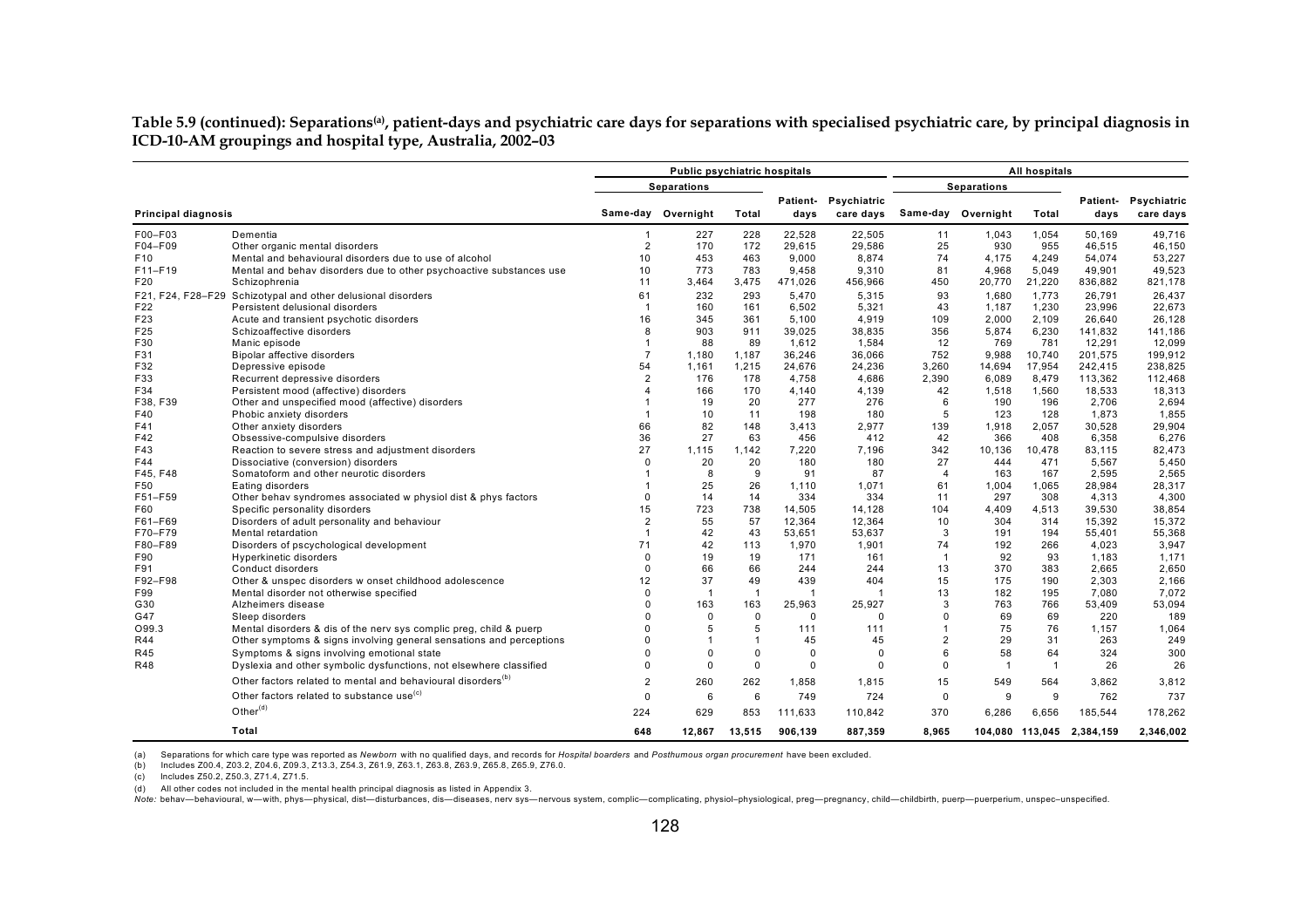**Table 5.9 (continued): Separations(a), patient-days and psychiatric care days for separations with specialised psychiatric care, by principal diagnosis in ICD-10-AM groupings and hospital type, Australia, 2002–03**

|                            |                                                                                                                               |                      | Public psychiatric hospitals |                |                 |                                   |                      |                    | All hospitals   |                  |                          |
|----------------------------|-------------------------------------------------------------------------------------------------------------------------------|----------------------|------------------------------|----------------|-----------------|-----------------------------------|----------------------|--------------------|-----------------|------------------|--------------------------|
|                            |                                                                                                                               |                      | <b>Separations</b>           |                |                 |                                   |                      | <b>Separations</b> |                 |                  |                          |
| Principal diagnosis        |                                                                                                                               |                      | Same-day Overnight           | Total          | days            | Patient- Psychiatric<br>care days |                      | Same-day Overnight | Total           | Patient-<br>days | Psychiatric<br>care days |
|                            |                                                                                                                               |                      |                              |                |                 |                                   |                      |                    |                 |                  |                          |
| F00-F03                    | Dementia                                                                                                                      | 1                    | 227                          | 228            | 22,528          | 22,505                            | 11                   | 1,043              | 1,054           | 50,169           | 49,716                   |
| F04-F09<br>F <sub>10</sub> | Other organic mental disorders                                                                                                | $\overline{2}$<br>10 | 170<br>453                   | 172<br>463     | 29,615<br>9.000 | 29,586<br>8.874                   | 25<br>74             | 930<br>4.175       | 955             | 46,515<br>54.074 | 46,150                   |
| F11-F19                    | Mental and behavioural disorders due to use of alcohol<br>Mental and behav disorders due to other psychoactive substances use | 10                   | 773                          | 783            | 9,458           | 9,310                             | 81                   | 4,968              | 4,249<br>5,049  | 49,901           | 53,227<br>49,523         |
| F20                        | Schizophrenia                                                                                                                 | 11                   | 3,464                        | 3,475          | 471,026         | 456,966                           | 450                  | 20,770             | 21,220          | 836,882          | 821,178                  |
|                            | F21, F24, F28-F29 Schizotypal and other delusional disorders                                                                  | 61                   | 232                          | 293            | 5,470           |                                   | 93                   | 1,680              | 1,773           | 26,791           | 26,437                   |
| F22                        | Persistent delusional disorders                                                                                               | $\overline{1}$       | 160                          | 161            | 6,502           | 5,315<br>5,321                    | 43                   | 1,187              | 1,230           | 23,996           | 22,673                   |
| F23                        | Acute and transient psychotic disorders                                                                                       | 16                   | 345                          | 361            | 5,100           | 4,919                             | 109                  | 2,000              | 2,109           | 26,640           | 26,128                   |
| F25                        | Schizoaffective disorders                                                                                                     | 8                    | 903                          | 911            | 39,025          | 38,835                            | 356                  | 5,874              | 6,230           | 141,832          | 141,186                  |
| F30                        | Manic episode                                                                                                                 | 1                    | 88                           | 89             | 1,612           | 1,584                             | 12                   | 769                | 781             | 12,291           | 12,099                   |
| F31                        | Bipolar affective disorders                                                                                                   | $\overline{7}$       | 1,180                        | 1,187          | 36,246          | 36,066                            | 752                  | 9,988              | 10,740          | 201,575          | 199,912                  |
| F32                        | Depressive episode                                                                                                            | 54                   | 1,161                        | 1,215          | 24,676          | 24,236                            | 3,260                | 14,694             | 17,954          | 242,415          | 238,825                  |
| F33                        | Recurrent depressive disorders                                                                                                | $\overline{2}$       | 176                          | 178            | 4,758           | 4,686                             | 2,390                | 6,089              | 8,479           | 113,362          | 112.468                  |
| F34                        | Persistent mood (affective) disorders                                                                                         |                      | 166                          | 170            | 4,140           | 4,139                             | 42                   | 1,518              | 1,560           | 18,533           | 18,313                   |
| F38, F39                   | Other and unspecified mood (affective) disorders                                                                              |                      | 19                           | 20             | 277             | 276                               | 6                    | 190                | 196             | 2,706            | 2,694                    |
| F40                        | Phobic anxiety disorders                                                                                                      | $\overline{1}$       | 10                           | 11             | 198             | 180                               | 5                    | 123                | 128             | 1,873            | 1,855                    |
| F41                        | Other anxiety disorders                                                                                                       | 66                   | 82                           | 148            | 3.413           | 2,977                             | 139                  | 1,918              | 2.057           | 30.528           | 29,904                   |
| F42                        | Obsessive-compulsive disorders                                                                                                | 36                   | 27                           | 63             | 456             | 412                               | 42                   | 366                | 408             | 6,358            | 6,276                    |
| F43                        | Reaction to severe stress and adjustment disorders                                                                            | 27                   | 1,115                        | 1,142          | 7,220           | 7,196                             | 342                  | 10,136             | 10,478          | 83,115           | 82,473                   |
| F44                        | Dissociative (conversion) disorders                                                                                           | $\Omega$             | 20                           | 20             | 180             | 180                               | 27                   | 444                | 471             | 5.567            | 5.450                    |
| F45. F48                   | Somatoform and other neurotic disorders                                                                                       |                      | 8                            | 9              | 91              | 87                                | $\overline{4}$       | 163                | 167             | 2.595            | 2,565                    |
| F50                        | Eating disorders                                                                                                              |                      | 25                           | 26             | 1.110           | 1,071                             | 61                   | 1,004              | 1,065           | 28,984           | 28,317                   |
| F51-F59                    | Other behav syndromes associated w physiol dist & phys factors                                                                | $\Omega$             | 14                           | 14             | 334             | 334                               | 11                   | 297                | 308             | 4,313            | 4,300                    |
| F60                        | Specific personality disorders                                                                                                | 15                   | 723                          | 738            | 14,505          | 14,128                            | 104                  | 4,409              | 4,513           | 39,530           | 38,854                   |
| F61-F69                    | Disorders of adult personality and behaviour                                                                                  | $\overline{2}$       | 55                           | 57             | 12,364          | 12,364                            | 10                   | 304                | 314             | 15,392           | 15,372                   |
| F70-F79                    | Mental retardation                                                                                                            | 1                    | 42                           | 43             | 53,651          | 53,637                            | 3                    | 191                | 194             | 55,401           | 55,368                   |
| F80-F89<br>F90             | Disorders of pscychological development                                                                                       | 71<br>$\Omega$       | 42<br>19                     | 113<br>19      | 1,970           | 1,901                             | 74                   | 192<br>92          | 266<br>93       | 4,023            | 3,947<br>1.171           |
| F91                        | Hyperkinetic disorders<br>Conduct disorders                                                                                   | $\Omega$             | 66                           | 66             | 171<br>244      | 161<br>244                        | $\overline{1}$<br>13 | 370                | 383             | 1.183<br>2.665   | 2,650                    |
| F92-F98                    | Other & unspec disorders w onset childhood adolescence                                                                        | 12                   | 37                           | 49             | 439             | 404                               | 15                   | 175                | 190             | 2,303            | 2,166                    |
| F99                        | Mental disorder not otherwise specified                                                                                       | $\Omega$             | $\overline{1}$               | $\overline{1}$ | $\overline{1}$  |                                   | 13                   | 182                | 195             | 7,080            | 7,072                    |
| G30                        | Alzheimers disease                                                                                                            | O                    | 163                          | 163            | 25,963          | 25,927                            | 3                    | 763                | 766             | 53.409           | 53,094                   |
| G47                        | Sleep disorders                                                                                                               |                      | $\Omega$                     | $\mathbf 0$    | $\Omega$        | $\Omega$                          | $\Omega$             | 69                 | 69              | 220              | 189                      |
| O99.3                      | Mental disorders & dis of the nerv sys complic preg, child & puerp                                                            |                      | 5                            | 5              | 111             | 111                               | $\overline{1}$       | 75                 | 76              | 1,157            | 1,064                    |
| R44                        | Other symptoms & signs involving general sensations and perceptions                                                           | $\Omega$             |                              | $\overline{1}$ | 45              | 45                                | $\overline{2}$       | 29                 | 31              | 263              | 249                      |
| <b>R45</b>                 | Symptoms & signs involving emotional state                                                                                    | U                    | $\Omega$                     | $\mathbf 0$    | $\Omega$        | $\Omega$                          | 6                    | 58                 | 64              | 324              | 300                      |
| R48                        | Dyslexia and other symbolic dysfunctions, not elsewhere classified                                                            | $\Omega$             | $\Omega$                     | $\mathbf 0$    | $\mathbf 0$     | $\Omega$                          | 0                    | $\overline{1}$     | $\overline{1}$  | 26               | 26                       |
|                            | Other factors related to mental and behavioural disorders <sup>(b)</sup>                                                      | $\overline{2}$       | 260                          | 262            | 1,858           | 1,815                             | 15                   | 549                | 564             | 3,862            | 3,812                    |
|                            | Other factors related to substance use <sup>(c)</sup>                                                                         | 0                    | 6                            | 6              | 749             | 724                               | 0                    | 9                  | 9               | 762              | 737                      |
|                            | Other <sup>(d)</sup>                                                                                                          | 224                  | 629                          | 853            | 111,633         | 110,842                           | 370                  | 6,286              | 6,656           | 185,544          | 178,262                  |
|                            | Total                                                                                                                         | 648                  | 12.867                       | 13,515         | 906.139         | 887.359                           | 8.965                |                    | 104.080 113.045 | 2.384.159        | 2.346.002                |

(a) Separations for which care type was reported as *Newborn* with no qualified days, and records for *Hospital boarders* and *Posthumous organ procurement* have been excluded.

(b) Includes Z00.4, Z03.2, Z04.6, Z09.3, Z13.3, Z54.3, Z61.9, Z63.1, Z63.8, Z63.9, Z65.8, Z65.9, Z76.0.

(c) Includes Z50.2, Z50.3, Z71.4, Z71.5.

(d) All other codes not included in the mental health principal diagnosis as listed in Appendix 3.

Note: behav-behavioural, w-with, phys-physical, dist-disturbances, dis-diseases, nerv sys-nervous system, complic-complicating, physiol-physiological, preg-pregnancy, child-childbirth, puerp-puerperium, unspec-unspecified.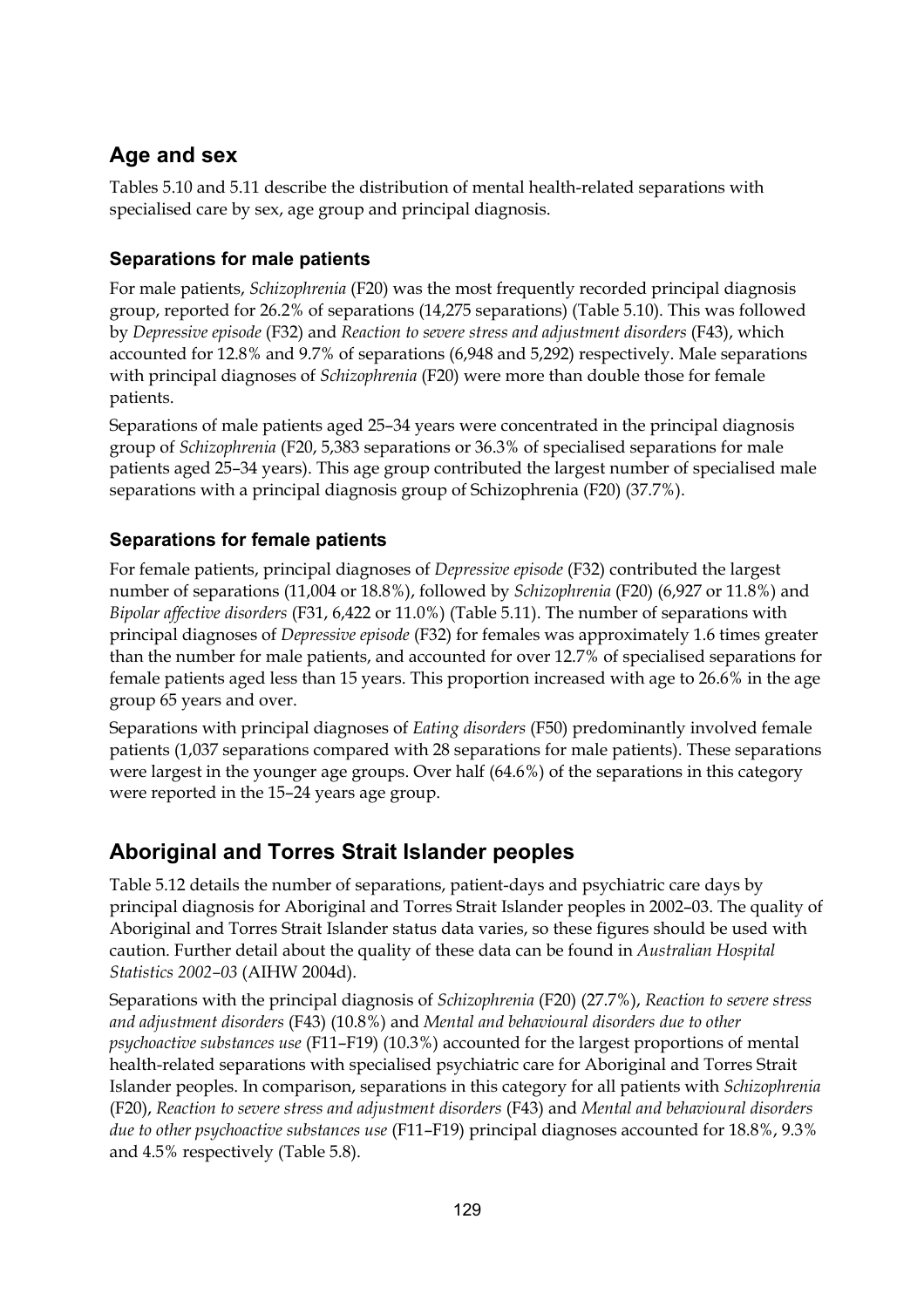### **Age and sex**

Tables 5.10 and 5.11 describe the distribution of mental health-related separations with specialised care by sex, age group and principal diagnosis.

#### **Separations for male patients**

For male patients, *Schizophrenia* (F20) was the most frequently recorded principal diagnosis group, reported for 26.2% of separations (14,275 separations) (Table 5.10). This was followed by *Depressive episode* (F32) and *Reaction to severe stress and adjustment disorders* (F43), which accounted for 12.8% and 9.7% of separations (6,948 and 5,292) respectively. Male separations with principal diagnoses of *Schizophrenia* (F20) were more than double those for female patients.

Separations of male patients aged 25–34 years were concentrated in the principal diagnosis group of *Schizophrenia* (F20, 5,383 separations or 36.3% of specialised separations for male patients aged 25–34 years). This age group contributed the largest number of specialised male separations with a principal diagnosis group of Schizophrenia (F20) (37.7%).

#### **Separations for female patients**

For female patients, principal diagnoses of *Depressive episode* (F32) contributed the largest number of separations (11,004 or 18.8%), followed by *Schizophrenia* (F20) (6,927 or 11.8%) and *Bipolar affective disorders* (F31, 6,422 or 11.0%) (Table 5.11). The number of separations with principal diagnoses of *Depressive episode* (F32) for females was approximately 1.6 times greater than the number for male patients, and accounted for over 12.7% of specialised separations for female patients aged less than 15 years. This proportion increased with age to 26.6% in the age group 65 years and over.

Separations with principal diagnoses of *Eating disorders* (F50) predominantly involved female patients (1,037 separations compared with 28 separations for male patients). These separations were largest in the younger age groups. Over half (64.6%) of the separations in this category were reported in the 15–24 years age group.

### **Aboriginal and Torres Strait Islander peoples**

Table 5.12 details the number of separations, patient-days and psychiatric care days by principal diagnosis for Aboriginal and Torres Strait Islander peoples in 2002–03. The quality of Aboriginal and Torres Strait Islander status data varies, so these figures should be used with caution. Further detail about the quality of these data can be found in *Australian Hospital Statistics 2002–03* (AIHW 2004d).

Separations with the principal diagnosis of *Schizophrenia* (F20) (27.7%), *Reaction to severe stress and adjustment disorders* (F43) (10.8%) and *Mental and behavioural disorders due to other psychoactive substances use* (F11–F19) (10.3%) accounted for the largest proportions of mental health-related separations with specialised psychiatric care for Aboriginal and Torres Strait Islander peoples. In comparison, separations in this category for all patients with *Schizophrenia* (F20), *Reaction to severe stress and adjustment disorders* (F43) and *Mental and behavioural disorders due to other psychoactive substances use* (F11–F19) principal diagnoses accounted for 18.8%, 9.3% and 4.5% respectively (Table 5.8).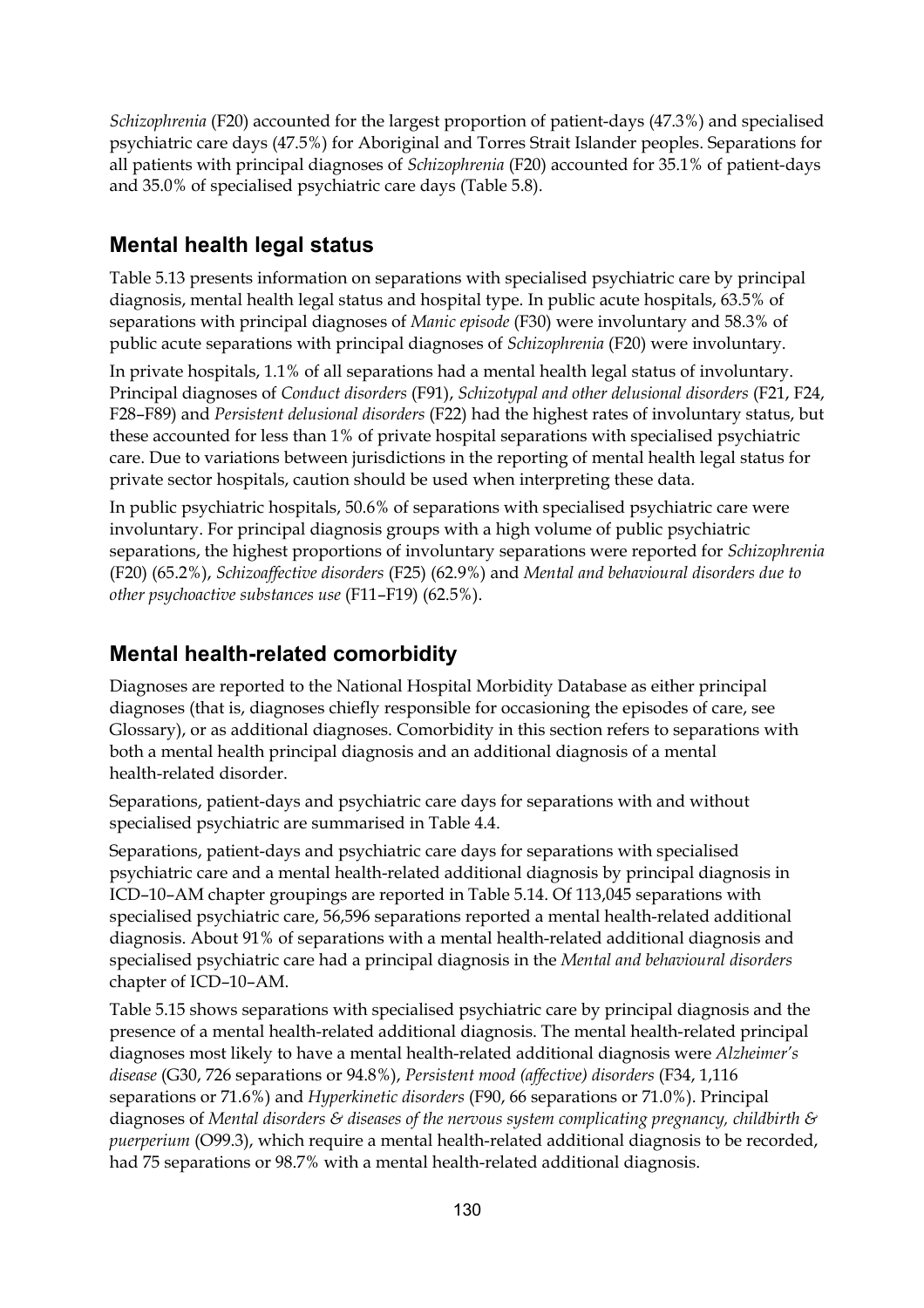*Schizophrenia* (F20) accounted for the largest proportion of patient-days (47.3%) and specialised psychiatric care days (47.5%) for Aboriginal and Torres Strait Islander peoples. Separations for all patients with principal diagnoses of *Schizophrenia* (F20) accounted for 35.1% of patient-days and 35.0% of specialised psychiatric care days (Table 5.8).

#### **Mental health legal status**

Table 5.13 presents information on separations with specialised psychiatric care by principal diagnosis, mental health legal status and hospital type. In public acute hospitals, 63.5% of separations with principal diagnoses of *Manic episode* (F30) were involuntary and 58.3% of public acute separations with principal diagnoses of *Schizophrenia* (F20) were involuntary.

In private hospitals, 1.1% of all separations had a mental health legal status of involuntary. Principal diagnoses of *Conduct disorders* (F91), *Schizotypal and other delusional disorders* (F21, F24, F28–F89) and *Persistent delusional disorders* (F22) had the highest rates of involuntary status, but these accounted for less than 1% of private hospital separations with specialised psychiatric care. Due to variations between jurisdictions in the reporting of mental health legal status for private sector hospitals, caution should be used when interpreting these data.

In public psychiatric hospitals, 50.6% of separations with specialised psychiatric care were involuntary. For principal diagnosis groups with a high volume of public psychiatric separations, the highest proportions of involuntary separations were reported for *Schizophrenia* (F20) (65.2%), *Schizoaffective disorders* (F25) (62.9%) and *Mental and behavioural disorders due to other psychoactive substances use* (F11–F19) (62.5%).

#### **Mental health-related comorbidity**

Diagnoses are reported to the National Hospital Morbidity Database as either principal diagnoses (that is, diagnoses chiefly responsible for occasioning the episodes of care, see Glossary), or as additional diagnoses. Comorbidity in this section refers to separations with both a mental health principal diagnosis and an additional diagnosis of a mental health-related disorder.

Separations, patient-days and psychiatric care days for separations with and without specialised psychiatric are summarised in Table 4.4.

Separations, patient-days and psychiatric care days for separations with specialised psychiatric care and a mental health-related additional diagnosis by principal diagnosis in ICD–10–AM chapter groupings are reported in Table 5.14. Of 113,045 separations with specialised psychiatric care, 56,596 separations reported a mental health-related additional diagnosis. About 91% of separations with a mental health-related additional diagnosis and specialised psychiatric care had a principal diagnosis in the *Mental and behavioural disorders*  chapter of ICD–10–AM.

Table 5.15 shows separations with specialised psychiatric care by principal diagnosis and the presence of a mental health-related additional diagnosis. The mental health-related principal diagnoses most likely to have a mental health-related additional diagnosis were *Alzheimer's disease* (G30, 726 separations or 94.8%), *Persistent mood (affective) disorders* (F34, 1,116 separations or 71.6%) and *Hyperkinetic disorders* (F90, 66 separations or 71.0%). Principal diagnoses of *Mental disorders & diseases of the nervous system complicating pregnancy, childbirth & puerperium* (O99.3), which require a mental health-related additional diagnosis to be recorded, had 75 separations or 98.7% with a mental health-related additional diagnosis.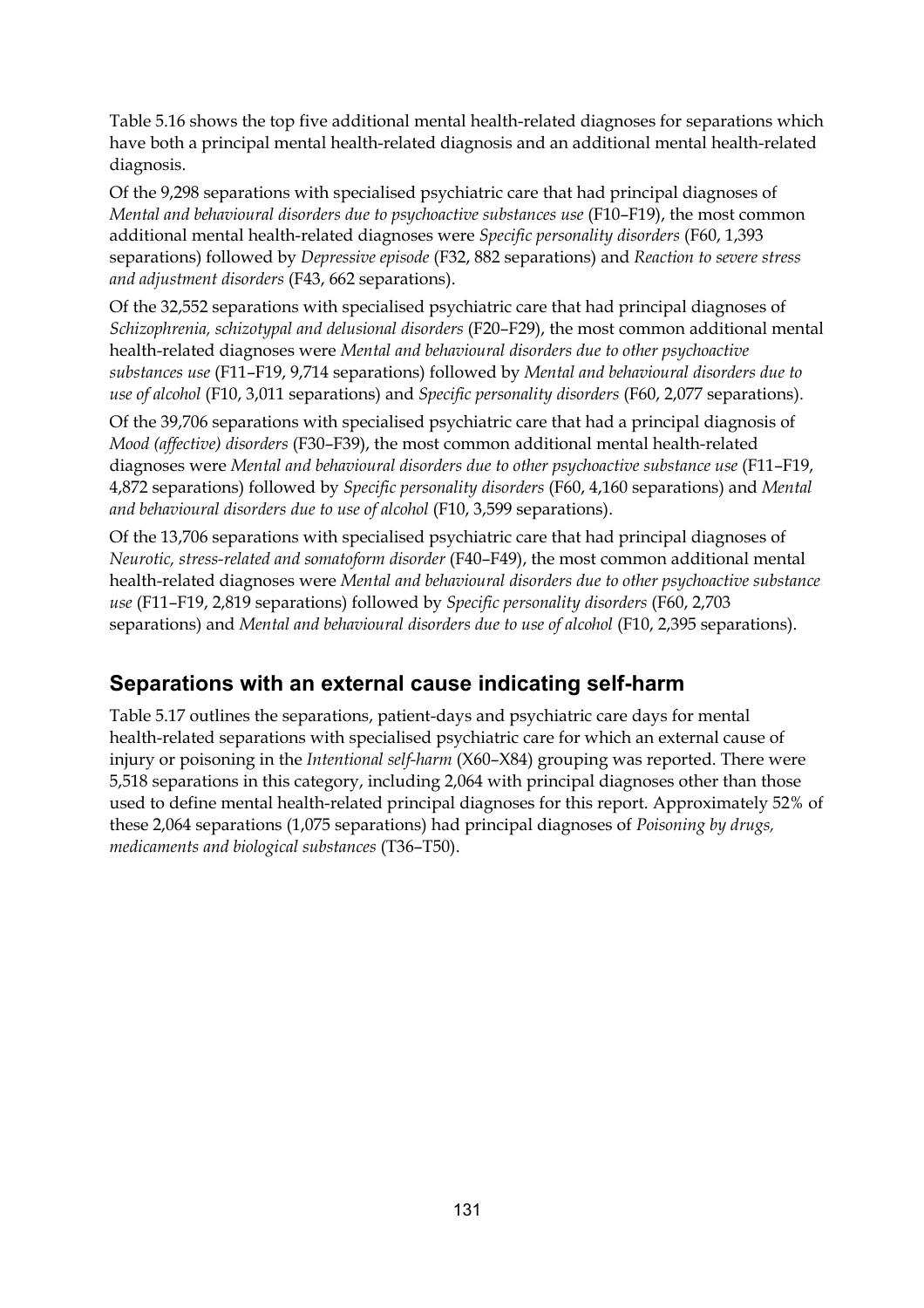Table 5.16 shows the top five additional mental health-related diagnoses for separations which have both a principal mental health-related diagnosis and an additional mental health-related diagnosis.

Of the 9,298 separations with specialised psychiatric care that had principal diagnoses of *Mental and behavioural disorders due to psychoactive substances use* (F10–F19), the most common additional mental health-related diagnoses were *Specific personality disorders* (F60, 1,393 separations) followed by *Depressive episode* (F32, 882 separations) and *Reaction to severe stress and adjustment disorders* (F43, 662 separations).

Of the 32,552 separations with specialised psychiatric care that had principal diagnoses of *Schizophrenia, schizotypal and delusional disorders* (F20–F29), the most common additional mental health-related diagnoses were *Mental and behavioural disorders due to other psychoactive substances use* (F11–F19, 9,714 separations) followed by *Mental and behavioural disorders due to use of alcohol* (F10, 3,011 separations) and *Specific personality disorders* (F60, 2,077 separations).

Of the 39,706 separations with specialised psychiatric care that had a principal diagnosis of *Mood (affective) disorders* (F30–F39), the most common additional mental health-related diagnoses were *Mental and behavioural disorders due to other psychoactive substance use* (F11–F19, 4,872 separations) followed by *Specific personality disorders* (F60, 4,160 separations) and *Mental and behavioural disorders due to use of alcohol* (F10, 3,599 separations).

Of the 13,706 separations with specialised psychiatric care that had principal diagnoses of *Neurotic, stress-related and somatoform disorder* (F40–F49), the most common additional mental health-related diagnoses were *Mental and behavioural disorders due to other psychoactive substance use* (F11–F19, 2,819 separations) followed by *Specific personality disorders* (F60, 2,703 separations) and *Mental and behavioural disorders due to use of alcohol* (F10, 2,395 separations).

#### **Separations with an external cause indicating self-harm**

Table 5.17 outlines the separations, patient-days and psychiatric care days for mental health-related separations with specialised psychiatric care for which an external cause of injury or poisoning in the *Intentional self-harm* (X60–X84) grouping was reported. There were 5,518 separations in this category, including 2,064 with principal diagnoses other than those used to define mental health-related principal diagnoses for this report. Approximately 52% of these 2,064 separations (1,075 separations) had principal diagnoses of *Poisoning by drugs, medicaments and biological substances* (T36–T50).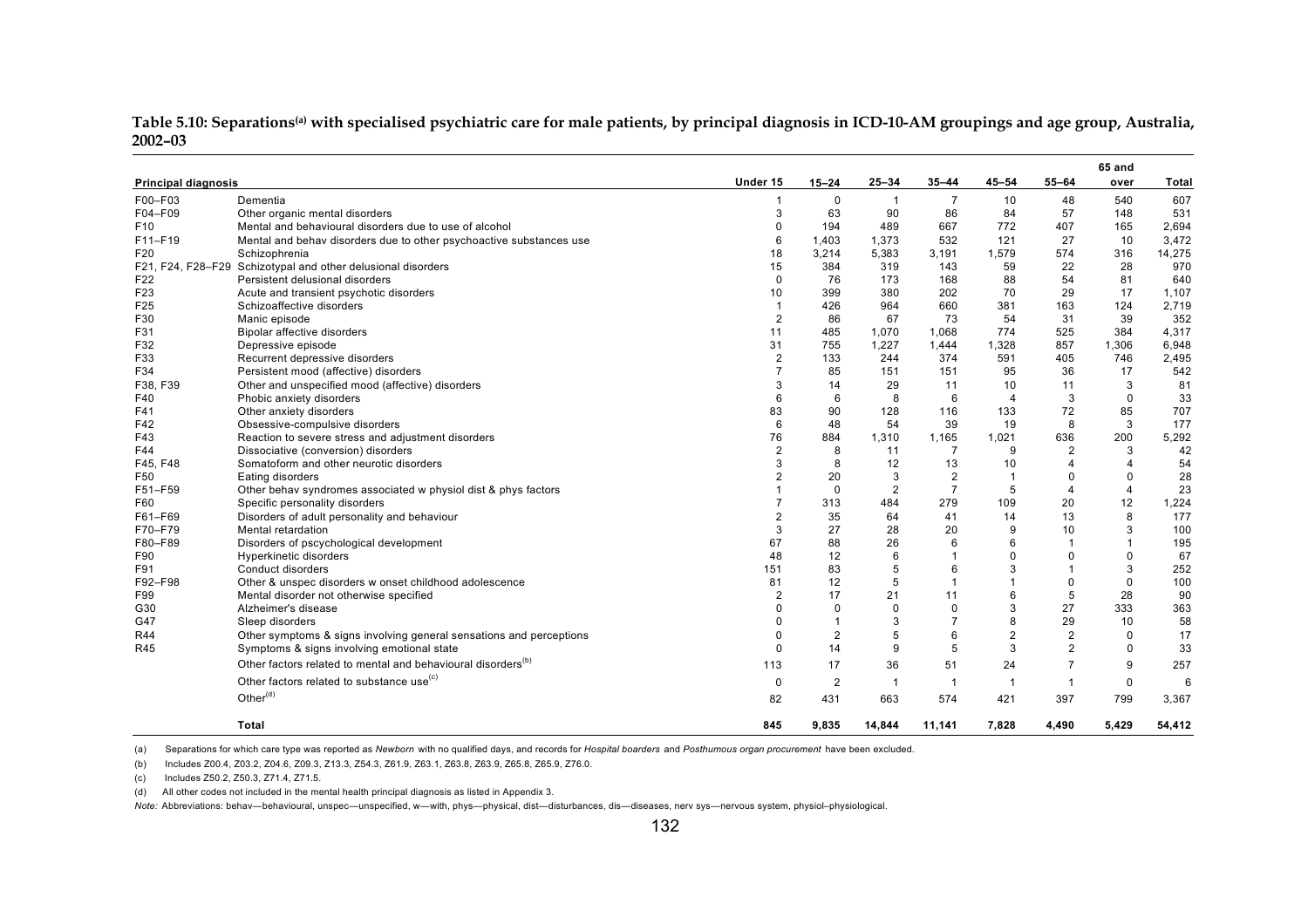| <b>Principal diagnosis</b> |                                                                          | Under 15       | $15 - 24$      | $25 - 34$      | $35 - 44$      | $45 - 54$               | $55 - 64$      | 65 and<br>over | Total  |
|----------------------------|--------------------------------------------------------------------------|----------------|----------------|----------------|----------------|-------------------------|----------------|----------------|--------|
| F00-F03                    | Dementia                                                                 | 1              | $\mathbf 0$    | $\overline{1}$ | 7              | 10                      | 48             | 540            | 607    |
| F04-F09                    | Other organic mental disorders                                           | 3              | 63             | 90             | 86             | 84                      | 57             | 148            | 531    |
| F <sub>10</sub>            | Mental and behavioural disorders due to use of alcohol                   | 0              | 194            | 489            | 667            | 772                     | 407            | 165            | 2,694  |
| F11-F19                    | Mental and behav disorders due to other psychoactive substances use      | 6              | 1,403          | 1,373          | 532            | 121                     | 27             | 10             | 3,472  |
| F20                        | Schizophrenia                                                            | 18             | 3,214          | 5,383          | 3,191          | 1,579                   | 574            | 316            | 14,275 |
|                            | F21, F24, F28-F29 Schizotypal and other delusional disorders             | 15             | 384            | 319            | 143            | 59                      | 22             | 28             | 970    |
| F22                        | Persistent delusional disorders                                          | $\Omega$       | 76             | 173            | 168            | 88                      | 54             | 81             | 640    |
| F <sub>23</sub>            | Acute and transient psychotic disorders                                  | 10             | 399            | 380            | 202            | 70                      | 29             | 17             | 1,107  |
| F25                        | Schizoaffective disorders                                                | $\mathbf{1}$   | 426            | 964            | 660            | 381                     | 163            | 124            | 2,719  |
| F30                        | Manic episode                                                            | 2              | 86             | 67             | 73             | 54                      | 31             | 39             | 352    |
| F31                        | Bipolar affective disorders                                              | 11             | 485            | 1,070          | 1,068          | 774                     | 525            | 384            | 4,317  |
| F32                        | Depressive episode                                                       | 31             | 755            | 1,227          | 1,444          | 1,328                   | 857            | 1,306          | 6,948  |
| F33                        | Recurrent depressive disorders                                           | $\overline{2}$ | 133            | 244            | 374            | 591                     | 405            | 746            | 2,495  |
| F34                        | Persistent mood (affective) disorders                                    | $\overline{7}$ | 85             | 151            | 151            | 95                      | 36             | 17             | 542    |
| F38, F39                   | Other and unspecified mood (affective) disorders                         | 3              | 14             | 29             | 11             | 10                      | 11             | 3              | 81     |
| F40                        | Phobic anxiety disorders                                                 | 6              | 6              | 8              | 6              | $\overline{4}$          | 3              | $\mathbf 0$    | 33     |
| F41                        | Other anxiety disorders                                                  | 83             | 90             | 128            | 116            | 133                     | 72             | 85             | 707    |
| F42                        | Obsessive-compulsive disorders                                           | 6              | 48             | 54             | 39             | 19                      | 8              | 3              | 177    |
| F43                        | Reaction to severe stress and adjustment disorders                       | 76             | 884            | 1,310          | 1,165          | 1,021                   | 636            | 200            | 5,292  |
| F44                        | Dissociative (conversion) disorders                                      | 2              | 8              | 11             |                | 9                       | $\overline{2}$ | 3              | 42     |
| F45, F48                   | Somatoform and other neurotic disorders                                  | 3              | 8              | 12             | 13             | 10                      | $\overline{4}$ | $\overline{4}$ | 54     |
| F50                        | Eating disorders                                                         | $\overline{2}$ | 20             | 3              | $\overline{2}$ | $\overline{\mathbf{1}}$ | $\Omega$       | $\Omega$       | 28     |
| F51-F59                    | Other behav syndromes associated w physiol dist & phys factors           |                | 0              | $\overline{2}$ |                | 5                       | $\overline{4}$ | $\overline{4}$ | 23     |
| F60                        | Specific personality disorders                                           | 7              | 313            | 484            | 279            | 109                     | 20             | 12             | 1,224  |
| F61-F69                    | Disorders of adult personality and behaviour                             | $\overline{2}$ | 35             | 64             | 41             | 14                      | 13             | 8              | 177    |
| F70-F79                    | Mental retardation                                                       | 3              | 27             | 28             | 20             | 9                       | 10             | 3              | 100    |
| F80-F89                    | Disorders of pscychological development                                  | 67             | 88             | 26             | 6              | 6                       | $\overline{1}$ | $\overline{1}$ | 195    |
| F90                        | Hyperkinetic disorders                                                   | 48             | 12             | 6              |                | 0                       | $\Omega$       | $\mathbf 0$    | 67     |
| F91                        | Conduct disorders                                                        | 151            | 83             | 5              | 6              | 3                       | $\overline{1}$ | 3              | 252    |
| F92-F98                    | Other & unspec disorders w onset childhood adolescence                   | 81             | 12             | 5              |                | $\mathbf 1$             | $\Omega$       | $\mathbf 0$    | 100    |
| F99                        | Mental disorder not otherwise specified                                  | $\overline{2}$ | 17             | 21             | 11             | 6                       | 5              | 28             | 90     |
| G30                        | Alzheimer's disease                                                      | 0              | $\mathbf 0$    | $\mathbf 0$    | $\Omega$       | 3                       | 27             | 333            | 363    |
| G47                        | Sleep disorders                                                          | 0              |                | 3              |                | 8                       | 29             | 10             | 58     |
| <b>R44</b>                 | Other symptoms & signs involving general sensations and perceptions      | 0              | $\overline{2}$ | 5              | 6              | $\overline{2}$          | $\overline{2}$ | $\mathbf 0$    | 17     |
| R45                        | Symptoms & signs involving emotional state                               | 0              | 14             | 9              | 5              | 3                       | $\overline{2}$ | $\mathbf 0$    | 33     |
|                            | Other factors related to mental and behavioural disorders <sup>(b)</sup> | 113            | 17             | 36             | 51             | 24                      | $\overline{7}$ | 9              | 257    |
|                            | Other factors related to substance use <sup>(c)</sup>                    | 0              | 2              | $\overline{1}$ | -1             |                         | $\mathbf{1}$   | $\mathbf 0$    | 6      |
|                            | Other <sup>(d)</sup>                                                     | 82             | 431            | 663            | 574            | 421                     | 397            | 799            | 3,367  |
|                            | <b>Total</b>                                                             | 845            | 9,835          | 14,844         | 11,141         | 7,828                   | 4,490          | 5,429          | 54,412 |

Table 5.10: Separations<sup>(a)</sup> with specialised psychiatric care for male patients, by principal diagnosis in ICD-10-AM groupings and age group, Australia, **2002–03**

(b) Includes Z00.4, Z03.2, Z04.6, Z09.3, Z13.3, Z54.3, Z61.9, Z63.1, Z63.8, Z63.9, Z65.8, Z65.9, Z76.0.

(c) Includes Z50.2, Z50.3, Z71.4, Z71.5.

(d) All other codes not included in the mental health principal diagnosis as listed in Appendix 3.

*Note:* Abbreviations: behav—behavioural, unspec—unspecified, w—with, phys—physical, dist—disturbances, dis—diseases, nerv sys—nervous system, physiol–physiological.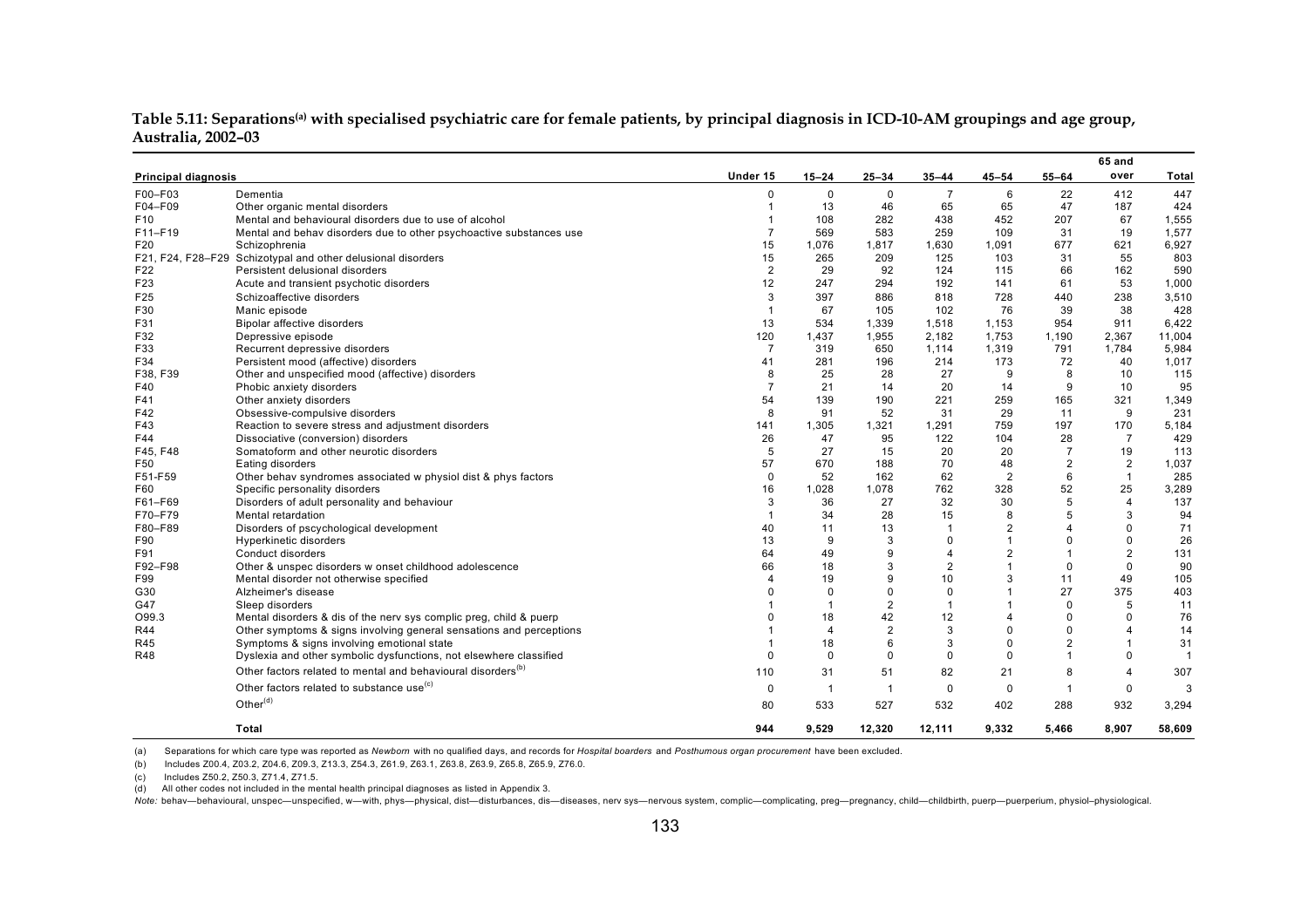|                            |                                                                          |                |                |                |                       |                |                | 65 and                  |                |
|----------------------------|--------------------------------------------------------------------------|----------------|----------------|----------------|-----------------------|----------------|----------------|-------------------------|----------------|
| <b>Principal diagnosis</b> |                                                                          | Under 15       | $15 - 24$      | $25 - 34$      | 35–44                 | $45 - 54$      | $55 - 64$      | over                    | Total          |
| F00-F03                    | Dementia                                                                 | 0              | $\mathbf 0$    | $\mathbf 0$    | $\overline{7}$        | 6              | 22             | 412                     | 447            |
| F04-F09                    | Other organic mental disorders                                           | $\mathbf{1}$   | 13             | 46             | 65                    | 65             | 47             | 187                     | 424            |
| F <sub>10</sub>            | Mental and behavioural disorders due to use of alcohol                   |                | 108            | 282            | 438                   | 452            | 207            | 67                      | 1,555          |
| F11-F19                    | Mental and behav disorders due to other psychoactive substances use      | $\overline{7}$ | 569            | 583            | 259                   | 109            | 31             | 19                      | 1,577          |
| F <sub>20</sub>            | Schizophrenia                                                            | 15             | 1,076          | 1.817          | 1,630                 | 1.091          | 677            | 621                     | 6,927          |
|                            | F21, F24, F28-F29 Schizotypal and other delusional disorders             | 15             | 265            | 209            | 125                   | 103            | 31             | 55                      | 803            |
| F22                        | Persistent delusional disorders                                          | $\overline{2}$ | 29             | 92             | 124                   | 115            | 66             | 162                     | 590            |
| F <sub>23</sub>            | Acute and transient psychotic disorders                                  | 12             | 247            | 294            | 192                   | 141            | 61             | 53                      | 1,000          |
| F <sub>25</sub>            | Schizoaffective disorders                                                | 3              | 397            | 886            | 818                   | 728            | 440            | 238                     | 3,510          |
| F30                        | Manic episode                                                            | $\mathbf{1}$   | 67             | 105            | 102                   | 76             | 39             | 38                      | 428            |
| F31                        | Bipolar affective disorders                                              | 13             | 534            | 1,339          | 1,518                 | 1,153          | 954            | 911                     | 6,422          |
| F32                        | Depressive episode                                                       | 120            | 1,437          | 1,955          | 2.182                 | 1,753          | 1,190          | 2,367                   | 11,004         |
| F33                        | Recurrent depressive disorders                                           | $\overline{7}$ | 319            | 650            | 1,114                 | 1,319          | 791            | 1,784                   | 5,984          |
| F34                        | Persistent mood (affective) disorders                                    | 41             | 281            | 196            | 214                   | 173            | 72             | 40                      | 1,017          |
| F38, F39                   | Other and unspecified mood (affective) disorders                         | 8              | 25             | 28             | 27                    | 9              | 8              | 10                      | 115            |
| F40                        | Phobic anxiety disorders                                                 | $\overline{7}$ | 21             | 14             | 20                    | 14             | 9              | 10                      | 95             |
| F41                        | Other anxiety disorders                                                  | 54             | 139            | 190            | 221                   | 259            | 165            | 321                     | 1,349          |
| F42                        | Obsessive-compulsive disorders                                           | 8              | 91             | 52             | 31                    | 29             | 11             | 9                       | 231            |
| F43                        | Reaction to severe stress and adjustment disorders                       | 141            | 1,305          | 1,321          | 1,291                 | 759            | 197            | 170                     | 5,184          |
| F44                        | Dissociative (conversion) disorders                                      | 26             | 47             | 95             | 122                   | 104            | 28             | $\overline{7}$          | 429            |
| F45, F48                   | Somatoform and other neurotic disorders                                  | 5              | 27             | 15             | 20                    | 20             | $\overline{7}$ | 19                      | 113            |
| F50                        | Eating disorders                                                         | 57             | 670            | 188            | 70                    | 48             | $\overline{2}$ | $\overline{2}$          | 1,037          |
| F51-F59                    | Other behav syndromes associated w physiol dist & phys factors           | 0              | 52             | 162            | 62                    | $\overline{2}$ | 6              | $\overline{1}$          | 285            |
| F60                        | Specific personality disorders                                           | 16             | 1,028          | 1,078          | 762                   | 328            | 52             | 25                      | 3,289          |
| F61-F69                    | Disorders of adult personality and behaviour                             | 3              | 36             | 27             | 32                    | 30             | 5              | 4                       | 137            |
| F70-F79                    | Mental retardation                                                       |                | 34             | 28             | 15                    | 8              | 5              | 3                       | 94             |
| F80-F89                    | Disorders of pscychological development                                  | 40             | 11             | 13             | $\overline{1}$        | $\overline{2}$ | $\overline{4}$ | $\mathbf 0$             | 71             |
| F90                        | Hyperkinetic disorders                                                   | 13             | 9              | 3              | $\Omega$              |                | $\Omega$       | $\mathbf 0$             | 26             |
| F91                        | Conduct disorders                                                        | 64             | 49             | 9              | $\boldsymbol{\Delta}$ | $\overline{2}$ | $\mathbf{1}$   | $\overline{\mathbf{c}}$ | 131            |
| F92-F98                    | Other & unspec disorders w onset childhood adolescence                   | 66             | 18             | 3              | $\overline{2}$        | $\mathbf{1}$   | $\mathbf 0$    | $\mathbf 0$             | 90             |
| F99                        | Mental disorder not otherwise specified                                  | Δ              | 19             | 9              | 10                    | 3              | 11             | 49                      | 105            |
| G30                        | Alzheimer's disease                                                      |                | $\Omega$       | 0              | $\Omega$              |                | 27             | 375                     | 403            |
| G47                        | Sleep disorders                                                          |                | -1             | $\overline{2}$ | $\mathbf{1}$          |                | $\Omega$       | 5                       | 11             |
| O99.3                      | Mental disorders & dis of the nerv sys complic preg, child & puerp       |                | 18             | 42             | 12                    |                | $\Omega$       | $\Omega$                | 76             |
| R44                        | Other symptoms & signs involving general sensations and perceptions      |                | $\overline{4}$ | $\overline{2}$ | 3                     | $\Omega$       | $\Omega$       | 4                       | 14             |
| R45                        | Symptoms & signs involving emotional state                               |                | 18             | 6              | 3                     | 0              | $\overline{2}$ | $\mathbf{1}$            | 31             |
| <b>R48</b>                 | Dyslexia and other symbolic dysfunctions, not elsewhere classified       | 0              | $\mathbf 0$    | $\mathbf 0$    | $\mathbf 0$           | $\mathbf 0$    | $\mathbf{1}$   | $\mathbf 0$             | $\overline{1}$ |
|                            |                                                                          |                |                |                |                       |                |                |                         |                |
|                            | Other factors related to mental and behavioural disorders <sup>(b)</sup> | 110            | 31             | 51             | 82                    | 21             | 8              | 4                       | 307            |
|                            | Other factors related to substance use <sup>(c)</sup>                    | 0              | $\overline{1}$ | $\mathbf{1}$   | $\mathbf 0$           | $\Omega$       | -1             | $\mathbf 0$             | 3              |
|                            | Other $(d)$                                                              | 80             | 533            | 527            | 532                   | 402            | 288            | 932                     | 3,294          |
|                            | Total                                                                    | 944            | 9,529          | 12,320         | 12.111                | 9,332          | 5.466          | 8.907                   | 58,609         |

Table 5.11: Separations<sup>(a)</sup> with specialised psychiatric care for female patients, by principal diagnosis in ICD-10-AM groupings and age group, **Australia, 2002–03**

(b) Includes Z00.4, Z03.2, Z04.6, Z09.3, Z13.3, Z54.3, Z61.9, Z63.1, Z63.8, Z63.9, Z65.8, Z65.9, Z76.0.

(c) Includes Z50.2, Z50.3, Z71.4, Z71.5.

(d) All other codes not included in the mental health principal diagnoses as listed in Appendix 3.

Note: behav-behavioural, unspec-unspecified, w-with, phys-physical, dist-disturbances, dis-diseases, nerv sys-nervous system, complic-complicating, preg-pregnancy, child-childbirth, puerp-puerperium, physiol-physiological.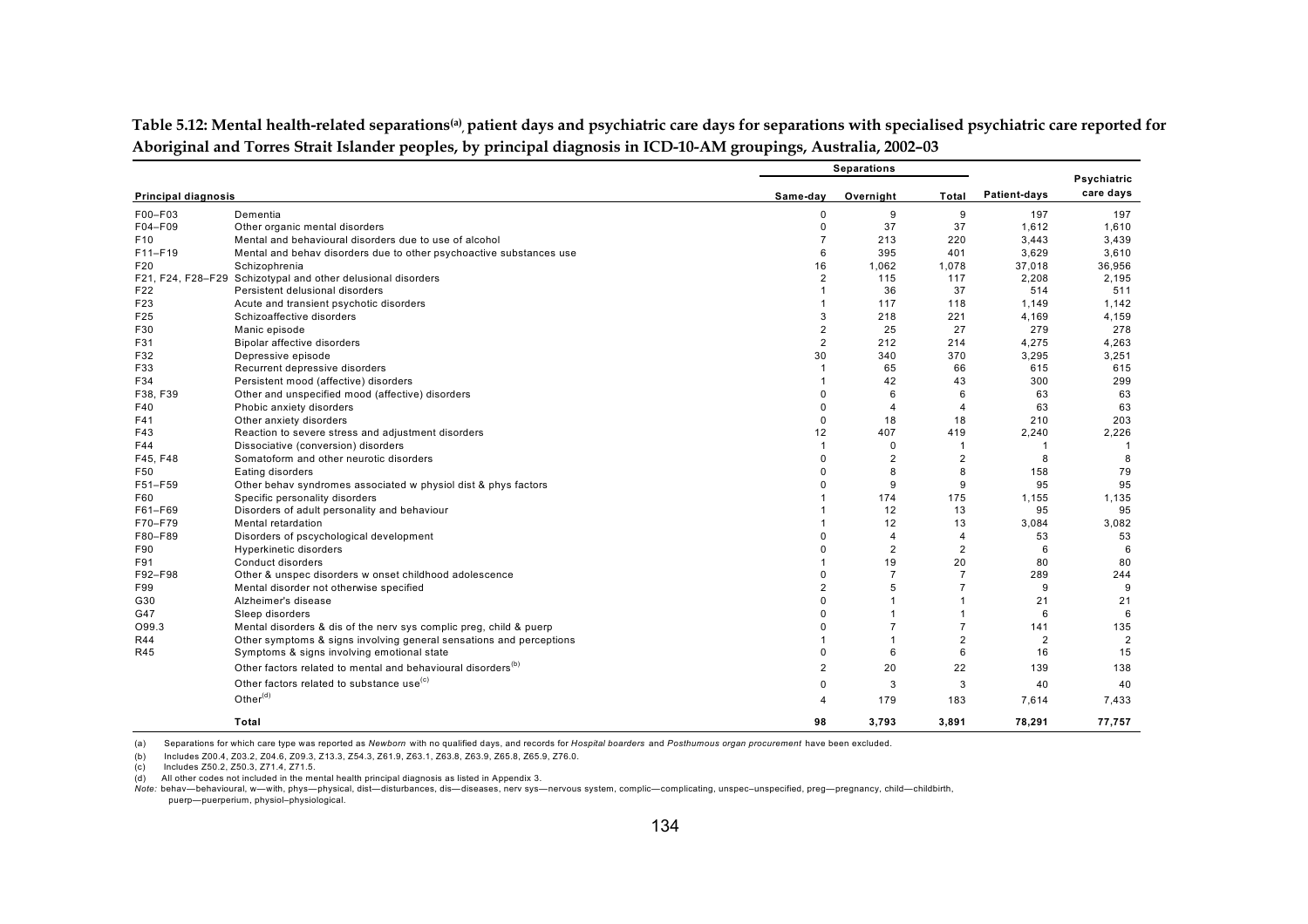|                            |                                                                          |                | <b>Separations</b> |                |                |                          |  |
|----------------------------|--------------------------------------------------------------------------|----------------|--------------------|----------------|----------------|--------------------------|--|
| <b>Principal diagnosis</b> |                                                                          | Same-dav       | Overnight          | Total          | Patient-days   | Psychiatric<br>care days |  |
|                            |                                                                          |                |                    |                |                |                          |  |
| F00-F03                    | Dementia                                                                 | $\Omega$       | 9                  | 9              | 197            | 197                      |  |
| F04-F09                    | Other organic mental disorders                                           | $\Omega$       | 37                 | 37             | 1,612          | 1,610                    |  |
| F <sub>10</sub>            | Mental and behavioural disorders due to use of alcohol                   | $\overline{7}$ | 213                | 220            | 3,443          | 3,439                    |  |
| F11-F19                    | Mental and behav disorders due to other psychoactive substances use      | 6              | 395                | 401            | 3,629          | 3,610                    |  |
| F20                        | Schizophrenia                                                            | 16             | 1,062              | 1,078          | 37,018         | 36.956                   |  |
|                            | F21, F24, F28-F29 Schizotypal and other delusional disorders             | $\overline{2}$ | 115                | 117            | 2,208          | 2,195                    |  |
| F22                        | Persistent delusional disorders                                          |                | 36                 | 37             | 514            | 511                      |  |
| F23                        | Acute and transient psychotic disorders                                  |                | 117                | 118            | 1.149          | 1.142                    |  |
| F25                        | Schizoaffective disorders                                                | 3              | 218                | 221            | 4,169          | 4,159                    |  |
| F30                        | Manic episode                                                            | $\overline{2}$ | 25                 | 27             | 279            | 278                      |  |
| F31                        | Bipolar affective disorders                                              | $\overline{2}$ | 212                | 214            | 4,275          | 4,263                    |  |
| F32                        | Depressive episode                                                       | 30             | 340                | 370            | 3,295          | 3,251                    |  |
| F33                        | Recurrent depressive disorders                                           |                | 65                 | 66             | 615            | 615                      |  |
| F34                        | Persistent mood (affective) disorders                                    |                | 42                 | 43             | 300            | 299                      |  |
| F38, F39                   | Other and unspecified mood (affective) disorders                         | $\Omega$       | 6                  | 6              | 63             | 63                       |  |
| F40                        | Phobic anxiety disorders                                                 | $\Omega$       | $\overline{4}$     | 4              | 63             | 63                       |  |
| F41                        | Other anxiety disorders                                                  | $\Omega$       | 18                 | 18             | 210            | 203                      |  |
| F43                        | Reaction to severe stress and adjustment disorders                       | 12             | 407                | 419            | 2,240          | 2,226                    |  |
| F44                        | Dissociative (conversion) disorders                                      | $\mathbf{1}$   | 0                  | $\mathbf{1}$   | -1             | $\mathbf{1}$             |  |
| F45, F48                   | Somatoform and other neurotic disorders                                  | $\Omega$       | 2                  | $\overline{2}$ | 8              | 8                        |  |
| F50                        | Eating disorders                                                         | $\Omega$       | 8                  | 8              | 158            | 79                       |  |
| F51-F59                    | Other behav syndromes associated w physiol dist & phys factors           | $\Omega$       | 9                  | 9              | 95             | 95                       |  |
| F60                        | Specific personality disorders                                           |                | 174                | 175            | 1,155          | 1,135                    |  |
| F61-F69                    | Disorders of adult personality and behaviour                             |                | 12                 | 13             | 95             | 95                       |  |
| F70-F79                    | Mental retardation                                                       |                | 12                 | 13             | 3.084          | 3,082                    |  |
| F80-F89                    | Disorders of pscychological development                                  | $\Omega$       | $\overline{4}$     | 4              | 53             | 53                       |  |
| F90                        | Hyperkinetic disorders                                                   | $\Omega$       | $\overline{2}$     | $\overline{c}$ | 6              | 6                        |  |
| F91                        | Conduct disorders                                                        |                | 19                 | 20             | 80             | 80                       |  |
| F92-F98                    | Other & unspec disorders w onset childhood adolescence                   | $\Omega$       | $\overline{7}$     | $\overline{7}$ | 289            | 244                      |  |
| F99                        | Mental disorder not otherwise specified                                  | $\overline{2}$ | 5                  | $\overline{7}$ | 9              | 9                        |  |
| G30                        | Alzheimer's disease                                                      | $\Omega$       |                    | 1              | 21             | 21                       |  |
| G47                        | Sleep disorders                                                          | $\Omega$       |                    | 1              | 6              | 6                        |  |
| O99.3                      | Mental disorders & dis of the nerv sys complic preg, child & puerp       | $\Omega$       | $\overline{7}$     | $\overline{7}$ | 141            | 135                      |  |
| <b>R44</b>                 | Other symptoms & signs involving general sensations and perceptions      |                |                    | $\overline{2}$ | $\overline{2}$ | $\overline{2}$           |  |
| <b>R45</b>                 | Symptoms & signs involving emotional state                               | $\Omega$       | 6                  | 6              | 16             | 15                       |  |
|                            | Other factors related to mental and behavioural disorders <sup>(b)</sup> |                |                    |                |                | 138                      |  |
|                            |                                                                          | 2              | 20                 | 22             | 139            |                          |  |
|                            | Other factors related to substance use <sup>(c)</sup>                    | $\Omega$       | 3                  | 3              | 40             | 40                       |  |
|                            | Other $(d)$                                                              | Δ              | 179                | 183            | 7,614          | 7,433                    |  |
|                            | Total                                                                    | 98             | 3,793              | 3,891          | 78,291         | 77,757                   |  |

Table 5.12: Mental health-related separations<sup>(a)</sup>, patient days and psychiatric care days for separations with specialised psychiatric care reported for **Aboriginal and Torres Strait Islander peoples, by principal diagnosis in ICD-10-AM groupings, Australia, 2002–03**

(a) Separations for which care type was reported as *Newborn* with no qualified days, and records for *Hospital boarders* and *Posthumous organ procurement* have been excluded.

(b) Includes Z00.4, Z03.2, Z04.6, Z09.3, Z13.3, Z54.3, Z61.9, Z63.1, Z63.8, Z63.9, Z65.8, Z65.9, Z76.0.

(c) Includes Z50.2, Z50.3, Z71.4, Z71.5.

(d) All other codes not included in the mental health principal diagnosis as listed in Appendix 3.

*Note:* behav—behavioural, w—with, phys—physical, dist—disturbances, dis—diseases, nerv sys—nervous system, complic—complicating, unspec–unspecified, preg—pregnancy, child—childbirth, puerp—puerperium, physiol–physiological.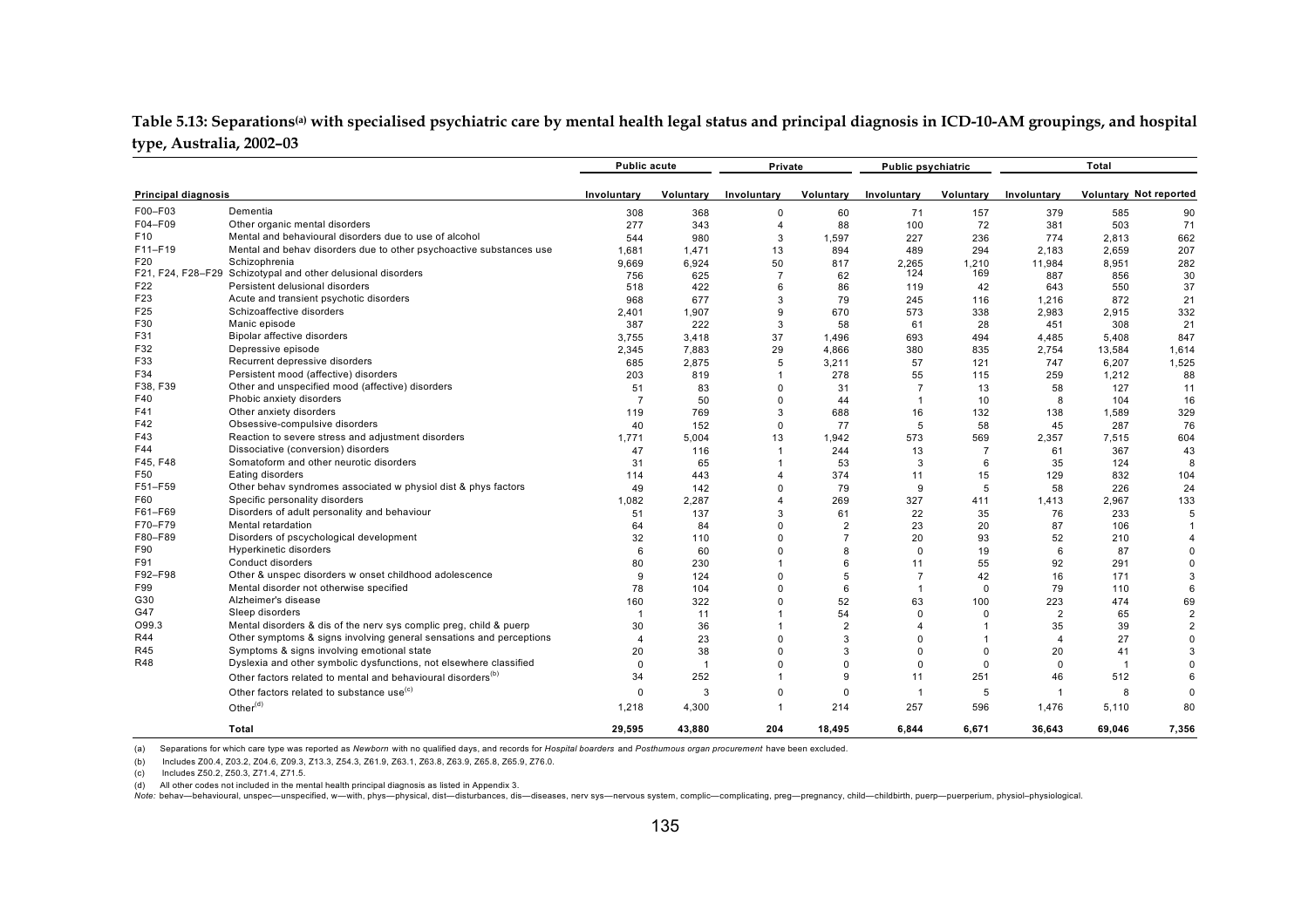#### Table 5.13: Separations<sup>(a)</sup> with specialised psychiatric care by mental health legal status and principal diagnosis in ICD-10-AM groupings, and hospital **type, Australia, 2002–03**

|                            |                                                                          | <b>Public acute</b> |                | Private                 |                | <b>Public psychiatric</b> |                |                | Total                  |                |
|----------------------------|--------------------------------------------------------------------------|---------------------|----------------|-------------------------|----------------|---------------------------|----------------|----------------|------------------------|----------------|
| <b>Principal diagnosis</b> |                                                                          | Involuntary         | Voluntary      | Involuntary             | Voluntary      | Involuntary               | Voluntary      | Involuntary    | Voluntary Not reported |                |
| F00-F03                    | Dementia                                                                 | 308                 | 368            | 0                       | 60             | 71                        | 157            | 379            | 585                    | 90             |
| F04-F09                    | Other organic mental disorders                                           | 277                 | 343            | 4                       | 88             | 100                       | 72             | 381            | 503                    | 71             |
| F <sub>10</sub>            | Mental and behavioural disorders due to use of alcohol                   | 544                 | 980            | 3                       | 1,597          | 227                       | 236            | 774            | 2.813                  | 662            |
| F11-F19                    | Mental and behav disorders due to other psychoactive substances use      | 1.681               | 1.471          | 13                      | 894            | 489                       | 294            | 2.183          | 2.659                  | 207            |
| F20                        | Schizophrenia                                                            | 9.669               | 6.924          | 50                      | 817            | 2.265                     | 1.210          | 11,984         | 8.951                  | 282            |
|                            | F21, F24, F28-F29 Schizotypal and other delusional disorders             | 756                 | 625            | $\overline{7}$          | 62             | 124                       | 169            | 887            | 856                    | 30             |
| F22                        | Persistent delusional disorders                                          | 518                 | 422            | 6                       | 86             | 119                       | 42             | 643            | 550                    | 37             |
| F <sub>23</sub>            | Acute and transient psychotic disorders                                  | 968                 | 677            | 3                       | 79             | 245                       | 116            | 1,216          | 872                    | 21             |
| F <sub>25</sub>            | Schizoaffective disorders                                                | 2,401               | 1,907          | 9                       | 670            | 573                       | 338            | 2,983          | 2,915                  | 332            |
| F30                        | Manic episode                                                            | 387                 | 222            | 3                       | 58             | 61                        | 28             | 451            | 308                    | 21             |
| F31                        | Bipolar affective disorders                                              | 3,755               | 3,418          | 37                      | 1,496          | 693                       | 494            | 4,485          | 5,408                  | 847            |
| F32                        | Depressive episode                                                       | 2,345               | 7,883          | 29                      | 4,866          | 380                       | 835            | 2,754          | 13,584                 | 1,614          |
| F33                        | Recurrent depressive disorders                                           | 685                 | 2,875          | 5                       | 3,211          | 57                        | 121            | 747            | 6,207                  | 1,525          |
| F34                        | Persistent mood (affective) disorders                                    | 203                 | 819            |                         | 278            | 55                        | 115            | 259            | 1.212                  | 88             |
| F38, F39                   | Other and unspecified mood (affective) disorders                         | 51                  | 83             | $\Omega$                | 31             | $\overline{7}$            | 13             | 58             | 127                    | 11             |
| F40                        | Phobic anxiety disorders                                                 | $\overline{7}$      | 50             | $\Omega$                | 44             | $\overline{1}$            | 10             | 8              | 104                    | 16             |
| F41                        | Other anxiety disorders                                                  | 119                 | 769            | 3                       | 688            | 16                        | 132            | 138            | 1,589                  | 329            |
| F42                        | Obsessive-compulsive disorders                                           | 40                  | 152            | $\Omega$                | 77             | 5                         | 58             | 45             | 287                    | 76             |
| F43                        | Reaction to severe stress and adjustment disorders                       | 1.771               | 5,004          | 13                      | 1,942          | 573                       | 569            | 2,357          | 7,515                  | 604            |
| F44                        | Dissociative (conversion) disorders                                      | 47                  | 116            | $\overline{\mathbf{1}}$ | 244            | 13                        | $\overline{7}$ | 61             | 367                    | 43             |
| F45, F48                   | Somatoform and other neurotic disorders                                  | 31                  | 65             |                         | 53             | 3                         | 6              | 35             | 124                    | -8             |
| F50                        | Eating disorders                                                         | 114                 | 443            | 4                       | 374            | 11                        | 15             | 129            | 832                    | 104            |
| F51-F59                    | Other behav syndromes associated w physiol dist & phys factors           | 49                  | 142            | $\Omega$                | 79             | 9                         | 5              | 58             | 226                    | 24             |
| F60                        | Specific personality disorders                                           | 1.082               | 2,287          | 4                       | 269            | 327                       | 411            | 1,413          | 2.967                  | 133            |
| F61-F69                    | Disorders of adult personality and behaviour                             | 51                  | 137            | 3                       | 61             | 22                        | 35             | 76             | 233                    | 5              |
| F70-F79                    | Mental retardation                                                       | 64                  | 84             | $\Omega$                | $\overline{2}$ | 23                        | 20             | 87             | 106                    |                |
| F80-F89                    | Disorders of pscychological development                                  | 32                  | 110            | $\Omega$                | $\overline{7}$ | 20                        | 93             | 52             | 210                    |                |
| F90                        | <b>Hyperkinetic disorders</b>                                            | 6                   | 60             | $\Omega$                | 8              | $\Omega$                  | 19             | 6              | 87                     | $\mathsf{C}$   |
| F91                        | Conduct disorders                                                        | 80                  | 230            |                         | 6              | 11                        | 55             | 92             | 291                    | $\Omega$       |
| F92-F98                    | Other & unspec disorders w onset childhood adolescence                   | 9                   | 124            | $\Omega$                | 5              | $\overline{7}$            | 42             | 16             | 171                    | 3              |
| F99                        | Mental disorder not otherwise specified                                  | 78                  | 104            | $\Omega$                | 6              |                           | $\Omega$       | 79             | 110                    | 6              |
| G30                        | Alzheimer's disease                                                      | 160                 | 322            | $\Omega$                | 52             | 63                        | 100            | 223            | 474                    | 69             |
| G47                        | Sleep disorders                                                          | $\overline{1}$      | 11             |                         | 54             | $\Omega$                  | $\Omega$       | $\overline{2}$ | 65                     | $\overline{2}$ |
| O99.3                      | Mental disorders & dis of the nerv sys complic preg, child & puerp       | 30                  | 36             |                         | $\overline{2}$ | $\overline{4}$            |                | 35             | 39                     | $\overline{2}$ |
| R44                        | Other symptoms & signs involving general sensations and perceptions      | $\overline{4}$      | 23             | $\Omega$                | 3              | $\Omega$                  |                | $\overline{4}$ | 27                     | $\Omega$       |
| R45                        | Symptoms & signs involving emotional state                               | 20                  | 38             | $\Omega$                | 3              | $\Omega$                  | $\Omega$       | 20             | 41                     | 3              |
| <b>R48</b>                 | Dyslexia and other symbolic dysfunctions, not elsewhere classified       | $\Omega$            | $\overline{1}$ | $\Omega$                | $\Omega$       | $\Omega$                  | $\Omega$       | 0              | $\overline{1}$         | $\mathsf{C}$   |
|                            | Other factors related to mental and behavioural disorders <sup>(b)</sup> | 34                  | 252            |                         | 9              | 11                        | 251            | 46             | 512                    | 6              |
|                            |                                                                          |                     |                |                         |                |                           |                |                |                        |                |
|                            | Other factors related to substance use <sup>(c)</sup>                    | $\mathbf 0$         | 3              | $\Omega$                | $\mathbf 0$    | $\overline{1}$            | 5              | -1             | 8                      | $\Omega$       |
|                            | Other <sup>(d)</sup>                                                     | 1,218               | 4,300          |                         | 214            | 257                       | 596            | 1,476          | 5,110                  | 80             |
|                            | Total                                                                    | 29.595              | 43.880         | 204                     | 18.495         | 6.844                     | 6.671          | 36.643         | 69.046                 | 7.356          |

(a) Separations for which care type was reported as *Newborn* with no qualified days, and records for *Hospital boarders* and *Posthumous organ procurement* have been excluded.

(b) Includes Z00.4, Z03.2, Z04.6, Z09.3, Z13.3, Z54.3, Z61.9, Z63.1, Z63.8, Z63.9, Z65.8, Z65.9, Z76.0.

(c) Includes Z50.2, Z50.3, Z71.4, Z71.5.

(d) All other codes not included in the mental health principal diagnosis as listed in Appendix 3.

Note: behav-behavioural, unspec-unspecified, w-with, phys-physical, dist-disturbances, dis-diseases, nerv sys-nervous system, complic-complicating, preg-pregnancy, child-childbirth, puerp-puerperium, physiol-physiological.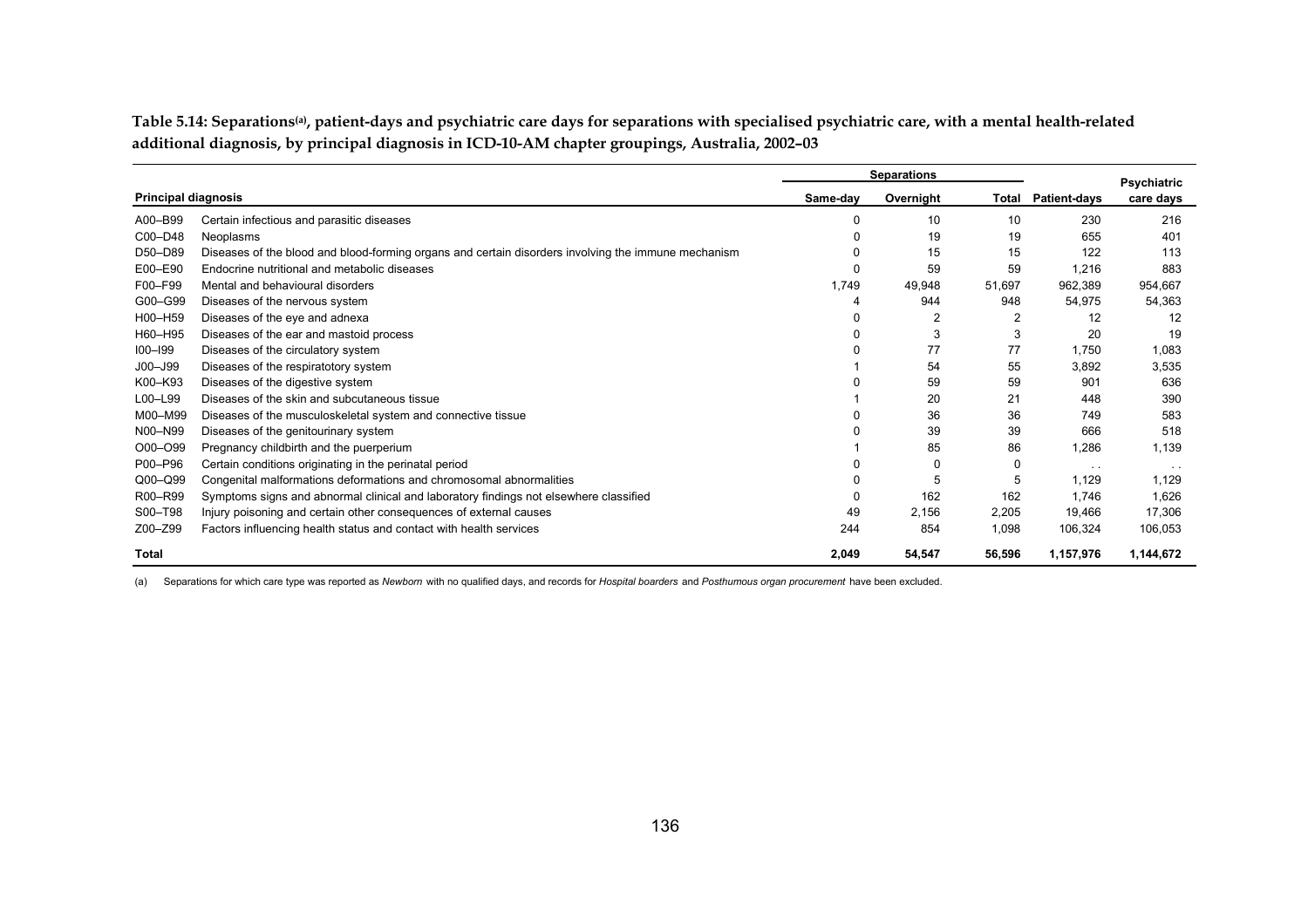Table 5.14: Separations<sup>(a)</sup>, patient-days and psychiatric care days for separations with specialised psychiatric care, with a mental health-related **additional diagnosis, by principal diagnosis in ICD-10-AM chapter groupings, Australia, 2002–03**

|                            |                                                                                                     | <b>Separations</b> |           |        |                           | Psychiatric   |
|----------------------------|-----------------------------------------------------------------------------------------------------|--------------------|-----------|--------|---------------------------|---------------|
| <b>Principal diagnosis</b> |                                                                                                     | Same-day           | Overnight |        | <b>Total Patient-days</b> | care days     |
| A00-B99                    | Certain infectious and parasitic diseases                                                           |                    | 10        | 10     | 230                       | 216           |
| C00-D48                    | Neoplasms                                                                                           |                    | 19        | 19     | 655                       | 401           |
| D50-D89                    | Diseases of the blood and blood-forming organs and certain disorders involving the immune mechanism |                    | 15        | 15     | 122                       | 113           |
| E00-E90                    | Endocrine nutritional and metabolic diseases                                                        |                    | 59        | 59     | 1,216                     | 883           |
| F00-F99                    | Mental and behavioural disorders                                                                    | 1,749              | 49,948    | 51,697 | 962,389                   | 954,667       |
| G00-G99                    | Diseases of the nervous system                                                                      |                    | 944       | 948    | 54,975                    | 54,363        |
| H00-H59                    | Diseases of the eye and adnexa                                                                      |                    | 2         | 2      | 12                        | 12            |
| H60-H95                    | Diseases of the ear and mastoid process                                                             |                    | 3         | 3      | 20                        | 19            |
| $IOO-I99$                  | Diseases of the circulatory system                                                                  |                    | 77        | 77     | 1,750                     | 1,083         |
| $JOO - J99$                | Diseases of the respiratotory system                                                                |                    | 54        | 55     | 3,892                     | 3,535         |
| K00-K93                    | Diseases of the digestive system                                                                    |                    | 59        | 59     | 901                       | 636           |
| L00-L99                    | Diseases of the skin and subcutaneous tissue                                                        |                    | 20        | 21     | 448                       | 390           |
| M00-M99                    | Diseases of the musculoskeletal system and connective tissue                                        |                    | 36        | 36     | 749                       | 583           |
| N00-N99                    | Diseases of the genitourinary system                                                                |                    | 39        | 39     | 666                       | 518           |
| O00-O99                    | Pregnancy childbirth and the puerperium                                                             |                    | 85        | 86     | 1,286                     | 1,139         |
| P00-P96                    | Certain conditions originating in the perinatal period                                              |                    | 0         | 0      | $\sim$ $\sim$             | $\sim$ $\sim$ |
| Q00-Q99                    | Congenital malformations deformations and chromosomal abnormalities                                 |                    | 5         | 5      | 1,129                     | 1.129         |
| R00-R99                    | Symptoms signs and abnormal clinical and laboratory findings not elsewhere classified               |                    | 162       | 162    | 1.746                     | 1,626         |
| S00-T98                    | Injury poisoning and certain other consequences of external causes                                  | 49                 | 2,156     | 2,205  | 19,466                    | 17,306        |
| Z00-Z99                    | Factors influencing health status and contact with health services                                  | 244                | 854       | 1,098  | 106,324                   | 106,053       |
| <b>Total</b>               |                                                                                                     | 2,049              | 54,547    | 56.596 | 1,157,976                 | 1,144,672     |

(a) Separations for which care type was reported as *Newborn* with no qualified days, and records for *Hospital boarders* and *Posthumous organ procurement* have been excluded.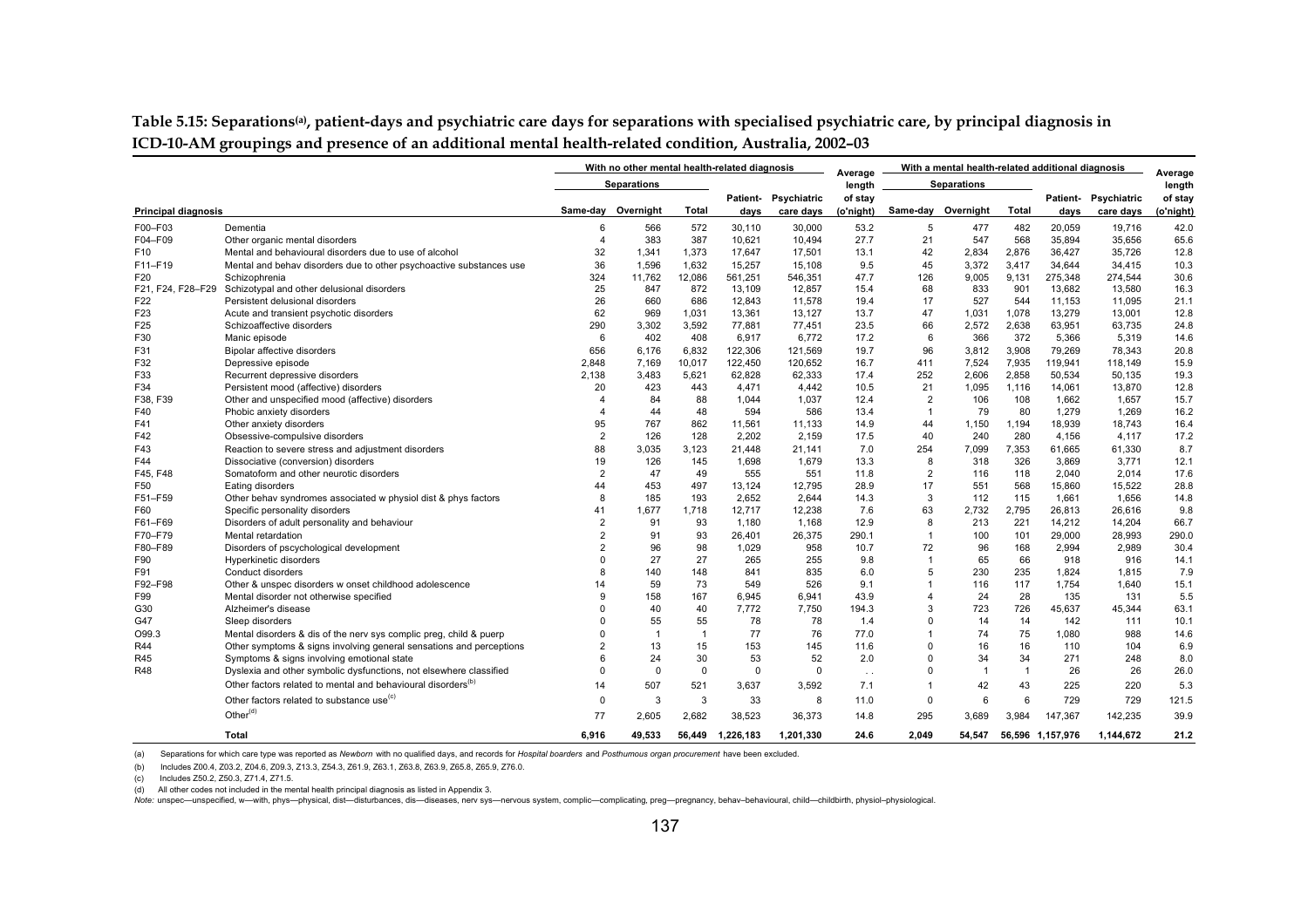**Table 5.15: Separations(a), patient-days and psychiatric care days for separations with specialised psychiatric care, by principal diagnosis in ICD-10-AM groupings and presence of an additional mental health-related condition, Australia, 2002–03**

|                            |                                                                          |                         | With no other mental health-related diagnosis |                |           | With a mental health-related additional diagnosis |                   |                |                    | Average        |                  |             |           |
|----------------------------|--------------------------------------------------------------------------|-------------------------|-----------------------------------------------|----------------|-----------|---------------------------------------------------|-------------------|----------------|--------------------|----------------|------------------|-------------|-----------|
|                            |                                                                          |                         | <b>Separations</b>                            |                |           |                                                   | Average<br>length |                | <b>Separations</b> |                |                  |             | length    |
|                            |                                                                          |                         |                                               |                |           | Patient- Psychiatric                              | of stay           |                |                    |                | <b>Patient-</b>  | Psychiatric | of stay   |
| <b>Principal diagnosis</b> |                                                                          |                         | Same-day Overnight                            | Total          | days      | care days                                         | (o'night)         |                | Same-day Overnight | Total          | days             | care days   | (o'night) |
| F00-F03                    | Dementia                                                                 | 6                       | 566                                           | 572            | 30,110    | 30,000                                            | 53.2              | 5              | 477                | 482            | 20,059           | 19,716      | 42.0      |
| F04-F09                    | Other organic mental disorders                                           | $\overline{4}$          | 383                                           | 387            | 10,621    | 10,494                                            | 27.7              | 21             | 547                | 568            | 35,894           | 35,656      | 65.6      |
| F <sub>10</sub>            | Mental and behavioural disorders due to use of alcohol                   | 32                      | 1,341                                         | 1,373          | 17,647    | 17,501                                            | 13.1              | 42             | 2,834              | 2,876          | 36,427           | 35,726      | 12.8      |
| F11-F19                    | Mental and behav disorders due to other psychoactive substances use      | 36                      | 1,596                                         | 1,632          | 15,257    | 15,108                                            | 9.5               | 45             | 3,372              | 3,417          | 34,644           | 34,415      | 10.3      |
| F20                        | Schizophrenia                                                            | 324                     | 11.762                                        | 12,086         | 561,251   | 546,351                                           | 47.7              | 126            | 9.005              | 9.131          | 275.348          | 274.544     | 30.6      |
| F21, F24, F28-F29          | Schizotypal and other delusional disorders                               | 25                      | 847                                           | 872            | 13,109    | 12,857                                            | 15.4              | 68             | 833                | 901            | 13,682           | 13,580      | 16.3      |
| F22                        | Persistent delusional disorders                                          | 26                      | 660                                           | 686            | 12,843    | 11,578                                            | 19.4              | 17             | 527                | 544            | 11,153           | 11,095      | 21.1      |
| F <sub>23</sub>            | Acute and transient psychotic disorders                                  | 62                      | 969                                           | 1,031          | 13,361    | 13,127                                            | 13.7              | 47             | 1,031              | 1,078          | 13,279           | 13,001      | 12.8      |
| F <sub>25</sub>            | Schizoaffective disorders                                                | 290                     | 3,302                                         | 3.592          | 77.881    | 77,451                                            | 23.5              | 66             | 2.572              | 2.638          | 63,951           | 63.735      | 24.8      |
| F30                        | Manic episode                                                            | 6                       | 402                                           | 408            | 6.917     | 6.772                                             | 17.2              | 6              | 366                | 372            | 5.366            | 5.319       | 14.6      |
| F31                        | Bipolar affective disorders                                              | 656                     | 6,176                                         | 6.832          | 122,306   | 121,569                                           | 19.7              | 96             | 3,812              | 3.908          | 79.269           | 78.343      | 20.8      |
| F32                        | Depressive episode                                                       | 2.848                   | 7,169                                         | 10,017         | 122,450   | 120,652                                           | 16.7              | 411            | 7,524              | 7,935          | 119,941          | 118.149     | 15.9      |
| F33                        | Recurrent depressive disorders                                           | 2.138                   | 3,483                                         | 5,621          | 62,828    | 62,333                                            | 17.4              | 252            | 2.606              | 2.858          | 50,534           | 50,135      | 19.3      |
| F34                        | Persistent mood (affective) disorders                                    | 20                      | 423                                           | 443            | 4,471     | 4,442                                             | 10.5              | 21             | 1,095              | 1,116          | 14,061           | 13,870      | 12.8      |
| F38, F39                   | Other and unspecified mood (affective) disorders                         | $\overline{\mathbf{4}}$ | 84                                            | 88             | 1,044     | 1,037                                             | 12.4              | $\overline{2}$ | 106                | 108            | 1,662            | 1,657       | 15.7      |
| F40                        | Phobic anxiety disorders                                                 | $\overline{4}$          | 44                                            | 48             | 594       | 586                                               | 13.4              | $\mathbf{1}$   | 79                 | 80             | 1,279            | 1,269       | 16.2      |
| F41                        | Other anxiety disorders                                                  | 95                      | 767                                           | 862            | 11,561    | 11,133                                            | 14.9              | 44             | 1,150              | 1,194          | 18,939           | 18,743      | 16.4      |
| F42                        | Obsessive-compulsive disorders                                           | $\overline{2}$          | 126                                           | 128            | 2,202     | 2,159                                             | 17.5              | 40             | 240                | 280            | 4,156            | 4,117       | 17.2      |
| F43                        | Reaction to severe stress and adjustment disorders                       | 88                      | 3,035                                         | 3,123          | 21,448    | 21,141                                            | 7.0               | 254            | 7,099              | 7,353          | 61,665           | 61,330      | 8.7       |
| F44                        | Dissociative (conversion) disorders                                      | 19                      | 126                                           | 145            | 1,698     | 1,679                                             | 13.3              | 8              | 318                | 326            | 3,869            | 3,771       | 12.1      |
| F45. F48                   | Somatoform and other neurotic disorders                                  | $\overline{2}$          | 47                                            | 49             | 555       | 551                                               | 11.8              | $\overline{2}$ | 116                | 118            | 2.040            | 2.014       | 17.6      |
| F50                        | Eating disorders                                                         | 44                      | 453                                           | 497            | 13,124    | 12,795                                            | 28.9              | 17             | 551                | 568            | 15,860           | 15,522      | 28.8      |
| F51-F59                    | Other behav syndromes associated w physiol dist & phys factors           | 8                       | 185                                           | 193            | 2.652     | 2.644                                             | 14.3              | 3              | 112                | 115            | 1.661            | 1.656       | 14.8      |
| F60                        | Specific personality disorders                                           | 41                      | 1.677                                         | 1,718          | 12,717    | 12,238                                            | 7.6               | 63             | 2,732              | 2,795          | 26,813           | 26.616      | 9.8       |
| F61-F69                    | Disorders of adult personality and behaviour                             | $\overline{2}$          | 91                                            | 93             | 1.180     | 1,168                                             | 12.9              | 8              | 213                | 221            | 14,212           | 14,204      | 66.7      |
| F70-F79                    | Mental retardation                                                       | $\overline{2}$          | 91                                            | 93             | 26,401    | 26,375                                            | 290.1             | $\mathbf{1}$   | 100                | 101            | 29,000           | 28,993      | 290.0     |
| F80-F89                    | Disorders of pscychological development                                  | $\overline{2}$          | 96                                            | 98             | 1,029     | 958                                               | 10.7              | 72             | 96                 | 168            | 2.994            | 2,989       | 30.4      |
| F90                        | <b>Hyperkinetic disorders</b>                                            | $\Omega$                | 27                                            | 27             | 265       | 255                                               | 9.8               | $\overline{1}$ | 65                 | 66             | 918              | 916         | 14.1      |
| F91                        | Conduct disorders                                                        | 8                       | 140                                           | 148            | 841       | 835                                               | 6.0               | 5              | 230                | 235            | 1,824            | 1,815       | 7.9       |
| F92-F98                    | Other & unspec disorders w onset childhood adolescence                   | 14                      | 59                                            | 73             | 549       | 526                                               | 9.1               | $\overline{1}$ | 116                | 117            | 1,754            | 1,640       | 15.1      |
| F99                        | Mental disorder not otherwise specified                                  | q                       | 158                                           | 167            | 6,945     | 6,941                                             | 43.9              | $\overline{4}$ | 24                 | 28             | 135              | 131         | 5.5       |
| G30                        | Alzheimer's disease                                                      |                         | 40                                            | 40             | 7,772     | 7,750                                             | 194.3             | 3              | 723                | 726            | 45,637           | 45,344      | 63.1      |
| G47                        | Sleep disorders                                                          | $\Omega$                | 55                                            | 55             | 78        | 78                                                | 1.4               | $\Omega$       | 14                 | 14             | 142              | 111         | 10.1      |
| O99.3                      | Mental disorders & dis of the nerv sys complic preg. child & puerp       |                         | $\overline{1}$                                | $\overline{1}$ | 77        | 76                                                | 77.0              | $\overline{1}$ | 74                 | 75             | 1.080            | 988         | 14.6      |
| R44                        | Other symptoms & signs involving general sensations and perceptions      | $\overline{2}$          | 13                                            | 15             | 153       | 145                                               | 11.6              | $\Omega$       | 16                 | 16             | 110              | 104         | 6.9       |
| R45                        | Symptoms & signs involving emotional state                               | 6                       | 24                                            | 30             | 53        | 52                                                | 2.0               | $\Omega$       | 34                 | 34             | 271              | 248         | 8.0       |
| <b>R48</b>                 | Dyslexia and other symbolic dysfunctions, not elsewhere classified       | $\Omega$                | $\Omega$                                      | $\mathbf 0$    | 0         | $\Omega$                                          | $\sim$ $\sim$     | $\Omega$       | $\overline{1}$     | $\overline{1}$ | 26               | 26          | 26.0      |
|                            | Other factors related to mental and behavioural disorders <sup>(b)</sup> | 14                      | 507                                           | 521            | 3.637     | 3,592                                             | 7.1               | $\mathbf{1}$   | 42                 | 43             | 225              | 220         | 5.3       |
|                            | Other factors related to substance use <sup>(c)</sup>                    | $\Omega$                | 3                                             | 3              | 33        | 8                                                 | 11.0              | $\Omega$       | 6                  | 6              | 729              | 729         | 121.5     |
|                            | Other $(d)$                                                              | 77                      | 2,605                                         | 2,682          | 38,523    | 36,373                                            | 14.8              | 295            | 3.689              | 3.984          | 147,367          | 142,235     | 39.9      |
|                            | Total                                                                    | 6.916                   | 49.533                                        | 56.449         | 1,226,183 | 1,201,330                                         | 24.6              | 2.049          | 54,547             |                | 56,596 1,157,976 | 1,144,672   | 21.2      |

(a) Separations for which care type was reported as *Newborn* with no qualified days, and records for *Hospital boarders* and *Posthumous organ procurement* have been excluded.

(b) Includes Z00.4, Z03.2, Z04.6, Z09.3, Z13.3, Z54.3, Z61.9, Z63.1, Z63.8, Z63.9, Z65.8, Z65.9, Z76.0.

(c) Includes Z50.2, Z50.3, Z71.4, Z71.5.

(d) All other codes not included in the mental health principal diagnosis as listed in Appendix 3.

Note: unspec-unspecified, w—with, phys-physical, dist-disturbances, dis-diseases, nerv sys-nervous system, complic-complicating, preg-pregnancy, behav-behavioural, child-childbirth, physiol-physiological.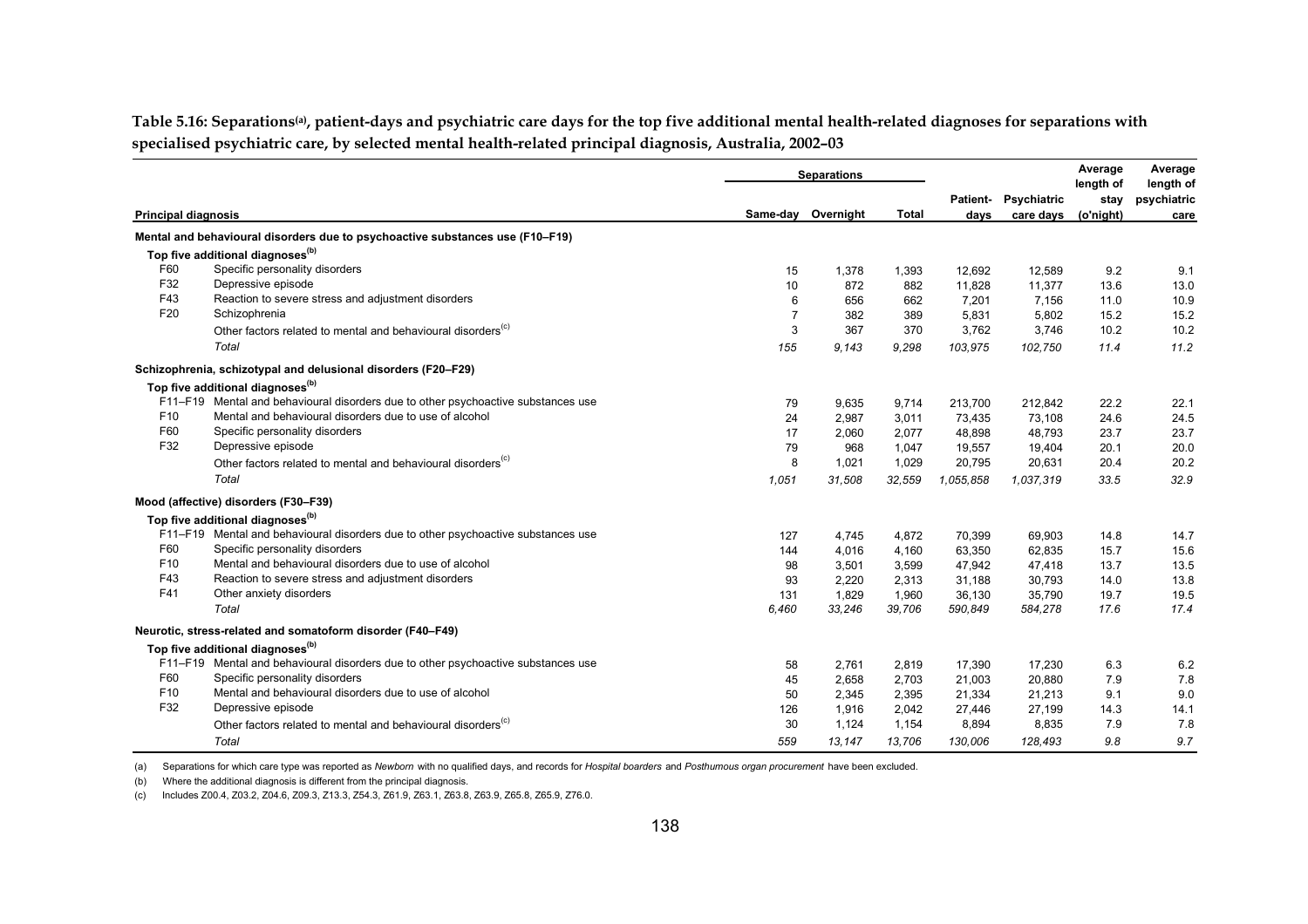**Table 5.16: Separations(a), patient-days and psychiatric care days for the top five additional mental health-related diagnoses for separations with specialised psychiatric care, by selected mental health-related principal diagnosis, Australia, 2002–03**

|                            |                                                                                   |                | <b>Separations</b> |        |                         |                          | Average<br>length of | Average<br>length of |
|----------------------------|-----------------------------------------------------------------------------------|----------------|--------------------|--------|-------------------------|--------------------------|----------------------|----------------------|
| <b>Principal diagnosis</b> |                                                                                   |                | Same-day Overnight | Total  | <b>Patient-</b><br>days | Psychiatric<br>care days | stav<br>(o'night)    | psychiatric<br>care  |
|                            | Mental and behavioural disorders due to psychoactive substances use (F10-F19)     |                |                    |        |                         |                          |                      |                      |
|                            | Top five additional diagnoses <sup>(b)</sup>                                      |                |                    |        |                         |                          |                      |                      |
| F60                        | Specific personality disorders                                                    | 15             | 1,378              | 1,393  | 12,692                  | 12,589                   | 9.2                  | 9.1                  |
| F32                        | Depressive episode                                                                | 10             | 872                | 882    | 11.828                  | 11,377                   | 13.6                 | 13.0                 |
| F43                        | Reaction to severe stress and adjustment disorders                                | 6              | 656                | 662    | 7,201                   | 7,156                    | 11.0                 | 10.9                 |
| F20                        | Schizophrenia                                                                     | $\overline{7}$ | 382                | 389    | 5,831                   | 5,802                    | 15.2                 | 15.2                 |
|                            | Other factors related to mental and behavioural disorders <sup>(c)</sup>          | 3              | 367                | 370    | 3,762                   | 3,746                    | 10.2                 | 10.2                 |
|                            | Total                                                                             | 155            | 9,143              | 9,298  | 103,975                 | 102,750                  | 11.4                 | 11.2                 |
|                            | Schizophrenia, schizotypal and delusional disorders (F20-F29)                     |                |                    |        |                         |                          |                      |                      |
|                            | Top five additional diagnoses <sup>(b)</sup>                                      |                |                    |        |                         |                          |                      |                      |
|                            | F11-F19 Mental and behavioural disorders due to other psychoactive substances use | 79             | 9,635              | 9,714  | 213,700                 | 212,842                  | 22.2                 | 22.1                 |
| F <sub>10</sub>            | Mental and behavioural disorders due to use of alcohol                            | 24             | 2,987              | 3,011  | 73,435                  | 73,108                   | 24.6                 | 24.5                 |
| F60                        | Specific personality disorders                                                    | 17             | 2,060              | 2,077  | 48.898                  | 48,793                   | 23.7                 | 23.7                 |
| F32                        | Depressive episode                                                                | 79             | 968                | 1,047  | 19,557                  | 19,404                   | 20.1                 | 20.0                 |
|                            | Other factors related to mental and behavioural disorders <sup>(c)</sup>          | 8              | 1,021              | 1,029  | 20,795                  | 20,631                   | 20.4                 | 20.2                 |
|                            | Total                                                                             | 1,051          | 31,508             | 32,559 | 1.055,858               | 1.037.319                | 33.5                 | 32.9                 |
|                            | Mood (affective) disorders (F30-F39)                                              |                |                    |        |                         |                          |                      |                      |
|                            | Top five additional diagnoses <sup>(b)</sup>                                      |                |                    |        |                         |                          |                      |                      |
|                            | F11-F19 Mental and behavioural disorders due to other psychoactive substances use | 127            | 4,745              | 4,872  | 70,399                  | 69,903                   | 14.8                 | 14.7                 |
| F60                        | Specific personality disorders                                                    | 144            | 4,016              | 4,160  | 63,350                  | 62,835                   | 15.7                 | 15.6                 |
| F <sub>10</sub>            | Mental and behavioural disorders due to use of alcohol                            | 98             | 3,501              | 3,599  | 47,942                  | 47,418                   | 13.7                 | 13.5                 |
| F43                        | Reaction to severe stress and adjustment disorders                                | 93             | 2,220              | 2,313  | 31,188                  | 30,793                   | 14.0                 | 13.8                 |
| F41                        | Other anxiety disorders                                                           | 131            | 1,829              | 1,960  | 36,130                  | 35,790                   | 19.7                 | 19.5                 |
|                            | Total                                                                             | 6,460          | 33,246             | 39,706 | 590,849                 | 584,278                  | 17.6                 | 17.4                 |
|                            | Neurotic, stress-related and somatoform disorder (F40-F49)                        |                |                    |        |                         |                          |                      |                      |
|                            | Top five additional diagnoses <sup>(b)</sup>                                      |                |                    |        |                         |                          |                      |                      |
|                            | F11-F19 Mental and behavioural disorders due to other psychoactive substances use | 58             | 2,761              | 2,819  | 17,390                  | 17,230                   | 6.3                  | 6.2                  |
| F60                        | Specific personality disorders                                                    | 45             | 2,658              | 2,703  | 21,003                  | 20,880                   | 7.9                  | 7.8                  |
| F <sub>10</sub>            | Mental and behavioural disorders due to use of alcohol                            | 50             | 2,345              | 2,395  | 21,334                  | 21,213                   | 9.1                  | 9.0                  |
| F32                        | Depressive episode                                                                | 126            | 1,916              | 2,042  | 27,446                  | 27,199                   | 14.3                 | 14.1                 |
|                            | Other factors related to mental and behavioural disorders <sup>(c)</sup>          | 30             | 1,124              | 1,154  | 8,894                   | 8,835                    | 7.9                  | 7.8                  |
|                            | Total                                                                             | 559            | 13,147             | 13,706 | 130,006                 | 128.493                  | 9.8                  | 9.7                  |

(a) Separations for which care type was reported as *Newborn* with no qualified days, and records for *Hospital boarders* and *Posthumous organ procurement* have been excluded.

(b) Where the additional diagnosis is different from the principal diagnosis.

(c) Includes Z00.4, Z03.2, Z04.6, Z09.3, Z13.3, Z54.3, Z61.9, Z63.1, Z63.8, Z63.9, Z65.8, Z65.9, Z76.0.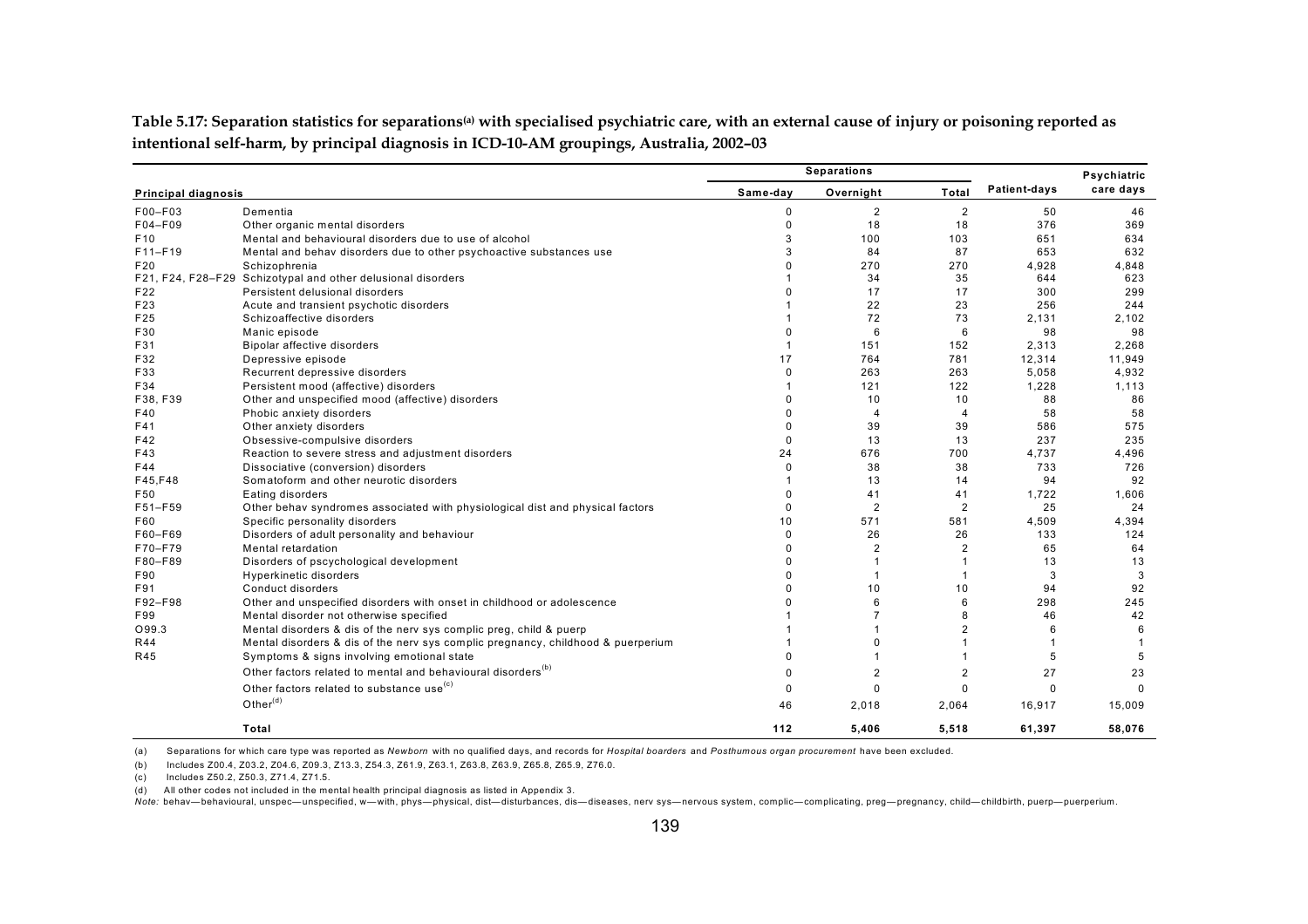|                            |                                                                                  | <b>Separations</b> |                |                | Psychiatric  |              |
|----------------------------|----------------------------------------------------------------------------------|--------------------|----------------|----------------|--------------|--------------|
| <b>Principal diagnosis</b> |                                                                                  | Same-day           | Overnight      | Total          | Patient-days | care days    |
| F00-F03                    | Dementia                                                                         | 0                  | $\overline{2}$ | $\overline{2}$ | 50           | 46           |
| F04-F09                    | Other organic mental disorders                                                   | 0                  | 18             | 18             | 376          | 369          |
| F <sub>10</sub>            | Mental and behavioural disorders due to use of alcohol                           | 3                  | 100            | 103            | 651          | 634          |
| F11-F19                    | Mental and behav disorders due to other psychoactive substances use              | 3                  | 84             | 87             | 653          | 632          |
| F20                        | Schizophrenia                                                                    | 0                  | 270            | 270            | 4.928        | 4,848        |
|                            | F21, F24, F28-F29 Schizotypal and other delusional disorders                     |                    | 34             | 35             | 644          | 623          |
| F22                        | Persistent delusional disorders                                                  | 0                  | 17             | 17             | 300          | 299          |
| F23                        | Acute and transient psychotic disorders                                          |                    | 22             | 23             | 256          | 244          |
| F25                        | Schizoaffective disorders                                                        |                    | 72             | 73             | 2.131        | 2,102        |
| F30                        | Manic episode                                                                    | 0                  | 6              | 6              | 98           | 98           |
| F31                        | Bipolar affective disorders                                                      | $\overline{1}$     | 151            | 152            | 2,313        | 2,268        |
| F32                        | Depressive episode                                                               | 17                 | 764            | 781            | 12,314       | 11,949       |
| F33                        | Recurrent depressive disorders                                                   | 0                  | 263            | 263            | 5,058        | 4,932        |
| F34                        | Persistent mood (affective) disorders                                            | 1                  | 121            | 122            | 1,228        | 1,113        |
| F38, F39                   | Other and unspecified mood (affective) disorders                                 | 0                  | 10             | 10             | 88           | 86           |
| F40                        | Phobic anxiety disorders                                                         | $\Omega$           | $\overline{4}$ | $\overline{4}$ | 58           | 58           |
| F41                        | Other anxiety disorders                                                          | 0                  | 39             | 39             | 586          | 575          |
| F42                        | Obsessive-compulsive disorders                                                   | $\Omega$           | 13             | 13             | 237          | 235          |
| F43                        | Reaction to severe stress and adjustment disorders                               | 24                 | 676            | 700            | 4.737        | 4,496        |
| F44                        | Dissociative (conversion) disorders                                              | 0                  | 38             | 38             | 733          | 726          |
| F45, F48                   | Somatoform and other neurotic disorders                                          | 1                  | 13             | 14             | 94           | 92           |
| F50                        | Eating disorders                                                                 | 0                  | 41             | 41             | 1,722        | 1,606        |
| F51-F59                    | Other behav syndromes associated with physiological dist and physical factors    | 0                  | $\overline{2}$ | $\overline{2}$ | 25           | 24           |
| F60                        | Specific personality disorders                                                   | 10                 | 571            | 581            | 4,509        | 4,394        |
| F60-F69                    | Disorders of adult personality and behaviour                                     | 0                  | 26             | 26             | 133          | 124          |
| F70-F79                    | Mental retardation                                                               | $\Omega$           | $\overline{2}$ | $\overline{2}$ | 65           | 64           |
| F80-F89                    | Disorders of pscychological development                                          | 0                  | $\mathbf{1}$   |                | 13           | 13           |
| F90                        | <b>Hyperkinetic disorders</b>                                                    | 0                  | $\overline{1}$ |                | 3            | 3            |
| F91                        | Conduct disorders                                                                | $\Omega$           | 10             | 10             | 94           | 92           |
| F92-F98                    | Other and unspecified disorders with onset in childhood or adolescence           | U                  | 6              | 6              | 298          | 245          |
| F99                        | Mental disorder not otherwise specified                                          |                    | $\overline{7}$ | 8              | 46           | 42           |
| O99.3                      | Mental disorders & dis of the nerv sys complic preg, child & puerp               |                    |                | $\overline{2}$ | 6            | 6            |
| <b>R44</b>                 | Mental disorders & dis of the nerv sys complic pregnancy, childhood & puerperium |                    | $\Omega$       |                |              | $\mathbf{1}$ |
| R45                        | Symptoms & signs involving emotional state                                       | 0                  |                |                | 5            | 5            |
|                            | Other factors related to mental and behavioural disorders <sup>(b)</sup>         | 0                  | $\overline{2}$ | 2              | 27           | 23           |
|                            | Other factors related to substance use <sup>(c)</sup>                            |                    |                |                |              |              |
|                            |                                                                                  | 0                  | 0              | $\Omega$       | $\Omega$     | $\Omega$     |
|                            | Other $(d)$                                                                      | 46                 | 2,018          | 2,064          | 16,917       | 15,009       |
|                            | Total                                                                            | 112                | 5,406          | 5,518          | 61,397       | 58,076       |

**Table 5.17: Separation statistics for separations(a) with specialised psychiatric care, with an external cause of injury or poisoning reported as intentional self-harm, by principal diagnosis in ICD-10-AM groupings, Australia, 2002–03**

(a) Separations for which care type was reported as *Newborn* with no qualified days, and records for *Hospital boarders* and *Posthumous organ procurement* have been excluded.

(b) Includes Z00.4, Z03.2, Z04.6, Z09.3, Z13.3, Z54.3, Z61.9, Z63.1, Z63.8, Z63.9, Z65.8, Z65.9, Z76.0.

(c) Includes Z50.2, Z50.3, Z71.4, Z71.5.

(d) All other codes not included in the mental health principal diagnosis as listed in Appendix 3.

Note: behav—behavioural, unspec—unspecified, w—with, phys—physical, dist—disturbances, dis—diseases, nerv sys—nervous system, complic—complicating, preg—pregnancy, child—childbirth, puerp—puerperium.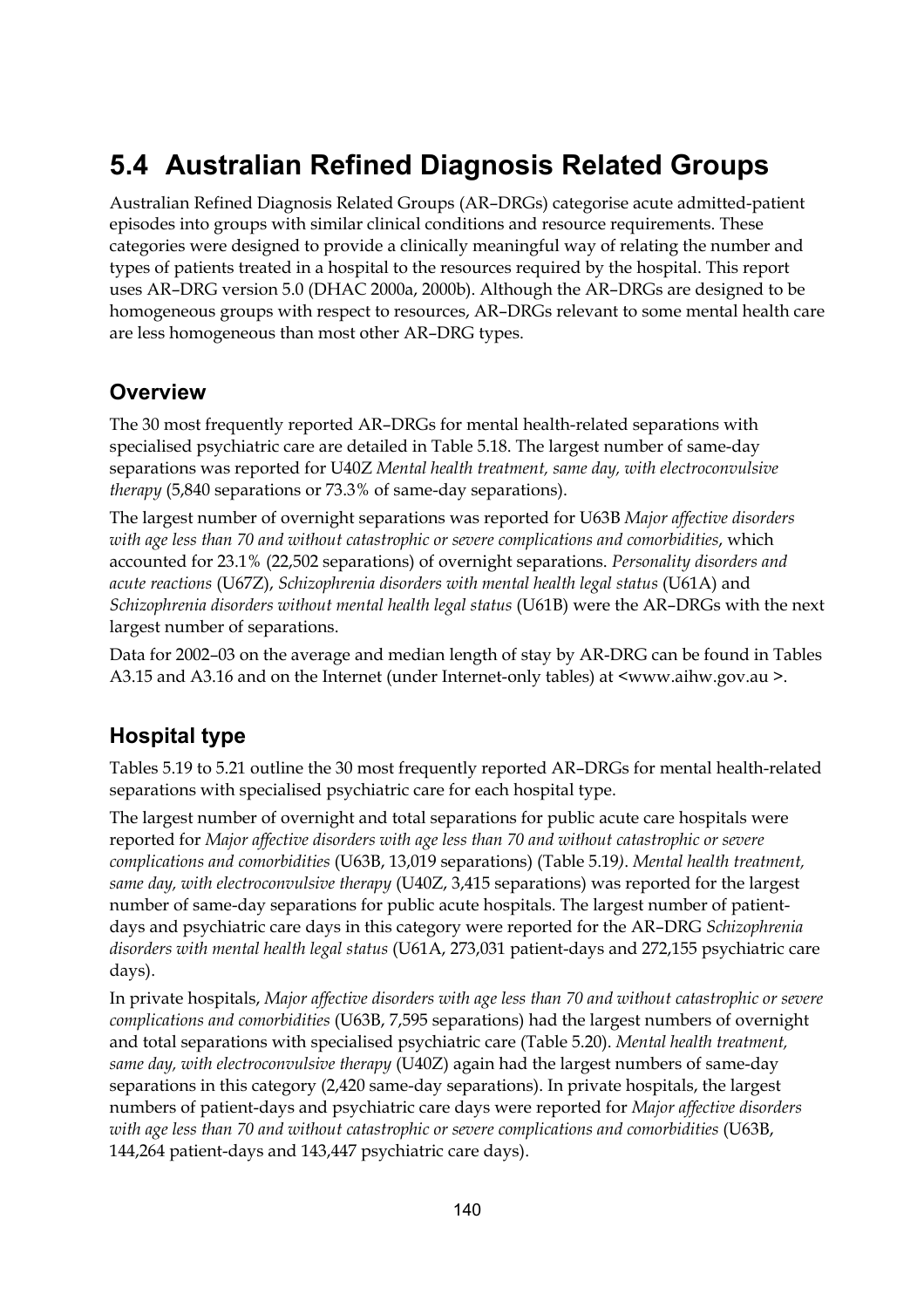# **5.4 Australian Refined Diagnosis Related Groups**

Australian Refined Diagnosis Related Groups (AR–DRGs) categorise acute admitted-patient episodes into groups with similar clinical conditions and resource requirements. These categories were designed to provide a clinically meaningful way of relating the number and types of patients treated in a hospital to the resources required by the hospital. This report uses AR–DRG version 5.0 (DHAC 2000a, 2000b). Although the AR–DRGs are designed to be homogeneous groups with respect to resources, AR–DRGs relevant to some mental health care are less homogeneous than most other AR–DRG types.

#### **Overview**

The 30 most frequently reported AR–DRGs for mental health-related separations with specialised psychiatric care are detailed in Table 5.18. The largest number of same-day separations was reported for U40Z *Mental health treatment, same day, with electroconvulsive therapy* (5,840 separations or 73.3% of same-day separations).

The largest number of overnight separations was reported for U63B *Major affective disorders with age less than 70 and without catastrophic or severe complications and comorbidities*, which accounted for 23.1% (22,502 separations) of overnight separations. *Personality disorders and acute reactions* (U67Z), *Schizophrenia disorders with mental health legal status* (U61A) and *Schizophrenia disorders without mental health legal status* (U61B) were the AR–DRGs with the next largest number of separations.

Data for 2002–03 on the average and median length of stay by AR-DRG can be found in Tables A3.15 and A3.16 and on the Internet (under Internet-only tables) at <www.aihw.gov.au >.

#### **Hospital type**

Tables 5.19 to 5.21 outline the 30 most frequently reported AR–DRGs for mental health-related separations with specialised psychiatric care for each hospital type.

The largest number of overnight and total separations for public acute care hospitals were reported for *Major affective disorders with age less than 70 and without catastrophic or severe complications and comorbidities* (U63B, 13,019 separations) (Table 5.19*)*. *Mental health treatment, same day, with electroconvulsive therapy* (U40Z, 3,415 separations) was reported for the largest number of same-day separations for public acute hospitals. The largest number of patientdays and psychiatric care days in this category were reported for the AR–DRG *Schizophrenia disorders with mental health legal status* (U61A, 273,031 patient-days and 272,155 psychiatric care days).

In private hospitals, *Major affective disorders with age less than 70 and without catastrophic or severe complications and comorbidities* (U63B, 7,595 separations) had the largest numbers of overnight and total separations with specialised psychiatric care (Table 5.20). *Mental health treatment, same day, with electroconvulsive therapy* (U40Z) again had the largest numbers of same-day separations in this category (2,420 same-day separations). In private hospitals, the largest numbers of patient-days and psychiatric care days were reported for *Major affective disorders with age less than 70 and without catastrophic or severe complications and comorbidities* (U63B, 144,264 patient-days and 143,447 psychiatric care days).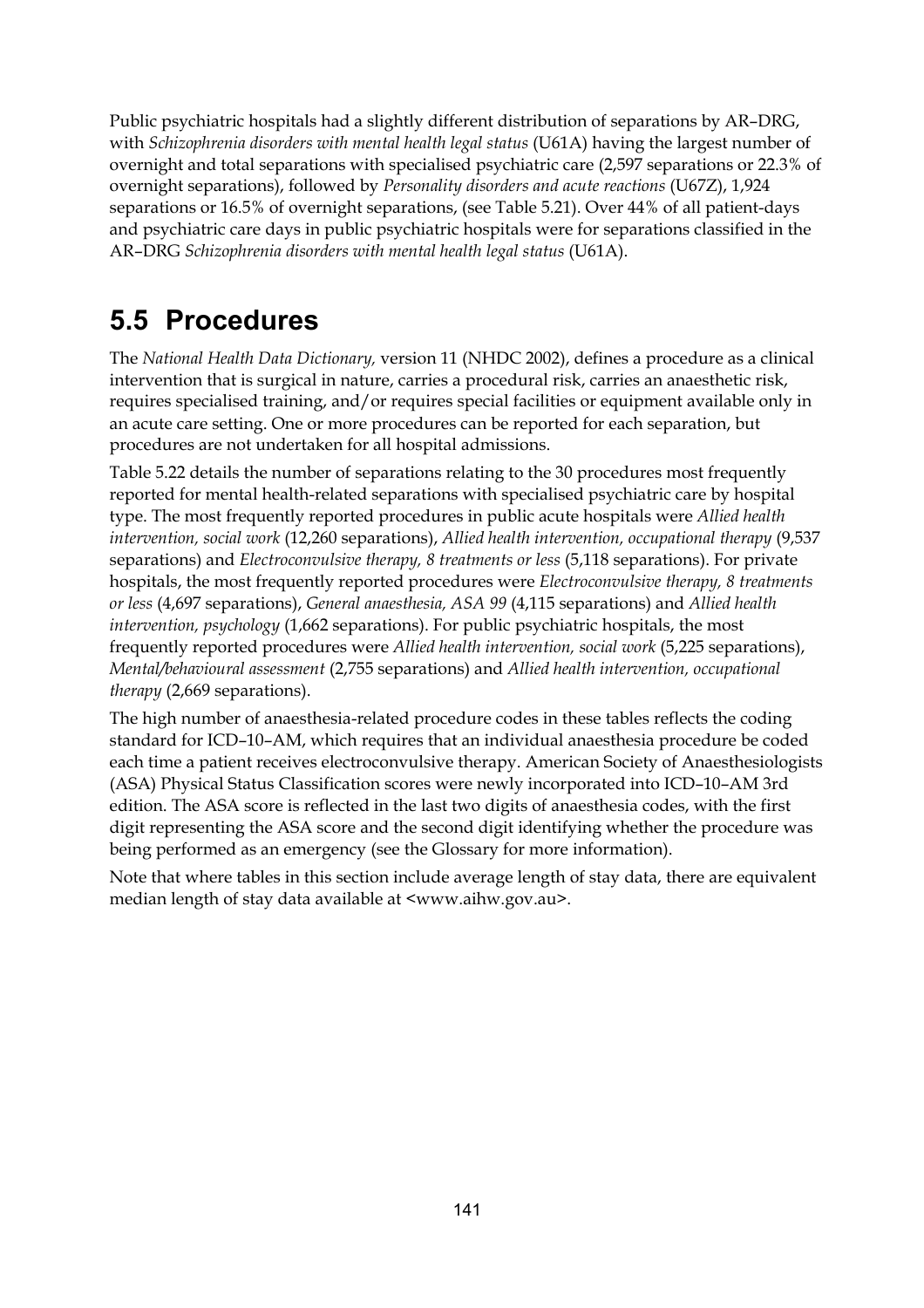Public psychiatric hospitals had a slightly different distribution of separations by AR–DRG, with *Schizophrenia disorders with mental health legal status* (U61A) having the largest number of overnight and total separations with specialised psychiatric care (2,597 separations or 22.3% of overnight separations), followed by *Personality disorders and acute reactions* (U67Z), 1,924 separations or 16.5% of overnight separations, (see Table 5.21). Over 44% of all patient-days and psychiatric care days in public psychiatric hospitals were for separations classified in the AR–DRG *Schizophrenia disorders with mental health legal status* (U61A).

# **5.5 Procedures**

The *National Health Data Dictionary,* version 11 (NHDC 2002), defines a procedure as a clinical intervention that is surgical in nature, carries a procedural risk, carries an anaesthetic risk, requires specialised training, and/or requires special facilities or equipment available only in an acute care setting. One or more procedures can be reported for each separation, but procedures are not undertaken for all hospital admissions.

Table 5.22 details the number of separations relating to the 30 procedures most frequently reported for mental health-related separations with specialised psychiatric care by hospital type. The most frequently reported procedures in public acute hospitals were *Allied health intervention, social work* (12,260 separations), *Allied health intervention, occupational therapy* (9,537 separations) and *Electroconvulsive therapy, 8 treatments or less* (5,118 separations). For private hospitals, the most frequently reported procedures were *Electroconvulsive therapy, 8 treatments or less* (4,697 separations), *General anaesthesia, ASA 99* (4,115 separations) and *Allied health intervention, psychology* (1,662 separations). For public psychiatric hospitals, the most frequently reported procedures were *Allied health intervention, social work* (5,225 separations), *Mental/behavioural assessment* (2,755 separations) and *Allied health intervention, occupational therapy* (2,669 separations).

The high number of anaesthesia-related procedure codes in these tables reflects the coding standard for ICD–10–AM, which requires that an individual anaesthesia procedure be coded each time a patient receives electroconvulsive therapy. American Society of Anaesthesiologists (ASA) Physical Status Classification scores were newly incorporated into ICD–10–AM 3rd edition. The ASA score is reflected in the last two digits of anaesthesia codes, with the first digit representing the ASA score and the second digit identifying whether the procedure was being performed as an emergency (see the Glossary for more information).

Note that where tables in this section include average length of stay data, there are equivalent median length of stay data available at <www.aihw.gov.au>.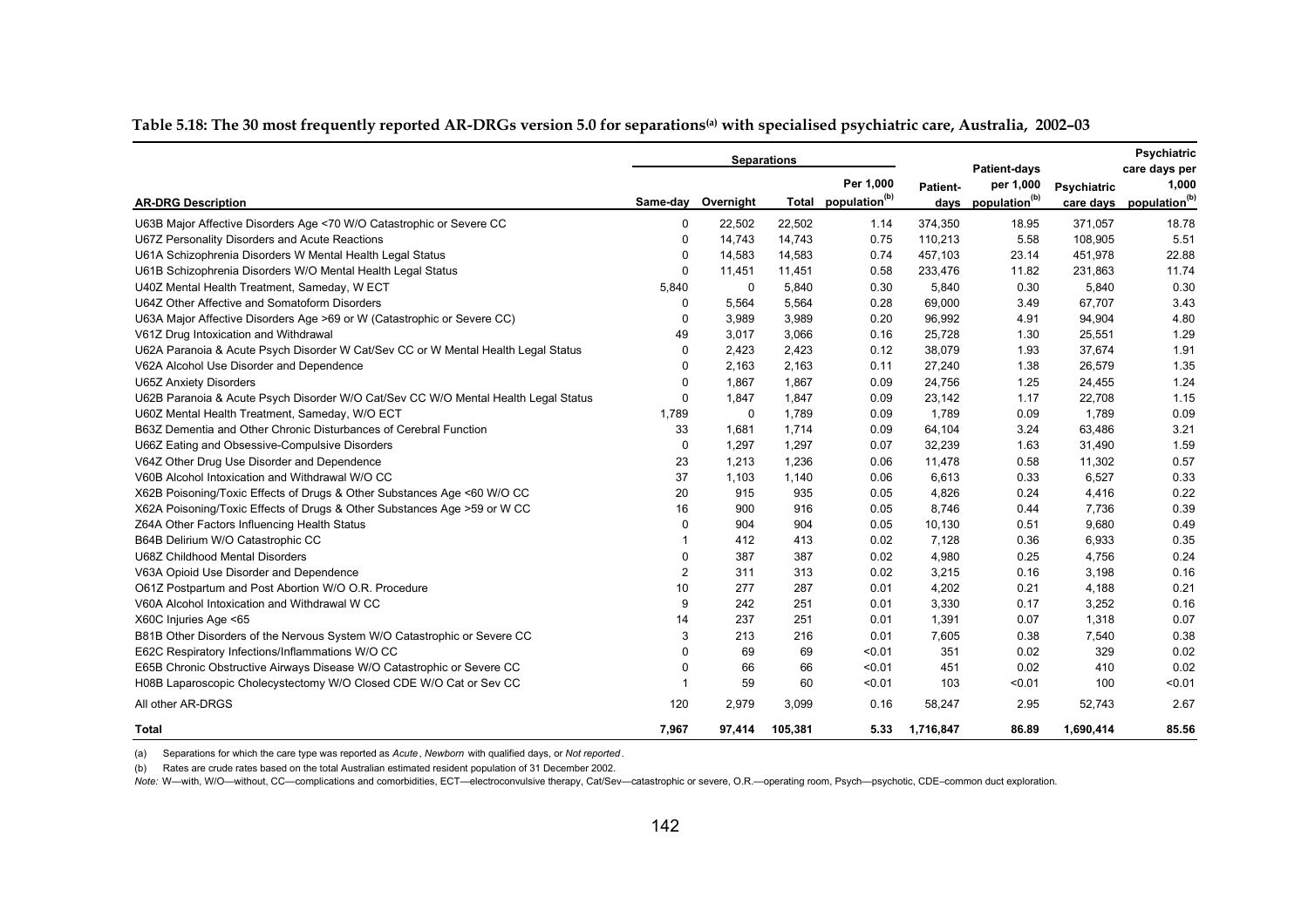| Table 5.18: The 30 most frequently reported AR-DRGs version 5.0 for separations with specialised psychiatric care, Australia, 2002–03 |
|---------------------------------------------------------------------------------------------------------------------------------------|
|---------------------------------------------------------------------------------------------------------------------------------------|

|                                                                                    |                |                    | <b>Separations</b> |                                 |           | <b>Patient-days</b>            |             | Psychiatric<br>care days per |
|------------------------------------------------------------------------------------|----------------|--------------------|--------------------|---------------------------------|-----------|--------------------------------|-------------|------------------------------|
|                                                                                    |                |                    |                    | Per 1.000                       | Patient-  | per 1,000                      | Psychiatric | 1,000                        |
| <b>AR-DRG Description</b>                                                          |                | Same-day Overnight |                    | Total population <sup>(b)</sup> |           | days population <sup>(b)</sup> | care days   | population <sup>(b)</sup>    |
| U63B Major Affective Disorders Age <70 W/O Catastrophic or Severe CC               | 0              | 22,502             | 22,502             | 1.14                            | 374,350   | 18.95                          | 371,057     | 18.78                        |
| U67Z Personality Disorders and Acute Reactions                                     | $\Omega$       | 14,743             | 14,743             | 0.75                            | 110,213   | 5.58                           | 108,905     | 5.51                         |
| U61A Schizophrenia Disorders W Mental Health Legal Status                          | 0              | 14,583             | 14,583             | 0.74                            | 457,103   | 23.14                          | 451,978     | 22.88                        |
| U61B Schizophrenia Disorders W/O Mental Health Legal Status                        | $\Omega$       | 11,451             | 11,451             | 0.58                            | 233,476   | 11.82                          | 231,863     | 11.74                        |
| U40Z Mental Health Treatment, Sameday, W ECT                                       | 5,840          | 0                  | 5,840              | 0.30                            | 5,840     | 0.30                           | 5,840       | 0.30                         |
| U64Z Other Affective and Somatoform Disorders                                      | 0              | 5,564              | 5,564              | 0.28                            | 69,000    | 3.49                           | 67,707      | 3.43                         |
| U63A Major Affective Disorders Age >69 or W (Catastrophic or Severe CC)            | 0              | 3,989              | 3,989              | 0.20                            | 96,992    | 4.91                           | 94,904      | 4.80                         |
| V61Z Drug Intoxication and Withdrawal                                              | 49             | 3,017              | 3,066              | 0.16                            | 25,728    | 1.30                           | 25,551      | 1.29                         |
| U62A Paranoia & Acute Psych Disorder W Cat/Sev CC or W Mental Health Legal Status  | 0              | 2,423              | 2,423              | 0.12                            | 38,079    | 1.93                           | 37,674      | 1.91                         |
| V62A Alcohol Use Disorder and Dependence                                           | 0              | 2,163              | 2,163              | 0.11                            | 27,240    | 1.38                           | 26,579      | 1.35                         |
| <b>U65Z Anxiety Disorders</b>                                                      | $\Omega$       | 1,867              | 1,867              | 0.09                            | 24,756    | 1.25                           | 24,455      | 1.24                         |
| U62B Paranoia & Acute Psych Disorder W/O Cat/Sev CC W/O Mental Health Legal Status | $\Omega$       | 1,847              | 1,847              | 0.09                            | 23,142    | 1.17                           | 22,708      | 1.15                         |
| U60Z Mental Health Treatment, Sameday, W/O ECT                                     | 1,789          | 0                  | 1,789              | 0.09                            | 1,789     | 0.09                           | 1,789       | 0.09                         |
| B63Z Dementia and Other Chronic Disturbances of Cerebral Function                  | 33             | 1,681              | 1,714              | 0.09                            | 64,104    | 3.24                           | 63,486      | 3.21                         |
| U66Z Eating and Obsessive-Compulsive Disorders                                     | 0              | 1,297              | 1,297              | 0.07                            | 32,239    | 1.63                           | 31,490      | 1.59                         |
| V64Z Other Drug Use Disorder and Dependence                                        | 23             | 1,213              | 1,236              | 0.06                            | 11,478    | 0.58                           | 11,302      | 0.57                         |
| V60B Alcohol Intoxication and Withdrawal W/O CC                                    | 37             | 1,103              | 1.140              | 0.06                            | 6,613     | 0.33                           | 6,527       | 0.33                         |
| X62B Poisoning/Toxic Effects of Drugs & Other Substances Age <60 W/O CC            | 20             | 915                | 935                | 0.05                            | 4,826     | 0.24                           | 4,416       | 0.22                         |
| X62A Poisoning/Toxic Effects of Drugs & Other Substances Age > 59 or W CC          | 16             | 900                | 916                | 0.05                            | 8,746     | 0.44                           | 7,736       | 0.39                         |
| Z64A Other Factors Influencing Health Status                                       | $\mathbf{0}$   | 904                | 904                | 0.05                            | 10,130    | 0.51                           | 9,680       | 0.49                         |
| B64B Delirium W/O Catastrophic CC                                                  | -1             | 412                | 413                | 0.02                            | 7,128     | 0.36                           | 6,933       | 0.35                         |
| U68Z Childhood Mental Disorders                                                    | 0              | 387                | 387                | 0.02                            | 4,980     | 0.25                           | 4,756       | 0.24                         |
| V63A Opioid Use Disorder and Dependence                                            | $\overline{2}$ | 311                | 313                | 0.02                            | 3,215     | 0.16                           | 3,198       | 0.16                         |
| O61Z Postpartum and Post Abortion W/O O.R. Procedure                               | 10             | 277                | 287                | 0.01                            | 4,202     | 0.21                           | 4,188       | 0.21                         |
| V60A Alcohol Intoxication and Withdrawal W CC                                      | 9              | 242                | 251                | 0.01                            | 3,330     | 0.17                           | 3,252       | 0.16                         |
| X60C Injuries Age <65                                                              | 14             | 237                | 251                | 0.01                            | 1,391     | 0.07                           | 1,318       | 0.07                         |
| B81B Other Disorders of the Nervous System W/O Catastrophic or Severe CC           | 3              | 213                | 216                | 0.01                            | 7,605     | 0.38                           | 7,540       | 0.38                         |
| E62C Respiratory Infections/Inflammations W/O CC                                   | 0              | 69                 | 69                 | < 0.01                          | 351       | 0.02                           | 329         | 0.02                         |
| E65B Chronic Obstructive Airways Disease W/O Catastrophic or Severe CC             | 0              | 66                 | 66                 | < 0.01                          | 451       | 0.02                           | 410         | 0.02                         |
| H08B Laparoscopic Cholecystectomy W/O Closed CDE W/O Cat or Sev CC                 | 1              | 59                 | 60                 | < 0.01                          | 103       | < 0.01                         | 100         | < 0.01                       |
| All other AR-DRGS                                                                  | 120            | 2,979              | 3,099              | 0.16                            | 58,247    | 2.95                           | 52,743      | 2.67                         |
| Total                                                                              | 7,967          | 97,414             | 105,381            | 5.33                            | 1,716,847 | 86.89                          | 1,690,414   | 85.56                        |

(a) Separations for which the care type was reported as *Acute*, *Newborn* with qualified days, or *Not reported*.

(b) Rates are crude rates based on the total Australian estimated resident population of 31 December 2002.

*Note:* W—with, W/O—without, CC—complications and comorbidities, ECT—electroconvulsive therapy, Cat/Sev—catastrophic or severe, O.R.—operating room, Psych—psychotic, CDE–common duct exploration.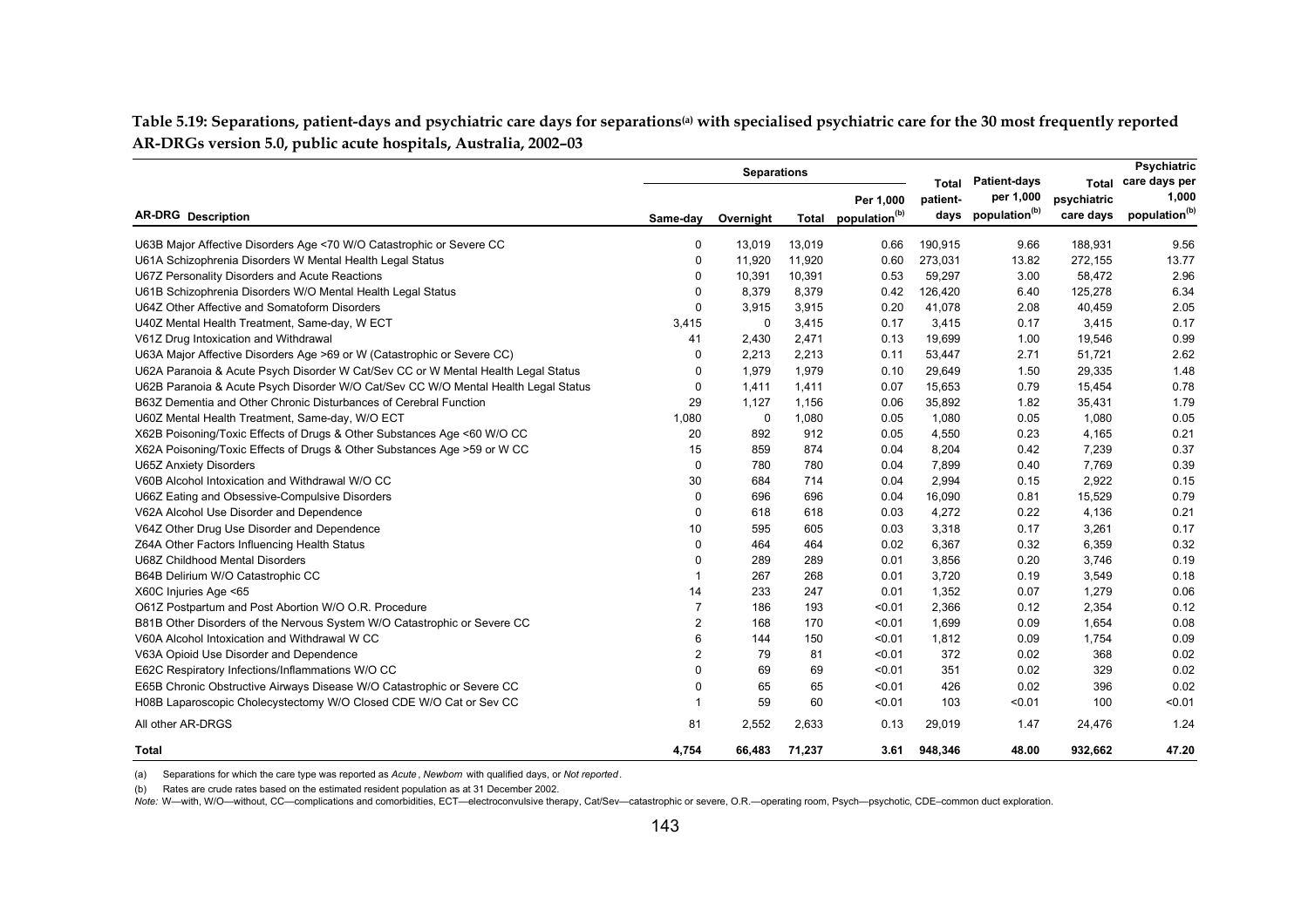Table 5.19: Separations, patient-days and psychiatric care days for separations<sup>(a)</sup> with specialised psychiatric care for the 30 most frequently reported **AR-DRGs version 5.0, public acute hospitals, Australia, 2002–03**

|                                                                                    | <b>Separations</b> |             |        |                                              | Total    | <b>Patient-days</b>             | Total                    | <b>Psychiatric</b><br>care days per |  |
|------------------------------------------------------------------------------------|--------------------|-------------|--------|----------------------------------------------|----------|---------------------------------|--------------------------|-------------------------------------|--|
| <b>AR-DRG</b> Description                                                          | Same-day           | Overnight   |        | Per 1,000<br>Total population <sup>(b)</sup> | patient- | per 1,000<br>days population(b) | psychiatric<br>care days | 1,000<br>population <sup>(b)</sup>  |  |
| U63B Major Affective Disorders Age <70 W/O Catastrophic or Severe CC               | 0                  | 13,019      | 13,019 | 0.66                                         | 190,915  | 9.66                            | 188,931                  | 9.56                                |  |
| U61A Schizophrenia Disorders W Mental Health Legal Status                          | 0                  | 11,920      | 11,920 | 0.60                                         | 273,031  | 13.82                           | 272,155                  | 13.77                               |  |
| U67Z Personality Disorders and Acute Reactions                                     | 0                  | 10,391      | 10,391 | 0.53                                         | 59,297   | 3.00                            | 58,472                   | 2.96                                |  |
| U61B Schizophrenia Disorders W/O Mental Health Legal Status                        | $\Omega$           | 8,379       | 8,379  | 0.42                                         | 126,420  | 6.40                            | 125,278                  | 6.34                                |  |
| U64Z Other Affective and Somatoform Disorders                                      | $\Omega$           | 3,915       | 3,915  | 0.20                                         | 41,078   | 2.08                            | 40,459                   | 2.05                                |  |
| U40Z Mental Health Treatment, Same-day, W ECT                                      | 3,415              | $\mathbf 0$ | 3,415  | 0.17                                         | 3,415    | 0.17                            | 3,415                    | 0.17                                |  |
| V61Z Drug Intoxication and Withdrawal                                              | 41                 | 2,430       | 2,471  | 0.13                                         | 19,699   | 1.00                            | 19,546                   | 0.99                                |  |
| U63A Major Affective Disorders Age >69 or W (Catastrophic or Severe CC)            | $\Omega$           | 2,213       | 2,213  | 0.11                                         | 53,447   | 2.71                            | 51,721                   | 2.62                                |  |
| U62A Paranoia & Acute Psych Disorder W Cat/Sev CC or W Mental Health Legal Status  | $\Omega$           | 1.979       | 1,979  | 0.10                                         | 29,649   | 1.50                            | 29,335                   | 1.48                                |  |
| U62B Paranoia & Acute Psych Disorder W/O Cat/Sev CC W/O Mental Health Legal Status | 0                  | 1,411       | 1,411  | 0.07                                         | 15,653   | 0.79                            | 15,454                   | 0.78                                |  |
| B63Z Dementia and Other Chronic Disturbances of Cerebral Function                  | 29                 | 1.127       | 1,156  | 0.06                                         | 35,892   | 1.82                            | 35,431                   | 1.79                                |  |
| U60Z Mental Health Treatment, Same-day, W/O ECT                                    | 1.080              | $\mathbf 0$ | 1,080  | 0.05                                         | 1,080    | 0.05                            | 1,080                    | 0.05                                |  |
| X62B Poisoning/Toxic Effects of Drugs & Other Substances Age <60 W/O CC            | 20                 | 892         | 912    | 0.05                                         | 4,550    | 0.23                            | 4,165                    | 0.21                                |  |
| X62A Poisoning/Toxic Effects of Drugs & Other Substances Age > 59 or W CC          | 15                 | 859         | 874    | 0.04                                         | 8,204    | 0.42                            | 7,239                    | 0.37                                |  |
| <b>U65Z Anxiety Disorders</b>                                                      | $\Omega$           | 780         | 780    | 0.04                                         | 7,899    | 0.40                            | 7,769                    | 0.39                                |  |
| V60B Alcohol Intoxication and Withdrawal W/O CC                                    | 30                 | 684         | 714    | 0.04                                         | 2,994    | 0.15                            | 2,922                    | 0.15                                |  |
| U66Z Eating and Obsessive-Compulsive Disorders                                     | $\Omega$           | 696         | 696    | 0.04                                         | 16,090   | 0.81                            | 15,529                   | 0.79                                |  |
| V62A Alcohol Use Disorder and Dependence                                           | $\Omega$           | 618         | 618    | 0.03                                         | 4,272    | 0.22                            | 4,136                    | 0.21                                |  |
| V64Z Other Drug Use Disorder and Dependence                                        | 10                 | 595         | 605    | 0.03                                         | 3,318    | 0.17                            | 3,261                    | 0.17                                |  |
| Z64A Other Factors Influencing Health Status                                       | $\Omega$           | 464         | 464    | 0.02                                         | 6,367    | 0.32                            | 6,359                    | 0.32                                |  |
| U68Z Childhood Mental Disorders                                                    | 0                  | 289         | 289    | 0.01                                         | 3,856    | 0.20                            | 3,746                    | 0.19                                |  |
| B64B Delirium W/O Catastrophic CC                                                  | -1                 | 267         | 268    | 0.01                                         | 3,720    | 0.19                            | 3,549                    | 0.18                                |  |
| X60C Injuries Age <65                                                              | 14                 | 233         | 247    | 0.01                                         | 1,352    | 0.07                            | 1,279                    | 0.06                                |  |
| O61Z Postpartum and Post Abortion W/O O.R. Procedure                               | $\overline{7}$     | 186         | 193    | < 0.01                                       | 2,366    | 0.12                            | 2,354                    | 0.12                                |  |
| B81B Other Disorders of the Nervous System W/O Catastrophic or Severe CC           | $\overline{2}$     | 168         | 170    | < 0.01                                       | 1,699    | 0.09                            | 1,654                    | 0.08                                |  |
| V60A Alcohol Intoxication and Withdrawal W CC                                      | 6                  | 144         | 150    | < 0.01                                       | 1,812    | 0.09                            | 1,754                    | 0.09                                |  |
| V63A Opioid Use Disorder and Dependence                                            | $\overline{2}$     | 79          | 81     | < 0.01                                       | 372      | 0.02                            | 368                      | 0.02                                |  |
| E62C Respiratory Infections/Inflammations W/O CC                                   | $\Omega$           | 69          | 69     | < 0.01                                       | 351      | 0.02                            | 329                      | 0.02                                |  |
| E65B Chronic Obstructive Airways Disease W/O Catastrophic or Severe CC             | 0                  | 65          | 65     | < 0.01                                       | 426      | 0.02                            | 396                      | 0.02                                |  |
| H08B Laparoscopic Cholecystectomy W/O Closed CDE W/O Cat or Sev CC                 |                    | 59          | 60     | < 0.01                                       | 103      | < 0.01                          | 100                      | < 0.01                              |  |
| All other AR-DRGS                                                                  | 81                 | 2,552       | 2,633  | 0.13                                         | 29,019   | 1.47                            | 24,476                   | 1.24                                |  |
| Total                                                                              | 4,754              | 66,483      | 71,237 | 3.61                                         | 948.346  | 48.00                           | 932,662                  | 47.20                               |  |

(a) Separations for which the care type was reported as *Acute*, *Newborn* with qualified days, or *Not reported*.

(b) Rates are crude rates based on the estimated resident population as at 31 December 2002.

Note: W—with, W/O—without, CC—complications and comorbidities, ECT—electroconvulsive therapy, Cat/Sev—catastrophic or severe, O.R.—operating room, Psych--psychotic, CDE-common duct exploration.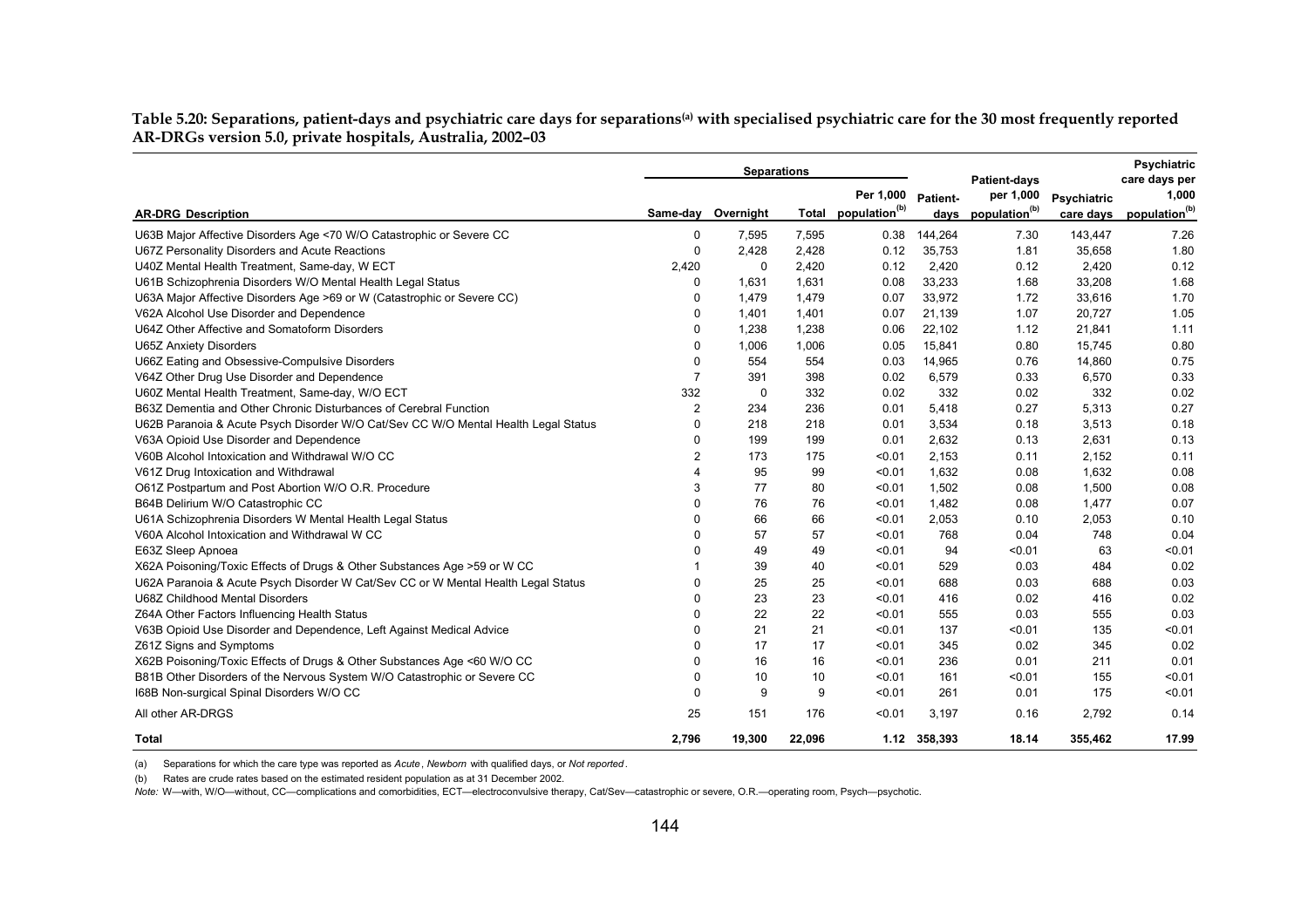Table 5.20: Separations, patient-days and psychiatric care days for separations<sup>(a)</sup> with specialised psychiatric care for the 30 most frequently reported **AR-DRGs version 5.0, private hospitals, Australia, 2002–03**

|                                                                                    | <b>Separations</b>    |           |        |                                 |              | <b>Patient-days</b>       |             | <b>Psychiatric</b><br>care days per |
|------------------------------------------------------------------------------------|-----------------------|-----------|--------|---------------------------------|--------------|---------------------------|-------------|-------------------------------------|
|                                                                                    |                       |           |        | Per 1,000                       | Patient-     | per 1,000                 | Psychiatric | 1,000                               |
| <b>AR-DRG Description</b>                                                          | Same-day              | Overnight |        | Total population <sup>(b)</sup> | days         | population <sup>(b)</sup> | care days   | population <sup>(b)</sup>           |
| U63B Major Affective Disorders Age <70 W/O Catastrophic or Severe CC               | 0                     | 7,595     | 7,595  | 0.38                            | 144,264      | 7.30                      | 143,447     | 7.26                                |
| U67Z Personality Disorders and Acute Reactions                                     | $\Omega$              | 2,428     | 2,428  | 0.12                            | 35,753       | 1.81                      | 35,658      | 1.80                                |
| U40Z Mental Health Treatment, Same-day, W ECT                                      | 2,420                 | 0         | 2,420  | 0.12                            | 2,420        | 0.12                      | 2,420       | 0.12                                |
| U61B Schizophrenia Disorders W/O Mental Health Legal Status                        | $\Omega$              | 1,631     | 1,631  | 0.08                            | 33,233       | 1.68                      | 33,208      | 1.68                                |
| U63A Major Affective Disorders Age >69 or W (Catastrophic or Severe CC)            | $\Omega$              | 1,479     | 1,479  | 0.07                            | 33,972       | 1.72                      | 33,616      | 1.70                                |
| V62A Alcohol Use Disorder and Dependence                                           | $\Omega$              | 1,401     | 1,401  | 0.07                            | 21,139       | 1.07                      | 20,727      | 1.05                                |
| U64Z Other Affective and Somatoform Disorders                                      | $\Omega$              | 1,238     | 1,238  | 0.06                            | 22,102       | 1.12                      | 21,841      | 1.11                                |
| <b>U65Z Anxiety Disorders</b>                                                      | $\Omega$              | 1,006     | 1,006  | 0.05                            | 15,841       | 0.80                      | 15,745      | 0.80                                |
| U66Z Eating and Obsessive-Compulsive Disorders                                     | $\Omega$              | 554       | 554    | 0.03                            | 14,965       | 0.76                      | 14,860      | 0.75                                |
| V64Z Other Drug Use Disorder and Dependence                                        | $\overline{7}$        | 391       | 398    | 0.02                            | 6,579        | 0.33                      | 6,570       | 0.33                                |
| U60Z Mental Health Treatment, Same-day, W/O ECT                                    | 332                   | 0         | 332    | 0.02                            | 332          | 0.02                      | 332         | 0.02                                |
| B63Z Dementia and Other Chronic Disturbances of Cerebral Function                  | 2                     | 234       | 236    | 0.01                            | 5,418        | 0.27                      | 5,313       | 0.27                                |
| U62B Paranoia & Acute Psych Disorder W/O Cat/Sev CC W/O Mental Health Legal Status | $\Omega$              | 218       | 218    | 0.01                            | 3,534        | 0.18                      | 3,513       | 0.18                                |
| V63A Opioid Use Disorder and Dependence                                            | $\Omega$              | 199       | 199    | 0.01                            | 2,632        | 0.13                      | 2,631       | 0.13                                |
| V60B Alcohol Intoxication and Withdrawal W/O CC                                    | $\overline{2}$        | 173       | 175    | < 0.01                          | 2.153        | 0.11                      | 2,152       | 0.11                                |
| V61Z Drug Intoxication and Withdrawal                                              | $\boldsymbol{\Delta}$ | 95        | 99     | < 0.01                          | 1.632        | 0.08                      | 1,632       | 0.08                                |
| O61Z Postpartum and Post Abortion W/O O.R. Procedure                               | 3                     | 77        | 80     | < 0.01                          | 1,502        | 0.08                      | 1,500       | 0.08                                |
| B64B Delirium W/O Catastrophic CC                                                  | $\Omega$              | 76        | 76     | < 0.01                          | 1,482        | 0.08                      | 1,477       | 0.07                                |
| U61A Schizophrenia Disorders W Mental Health Legal Status                          | $\Omega$              | 66        | 66     | < 0.01                          | 2,053        | 0.10                      | 2,053       | 0.10                                |
| V60A Alcohol Intoxication and Withdrawal W CC                                      | $\Omega$              | 57        | 57     | < 0.01                          | 768          | 0.04                      | 748         | 0.04                                |
| E63Z Sleep Apnoea                                                                  | $\Omega$              | 49        | 49     | < 0.01                          | 94           | < 0.01                    | 63          | < 0.01                              |
| X62A Poisoning/Toxic Effects of Drugs & Other Substances Age > 59 or W CC          |                       | 39        | 40     | < 0.01                          | 529          | 0.03                      | 484         | 0.02                                |
| U62A Paranoia & Acute Psych Disorder W Cat/Sev CC or W Mental Health Legal Status  | $\Omega$              | 25        | 25     | < 0.01                          | 688          | 0.03                      | 688         | 0.03                                |
| U68Z Childhood Mental Disorders                                                    | $\Omega$              | 23        | 23     | < 0.01                          | 416          | 0.02                      | 416         | 0.02                                |
| Z64A Other Factors Influencing Health Status                                       | $\Omega$              | 22        | 22     | < 0.01                          | 555          | 0.03                      | 555         | 0.03                                |
| V63B Opioid Use Disorder and Dependence, Left Against Medical Advice               | $\Omega$              | 21        | 21     | < 0.01                          | 137          | < 0.01                    | 135         | < 0.01                              |
| Z61Z Signs and Symptoms                                                            | $\mathbf 0$           | 17        | 17     | < 0.01                          | 345          | 0.02                      | 345         | 0.02                                |
| X62B Poisoning/Toxic Effects of Drugs & Other Substances Age <60 W/O CC            | $\Omega$              | 16        | 16     | < 0.01                          | 236          | 0.01                      | 211         | 0.01                                |
| B81B Other Disorders of the Nervous System W/O Catastrophic or Severe CC           | $\Omega$              | 10        | 10     | < 0.01                          | 161          | < 0.01                    | 155         | < 0.01                              |
| 168B Non-surgical Spinal Disorders W/O CC                                          | $\Omega$              | 9         | 9      | < 0.01                          | 261          | 0.01                      | 175         | < 0.01                              |
| All other AR-DRGS                                                                  | 25                    | 151       | 176    | < 0.01                          | 3.197        | 0.16                      | 2,792       | 0.14                                |
| Total                                                                              | 2.796                 | 19.300    | 22.096 |                                 | 1.12 358.393 | 18.14                     | 355.462     | 17.99                               |

(a) Separations for which the care type was reported as *Acute*, *Newborn* with qualified days, or *Not reported*.

(b) Rates are crude rates based on the estimated resident population as at 31 December 2002.

*Note:* W—with, W/O—without, CC—complications and comorbidities, ECT—electroconvulsive therapy, Cat/Sev—catastrophic or severe, O.R.—operating room, Psych—psychotic.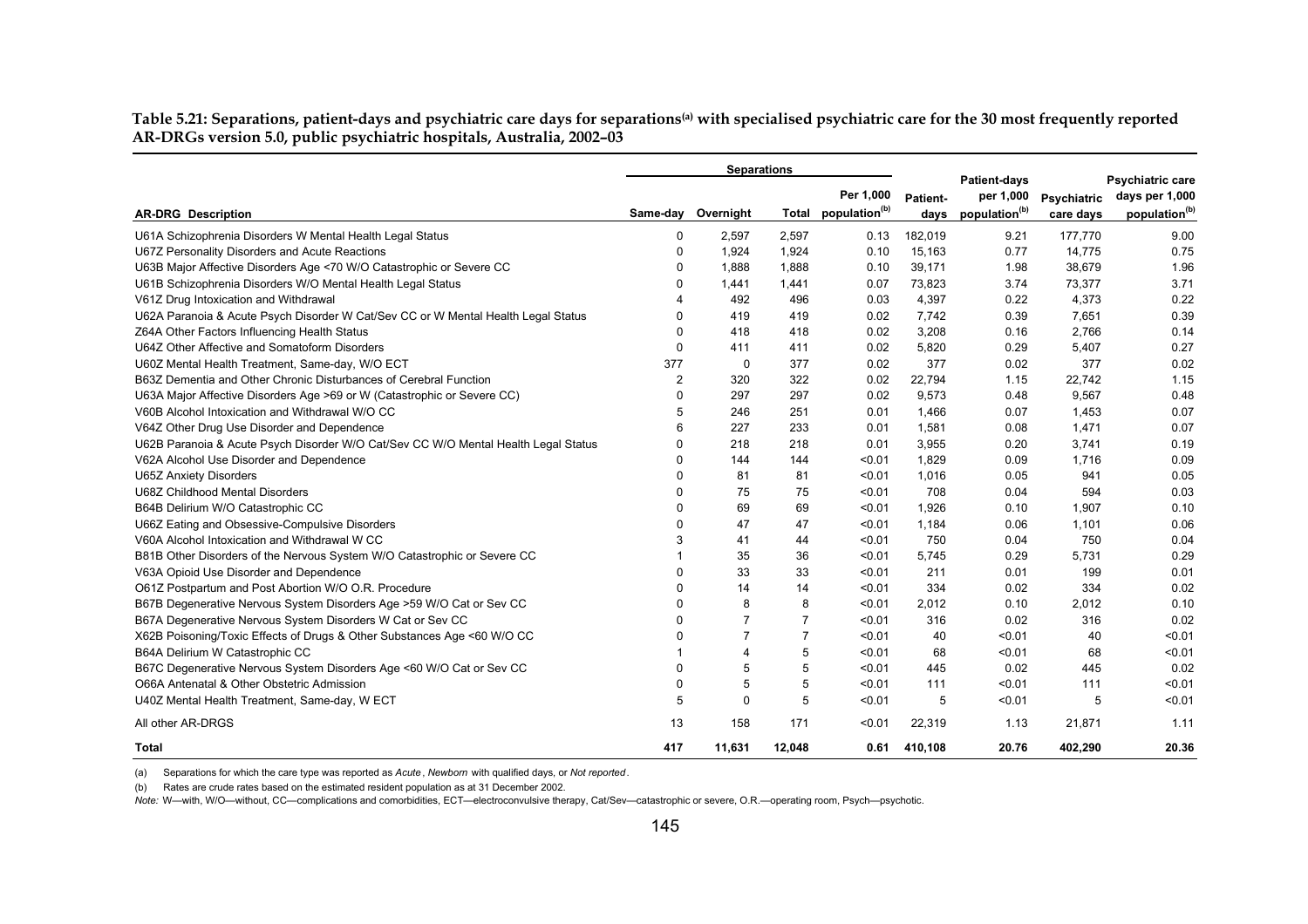Table 5.21: Separations, patient-days and psychiatric care days for separations<sup>(a)</sup> with specialised psychiatric care for the 30 most frequently reported **AR-DRGs version 5.0, public psychiatric hospitals, Australia, 2002–03**

|                                                                                    | <b>Separations</b> |                |                |                                 |          |                                  |             |                                    |
|------------------------------------------------------------------------------------|--------------------|----------------|----------------|---------------------------------|----------|----------------------------------|-------------|------------------------------------|
|                                                                                    |                    |                |                | Per 1,000                       | Patient- | <b>Patient-days</b><br>per 1,000 | Psychiatric | Psychiatric care<br>days per 1,000 |
| <b>AR-DRG</b> Description                                                          | Same-day           | Overnight      |                | Total population <sup>(b)</sup> | days     | population <sup>(b)</sup>        | care days   | population <sup>(b)</sup>          |
| U61A Schizophrenia Disorders W Mental Health Legal Status                          | 0                  | 2,597          | 2,597          | 0.13                            | 182,019  | 9.21                             | 177,770     | 9.00                               |
| U67Z Personality Disorders and Acute Reactions                                     | 0                  | 1,924          | 1,924          | 0.10                            | 15,163   | 0.77                             | 14,775      | 0.75                               |
| U63B Major Affective Disorders Age <70 W/O Catastrophic or Severe CC               | 0                  | 1,888          | 1,888          | 0.10                            | 39,171   | 1.98                             | 38,679      | 1.96                               |
| U61B Schizophrenia Disorders W/O Mental Health Legal Status                        | 0                  | 1,441          | 1,441          | 0.07                            | 73,823   | 3.74                             | 73,377      | 3.71                               |
| V61Z Drug Intoxication and Withdrawal                                              |                    | 492            | 496            | 0.03                            | 4,397    | 0.22                             | 4,373       | 0.22                               |
| U62A Paranoia & Acute Psych Disorder W Cat/Sev CC or W Mental Health Legal Status  | 0                  | 419            | 419            | 0.02                            | 7,742    | 0.39                             | 7,651       | 0.39                               |
| Z64A Other Factors Influencing Health Status                                       | 0                  | 418            | 418            | 0.02                            | 3,208    | 0.16                             | 2.766       | 0.14                               |
| U64Z Other Affective and Somatoform Disorders                                      | 0                  | 411            | 411            | 0.02                            | 5,820    | 0.29                             | 5,407       | 0.27                               |
| U60Z Mental Health Treatment, Same-day, W/O ECT                                    | 377                | $\mathbf 0$    | 377            | 0.02                            | 377      | 0.02                             | 377         | 0.02                               |
| B63Z Dementia and Other Chronic Disturbances of Cerebral Function                  | $\overline{2}$     | 320            | 322            | 0.02                            | 22,794   | 1.15                             | 22.742      | 1.15                               |
| U63A Major Affective Disorders Age >69 or W (Catastrophic or Severe CC)            | 0                  | 297            | 297            | 0.02                            | 9,573    | 0.48                             | 9,567       | 0.48                               |
| V60B Alcohol Intoxication and Withdrawal W/O CC                                    | 5                  | 246            | 251            | 0.01                            | 1,466    | 0.07                             | 1,453       | 0.07                               |
| V64Z Other Drug Use Disorder and Dependence                                        | 6                  | 227            | 233            | 0.01                            | 1,581    | 0.08                             | 1,471       | 0.07                               |
| U62B Paranoia & Acute Psych Disorder W/O Cat/Sev CC W/O Mental Health Legal Status | 0                  | 218            | 218            | 0.01                            | 3,955    | 0.20                             | 3.741       | 0.19                               |
| V62A Alcohol Use Disorder and Dependence                                           | 0                  | 144            | 144            | < 0.01                          | 1,829    | 0.09                             | 1,716       | 0.09                               |
| <b>U65Z Anxiety Disorders</b>                                                      | 0                  | 81             | 81             | < 0.01                          | 1,016    | 0.05                             | 941         | 0.05                               |
| U68Z Childhood Mental Disorders                                                    | $\Omega$           | 75             | 75             | < 0.01                          | 708      | 0.04                             | 594         | 0.03                               |
| B64B Delirium W/O Catastrophic CC                                                  | 0                  | 69             | 69             | < 0.01                          | 1,926    | 0.10                             | 1,907       | 0.10                               |
| U66Z Eating and Obsessive-Compulsive Disorders                                     | 0                  | 47             | 47             | < 0.01                          | 1,184    | 0.06                             | 1,101       | 0.06                               |
| V60A Alcohol Intoxication and Withdrawal W CC                                      | 3                  | 41             | 44             | < 0.01                          | 750      | 0.04                             | 750         | 0.04                               |
| B81B Other Disorders of the Nervous System W/O Catastrophic or Severe CC           |                    | 35             | 36             | < 0.01                          | 5,745    | 0.29                             | 5,731       | 0.29                               |
| V63A Opioid Use Disorder and Dependence                                            | 0                  | 33             | 33             | < 0.01                          | 211      | 0.01                             | 199         | 0.01                               |
| O61Z Postpartum and Post Abortion W/O O.R. Procedure                               | 0                  | 14             | 14             | < 0.01                          | 334      | 0.02                             | 334         | 0.02                               |
| B67B Degenerative Nervous System Disorders Age >59 W/O Cat or Sev CC               | 0                  | 8              | 8              | < 0.01                          | 2,012    | 0.10                             | 2,012       | 0.10                               |
| B67A Degenerative Nervous System Disorders W Cat or Sev CC                         | 0                  | $\overline{7}$ | $\overline{7}$ | < 0.01                          | 316      | 0.02                             | 316         | 0.02                               |
| X62B Poisoning/Toxic Effects of Drugs & Other Substances Age <60 W/O CC            | 0                  | $\overline{7}$ | $\overline{7}$ | < 0.01                          | 40       | < 0.01                           | 40          | < 0.01                             |
| B64A Delirium W Catastrophic CC                                                    |                    | 4              | 5              | < 0.01                          | 68       | < 0.01                           | 68          | < 0.01                             |
| B67C Degenerative Nervous System Disorders Age <60 W/O Cat or Sev CC               | 0                  | 5              | 5              | < 0.01                          | 445      | 0.02                             | 445         | 0.02                               |
| O66A Antenatal & Other Obstetric Admission                                         | 0                  | 5              | 5              | < 0.01                          | 111      | < 0.01                           | 111         | < 0.01                             |
| U40Z Mental Health Treatment, Same-day, W ECT                                      | 5                  | $\mathbf 0$    | 5              | < 0.01                          | 5        | < 0.01                           | 5           | < 0.01                             |
| All other AR-DRGS                                                                  | 13                 | 158            | 171            | < 0.01                          | 22,319   | 1.13                             | 21.871      | 1.11                               |
| Total                                                                              | 417                | 11.631         | 12,048         | 0.61                            | 410.108  | 20.76                            | 402.290     | 20.36                              |

(a) Separations for which the care type was reported as *Acute*, *Newborn* with qualified days, or *Not reported*.

(b) Rates are crude rates based on the estimated resident population as at 31 December 2002.

*Note:* W—with, W/O—without, CC—complications and comorbidities, ECT—electroconvulsive therapy, Cat/Sev—catastrophic or severe, O.R.—operating room, Psych—psychotic.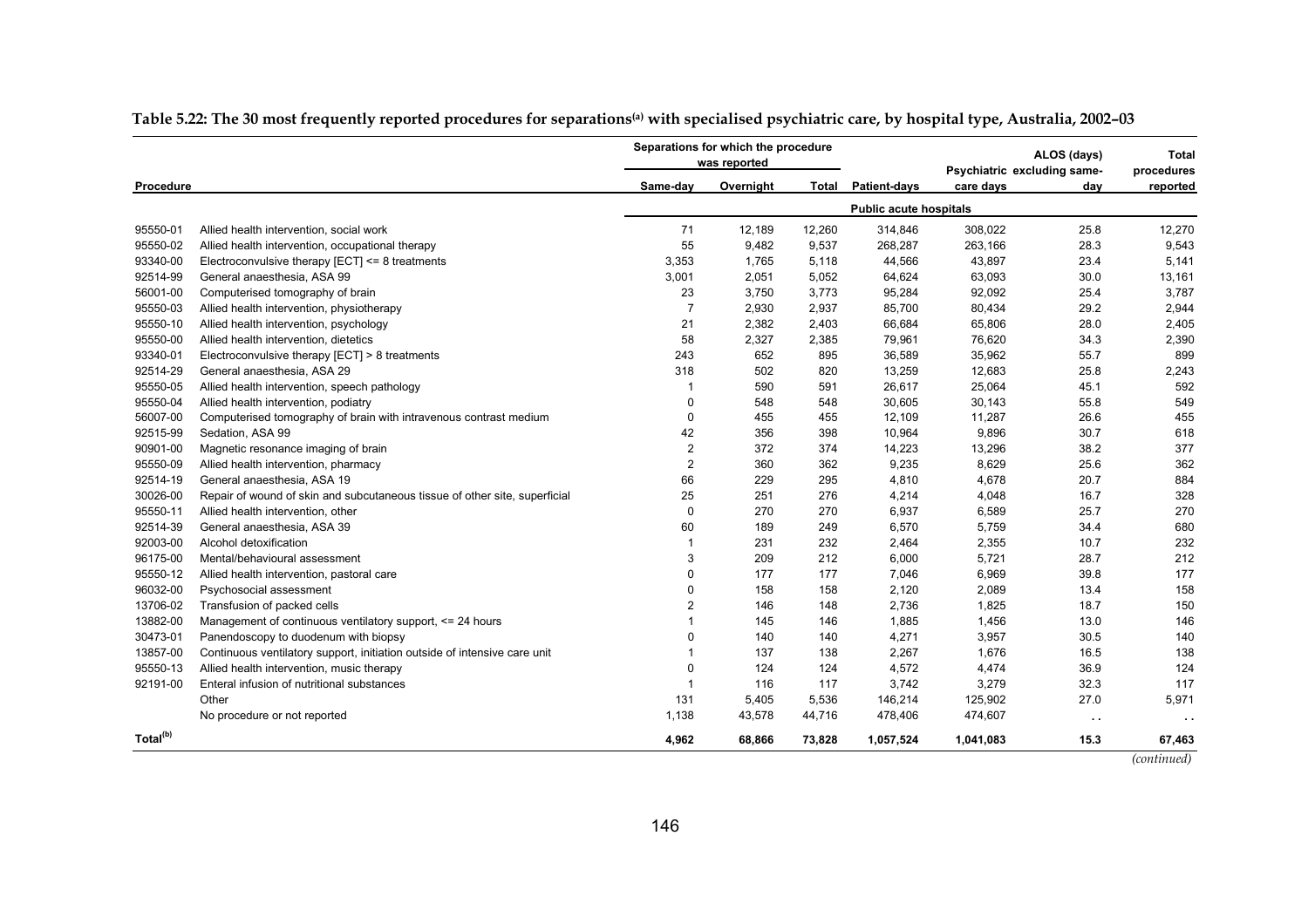|                      |                                                                            |                         | Separations for which the procedure<br>was reported |        |                               | ALOS (days)<br>Psychiatric excluding same- |        |                        |
|----------------------|----------------------------------------------------------------------------|-------------------------|-----------------------------------------------------|--------|-------------------------------|--------------------------------------------|--------|------------------------|
| Procedure            |                                                                            | Same-day                | Overnight                                           | Total  | <b>Patient-days</b>           | care days                                  | day    | procedures<br>reported |
|                      |                                                                            |                         |                                                     |        | <b>Public acute hospitals</b> |                                            |        |                        |
| 95550-01             | Allied health intervention, social work                                    | 71                      | 12,189                                              | 12,260 | 314,846                       | 308,022                                    | 25.8   | 12,270                 |
| 95550-02             | Allied health intervention, occupational therapy                           | 55                      | 9,482                                               | 9,537  | 268,287                       | 263,166                                    | 28.3   | 9,543                  |
| 93340-00             | Electroconvulsive therapy $[ECT] \leq 8$ treatments                        | 3,353                   | 1,765                                               | 5,118  | 44,566                        | 43,897                                     | 23.4   | 5,141                  |
| 92514-99             | General anaesthesia, ASA 99                                                | 3,001                   | 2,051                                               | 5,052  | 64,624                        | 63,093                                     | 30.0   | 13,161                 |
| 56001-00             | Computerised tomography of brain                                           | 23                      | 3,750                                               | 3,773  | 95,284                        | 92,092                                     | 25.4   | 3,787                  |
| 95550-03             | Allied health intervention, physiotherapy                                  | $\overline{7}$          | 2,930                                               | 2,937  | 85,700                        | 80,434                                     | 29.2   | 2,944                  |
| 95550-10             | Allied health intervention, psychology                                     | 21                      | 2,382                                               | 2,403  | 66,684                        | 65,806                                     | 28.0   | 2,405                  |
| 95550-00             | Allied health intervention, dietetics                                      | 58                      | 2,327                                               | 2,385  | 79,961                        | 76,620                                     | 34.3   | 2,390                  |
| 93340-01             | Electroconvulsive therapy [ECT] > 8 treatments                             | 243                     | 652                                                 | 895    | 36,589                        | 35,962                                     | 55.7   | 899                    |
| 92514-29             | General anaesthesia, ASA 29                                                | 318                     | 502                                                 | 820    | 13,259                        | 12,683                                     | 25.8   | 2,243                  |
| 95550-05             | Allied health intervention, speech pathology                               | -1                      | 590                                                 | 591    | 26,617                        | 25,064                                     | 45.1   | 592                    |
| 95550-04             | Allied health intervention, podiatry                                       | $\Omega$                | 548                                                 | 548    | 30,605                        | 30,143                                     | 55.8   | 549                    |
| 56007-00             | Computerised tomography of brain with intravenous contrast medium          | 0                       | 455                                                 | 455    | 12,109                        | 11,287                                     | 26.6   | 455                    |
| 92515-99             | Sedation, ASA 99                                                           | 42                      | 356                                                 | 398    | 10,964                        | 9,896                                      | 30.7   | 618                    |
| 90901-00             | Magnetic resonance imaging of brain                                        | $\overline{2}$          | 372                                                 | 374    | 14,223                        | 13,296                                     | 38.2   | 377                    |
| 95550-09             | Allied health intervention, pharmacy                                       | $\overline{2}$          | 360                                                 | 362    | 9,235                         | 8,629                                      | 25.6   | 362                    |
| 92514-19             | General anaesthesia, ASA 19                                                | 66                      | 229                                                 | 295    | 4,810                         | 4,678                                      | 20.7   | 884                    |
| 30026-00             | Repair of wound of skin and subcutaneous tissue of other site, superficial | 25                      | 251                                                 | 276    | 4,214                         | 4,048                                      | 16.7   | 328                    |
| 95550-11             | Allied health intervention, other                                          | $\mathbf 0$             | 270                                                 | 270    | 6,937                         | 6,589                                      | 25.7   | 270                    |
| 92514-39             | General anaesthesia, ASA 39                                                | 60                      | 189                                                 | 249    | 6,570                         | 5,759                                      | 34.4   | 680                    |
| 92003-00             | Alcohol detoxification                                                     | $\overline{1}$          | 231                                                 | 232    | 2,464                         | 2,355                                      | 10.7   | 232                    |
| 96175-00             | Mental/behavioural assessment                                              | 3                       | 209                                                 | 212    | 6,000                         | 5,721                                      | 28.7   | 212                    |
| 95550-12             | Allied health intervention, pastoral care                                  | $\Omega$                | 177                                                 | 177    | 7,046                         | 6,969                                      | 39.8   | 177                    |
| 96032-00             | Psychosocial assessment                                                    | 0                       | 158                                                 | 158    | 2,120                         | 2,089                                      | 13.4   | 158                    |
| 13706-02             | Transfusion of packed cells                                                | 2                       | 146                                                 | 148    | 2,736                         | 1,825                                      | 18.7   | 150                    |
| 13882-00             | Management of continuous ventilatory support, <= 24 hours                  | 1                       | 145                                                 | 146    | 1,885                         | 1,456                                      | 13.0   | 146                    |
| 30473-01             | Panendoscopy to duodenum with biopsy                                       | 0                       | 140                                                 | 140    | 4,271                         | 3,957                                      | 30.5   | 140                    |
| 13857-00             | Continuous ventilatory support, initiation outside of intensive care unit  |                         | 137                                                 | 138    | 2,267                         | 1,676                                      | 16.5   | 138                    |
| 95550-13             | Allied health intervention, music therapy                                  | $\Omega$                | 124                                                 | 124    | 4,572                         | 4,474                                      | 36.9   | 124                    |
| 92191-00             | Enteral infusion of nutritional substances                                 | $\overline{\mathbf{1}}$ | 116                                                 | 117    | 3,742                         | 3,279                                      | 32.3   | 117                    |
|                      | Other                                                                      | 131                     | 5,405                                               | 5,536  | 146,214                       | 125,902                                    | 27.0   | 5,971                  |
|                      | No procedure or not reported                                               | 1,138                   | 43,578                                              | 44,716 | 478,406                       | 474,607                                    | $\sim$ | $\sim$                 |
| Total <sup>(b)</sup> |                                                                            | 4,962                   | 68,866                                              | 73,828 | 1,057,524                     | 1,041,083                                  | 15.3   | 67,463                 |

#### Table 5.22: The 30 most frequently reported procedures for separations<sup>(a)</sup> with specialised psychiatric care, by hospital type, Australia, 2002-03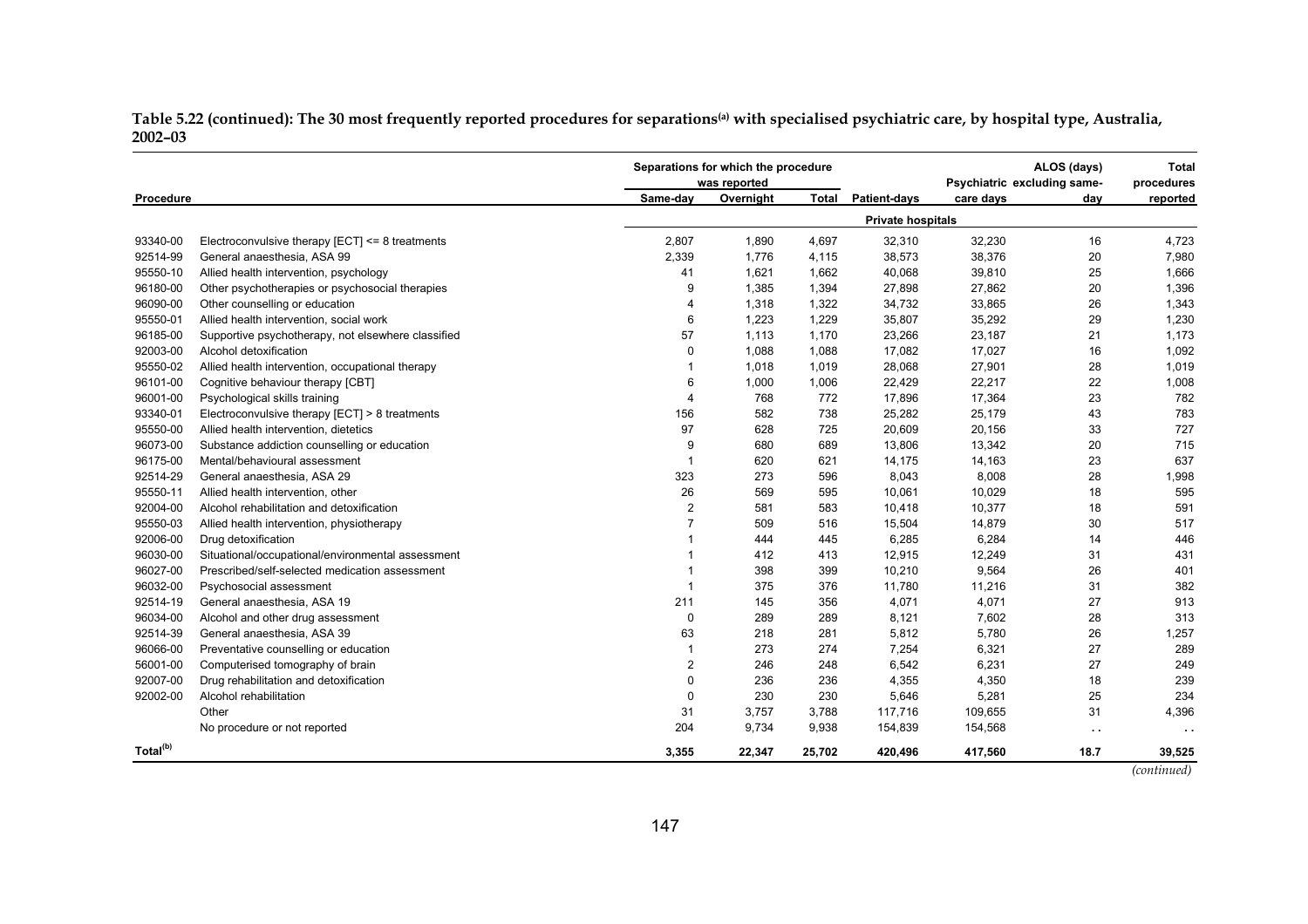Table 5.22 (continued): The 30 most frequently reported procedures for separations<sup>(a)</sup> with specialised psychiatric care, by hospital type, Australia, **2002–03**

|                      |                                                     |                         | Separations for which the procedure<br>was reported |              |                          | Psychiatric excluding same- | ALOS (days)   | <b>Total</b><br>procedures |
|----------------------|-----------------------------------------------------|-------------------------|-----------------------------------------------------|--------------|--------------------------|-----------------------------|---------------|----------------------------|
| Procedure            |                                                     | Same-day                | Overnight                                           | <b>Total</b> | <b>Patient-days</b>      | care days                   | day           | reported                   |
|                      |                                                     |                         |                                                     |              | <b>Private hospitals</b> |                             |               |                            |
| 93340-00             | Electroconvulsive therapy $[ECT] \leq 8$ treatments | 2,807                   | 1,890                                               | 4,697        | 32,310                   | 32,230                      | 16            | 4,723                      |
| 92514-99             | General anaesthesia, ASA 99                         | 2,339                   | 1,776                                               | 4,115        | 38,573                   | 38,376                      | 20            | 7,980                      |
| 95550-10             | Allied health intervention, psychology              | 41                      | 1,621                                               | 1,662        | 40,068                   | 39,810                      | 25            | 1,666                      |
| 96180-00             | Other psychotherapies or psychosocial therapies     | 9                       | 1,385                                               | 1,394        | 27,898                   | 27,862                      | 20            | 1,396                      |
| 96090-00             | Other counselling or education                      | $\overline{4}$          | 1,318                                               | 1,322        | 34,732                   | 33,865                      | 26            | 1,343                      |
| 95550-01             | Allied health intervention, social work             | 6                       | 1,223                                               | 1,229        | 35,807                   | 35,292                      | 29            | 1,230                      |
| 96185-00             | Supportive psychotherapy, not elsewhere classified  | 57                      | 1,113                                               | 1,170        | 23,266                   | 23,187                      | 21            | 1,173                      |
| 92003-00             | Alcohol detoxification                              | $\mathbf 0$             | 1,088                                               | 1,088        | 17,082                   | 17,027                      | 16            | 1,092                      |
| 95550-02             | Allied health intervention, occupational therapy    | -1                      | 1,018                                               | 1,019        | 28,068                   | 27,901                      | 28            | 1,019                      |
| 96101-00             | Cognitive behaviour therapy [CBT]                   | 6                       | 1,000                                               | 1,006        | 22,429                   | 22,217                      | 22            | 1,008                      |
| 96001-00             | Psychological skills training                       | $\overline{4}$          | 768                                                 | 772          | 17,896                   | 17,364                      | 23            | 782                        |
| 93340-01             | Electroconvulsive therapy [ECT] > 8 treatments      | 156                     | 582                                                 | 738          | 25,282                   | 25,179                      | 43            | 783                        |
| 95550-00             | Allied health intervention, dietetics               | 97                      | 628                                                 | 725          | 20,609                   | 20,156                      | 33            | 727                        |
| 96073-00             | Substance addiction counselling or education        | 9                       | 680                                                 | 689          | 13,806                   | 13,342                      | 20            | 715                        |
| 96175-00             | Mental/behavioural assessment                       | $\overline{\mathbf{1}}$ | 620                                                 | 621          | 14,175                   | 14,163                      | 23            | 637                        |
| 92514-29             | General anaesthesia, ASA 29                         | 323                     | 273                                                 | 596          | 8,043                    | 8,008                       | 28            | 1,998                      |
| 95550-11             | Allied health intervention, other                   | 26                      | 569                                                 | 595          | 10,061                   | 10,029                      | 18            | 595                        |
| 92004-00             | Alcohol rehabilitation and detoxification           | $\overline{2}$          | 581                                                 | 583          | 10,418                   | 10,377                      | 18            | 591                        |
| 95550-03             | Allied health intervention, physiotherapy           | $\overline{7}$          | 509                                                 | 516          | 15,504                   | 14,879                      | 30            | 517                        |
| 92006-00             | Drug detoxification                                 |                         | 444                                                 | 445          | 6,285                    | 6,284                       | 14            | 446                        |
| 96030-00             | Situational/occupational/environmental assessment   |                         | 412                                                 | 413          | 12,915                   | 12,249                      | 31            | 431                        |
| 96027-00             | Prescribed/self-selected medication assessment      |                         | 398                                                 | 399          | 10,210                   | 9,564                       | 26            | 401                        |
| 96032-00             | Psychosocial assessment                             |                         | 375                                                 | 376          | 11,780                   | 11,216                      | 31            | 382                        |
| 92514-19             | General anaesthesia, ASA 19                         | 211                     | 145                                                 | 356          | 4,071                    | 4,071                       | 27            | 913                        |
| 96034-00             | Alcohol and other drug assessment                   | $\mathbf 0$             | 289                                                 | 289          | 8,121                    | 7,602                       | 28            | 313                        |
| 92514-39             | General anaesthesia, ASA 39                         | 63                      | 218                                                 | 281          | 5,812                    | 5,780                       | 26            | 1,257                      |
| 96066-00             | Preventative counselling or education               | -1                      | 273                                                 | 274          | 7,254                    | 6,321                       | 27            | 289                        |
| 56001-00             | Computerised tomography of brain                    | $\overline{2}$          | 246                                                 | 248          | 6,542                    | 6,231                       | 27            | 249                        |
| 92007-00             | Drug rehabilitation and detoxification              | $\mathbf 0$             | 236                                                 | 236          | 4,355                    | 4,350                       | 18            | 239                        |
| 92002-00             | Alcohol rehabilitation                              | $\mathbf 0$             | 230                                                 | 230          | 5,646                    | 5,281                       | 25            | 234                        |
|                      | Other                                               | 31                      | 3,757                                               | 3,788        | 117,716                  | 109,655                     | 31            | 4,396                      |
|                      | No procedure or not reported                        | 204                     | 9,734                                               | 9,938        | 154,839                  | 154,568                     | $\sim$ $\sim$ | $\sim$ $\sim$              |
| Total <sup>(b)</sup> |                                                     | 3,355                   | 22,347                                              | 25,702       | 420,496                  | 417,560                     | 18.7          | 39,525                     |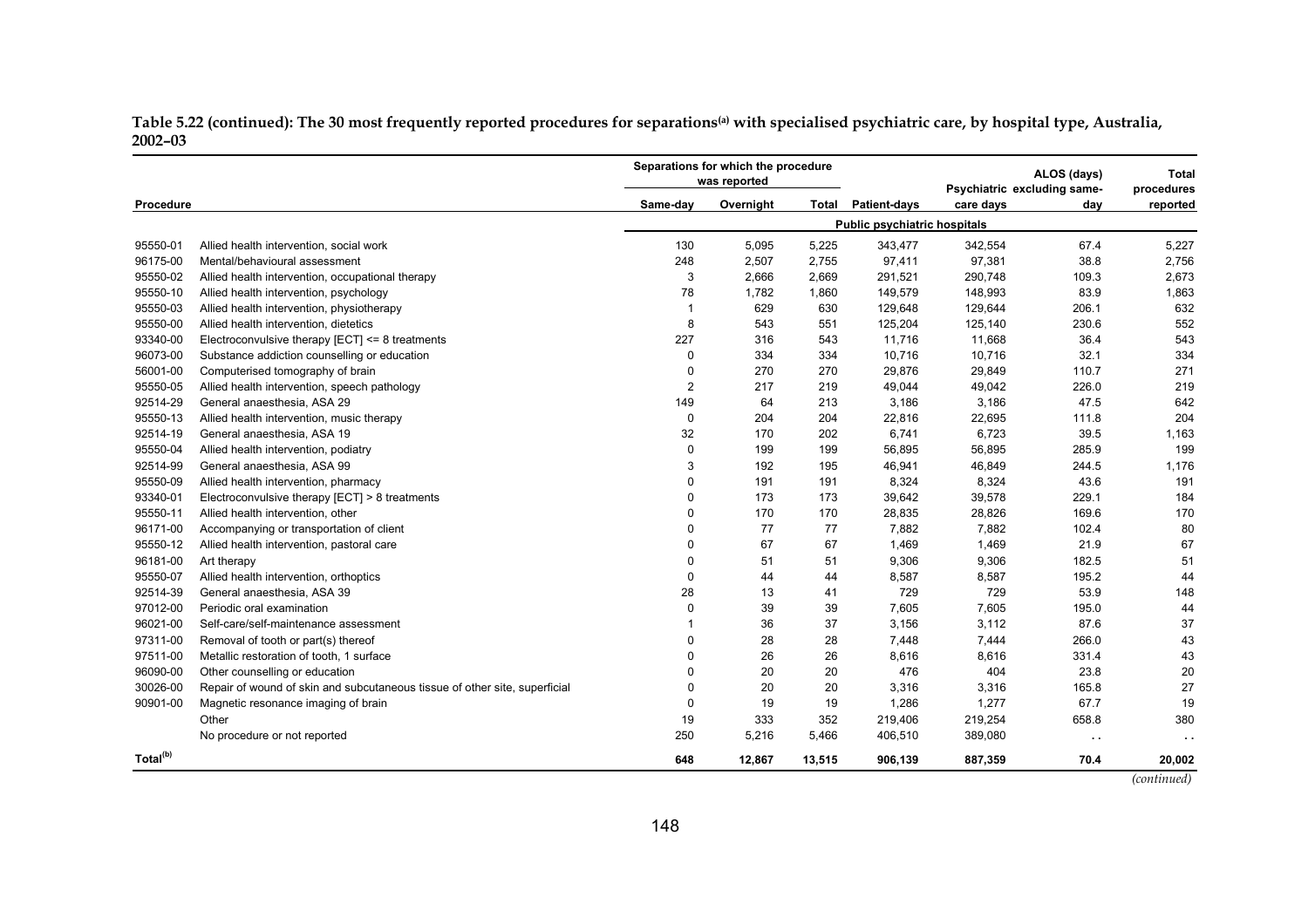Table 5.22 (continued): The 30 most frequently reported procedures for separations<sup>(a)</sup> with specialised psychiatric care, by hospital type, Australia, **2002–03**

|                      |                                                                            | Separations for which the procedure<br>ALOS (days)<br>was reported<br>Psychiatric excluding same- |           |        |                                     |           |        |            |
|----------------------|----------------------------------------------------------------------------|---------------------------------------------------------------------------------------------------|-----------|--------|-------------------------------------|-----------|--------|------------|
|                      |                                                                            |                                                                                                   |           |        |                                     |           |        | procedures |
| <b>Procedure</b>     |                                                                            | Same-day                                                                                          | Overnight | Total  | <b>Patient-days</b>                 | care days | day    | reported   |
|                      |                                                                            |                                                                                                   |           |        | <b>Public psychiatric hospitals</b> |           |        |            |
| 95550-01             | Allied health intervention, social work                                    | 130                                                                                               | 5,095     | 5,225  | 343,477                             | 342,554   | 67.4   | 5,227      |
| 96175-00             | Mental/behavioural assessment                                              | 248                                                                                               | 2,507     | 2,755  | 97,411                              | 97,381    | 38.8   | 2,756      |
| 95550-02             | Allied health intervention, occupational therapy                           | 3                                                                                                 | 2,666     | 2,669  | 291,521                             | 290,748   | 109.3  | 2,673      |
| 95550-10             | Allied health intervention, psychology                                     | 78                                                                                                | 1,782     | 1,860  | 149,579                             | 148,993   | 83.9   | 1,863      |
| 95550-03             | Allied health intervention, physiotherapy                                  | -1                                                                                                | 629       | 630    | 129,648                             | 129,644   | 206.1  | 632        |
| 95550-00             | Allied health intervention, dietetics                                      | 8                                                                                                 | 543       | 551    | 125,204                             | 125,140   | 230.6  | 552        |
| 93340-00             | Electroconvulsive therapy $[ECT] \leq 8$ treatments                        | 227                                                                                               | 316       | 543    | 11,716                              | 11,668    | 36.4   | 543        |
| 96073-00             | Substance addiction counselling or education                               | $\mathbf 0$                                                                                       | 334       | 334    | 10,716                              | 10,716    | 32.1   | 334        |
| 56001-00             | Computerised tomography of brain                                           | $\mathbf 0$                                                                                       | 270       | 270    | 29,876                              | 29,849    | 110.7  | 271        |
| 95550-05             | Allied health intervention, speech pathology                               | $\overline{2}$                                                                                    | 217       | 219    | 49,044                              | 49,042    | 226.0  | 219        |
| 92514-29             | General anaesthesia, ASA 29                                                | 149                                                                                               | 64        | 213    | 3,186                               | 3,186     | 47.5   | 642        |
| 95550-13             | Allied health intervention, music therapy                                  | $\mathbf 0$                                                                                       | 204       | 204    | 22,816                              | 22,695    | 111.8  | 204        |
| 92514-19             | General anaesthesia, ASA 19                                                | 32                                                                                                | 170       | 202    | 6,741                               | 6,723     | 39.5   | 1,163      |
| 95550-04             | Allied health intervention, podiatry                                       | $\mathbf 0$                                                                                       | 199       | 199    | 56,895                              | 56,895    | 285.9  | 199        |
| 92514-99             | General anaesthesia, ASA 99                                                | 3                                                                                                 | 192       | 195    | 46,941                              | 46,849    | 244.5  | 1,176      |
| 95550-09             | Allied health intervention, pharmacy                                       | $\mathbf{0}$                                                                                      | 191       | 191    | 8,324                               | 8,324     | 43.6   | 191        |
| 93340-01             | Electroconvulsive therapy [ECT] > 8 treatments                             | $\mathbf 0$                                                                                       | 173       | 173    | 39,642                              | 39,578    | 229.1  | 184        |
| 95550-11             | Allied health intervention, other                                          | $\mathbf 0$                                                                                       | 170       | 170    | 28,835                              | 28,826    | 169.6  | 170        |
| 96171-00             | Accompanying or transportation of client                                   | 0                                                                                                 | 77        | 77     | 7,882                               | 7,882     | 102.4  | 80         |
| 95550-12             | Allied health intervention, pastoral care                                  | $\mathbf 0$                                                                                       | 67        | 67     | 1,469                               | 1,469     | 21.9   | 67         |
| 96181-00             | Art therapy                                                                | $\mathbf 0$                                                                                       | 51        | 51     | 9,306                               | 9,306     | 182.5  | 51         |
| 95550-07             | Allied health intervention, orthoptics                                     | $\mathbf 0$                                                                                       | 44        | 44     | 8,587                               | 8,587     | 195.2  | 44         |
| 92514-39             | General anaesthesia, ASA 39                                                | 28                                                                                                | 13        | 41     | 729                                 | 729       | 53.9   | 148        |
| 97012-00             | Periodic oral examination                                                  | 0                                                                                                 | 39        | 39     | 7,605                               | 7,605     | 195.0  | 44         |
| 96021-00             | Self-care/self-maintenance assessment                                      |                                                                                                   | 36        | 37     | 3,156                               | 3,112     | 87.6   | 37         |
| 97311-00             | Removal of tooth or part(s) thereof                                        | $\Omega$                                                                                          | 28        | 28     | 7,448                               | 7,444     | 266.0  | 43         |
| 97511-00             | Metallic restoration of tooth, 1 surface                                   | $\mathbf{0}$                                                                                      | 26        | 26     | 8,616                               | 8,616     | 331.4  | 43         |
| 96090-00             | Other counselling or education                                             | $\mathbf{0}$                                                                                      | 20        | 20     | 476                                 | 404       | 23.8   | 20         |
| 30026-00             | Repair of wound of skin and subcutaneous tissue of other site, superficial | $\Omega$                                                                                          | 20        | 20     | 3,316                               | 3,316     | 165.8  | 27         |
| 90901-00             | Magnetic resonance imaging of brain                                        | $\mathbf 0$                                                                                       | 19        | 19     | 1,286                               | 1,277     | 67.7   | 19         |
|                      | Other                                                                      | 19                                                                                                | 333       | 352    | 219,406                             | 219,254   | 658.8  | 380        |
|                      | No procedure or not reported                                               | 250                                                                                               | 5,216     | 5,466  | 406,510                             | 389,080   |        |            |
|                      |                                                                            |                                                                                                   |           |        |                                     |           | $\sim$ | $\sim$     |
| Total <sup>(b)</sup> |                                                                            | 648                                                                                               | 12,867    | 13,515 | 906,139                             | 887,359   | 70.4   | 20,002     |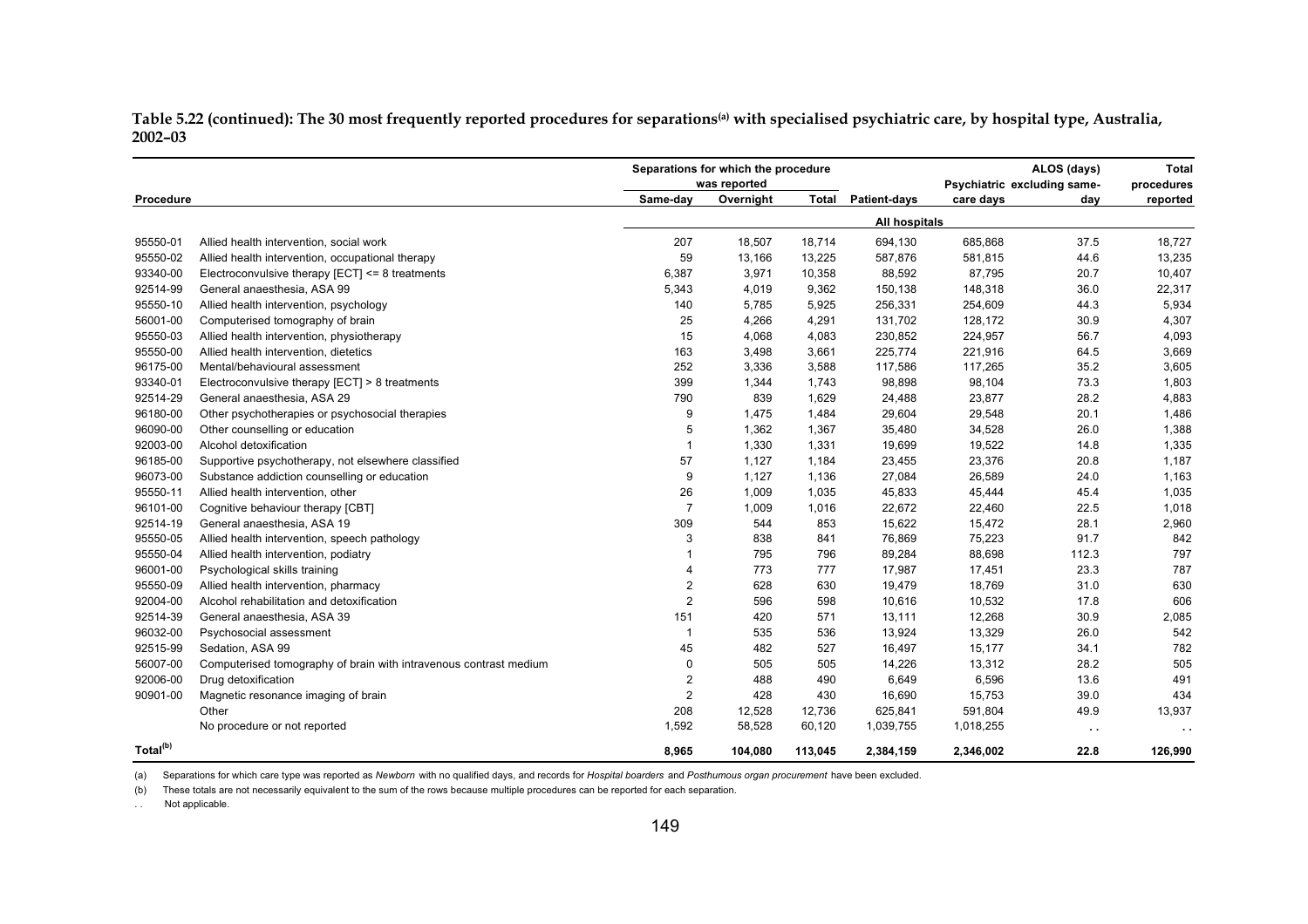Table 5.22 (continued): The 30 most frequently reported procedures for separations<sup>(a)</sup> with specialised psychiatric care, by hospital type, Australia, **2002–03**

|                      |                                                                   |                | Separations for which the procedure<br>was reported |              |                      | ALOS (days)<br>Psychiatric excluding same- |        | <b>Total</b><br>procedures |
|----------------------|-------------------------------------------------------------------|----------------|-----------------------------------------------------|--------------|----------------------|--------------------------------------------|--------|----------------------------|
| Procedure            |                                                                   | Same-day       | Overnight                                           | <b>Total</b> | Patient-days         | care days                                  | day    | reported                   |
|                      |                                                                   |                |                                                     |              | <b>All hospitals</b> |                                            |        |                            |
| 95550-01             | Allied health intervention, social work                           | 207            | 18,507                                              | 18,714       | 694,130              | 685,868                                    | 37.5   | 18,727                     |
| 95550-02             | Allied health intervention, occupational therapy                  | 59             | 13,166                                              | 13,225       | 587,876              | 581,815                                    | 44.6   | 13,235                     |
| 93340-00             | Electroconvulsive therapy $[ECT] \leq 8$ treatments               | 6,387          | 3,971                                               | 10,358       | 88,592               | 87,795                                     | 20.7   | 10,407                     |
| 92514-99             | General anaesthesia, ASA 99                                       | 5,343          | 4,019                                               | 9,362        | 150,138              | 148,318                                    | 36.0   | 22,317                     |
| 95550-10             | Allied health intervention, psychology                            | 140            | 5,785                                               | 5,925        | 256,331              | 254,609                                    | 44.3   | 5,934                      |
| 56001-00             | Computerised tomography of brain                                  | 25             | 4,266                                               | 4,291        | 131,702              | 128,172                                    | 30.9   | 4,307                      |
| 95550-03             | Allied health intervention, physiotherapy                         | 15             | 4,068                                               | 4,083        | 230,852              | 224,957                                    | 56.7   | 4,093                      |
| 95550-00             | Allied health intervention, dietetics                             | 163            | 3,498                                               | 3,661        | 225,774              | 221,916                                    | 64.5   | 3,669                      |
| 96175-00             | Mental/behavioural assessment                                     | 252            | 3,336                                               | 3,588        | 117,586              | 117,265                                    | 35.2   | 3,605                      |
| 93340-01             | Electroconvulsive therapy [ECT] > 8 treatments                    | 399            | 1,344                                               | 1,743        | 98,898               | 98,104                                     | 73.3   | 1,803                      |
| 92514-29             | General anaesthesia, ASA 29                                       | 790            | 839                                                 | 1,629        | 24,488               | 23,877                                     | 28.2   | 4,883                      |
| 96180-00             | Other psychotherapies or psychosocial therapies                   | 9              | 1,475                                               | 1,484        | 29,604               | 29,548                                     | 20.1   | 1,486                      |
| 96090-00             | Other counselling or education                                    | 5              | 1,362                                               | 1,367        | 35,480               | 34,528                                     | 26.0   | 1,388                      |
| 92003-00             | Alcohol detoxification                                            | $\overline{1}$ | 1,330                                               | 1,331        | 19,699               | 19,522                                     | 14.8   | 1,335                      |
| 96185-00             | Supportive psychotherapy, not elsewhere classified                | 57             | 1,127                                               | 1,184        | 23,455               | 23,376                                     | 20.8   | 1,187                      |
| 96073-00             | Substance addiction counselling or education                      | 9              | 1,127                                               | 1,136        | 27,084               | 26,589                                     | 24.0   | 1,163                      |
| 95550-11             | Allied health intervention, other                                 | 26             | 1,009                                               | 1,035        | 45,833               | 45,444                                     | 45.4   | 1,035                      |
| 96101-00             | Cognitive behaviour therapy [CBT]                                 | $\overline{7}$ | 1,009                                               | 1,016        | 22,672               | 22,460                                     | 22.5   | 1,018                      |
| 92514-19             | General anaesthesia, ASA 19                                       | 309            | 544                                                 | 853          | 15,622               | 15,472                                     | 28.1   | 2,960                      |
| 95550-05             | Allied health intervention, speech pathology                      | 3              | 838                                                 | 841          | 76,869               | 75,223                                     | 91.7   | 842                        |
| 95550-04             | Allied health intervention, podiatry                              | -1             | 795                                                 | 796          | 89,284               | 88,698                                     | 112.3  | 797                        |
| 96001-00             | Psychological skills training                                     | $\overline{4}$ | 773                                                 | 777          | 17,987               | 17,451                                     | 23.3   | 787                        |
| 95550-09             | Allied health intervention, pharmacy                              | $\overline{2}$ | 628                                                 | 630          | 19,479               | 18,769                                     | 31.0   | 630                        |
| 92004-00             | Alcohol rehabilitation and detoxification                         | $\overline{2}$ | 596                                                 | 598          | 10,616               | 10,532                                     | 17.8   | 606                        |
| 92514-39             | General anaesthesia, ASA 39                                       | 151            | 420                                                 | 571          | 13,111               | 12,268                                     | 30.9   | 2,085                      |
| 96032-00             | Psychosocial assessment                                           | $\mathbf{1}$   | 535                                                 | 536          | 13,924               | 13,329                                     | 26.0   | 542                        |
| 92515-99             | Sedation, ASA 99                                                  | 45             | 482                                                 | 527          | 16,497               | 15,177                                     | 34.1   | 782                        |
| 56007-00             | Computerised tomography of brain with intravenous contrast medium | $\Omega$       | 505                                                 | 505          | 14,226               | 13,312                                     | 28.2   | 505                        |
| 92006-00             | Drug detoxification                                               | $\overline{2}$ | 488                                                 | 490          | 6,649                | 6,596                                      | 13.6   | 491                        |
| 90901-00             | Magnetic resonance imaging of brain                               | $\overline{2}$ | 428                                                 | 430          | 16,690               | 15,753                                     | 39.0   | 434                        |
|                      | Other                                                             | 208            | 12,528                                              | 12,736       | 625,841              | 591,804                                    | 49.9   | 13,937                     |
|                      | No procedure or not reported                                      | 1,592          | 58,528                                              | 60,120       | 1,039,755            | 1,018,255                                  | $\sim$ | $\sim$                     |
| Total <sup>(b)</sup> |                                                                   | 8,965          | 104,080                                             | 113,045      | 2,384,159            | 2,346,002                                  | 22.8   | 126,990                    |

(a) Separations for which care type was reported as *Newborn* with no qualified days, and records for *Hospital boarders* and *Posthumous organ procurement* have been excluded.

(b) These totals are not necessarily equivalent to the sum of the rows because multiple procedures can be reported for each separation.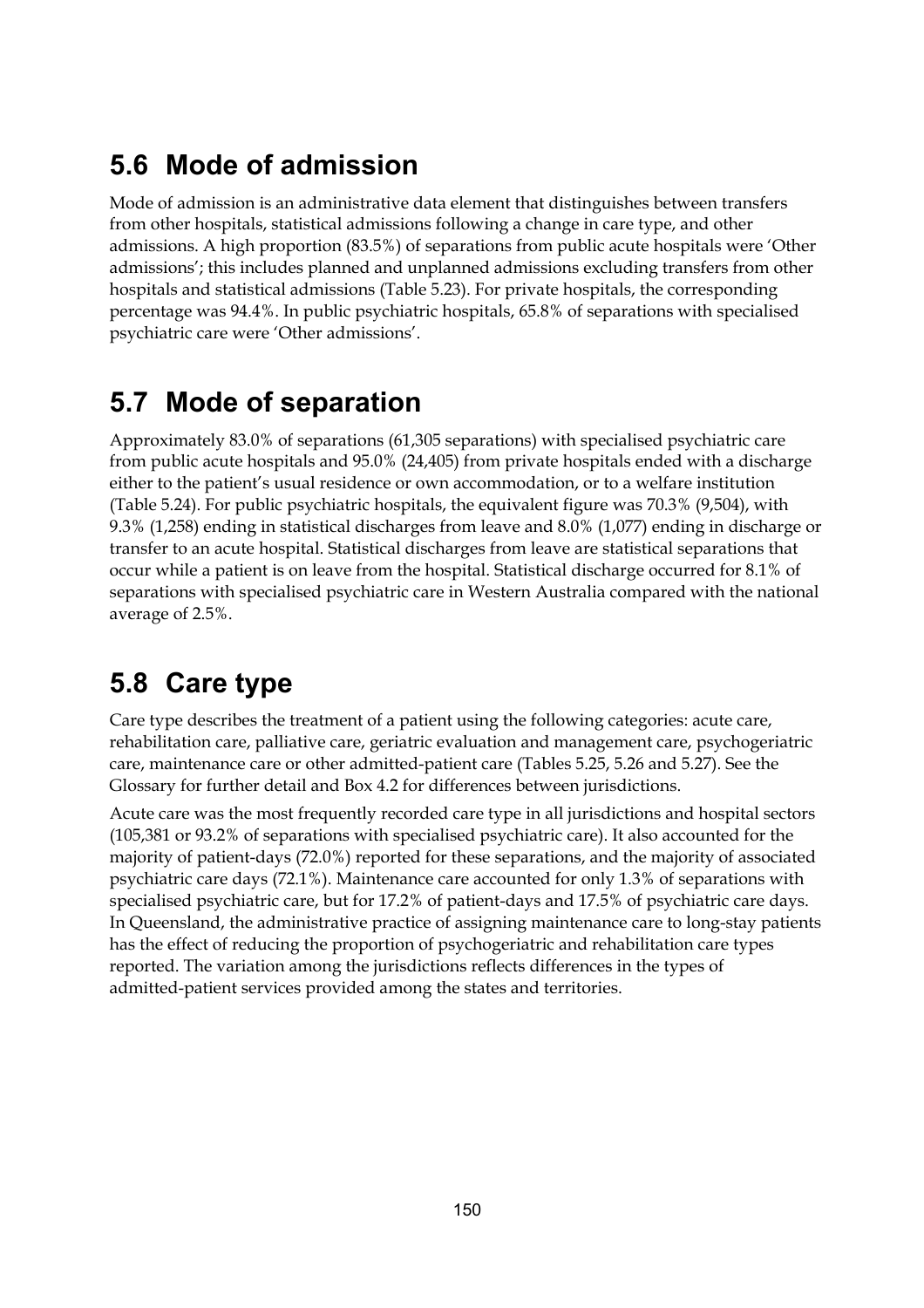## **5.6 Mode of admission**

Mode of admission is an administrative data element that distinguishes between transfers from other hospitals, statistical admissions following a change in care type, and other admissions. A high proportion (83.5%) of separations from public acute hospitals were 'Other admissions'; this includes planned and unplanned admissions excluding transfers from other hospitals and statistical admissions (Table 5.23). For private hospitals, the corresponding percentage was 94.4%. In public psychiatric hospitals, 65.8% of separations with specialised psychiatric care were 'Other admissions'.

# **5.7 Mode of separation**

Approximately 83.0% of separations (61,305 separations) with specialised psychiatric care from public acute hospitals and 95.0% (24,405) from private hospitals ended with a discharge either to the patient's usual residence or own accommodation, or to a welfare institution (Table 5.24). For public psychiatric hospitals, the equivalent figure was 70.3% (9,504), with 9.3% (1,258) ending in statistical discharges from leave and 8.0% (1,077) ending in discharge or transfer to an acute hospital. Statistical discharges from leave are statistical separations that occur while a patient is on leave from the hospital. Statistical discharge occurred for 8.1% of separations with specialised psychiatric care in Western Australia compared with the national average of 2.5%.

# **5.8 Care type**

Care type describes the treatment of a patient using the following categories: acute care, rehabilitation care, palliative care, geriatric evaluation and management care, psychogeriatric care, maintenance care or other admitted-patient care (Tables 5.25, 5.26 and 5.27). See the Glossary for further detail and Box 4.2 for differences between jurisdictions.

Acute care was the most frequently recorded care type in all jurisdictions and hospital sectors (105,381 or 93.2% of separations with specialised psychiatric care). It also accounted for the majority of patient-days (72.0%) reported for these separations, and the majority of associated psychiatric care days (72.1%). Maintenance care accounted for only 1.3% of separations with specialised psychiatric care, but for 17.2% of patient-days and 17.5% of psychiatric care days. In Queensland, the administrative practice of assigning maintenance care to long-stay patients has the effect of reducing the proportion of psychogeriatric and rehabilitation care types reported. The variation among the jurisdictions reflects differences in the types of admitted-patient services provided among the states and territories.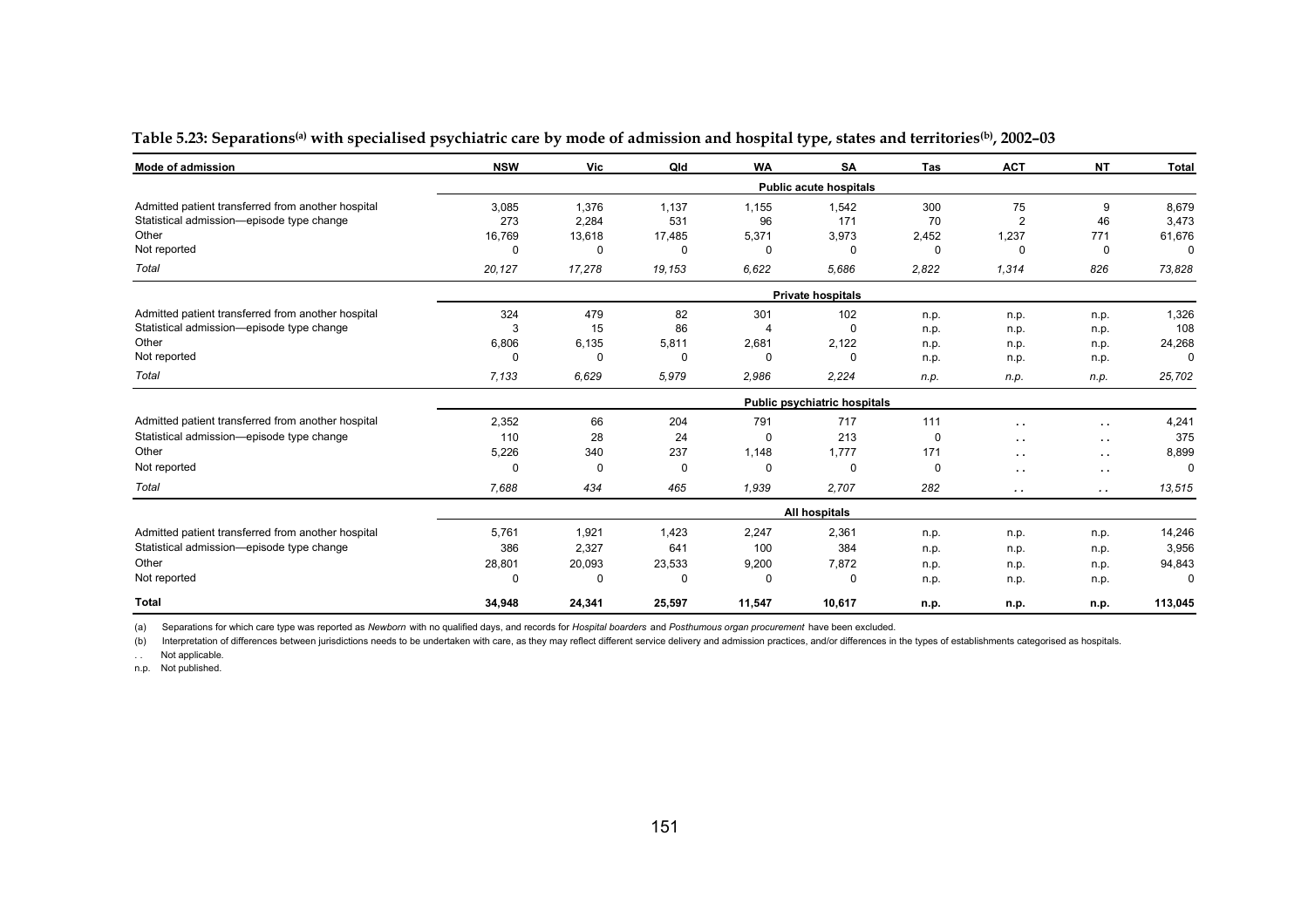| <b>Mode of admission</b>                           | <b>NSW</b>                   | Vic      | Qld         | <b>WA</b> | <b>SA</b>                     | Tas   | <b>ACT</b>           | <b>NT</b>            | <b>Total</b> |  |  |  |
|----------------------------------------------------|------------------------------|----------|-------------|-----------|-------------------------------|-------|----------------------|----------------------|--------------|--|--|--|
|                                                    |                              |          |             |           | <b>Public acute hospitals</b> |       |                      |                      |              |  |  |  |
| Admitted patient transferred from another hospital | 3,085                        | 1,376    | 1,137       | 1,155     | 1,542                         | 300   | 75                   | 9                    | 8,679        |  |  |  |
| Statistical admission-episode type change          | 273                          | 2,284    | 531         | 96        | 171                           | 70    | 2                    | 46                   | 3,473        |  |  |  |
| Other                                              | 16,769                       | 13,618   | 17,485      | 5,371     | 3,973                         | 2,452 | 1,237                | 771                  | 61,676       |  |  |  |
| Not reported                                       | $\Omega$                     | O        | 0           | $\Omega$  | 0                             | 0     | $\Omega$             | $\mathbf 0$          | $\Omega$     |  |  |  |
| Total                                              | 20,127                       | 17,278   | 19,153      | 6.622     | 5.686                         | 2,822 | 1,314                | 826                  | 73,828       |  |  |  |
|                                                    |                              |          |             |           | <b>Private hospitals</b>      |       |                      |                      |              |  |  |  |
| Admitted patient transferred from another hospital | 324                          | 479      | 82          | 301       | 102                           | n.p.  | n.p.                 | n.p.                 | 1,326        |  |  |  |
| Statistical admission-episode type change          | 3                            | 15       | 86          |           | 0                             | n.p.  | n.p.                 | n.p.                 | 108          |  |  |  |
| Other                                              | 6,806                        | 6,135    | 5,811       | 2,681     | 2,122                         | n.p.  | n.p.                 | n.p.                 | 24,268       |  |  |  |
| Not reported                                       | $\Omega$                     | $\Omega$ | 0           | $\Omega$  | 0                             | n.p.  | n.p.                 | n.p.                 | $\Omega$     |  |  |  |
| Total                                              | 7.133                        | 6.629    | 5.979       | 2.986     | 2.224                         | n.p.  | n.p.                 | n.p.                 | 25,702       |  |  |  |
|                                                    | Public psychiatric hospitals |          |             |           |                               |       |                      |                      |              |  |  |  |
| Admitted patient transferred from another hospital | 2,352                        | 66       | 204         | 791       | 717                           | 111   | $\ddot{\phantom{1}}$ | $\ddot{\phantom{1}}$ | 4,241        |  |  |  |
| Statistical admission-episode type change          | 110                          | 28       | 24          | $\Omega$  | 213                           | 0     | $\ddot{\phantom{1}}$ | $\ddot{\phantom{1}}$ | 375          |  |  |  |
| Other                                              | 5,226                        | 340      | 237         | 1,148     | 1,777                         | 171   | $\sim$ $\sim$        | $\ddot{\phantom{1}}$ | 8,899        |  |  |  |
| Not reported                                       | $\Omega$                     | $\Omega$ | $\mathbf 0$ | $\Omega$  | $\mathbf 0$                   | 0     | $\ddot{\phantom{1}}$ | $\ddot{\phantom{1}}$ | $\Omega$     |  |  |  |
| Total                                              | 7,688                        | 434      | 465         | 1,939     | 2,707                         | 282   | $\cdot$ .            | $\sim$ $\sim$        | 13,515       |  |  |  |
|                                                    |                              |          |             |           | All hospitals                 |       |                      |                      |              |  |  |  |
| Admitted patient transferred from another hospital | 5,761                        | 1,921    | 1,423       | 2,247     | 2,361                         | n.p.  | n.p.                 | n.p.                 | 14,246       |  |  |  |
| Statistical admission-episode type change          | 386                          | 2,327    | 641         | 100       | 384                           | n.p.  | n.p.                 | n.p.                 | 3,956        |  |  |  |
| Other                                              | 28,801                       | 20,093   | 23,533      | 9,200     | 7,872                         | n.p.  | n.p.                 | n.p.                 | 94,843       |  |  |  |
| Not reported                                       | $\Omega$                     | 0        | $\Omega$    | $\Omega$  | $\mathbf 0$                   | n.p.  | n.p.                 | n.p.                 | $^{\circ}$   |  |  |  |
| <b>Total</b>                                       | 34,948                       | 24,341   | 25,597      | 11,547    | 10,617                        | n.p.  | n.p.                 | n.p.                 | 113,045      |  |  |  |

#### Table 5.23: Separations<sup>(a)</sup> with specialised psychiatric care by mode of admission and hospital type, states and territories<sup>(b)</sup>, 2002-03

(a) Separations for which care type was reported as *Newborn* with no qualified days, and records for *Hospital boarders* and *Posthumous organ procurement* have been excluded.

(b) Interpretation of differences between jurisdictions needs to be undertaken with care, as they may reflect different service delivery and admission practices, and/or differences in the types of establishments categorise

. . Not applicable.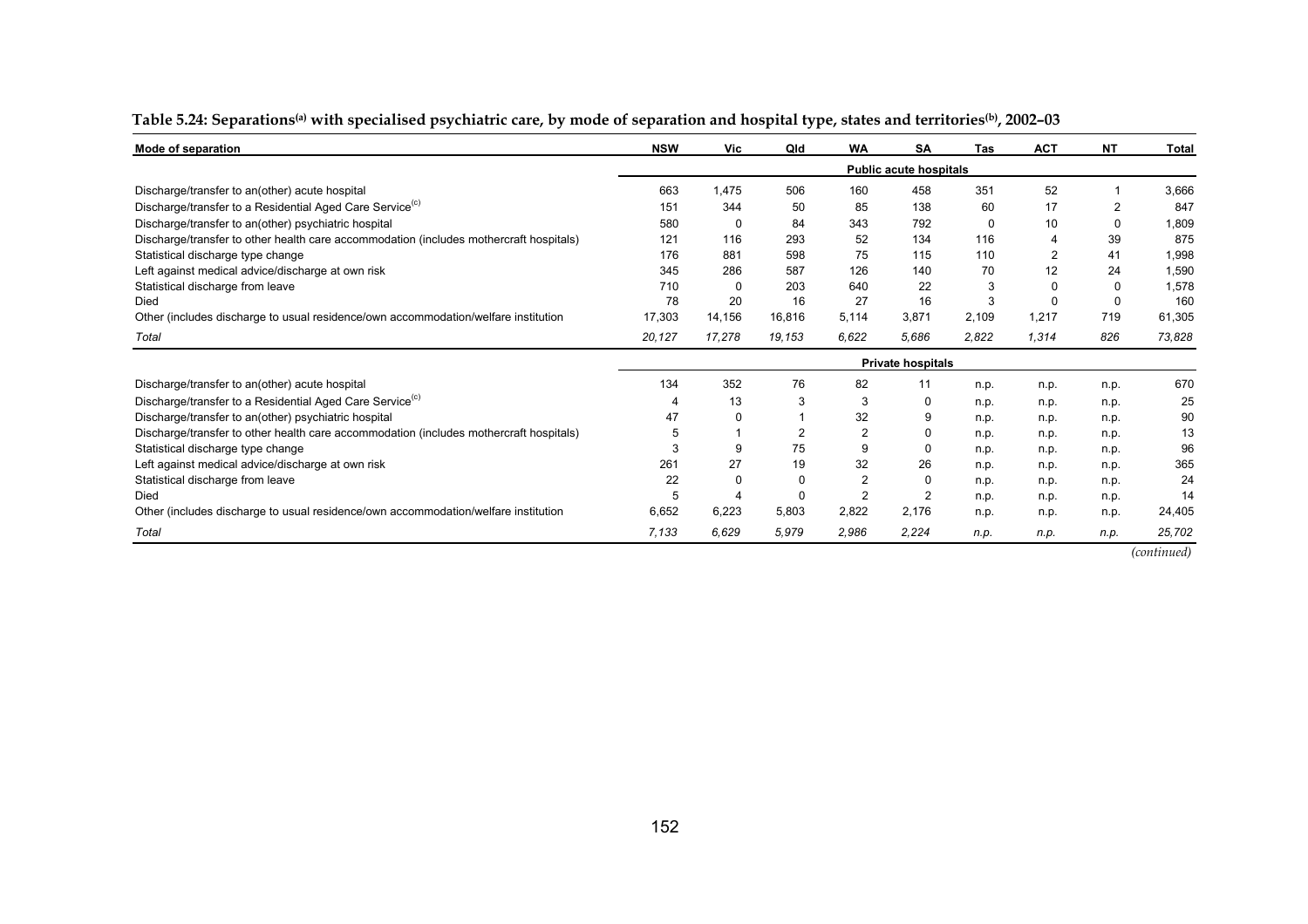| Mode of separation                                                                     | <b>NSW</b> | <b>Vic</b> | Qld    | <b>WA</b> | <b>SA</b>                     | Tas      | <b>ACT</b> | <b>NT</b>      | Total  |
|----------------------------------------------------------------------------------------|------------|------------|--------|-----------|-------------------------------|----------|------------|----------------|--------|
|                                                                                        |            |            |        |           | <b>Public acute hospitals</b> |          |            |                |        |
| Discharge/transfer to an(other) acute hospital                                         | 663        | 1.475      | 506    | 160       | 458                           | 351      | 52         |                | 3,666  |
| Discharge/transfer to a Residential Aged Care Service <sup>(c)</sup>                   | 151        | 344        | 50     | 85        | 138                           | 60       | 17         | $\overline{2}$ | 847    |
| Discharge/transfer to an(other) psychiatric hospital                                   | 580        | 0          | 84     | 343       | 792                           | $\Omega$ | 10         | $\Omega$       | 1,809  |
| Discharge/transfer to other health care accommodation (includes mothercraft hospitals) | 121        | 116        | 293    | 52        | 134                           | 116      | 4          | 39             | 875    |
| Statistical discharge type change                                                      | 176        | 881        | 598    | 75        | 115                           | 110      | 2          | 41             | 1,998  |
| Left against medical advice/discharge at own risk                                      | 345        | 286        | 587    | 126       | 140                           | 70       | 12         | 24             | 1,590  |
| Statistical discharge from leave                                                       | 710        | 0          | 203    | 640       | 22                            | 3        | 0          | 0              | 1,578  |
| Died                                                                                   | 78         | 20         | 16     | 27        | 16                            | 3        | 0          | $\Omega$       | 160    |
| Other (includes discharge to usual residence/own accommodation/welfare institution     | 17,303     | 14,156     | 16,816 | 5,114     | 3.871                         | 2,109    | 1,217      | 719            | 61,305 |
| Total                                                                                  | 20,127     | 17,278     | 19.153 | 6.622     | 5.686                         | 2,822    | 1.314      | 826            | 73,828 |
|                                                                                        |            |            |        |           | <b>Private hospitals</b>      |          |            |                |        |
| Discharge/transfer to an(other) acute hospital                                         | 134        | 352        | 76     | 82        | 11                            | n.p.     | n.p.       | n.p.           | 670    |
| Discharge/transfer to a Residential Aged Care Service <sup>(C)</sup>                   |            | 13         | 3      | 3         | 0                             | n.p.     | n.p.       | n.p.           | 25     |
| Discharge/transfer to an(other) psychiatric hospital                                   | 47         | 0          |        | 32        | 9                             | n.p.     | n.p.       | n.p.           | 90     |
| Discharge/transfer to other health care accommodation (includes mothercraft hospitals) | 5          |            |        |           | $\Omega$                      | n.p.     | n.p.       | n.p.           | 13     |
| Statistical discharge type change                                                      |            | 9          | 75     | 9         | $\Omega$                      | n.p.     | n.p.       | n.p.           | 96     |
| Left against medical advice/discharge at own risk                                      | 261        | 27         | 19     | 32        | 26                            | n.p.     | n.p.       | n.p.           | 365    |
| Statistical discharge from leave                                                       | 22         | $\Omega$   |        | 2         | <sup>0</sup>                  | n.p.     | n.p.       | n.p.           | 24     |
| Died                                                                                   | 5          |            |        | 2         | $\overline{2}$                | n.p.     | n.p.       | n.p.           | 14     |
| Other (includes discharge to usual residence/own accommodation/welfare institution     | 6,652      | 6,223      | 5,803  | 2,822     | 2,176                         | n.p.     | n.p.       | n.p.           | 24,405 |
| Total                                                                                  | 7.133      | 6.629      | 5,979  | 2,986     | 2.224                         | n.p.     | n.p.       | n.p.           | 25,702 |

#### Table 5.24: Separations<sup>(a)</sup> with specialised psychiatric care, by mode of separation and hospital type, states and territories<sup>(b)</sup>, 2002-03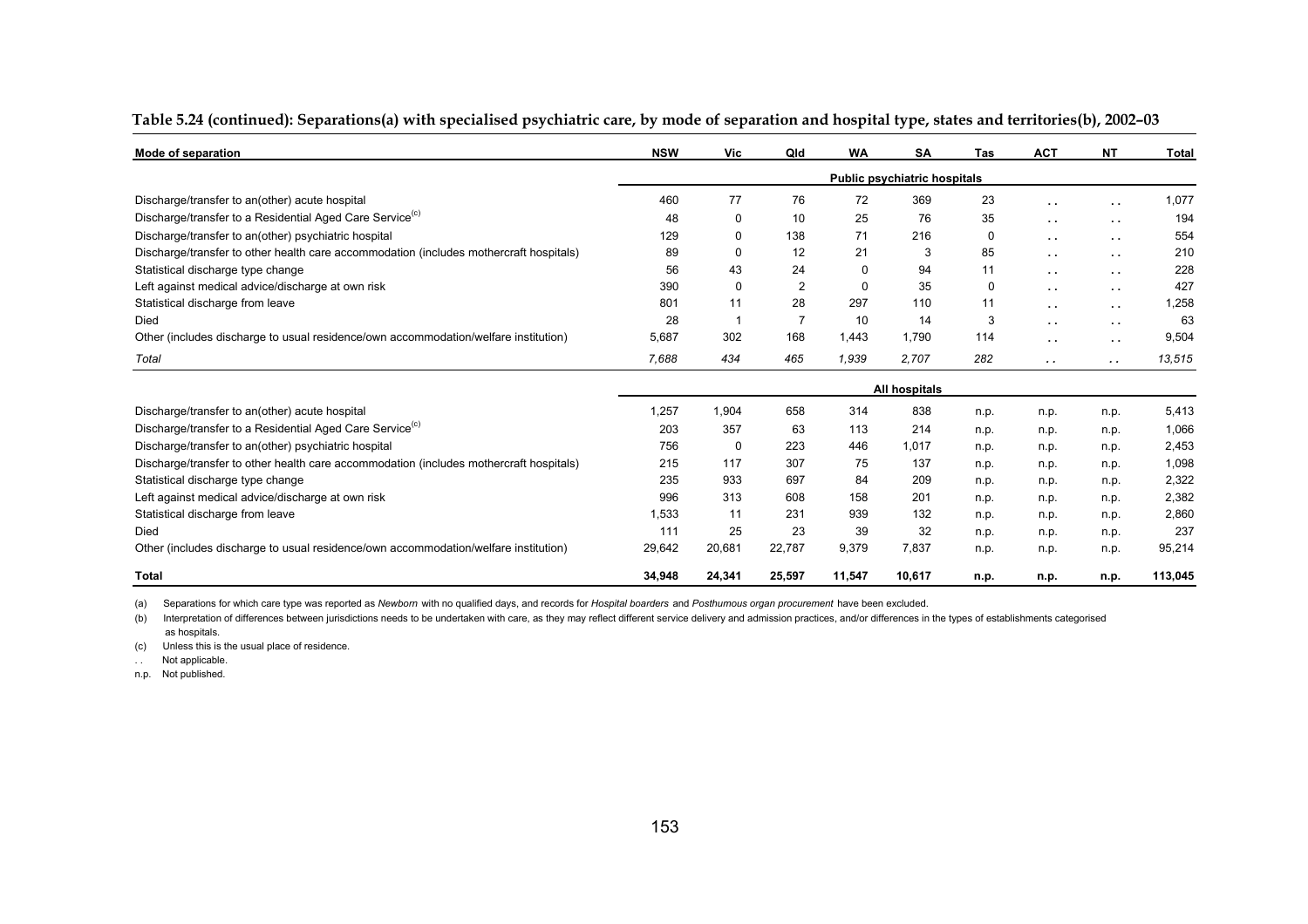| Mode of separation                                                                     | <b>NSW</b>           | Vic            | Qld    | <b>WA</b> | <b>SA</b>                    | <b>Tas</b> | <b>ACT</b>           | <b>NT</b>     | <b>Total</b> |
|----------------------------------------------------------------------------------------|----------------------|----------------|--------|-----------|------------------------------|------------|----------------------|---------------|--------------|
|                                                                                        |                      |                |        |           | Public psychiatric hospitals |            |                      |               |              |
| Discharge/transfer to an(other) acute hospital                                         | 460                  | 77             | 76     | 72        | 369                          | 23         | $\ddot{\phantom{1}}$ | $\sim$ $\sim$ | 1,077        |
| Discharge/transfer to a Residential Aged Care Service <sup>(c)</sup>                   | 48                   | 0              | 10     | 25        | 76                           | 35         | $\ddot{\phantom{a}}$ | $\sim$ $\sim$ | 194          |
| Discharge/transfer to an(other) psychiatric hospital                                   | 129                  | 0              | 138    | 71        | 216                          | 0          | $\ddot{\phantom{1}}$ | $\sim 10$     | 554          |
| Discharge/transfer to other health care accommodation (includes mothercraft hospitals) | 89                   | 0              | 12     | 21        | 3                            | 85         | $\ddot{\phantom{1}}$ | $\sim$ $\sim$ | 210          |
| Statistical discharge type change                                                      | 56                   | 43             | 24     | 0         | 94                           | 11         | $\ddot{\phantom{1}}$ | $\sim$ $\sim$ | 228          |
| Left against medical advice/discharge at own risk                                      | 390                  | 0              | 2      | 0         | 35                           | 0          | $\ddot{\phantom{1}}$ | $\sim$ $\sim$ | 427          |
| Statistical discharge from leave                                                       | 801                  | 11             | 28     | 297       | 110                          | 11         | $\ddot{\phantom{1}}$ | $\sim 10$     | 1,258        |
| Died                                                                                   | 28                   | $\overline{1}$ | 7      | 10        | 14                           | 3          | $\cdot$ .            | $\sim$ $\sim$ | 63           |
| Other (includes discharge to usual residence/own accommodation/welfare institution)    | 5,687                | 302            | 168    | 1.443     | 1.790                        | 114        | $\ddot{\phantom{1}}$ | $\sim$ $\sim$ | 9,504        |
| Total                                                                                  | 7.688                | 434            | 465    | 1,939     | 2.707                        | 282        | $\sim$               | $\cdot$ .     | 13,515       |
|                                                                                        | <b>All hospitals</b> |                |        |           |                              |            |                      |               |              |
| Discharge/transfer to an(other) acute hospital                                         | 1,257                | 1,904          | 658    | 314       | 838                          | n.p.       | n.p.                 | n.p.          | 5,413        |
| Discharge/transfer to a Residential Aged Care Service <sup>(C)</sup>                   | 203                  | 357            | 63     | 113       | 214                          | n.p.       | n.p.                 | n.p.          | 1,066        |
| Discharge/transfer to an(other) psychiatric hospital                                   | 756                  | 0              | 223    | 446       | 1.017                        | n.p.       | n.p.                 | n.p.          | 2,453        |
| Discharge/transfer to other health care accommodation (includes mothercraft hospitals) | 215                  | 117            | 307    | 75        | 137                          | n.p.       | n.p.                 | n.p.          | 1,098        |
| Statistical discharge type change                                                      | 235                  | 933            | 697    | 84        | 209                          | n.p.       | n.p.                 | n.p.          | 2,322        |
| Left against medical advice/discharge at own risk                                      | 996                  | 313            | 608    | 158       | 201                          | n.p.       | n.p.                 | n.p.          | 2,382        |
| Statistical discharge from leave                                                       | 1,533                | 11             | 231    | 939       | 132                          | n.p.       | n.p.                 | n.p.          | 2,860        |
| Died                                                                                   | 111                  | 25             | 23     | 39        | 32                           | n.p.       | n.p.                 | n.p.          | 237          |
| Other (includes discharge to usual residence/own accommodation/welfare institution)    | 29,642               | 20,681         | 22,787 | 9,379     | 7.837                        | n.p.       | n.p.                 | n.p.          | 95,214       |
| <b>Total</b>                                                                           | 34,948               | 24,341         | 25,597 | 11,547    | 10,617                       | n.p.       | n.p.                 | n.p.          | 113,045      |

#### **Table 5.24 (continued): Separations(a) with specialised psychiatric care, by mode of separation and hospital type, states and territories(b), 2002–03**

(a) Separations for which care type was reported as *Newborn* with no qualified days, and records for *Hospital boarders* and *Posthumous organ procurement* have been excluded.

(b) Interpretation of differences between jurisdictions needs to be undertaken with care, as they may reflect different service delivery and admission practices, and/or differences in the types of establishments categorise as hospitals.

(c) Unless this is the usual place of residence.

. . Not applicable.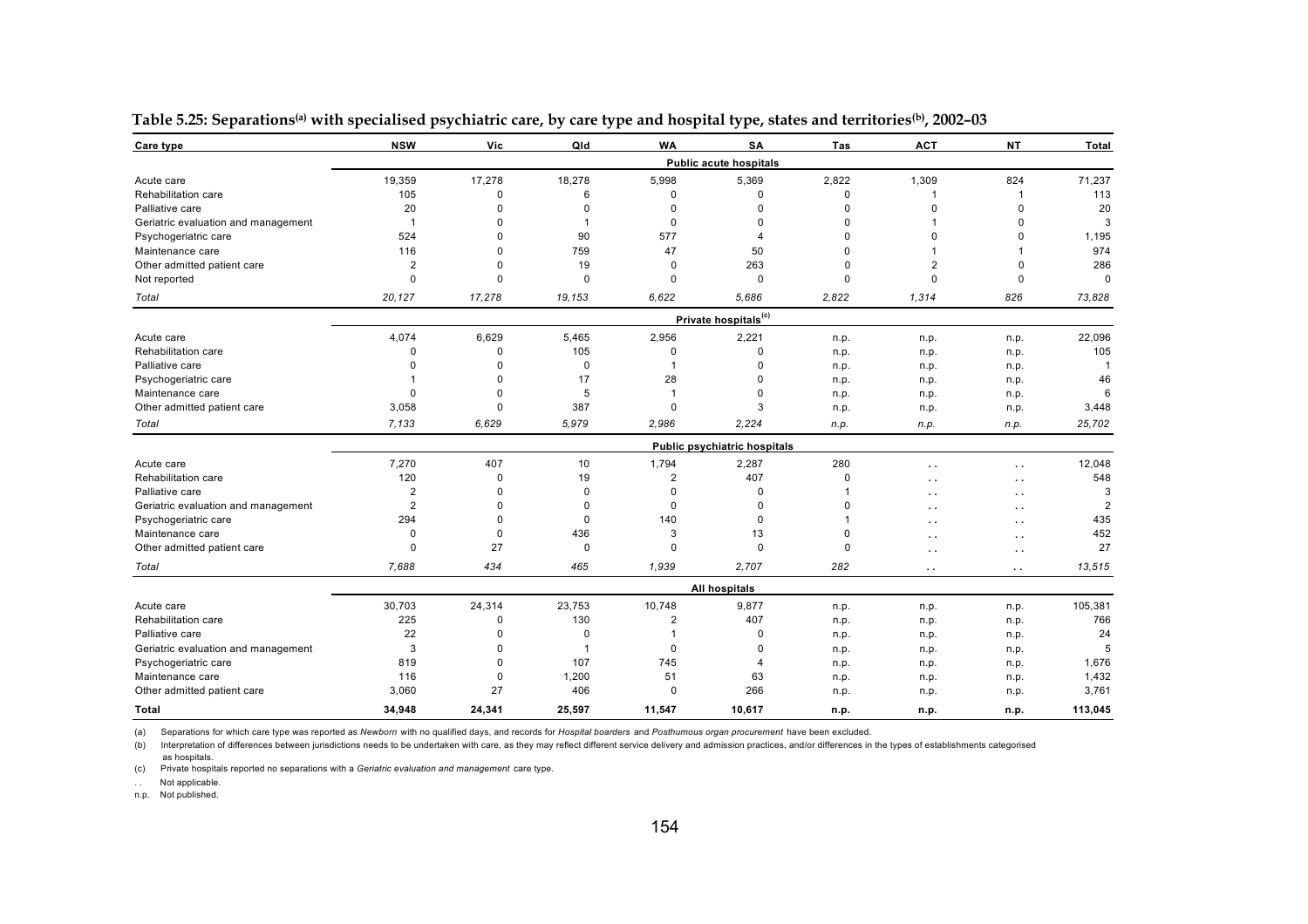| Care type                           | <b>NSW</b>     | Vic         | Qld            | <b>WA</b>      | <b>SA</b>                           | Tas         | <b>ACT</b>           | <b>NT</b>     | Total    |
|-------------------------------------|----------------|-------------|----------------|----------------|-------------------------------------|-------------|----------------------|---------------|----------|
|                                     |                |             |                |                | <b>Public acute hospitals</b>       |             |                      |               |          |
| Acute care                          | 19,359         | 17,278      | 18,278         | 5,998          | 5,369                               | 2,822       | 1,309                | 824           | 71,237   |
| Rehabilitation care                 | 105            | $\Omega$    | 6              | $\mathbf 0$    | $\mathbf 0$                         | 0           | $\overline{1}$       | -1            | 113      |
| Palliative care                     | 20             | $\Omega$    | $\Omega$       | $\Omega$       | $\Omega$                            | $\Omega$    | $\Omega$             | $\Omega$      | 20       |
| Geriatric evaluation and management | $\overline{1}$ | $\mathbf 0$ | $\mathbf{1}$   | $\mathbf 0$    | $\Omega$                            | 0           | $\mathbf{1}$         | 0             |          |
| Psychogeriatric care                | 524            | $\mathbf 0$ | 90             | 577            | 4                                   | O           | $\Omega$             | 0             | 1,195    |
| Maintenance care                    | 116            | $\Omega$    | 759            | 47             | 50                                  | 0           |                      |               | 974      |
| Other admitted patient care         | 2              | $\mathbf 0$ | 19             | $\mathbf 0$    | 263                                 | $\mathbf 0$ | $\overline{2}$       | $\Omega$      | 286      |
| Not reported                        | $\Omega$       | $\Omega$    | $\Omega$       | $\Omega$       | $\Omega$                            | $\Omega$    | $\Omega$             | $\Omega$      | $\Omega$ |
| Total                               | 20,127         | 17,278      | 19.153         | 6.622          | 5.686                               | 2,822       | 1,314                | 826           | 73,828   |
|                                     |                |             |                |                | Private hospitals <sup>(c)</sup>    |             |                      |               |          |
| Acute care                          | 4,074          | 6,629       | 5,465          | 2,956          | 2,221                               | n.p.        | n.p.                 | n.p.          | 22,096   |
| Rehabilitation care                 | 0              | $\mathbf 0$ | 105            | $\mathbf 0$    | $\Omega$                            | n.p.        | n.p.                 | n.p.          | 105      |
| Palliative care                     | O              | $\Omega$    | $\mathbf 0$    | 1              | $\Omega$                            | n.p.        | n.p.                 | n.p.          | -1       |
| Psychogeriatric care                |                | $\Omega$    | 17             | 28             | $\Omega$                            | n.p.        | n.p.                 | n.p.          | 46       |
| Maintenance care                    | 0              | $\Omega$    | 5              | $\mathbf 1$    | $\mathbf{0}$                        | n.p.        | n.p.                 | n.p.          |          |
| Other admitted patient care         | 3,058          | $\Omega$    | 387            | $\mathbf 0$    | 3                                   | n.p.        | n.p.                 | n.p.          | 3,448    |
| Total                               | 7,133          | 6.629       | 5.979          | 2,986          | 2,224                               | n.p.        | n.p.                 | n.p.          | 25,702   |
|                                     |                |             |                |                | <b>Public psychiatric hospitals</b> |             |                      |               |          |
| Acute care                          | 7,270          | 407         | 10             | 1,794          | 2,287                               | 280         | $\ddot{\phantom{0}}$ | $\sim$ $\sim$ | 12,048   |
| Rehabilitation care                 | 120            | $\mathbf 0$ | 19             | $\overline{2}$ | 407                                 | $\mathbf 0$ | $\ddot{\phantom{1}}$ | $\sim$        | 548      |
| Palliative care                     | 2              | $\Omega$    | $\mathbf 0$    | 0              | 0                                   |             | $\ddot{\phantom{1}}$ | $\sim$        |          |
| Geriatric evaluation and management | $\overline{2}$ | $\Omega$    | $\Omega$       | $\Omega$       | $\Omega$                            | O           | $\sim$               | $\sim$        |          |
| Psychogeriatric care                | 294            | $\Omega$    | $\Omega$       | 140            | $\Omega$                            |             | . .                  | $\sim$        | 435      |
| Maintenance care                    | 0              | 0           | 436            | 3              | 13                                  | 0           | $\cdot$ .            | $\sim$        | 452      |
| Other admitted patient care         | $\Omega$       | 27          | $\Omega$       | $\Omega$       | $\Omega$                            | $\Omega$    | $\ddot{\phantom{1}}$ | $\sim$        | 27       |
| Total                               | 7,688          | 434         | 465            | 1,939          | 2,707                               | 282         | . .                  | $\cdot$ .     | 13,515   |
|                                     |                |             |                |                | All hospitals                       |             |                      |               |          |
| Acute care                          | 30,703         | 24,314      | 23,753         | 10,748         | 9,877                               | n.p.        | n.p.                 | n.p.          | 105,381  |
| Rehabilitation care                 | 225            | $\Omega$    | 130            | 2              | 407                                 | n.p.        | n.p.                 | n.p.          | 766      |
| Palliative care                     | 22             | $\Omega$    | $\Omega$       |                | $\mathbf 0$                         | n.p.        | n.p.                 | n.p.          | 24       |
| Geriatric evaluation and management | 3              | $\Omega$    | $\overline{1}$ | $\Omega$       | $\Omega$                            | n.p.        | n.p.                 | n.p.          |          |
| Psychogeriatric care                | 819            | $\Omega$    | 107            | 745            | 4                                   | n.p.        | n.p.                 | n.p.          | 1,676    |
| Maintenance care                    | 116            | $\Omega$    | 1,200          | 51             | 63                                  | n.p.        | n.p.                 | n.p.          | 1,432    |
| Other admitted patient care         | 3,060          | 27          | 406            | $\Omega$       | 266                                 | n.p.        | n.p.                 | n.p.          | 3,761    |
| Total                               | 34,948         | 24,341      | 25,597         | 11,547         | 10,617                              | n.p.        | n.p.                 | n.p.          | 113,045  |

Table 5.25: Separations<sup>(a)</sup> with specialised psychiatric care, by care type and hospital type, states and territories<sup>(b)</sup>, 2002-03

(b) Interpretation of differences between jurisdictions needs to be undertaken with care, as they may reflect different service delivery and admission practices, and/or differences in the types of establishments categorise

as hospitals.

(c) Private hospitals reported no separations with a *Geriatric evaluation and management* care type.

. . Not applicable.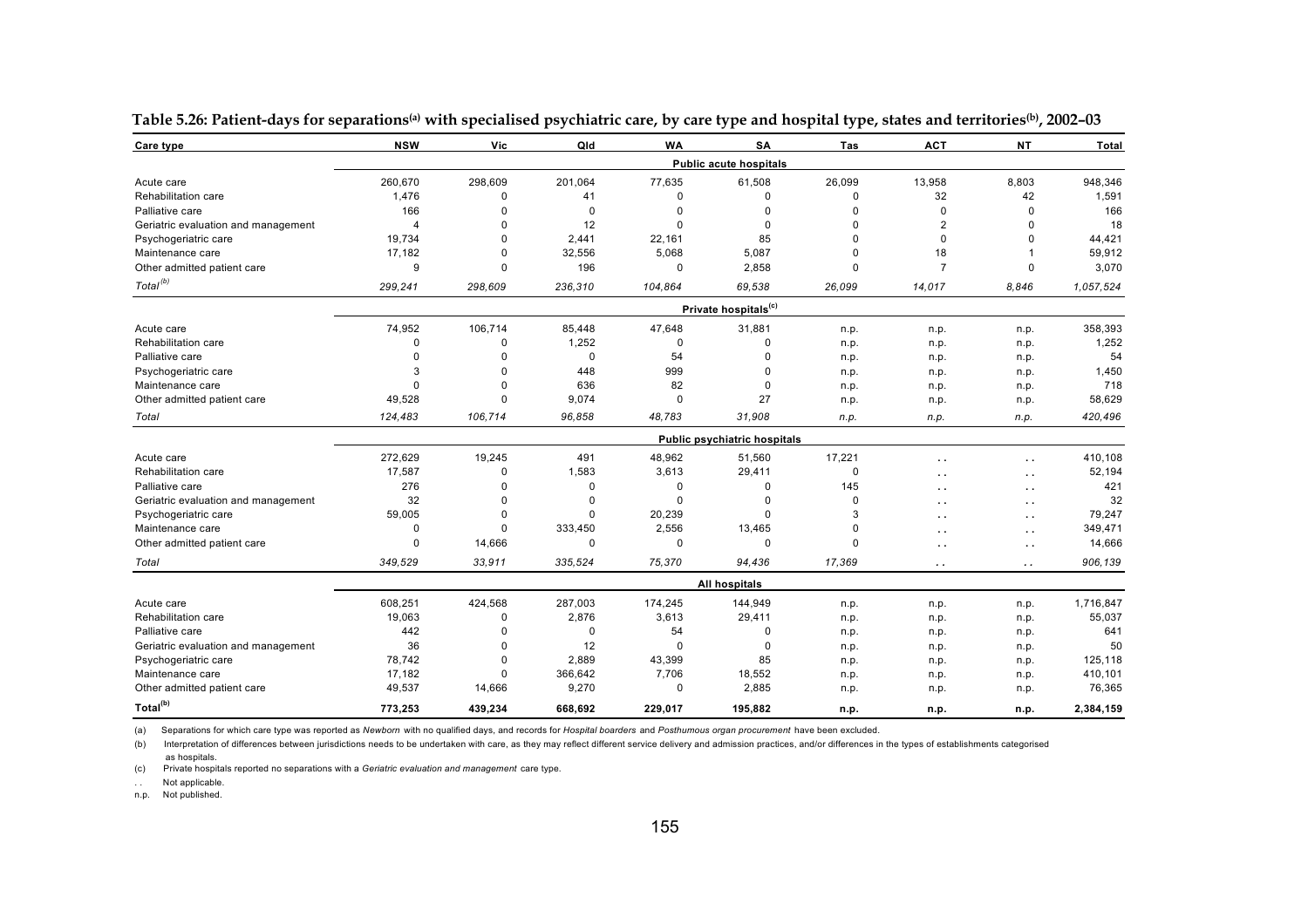| Care type                           | <b>NSW</b>     | Vic         | Old      | <b>WA</b>   | <b>SA</b>                        | Tas      | ACT            | <b>NT</b>            | <b>Total</b> |
|-------------------------------------|----------------|-------------|----------|-------------|----------------------------------|----------|----------------|----------------------|--------------|
|                                     |                |             |          |             | <b>Public acute hospitals</b>    |          |                |                      |              |
| Acute care                          | 260,670        | 298,609     | 201,064  | 77,635      | 61,508                           | 26,099   | 13,958         | 8,803                | 948,346      |
| Rehabilitation care                 | 1,476          | 0           | 41       | $\mathbf 0$ | $\mathbf 0$                      | 0        | 32             | 42                   | 1,591        |
| Palliative care                     | 166            | $\mathbf 0$ | 0        | $\Omega$    | 0                                | $\Omega$ | $\mathbf 0$    | 0                    | 166          |
| Geriatric evaluation and management | $\overline{4}$ | $\Omega$    | 12       | $\Omega$    | $\Omega$                         | $\Omega$ | $\overline{2}$ | 0                    | 18           |
| Psychogeriatric care                | 19,734         | $\Omega$    | 2,441    | 22,161      | 85                               | O        | $\Omega$       | $\Omega$             | 44,421       |
| Maintenance care                    | 17,182         | $\Omega$    | 32,556   | 5,068       | 5,087                            | 0        | 18             |                      | 59,912       |
| Other admitted patient care         | 9              | $\Omega$    | 196      | $\mathbf 0$ | 2,858                            | $\Omega$ | $\overline{7}$ | 0                    | 3,070        |
| Total <sup>(b)</sup>                | 299,241        | 298,609     | 236,310  | 104,864     | 69.538                           | 26,099   | 14,017         | 8.846                | 1.057.524    |
|                                     |                |             |          |             | Private hospitals <sup>(c)</sup> |          |                |                      |              |
| Acute care                          | 74,952         | 106,714     | 85,448   | 47,648      | 31,881                           | n.p.     | n.p.           | n.p.                 | 358,393      |
| Rehabilitation care                 | $\Omega$       | $\mathbf 0$ | 1,252    | $\Omega$    | 0                                | n.p.     | n.p.           | n.p.                 | 1,252        |
| Palliative care                     | $\Omega$       | 0           | 0        | 54          | $\Omega$                         | n.p.     | n.p.           | n.p.                 | 54           |
| Psychogeriatric care                | 3              | $\Omega$    | 448      | 999         | $\Omega$                         | n.p.     | n.p.           | n.p.                 | 1,450        |
| Maintenance care                    | $\Omega$       | $\Omega$    | 636      | 82          | $\Omega$                         | n.p.     | n.p.           | n.p.                 | 718          |
| Other admitted patient care         | 49,528         | 0           | 9,074    | $\mathbf 0$ | 27                               | n.p.     | n.p.           | n.p.                 | 58,629       |
| Total                               | 124,483        | 106,714     | 96,858   | 48,783      | 31,908                           | n.p.     | n.p.           | n.p.                 | 420,496      |
|                                     |                |             |          |             | Public psychiatric hospitals     |          |                |                      |              |
| Acute care                          | 272,629        | 19,245      | 491      | 48,962      | 51,560                           | 17,221   |                | $\ddot{\phantom{0}}$ | 410,108      |
| Rehabilitation care                 | 17,587         | $\mathbf 0$ | 1,583    | 3,613       | 29,411                           | 0        | . .            | $\sim$ $\sim$        | 52,194       |
| Palliative care                     | 276            | $\Omega$    | 0        | 0           | $\mathbf 0$                      | 145      |                | $\ddot{\phantom{0}}$ | 421          |
| Geriatric evaluation and management | 32             | $\Omega$    | 0        | $\Omega$    | $\Omega$                         | $\Omega$ |                | $\ddot{\phantom{0}}$ | 32           |
| Psychogeriatric care                | 59,005         | $\Omega$    | $\Omega$ | 20,239      | $\Omega$                         | 3        |                | $\ddot{\phantom{0}}$ | 79,247       |
| Maintenance care                    | $\Omega$       | $\Omega$    | 333,450  | 2,556       | 13,465                           | $\Omega$ |                | $\ddot{\phantom{0}}$ | 349,471      |
| Other admitted patient care         | $\Omega$       | 14,666      | $\Omega$ | $\Omega$    | $\Omega$                         | $\Omega$ |                | $\sim$ $\sim$        | 14,666       |
| Total                               | 349.529        | 33.911      | 335.524  | 75.370      | 94,436                           | 17.369   | . .            | $\ddot{\phantom{a}}$ | 906.139      |
|                                     |                |             |          |             | All hospitals                    |          |                |                      |              |
| Acute care                          | 608,251        | 424,568     | 287,003  | 174,245     | 144,949                          | n.p.     | n.p.           | n.p.                 | 1,716,847    |
| Rehabilitation care                 | 19,063         | $\Omega$    | 2,876    | 3,613       | 29,411                           | n.p.     | n.p.           | n.p.                 | 55,037       |
| Palliative care                     | 442            | $\Omega$    | 0        | 54          | $\Omega$                         | n.p.     | n.p.           | n.p.                 | 641          |
| Geriatric evaluation and management | 36             | $\Omega$    | 12       | $\Omega$    | $\Omega$                         | n.p.     | n.p.           | n.p.                 | 50           |
| Psychogeriatric care                | 78,742         | $\Omega$    | 2,889    | 43,399      | 85                               | n.p.     | n.p.           | n.p.                 | 125,118      |
| Maintenance care                    | 17,182         | 0           | 366,642  | 7,706       | 18,552                           | n.p.     | n.p.           | n.p.                 | 410,101      |
| Other admitted patient care         | 49,537         | 14,666      | 9,270    | $\mathbf 0$ | 2,885                            | n.p.     | n.p.           | n.p.                 | 76,365       |
| Total <sup>(b)</sup>                | 773,253        | 439,234     | 668.692  | 229.017     | 195.882                          | n.p.     | n.p.           | n.p.                 | 2,384,159    |

**Table 5.26: Patient-days for separations(a) with specialised psychiatric care, by care type and hospital type, states and territories(b), 2002–03** 

(b) Interpretation of differences between jurisdictions needs to be undertaken with care, as they may reflect different service delivery and admission practices, and/or differences in the types of establishments categorise

(c) Private hospitals reported no separations with a *Geriatric evaluation and management* care type.

. . Not applicable.

as hospitals.